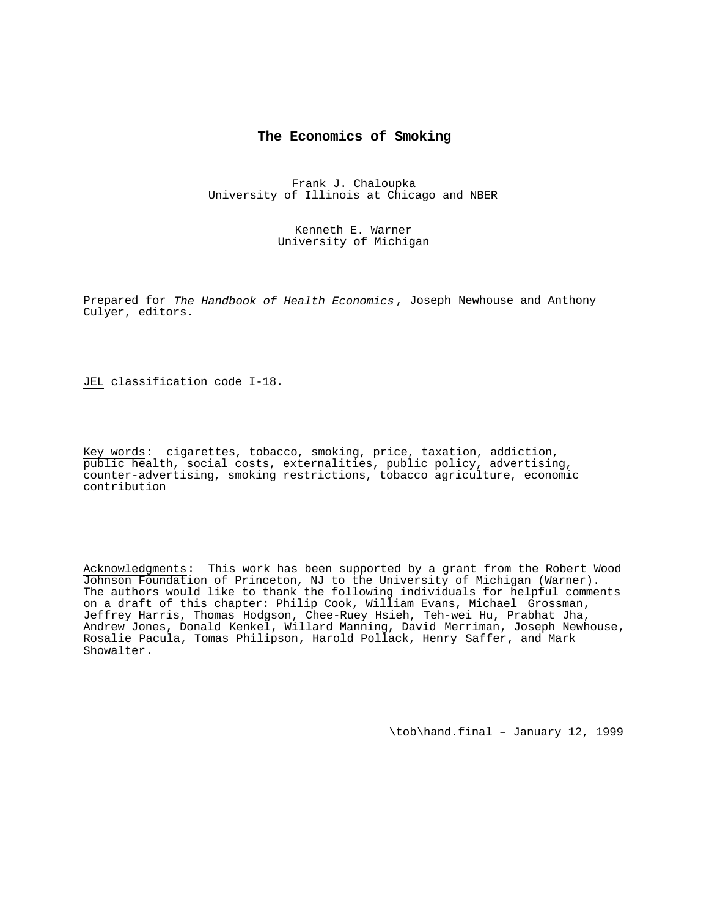# **The Economics of Smoking**

Frank J. Chaloupka University of Illinois at Chicago and NBER

> Kenneth E. Warner University of Michigan

Prepared for *The Handbook of Health Economics* , Joseph Newhouse and Anthony Culyer, editors.

JEL classification code I-18.

Key words: cigarettes, tobacco, smoking, price, taxation, addiction, public health, social costs, externalities, public policy, advertising, counter-advertising, smoking restrictions, tobacco agriculture, economic contribution

Acknowledgments: This work has been supported by a grant from the Robert Wood Johnson Foundation of Princeton, NJ to the University of Michigan (Warner). The authors would like to thank the following individuals for helpful comments on a draft of this chapter: Philip Cook, William Evans, Michael Grossman, Jeffrey Harris, Thomas Hodgson, Chee-Ruey Hsieh, Teh-wei Hu, Prabhat Jha, Andrew Jones, Donald Kenkel, Willard Manning, David Merriman, Joseph Newhouse, Rosalie Pacula, Tomas Philipson, Harold Pollack, Henry Saffer, and Mark Showalter.

\tob\hand.final – January 12, 1999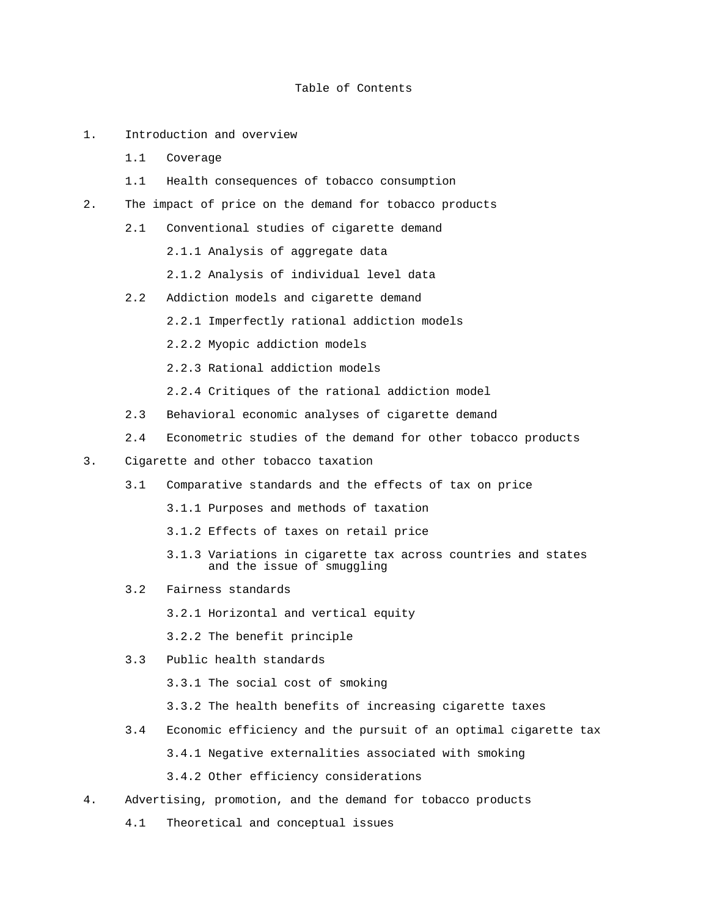## Table of Contents

- 1. Introduction and overview
	- 1.1 Coverage
	- 1.1 Health consequences of tobacco consumption
- 2. The impact of price on the demand for tobacco products
	- 2.1 Conventional studies of cigarette demand

2.1.1 Analysis of aggregate data

- 2.1.2 Analysis of individual level data
- 2.2 Addiction models and cigarette demand
	- 2.2.1 Imperfectly rational addiction models

2.2.2 Myopic addiction models

2.2.3 Rational addiction models

2.2.4 Critiques of the rational addiction model

- 2.3 Behavioral economic analyses of cigarette demand
- 2.4 Econometric studies of the demand for other tobacco products
- 3. Cigarette and other tobacco taxation
	- 3.1 Comparative standards and the effects of tax on price
		- 3.1.1 Purposes and methods of taxation
		- 3.1.2 Effects of taxes on retail price
		- 3.1.3 Variations in cigarette tax across countries and states and the issue of smuggling
	- 3.2 Fairness standards

3.2.1 Horizontal and vertical equity

3.2.2 The benefit principle

3.3 Public health standards

3.3.1 The social cost of smoking

- 3.3.2 The health benefits of increasing cigarette taxes
- 3.4 Economic efficiency and the pursuit of an optimal cigarette tax

3.4.1 Negative externalities associated with smoking

3.4.2 Other efficiency considerations

- 4. Advertising, promotion, and the demand for tobacco products
	- 4.1 Theoretical and conceptual issues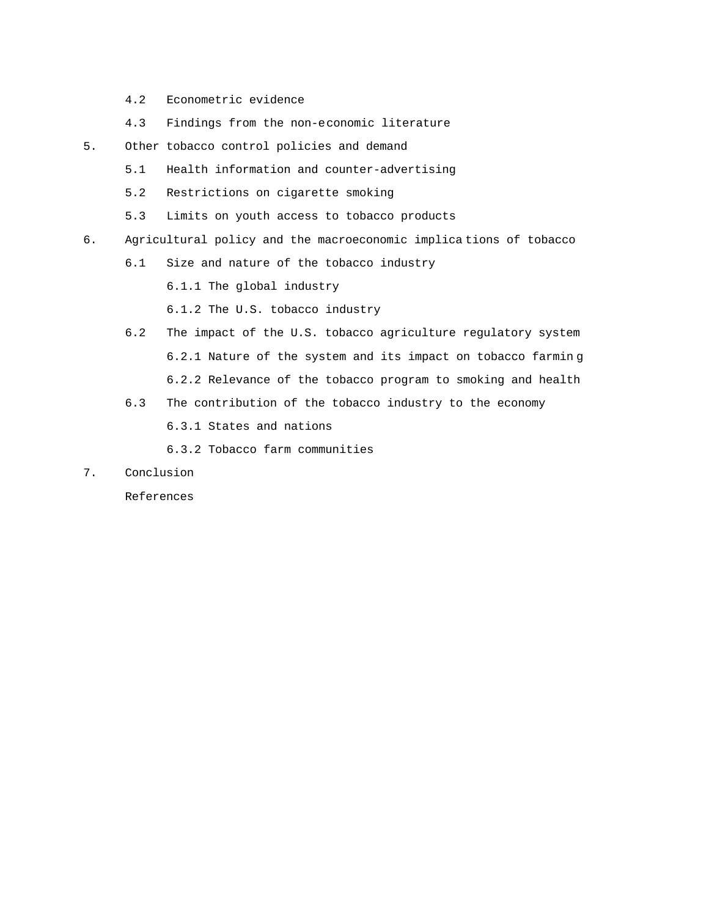- 4.2 Econometric evidence
- 4.3 Findings from the non-economic literature
- 5. Other tobacco control policies and demand
	- 5.1 Health information and counter-advertising
	- 5.2 Restrictions on cigarette smoking
	- 5.3 Limits on youth access to tobacco products
- 6. Agricultural policy and the macroeconomic implica tions of tobacco
	- 6.1 Size and nature of the tobacco industry

6.1.1 The global industry

6.1.2 The U.S. tobacco industry

- 6.2 The impact of the U.S. tobacco agriculture regulatory system 6.2.1 Nature of the system and its impact on tobacco farmin g 6.2.2 Relevance of the tobacco program to smoking and health
- 6.3 The contribution of the tobacco industry to the economy 6.3.1 States and nations

6.3.2 Tobacco farm communities

7. Conclusion

References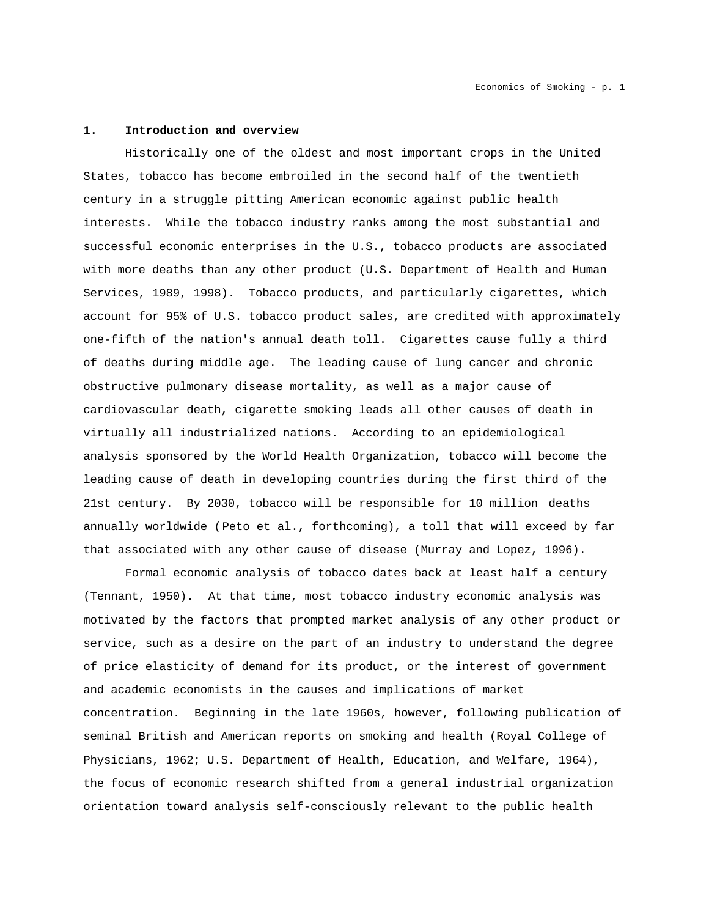#### **1. Introduction and overview**

Historically one of the oldest and most important crops in the United States, tobacco has become embroiled in the second half of the twentieth century in a struggle pitting American economic against public health interests. While the tobacco industry ranks among the most substantial and successful economic enterprises in the U.S., tobacco products are associated with more deaths than any other product (U.S. Department of Health and Human Services, 1989, 1998). Tobacco products, and particularly cigarettes, which account for 95% of U.S. tobacco product sales, are credited with approximately one-fifth of the nation's annual death toll. Cigarettes cause fully a third of deaths during middle age. The leading cause of lung cancer and chronic obstructive pulmonary disease mortality, as well as a major cause of cardiovascular death, cigarette smoking leads all other causes of death in virtually all industrialized nations. According to an epidemiological analysis sponsored by the World Health Organization, tobacco will become the leading cause of death in developing countries during the first third of the 21st century. By 2030, tobacco will be responsible for 10 million deaths annually worldwide (Peto et al., forthcoming), a toll that will exceed by far that associated with any other cause of disease (Murray and Lopez, 1996).

Formal economic analysis of tobacco dates back at least half a century (Tennant, 1950). At that time, most tobacco industry economic analysis was motivated by the factors that prompted market analysis of any other product or service, such as a desire on the part of an industry to understand the degree of price elasticity of demand for its product, or the interest of government and academic economists in the causes and implications of market concentration. Beginning in the late 1960s, however, following publication of seminal British and American reports on smoking and health (Royal College of Physicians, 1962; U.S. Department of Health, Education, and Welfare, 1964), the focus of economic research shifted from a general industrial organization orientation toward analysis self-consciously relevant to the public health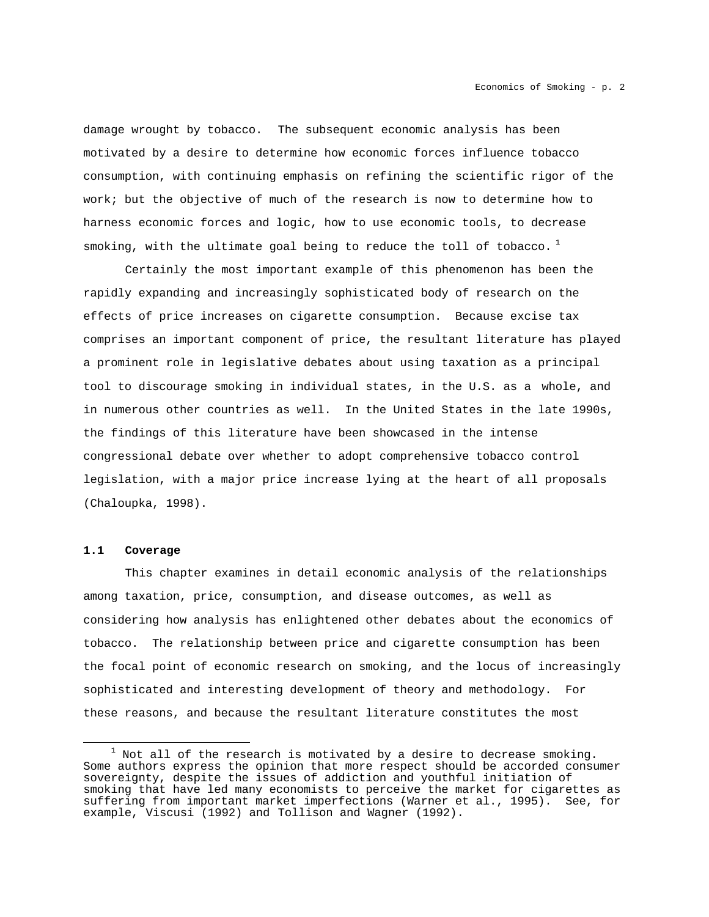damage wrought by tobacco. The subsequent economic analysis has been motivated by a desire to determine how economic forces influence tobacco consumption, with continuing emphasis on refining the scientific rigor of the work; but the objective of much of the research is now to determine how to harness economic forces and logic, how to use economic tools, to decrease smoking, with the ultimate goal being to reduce the toll of tobacco.<sup>1</sup>

Certainly the most important example of this phenomenon has been the rapidly expanding and increasingly sophisticated body of research on the effects of price increases on cigarette consumption. Because excise tax comprises an important component of price, the resultant literature has played a prominent role in legislative debates about using taxation as a principal tool to discourage smoking in individual states, in the U.S. as a whole, and in numerous other countries as well. In the United States in the late 1990s, the findings of this literature have been showcased in the intense congressional debate over whether to adopt comprehensive tobacco control legislation, with a major price increase lying at the heart of all proposals (Chaloupka, 1998).

### **1.1 Coverage**

i<br>Li

This chapter examines in detail economic analysis of the relationships among taxation, price, consumption, and disease outcomes, as well as considering how analysis has enlightened other debates about the economics of tobacco. The relationship between price and cigarette consumption has been the focal point of economic research on smoking, and the locus of increasingly sophisticated and interesting development of theory and methodology. For these reasons, and because the resultant literature constitutes the most

 $^1$  Not all of the research is motivated by a desire to decrease smoking. Some authors express the opinion that more respect should be accorded consumer sovereignty, despite the issues of addiction and youthful initiation of smoking that have led many economists to perceive the market for cigarettes as suffering from important market imperfections (Warner et al., 1995). See, for example, Viscusi (1992) and Tollison and Wagner (1992).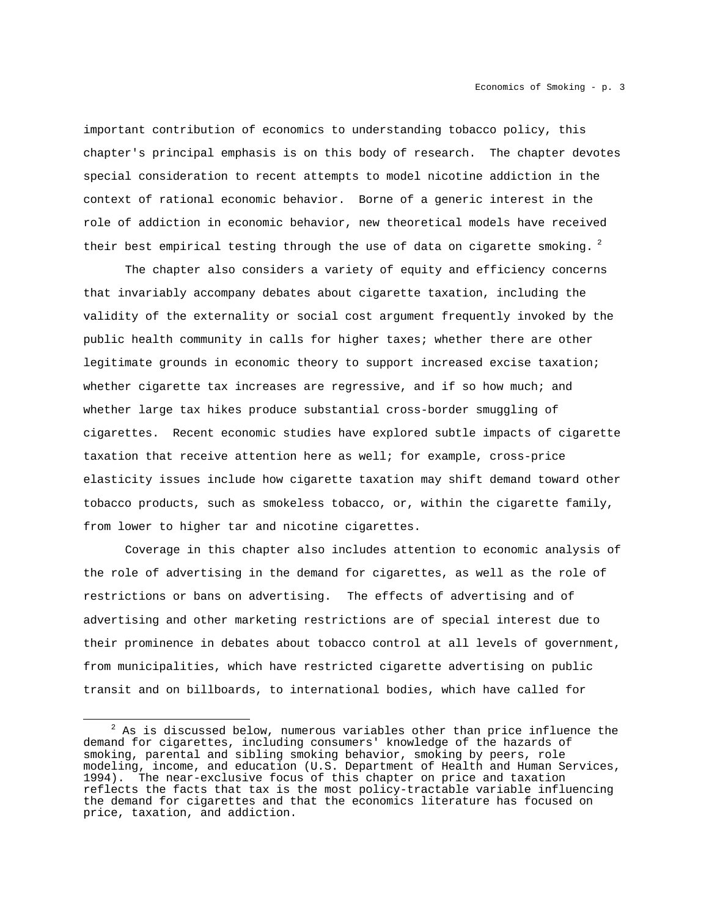important contribution of economics to understanding tobacco policy, this chapter's principal emphasis is on this body of research. The chapter devotes special consideration to recent attempts to model nicotine addiction in the context of rational economic behavior. Borne of a generic interest in the role of addiction in economic behavior, new theoretical models have received their best empirical testing through the use of data on cigarette smoking.  $2$ 

The chapter also considers a variety of equity and efficiency concerns that invariably accompany debates about cigarette taxation, including the validity of the externality or social cost argument frequently invoked by the public health community in calls for higher taxes; whether there are other legitimate grounds in economic theory to support increased excise taxation; whether cigarette tax increases are regressive, and if so how much; and whether large tax hikes produce substantial cross-border smuggling of cigarettes. Recent economic studies have explored subtle impacts of cigarette taxation that receive attention here as well; for example, cross-price elasticity issues include how cigarette taxation may shift demand toward other tobacco products, such as smokeless tobacco, or, within the cigarette family, from lower to higher tar and nicotine cigarettes.

Coverage in this chapter also includes attention to economic analysis of the role of advertising in the demand for cigarettes, as well as the role of restrictions or bans on advertising. The effects of advertising and of advertising and other marketing restrictions are of special interest due to their prominence in debates about tobacco control at all levels of government, from municipalities, which have restricted cigarette advertising on public transit and on billboards, to international bodies, which have called for

i<br>Li

 $^2$  As is discussed below, numerous variables other than price influence the demand for cigarettes, including consumers' knowledge of the hazards of smoking, parental and sibling smoking behavior, smoking by peers, role modeling, income, and education (U.S. Department of Health and Human Services, 1994). The near-exclusive focus of this chapter on price and taxation reflects the facts that tax is the most policy-tractable variable influencing the demand for cigarettes and that the economics literature has focused on price, taxation, and addiction.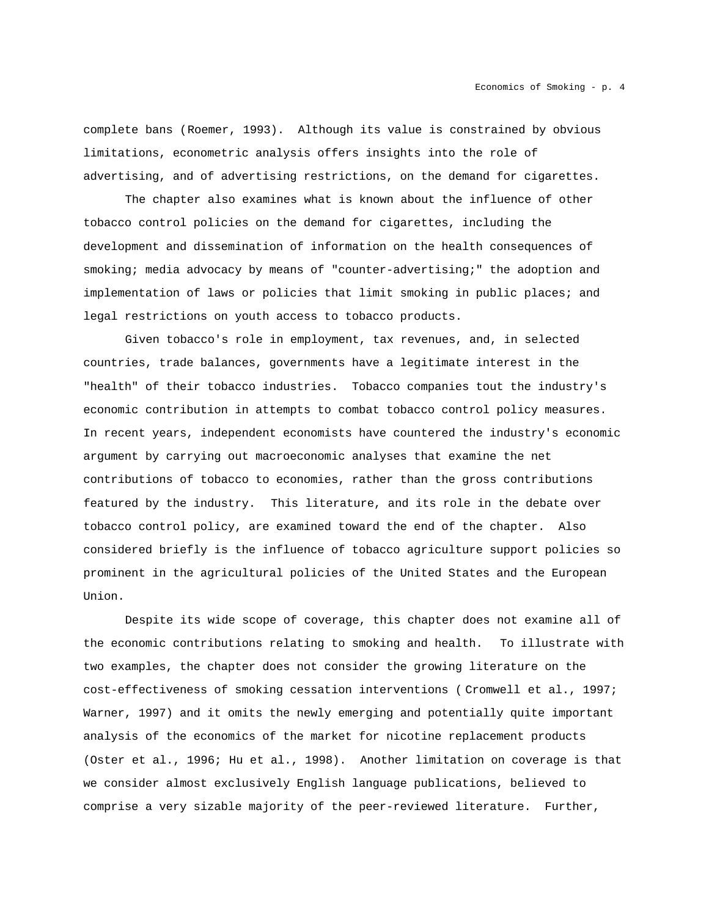complete bans (Roemer, 1993). Although its value is constrained by obvious limitations, econometric analysis offers insights into the role of advertising, and of advertising restrictions, on the demand for cigarettes.

The chapter also examines what is known about the influence of other tobacco control policies on the demand for cigarettes, including the development and dissemination of information on the health consequences of smoking; media advocacy by means of "counter-advertising;" the adoption and implementation of laws or policies that limit smoking in public places; and legal restrictions on youth access to tobacco products.

Given tobacco's role in employment, tax revenues, and, in selected countries, trade balances, governments have a legitimate interest in the "health" of their tobacco industries. Tobacco companies tout the industry's economic contribution in attempts to combat tobacco control policy measures. In recent years, independent economists have countered the industry's economic argument by carrying out macroeconomic analyses that examine the net contributions of tobacco to economies, rather than the gross contributions featured by the industry. This literature, and its role in the debate over tobacco control policy, are examined toward the end of the chapter. Also considered briefly is the influence of tobacco agriculture support policies so prominent in the agricultural policies of the United States and the European Union.

Despite its wide scope of coverage, this chapter does not examine all of the economic contributions relating to smoking and health. To illustrate with two examples, the chapter does not consider the growing literature on the cost-effectiveness of smoking cessation interventions ( Cromwell et al., 1997; Warner, 1997) and it omits the newly emerging and potentially quite important analysis of the economics of the market for nicotine replacement products (Oster et al., 1996; Hu et al., 1998). Another limitation on coverage is that we consider almost exclusively English language publications, believed to comprise a very sizable majority of the peer-reviewed literature. Further,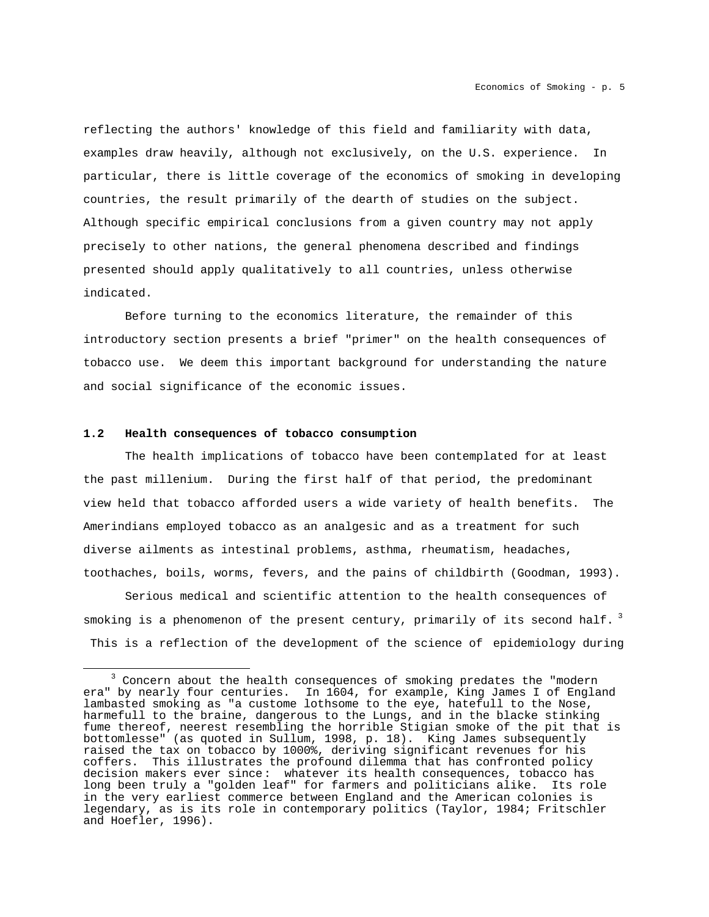reflecting the authors' knowledge of this field and familiarity with data, examples draw heavily, although not exclusively, on the U.S. experience. In particular, there is little coverage of the economics of smoking in developing countries, the result primarily of the dearth of studies on the subject. Although specific empirical conclusions from a given country may not apply precisely to other nations, the general phenomena described and findings presented should apply qualitatively to all countries, unless otherwise indicated.

Before turning to the economics literature, the remainder of this introductory section presents a brief "primer" on the health consequences of tobacco use. We deem this important background for understanding the nature and social significance of the economic issues.

## **1.2 Health consequences of tobacco consumption**

i

The health implications of tobacco have been contemplated for at least the past millenium. During the first half of that period, the predominant view held that tobacco afforded users a wide variety of health benefits. The Amerindians employed tobacco as an analgesic and as a treatment for such diverse ailments as intestinal problems, asthma, rheumatism, headaches, toothaches, boils, worms, fevers, and the pains of childbirth (Goodman, 1993).

Serious medical and scientific attention to the health consequences of smoking is a phenomenon of the present century, primarily of its second half.<sup>3</sup> This is a reflection of the development of the science of epidemiology during

<sup>&</sup>lt;sup>3</sup> Concern about the health consequences of smoking predates the "modern era" by nearly four centuries. In 1604, for example, King James I of England lambasted smoking as "a custome lothsome to the eye, hatefull to the Nose, harmefull to the braine, dangerous to the Lungs, and in the blacke stinking fume thereof, neerest resembling the horrible Stigian smoke of the pit that is bottomlesse" (as quoted in Sullum, 1998, p. 18). King James subsequently raised the tax on tobacco by 1000%, deriving significant revenues for his coffers. This illustrates the profound dilemma that has confronted policy decision makers ever since: whatever its health consequences, tobacco has long been truly a "golden leaf" for farmers and politicians alike. Its role in the very earliest commerce between England and the American colonies is legendary, as is its role in contemporary politics (Taylor, 1984; Fritschler and Hoefler, 1996).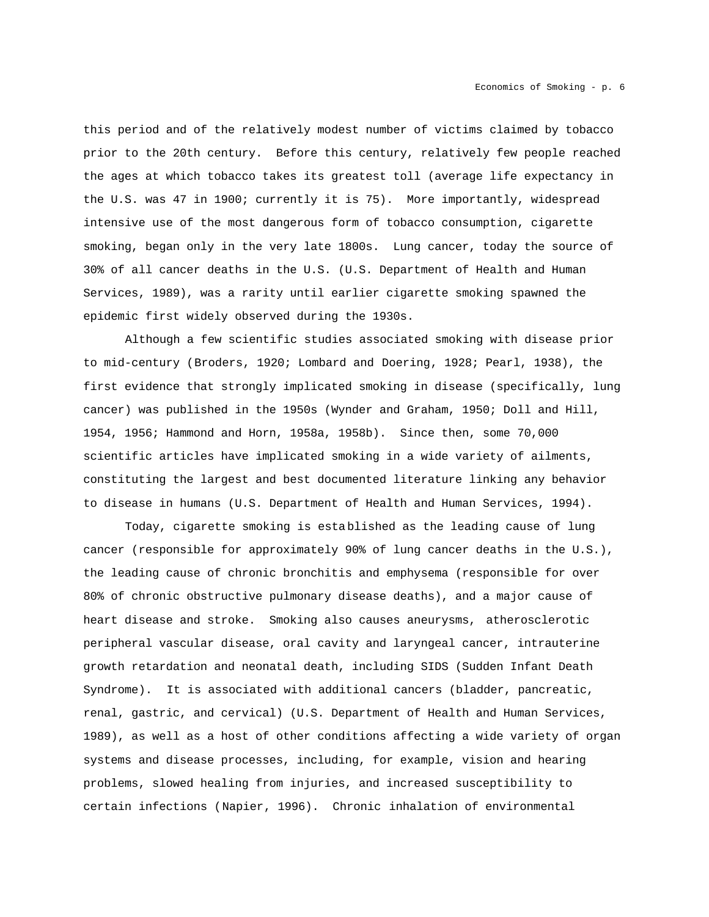this period and of the relatively modest number of victims claimed by tobacco prior to the 20th century. Before this century, relatively few people reached the ages at which tobacco takes its greatest toll (average life expectancy in the U.S. was 47 in 1900; currently it is 75). More importantly, widespread intensive use of the most dangerous form of tobacco consumption, cigarette smoking, began only in the very late 1800s. Lung cancer, today the source of 30% of all cancer deaths in the U.S. (U.S. Department of Health and Human Services, 1989), was a rarity until earlier cigarette smoking spawned the epidemic first widely observed during the 1930s.

Although a few scientific studies associated smoking with disease prior to mid-century (Broders, 1920; Lombard and Doering, 1928; Pearl, 1938), the first evidence that strongly implicated smoking in disease (specifically, lung cancer) was published in the 1950s (Wynder and Graham, 1950; Doll and Hill, 1954, 1956; Hammond and Horn, 1958a, 1958b). Since then, some 70,000 scientific articles have implicated smoking in a wide variety of ailments, constituting the largest and best documented literature linking any behavior to disease in humans (U.S. Department of Health and Human Services, 1994).

Today, cigarette smoking is esta blished as the leading cause of lung cancer (responsible for approximately 90% of lung cancer deaths in the U.S.), the leading cause of chronic bronchitis and emphysema (responsible for over 80% of chronic obstructive pulmonary disease deaths), and a major cause of heart disease and stroke. Smoking also causes aneurysms, atherosclerotic peripheral vascular disease, oral cavity and laryngeal cancer, intrauterine growth retardation and neonatal death, including SIDS (Sudden Infant Death Syndrome). It is associated with additional cancers (bladder, pancreatic, renal, gastric, and cervical) (U.S. Department of Health and Human Services, 1989), as well as a host of other conditions affecting a wide variety of organ systems and disease processes, including, for example, vision and hearing problems, slowed healing from injuries, and increased susceptibility to certain infections (Napier, 1996). Chronic inhalation of environmental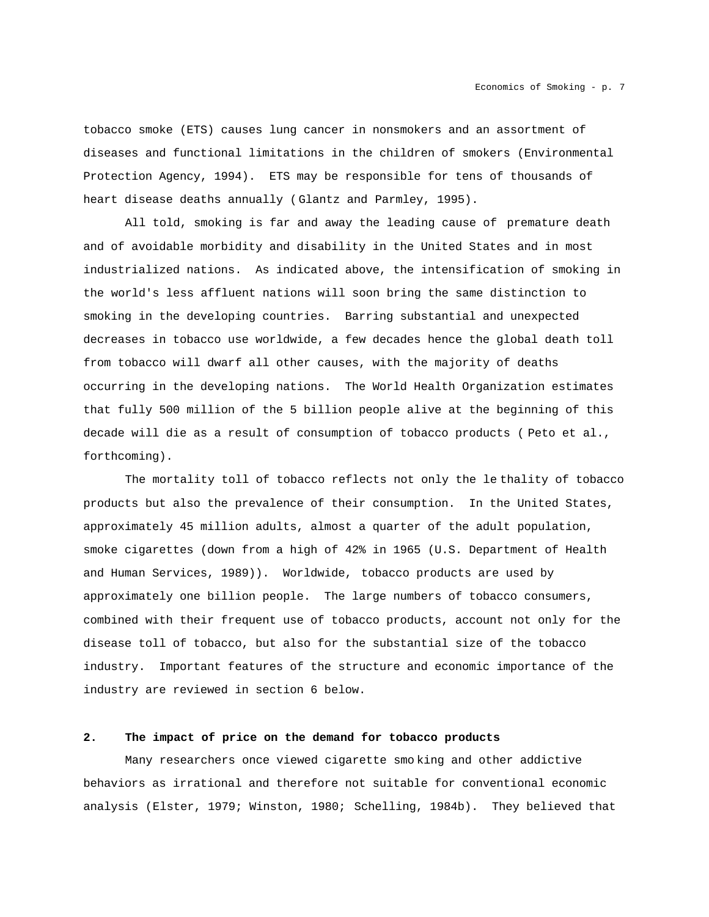tobacco smoke (ETS) causes lung cancer in nonsmokers and an assortment of diseases and functional limitations in the children of smokers (Environmental Protection Agency, 1994). ETS may be responsible for tens of thousands of heart disease deaths annually ( Glantz and Parmley, 1995).

All told, smoking is far and away the leading cause of premature death and of avoidable morbidity and disability in the United States and in most industrialized nations. As indicated above, the intensification of smoking in the world's less affluent nations will soon bring the same distinction to smoking in the developing countries. Barring substantial and unexpected decreases in tobacco use worldwide, a few decades hence the global death toll from tobacco will dwarf all other causes, with the majority of deaths occurring in the developing nations. The World Health Organization estimates that fully 500 million of the 5 billion people alive at the beginning of this decade will die as a result of consumption of tobacco products ( Peto et al., forthcoming).

The mortality toll of tobacco reflects not only the le thality of tobacco products but also the prevalence of their consumption. In the United States, approximately 45 million adults, almost a quarter of the adult population, smoke cigarettes (down from a high of 42% in 1965 (U.S. Department of Health and Human Services, 1989)). Worldwide, tobacco products are used by approximately one billion people. The large numbers of tobacco consumers, combined with their frequent use of tobacco products, account not only for the disease toll of tobacco, but also for the substantial size of the tobacco industry. Important features of the structure and economic importance of the industry are reviewed in section 6 below.

# **2. The impact of price on the demand for tobacco products**

Many researchers once viewed cigarette smo king and other addictive behaviors as irrational and therefore not suitable for conventional economic analysis (Elster, 1979; Winston, 1980; Schelling, 1984b). They believed that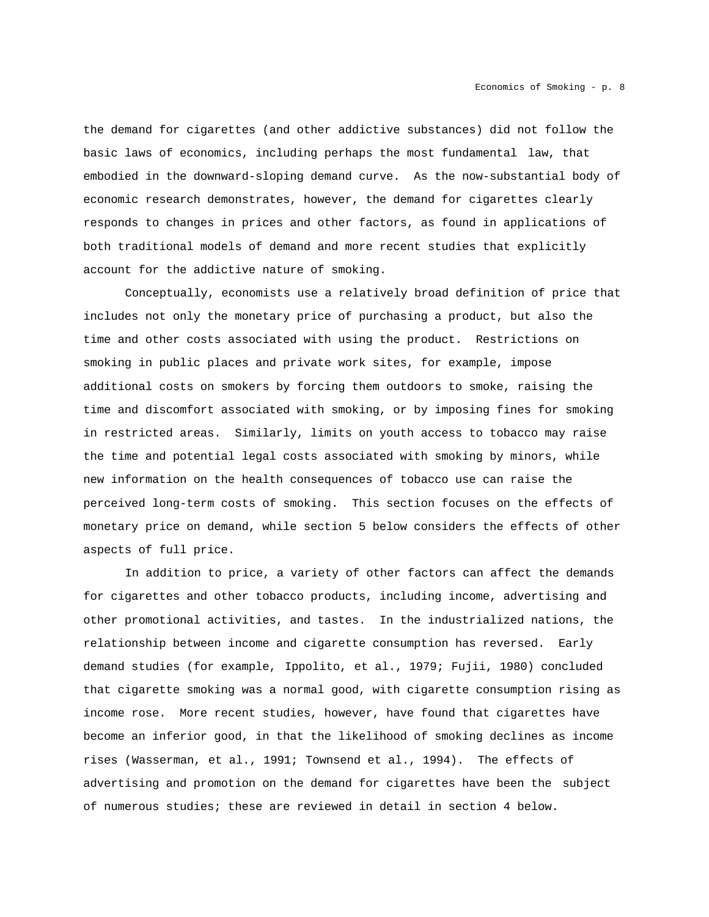the demand for cigarettes (and other addictive substances) did not follow the basic laws of economics, including perhaps the most fundamental law, that embodied in the downward-sloping demand curve. As the now-substantial body of economic research demonstrates, however, the demand for cigarettes clearly responds to changes in prices and other factors, as found in applications of both traditional models of demand and more recent studies that explicitly account for the addictive nature of smoking.

Conceptually, economists use a relatively broad definition of price that includes not only the monetary price of purchasing a product, but also the time and other costs associated with using the product. Restrictions on smoking in public places and private work sites, for example, impose additional costs on smokers by forcing them outdoors to smoke, raising the time and discomfort associated with smoking, or by imposing fines for smoking in restricted areas. Similarly, limits on youth access to tobacco may raise the time and potential legal costs associated with smoking by minors, while new information on the health consequences of tobacco use can raise the perceived long-term costs of smoking. This section focuses on the effects of monetary price on demand, while section 5 below considers the effects of other aspects of full price.

In addition to price, a variety of other factors can affect the demands for cigarettes and other tobacco products, including income, advertising and other promotional activities, and tastes. In the industrialized nations, the relationship between income and cigarette consumption has reversed. Early demand studies (for example, Ippolito, et al., 1979; Fujii, 1980) concluded that cigarette smoking was a normal good, with cigarette consumption rising as income rose. More recent studies, however, have found that cigarettes have become an inferior good, in that the likelihood of smoking declines as income rises (Wasserman, et al., 1991; Townsend et al., 1994). The effects of advertising and promotion on the demand for cigarettes have been the subject of numerous studies; these are reviewed in detail in section 4 below.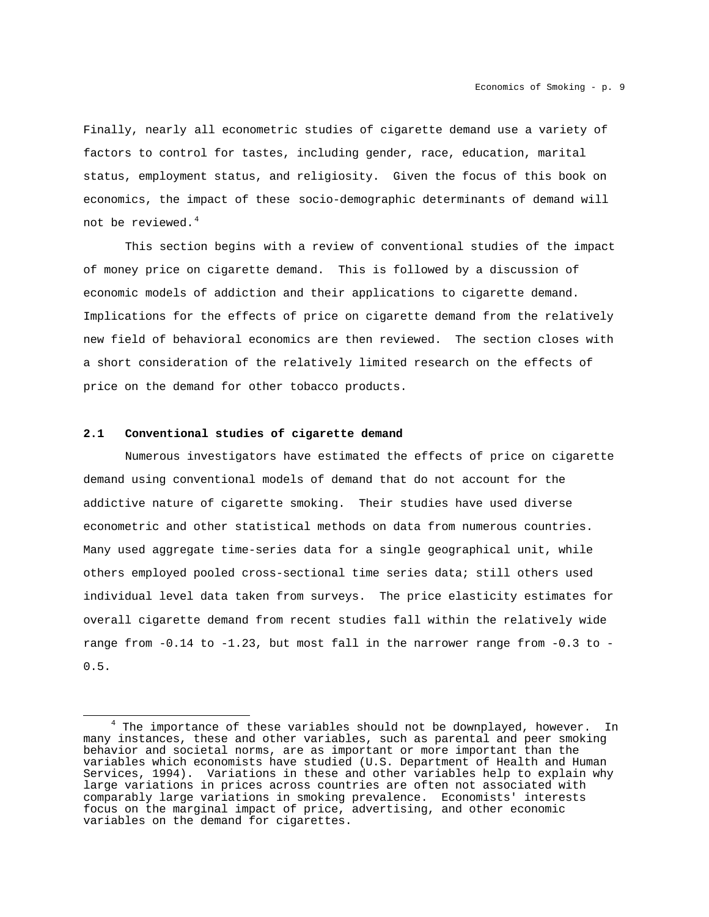Finally, nearly all econometric studies of cigarette demand use a variety of factors to control for tastes, including gender, race, education, marital status, employment status, and religiosity. Given the focus of this book on economics, the impact of these socio-demographic determinants of demand will not be reviewed.<sup>4</sup>

This section begins with a review of conventional studies of the impact of money price on cigarette demand. This is followed by a discussion of economic models of addiction and their applications to cigarette demand. Implications for the effects of price on cigarette demand from the relatively new field of behavioral economics are then reviewed. The section closes with a short consideration of the relatively limited research on the effects of price on the demand for other tobacco products.

# **2.1 Conventional studies of cigarette demand**

Numerous investigators have estimated the effects of price on cigarette demand using conventional models of demand that do not account for the addictive nature of cigarette smoking. Their studies have used diverse econometric and other statistical methods on data from numerous countries. Many used aggregate time-series data for a single geographical unit, while others employed pooled cross-sectional time series data; still others used individual level data taken from surveys. The price elasticity estimates for overall cigarette demand from recent studies fall within the relatively wide range from  $-0.14$  to  $-1.23$ , but most fall in the narrower range from  $-0.3$  to  $-$ 0.5.

i<br>Li <sup>4</sup> The importance of these variables should not be downplayed, however. In many instances, these and other variables, such as parental and peer smoking behavior and societal norms, are as important or more important than the variables which economists have studied (U.S. Department of Health and Human Services, 1994). Variations in these and other variables help to explain why large variations in prices across countries are often not associated with comparably large variations in smoking prevalence. Economists' interests focus on the marginal impact of price, advertising, and other economic variables on the demand for cigarettes.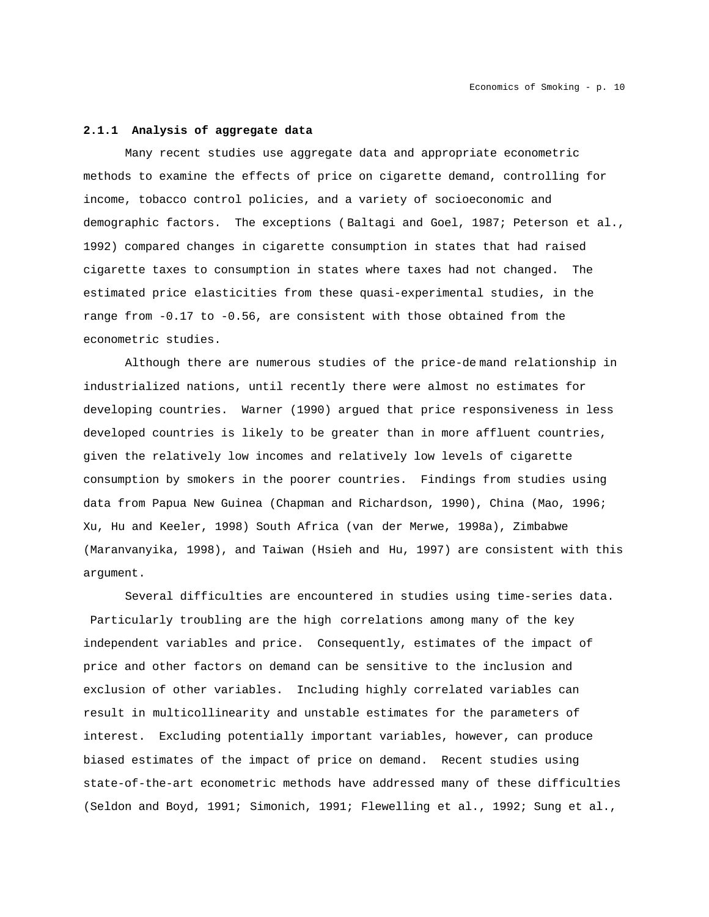#### **2.1.1 Analysis of aggregate data**

Many recent studies use aggregate data and appropriate econometric methods to examine the effects of price on cigarette demand, controlling for income, tobacco control policies, and a variety of socioeconomic and demographic factors. The exceptions ( Baltagi and Goel, 1987; Peterson et al., 1992) compared changes in cigarette consumption in states that had raised cigarette taxes to consumption in states where taxes had not changed. The estimated price elasticities from these quasi-experimental studies, in the range from -0.17 to -0.56, are consistent with those obtained from the econometric studies.

Although there are numerous studies of the price-de mand relationship in industrialized nations, until recently there were almost no estimates for developing countries. Warner (1990) argued that price responsiveness in less developed countries is likely to be greater than in more affluent countries, given the relatively low incomes and relatively low levels of cigarette consumption by smokers in the poorer countries. Findings from studies using data from Papua New Guinea (Chapman and Richardson, 1990), China (Mao, 1996; Xu, Hu and Keeler, 1998) South Africa (van der Merwe, 1998a), Zimbabwe (Maranvanyika, 1998), and Taiwan (Hsieh and Hu, 1997) are consistent with this argument.

Several difficulties are encountered in studies using time-series data. Particularly troubling are the high correlations among many of the key independent variables and price. Consequently, estimates of the impact of price and other factors on demand can be sensitive to the inclusion and exclusion of other variables. Including highly correlated variables can result in multicollinearity and unstable estimates for the parameters of interest. Excluding potentially important variables, however, can produce biased estimates of the impact of price on demand. Recent studies using state-of-the-art econometric methods have addressed many of these difficulties (Seldon and Boyd, 1991; Simonich, 1991; Flewelling et al., 1992; Sung et al.,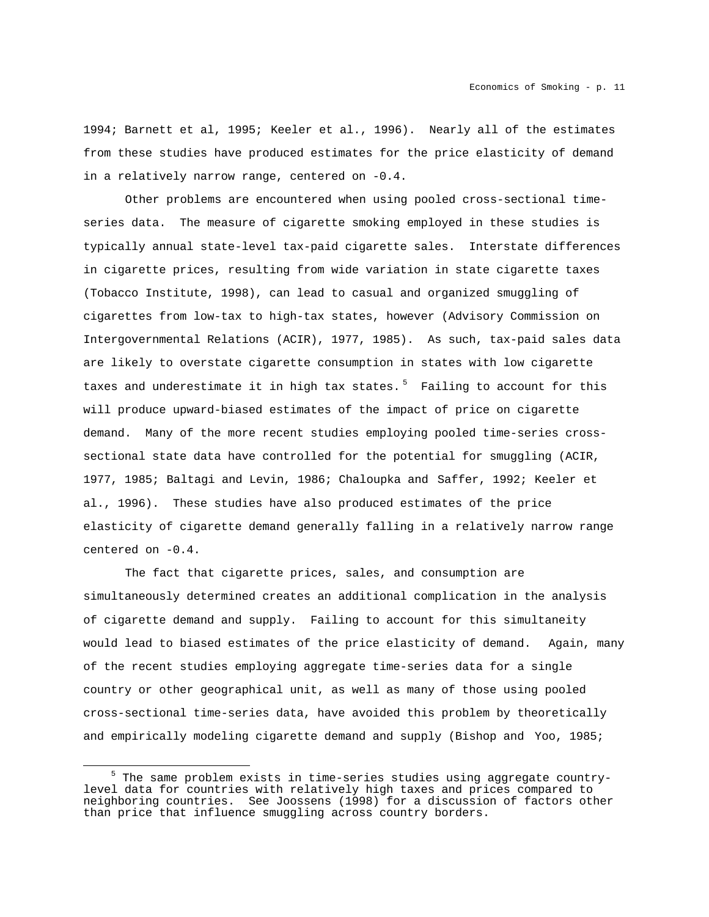1994; Barnett et al, 1995; Keeler et al., 1996). Nearly all of the estimates from these studies have produced estimates for the price elasticity of demand in a relatively narrow range, centered on -0.4.

Other problems are encountered when using pooled cross-sectional timeseries data. The measure of cigarette smoking employed in these studies is typically annual state-level tax-paid cigarette sales. Interstate differences in cigarette prices, resulting from wide variation in state cigarette taxes (Tobacco Institute, 1998), can lead to casual and organized smuggling of cigarettes from low-tax to high-tax states, however (Advisory Commission on Intergovernmental Relations (ACIR), 1977, 1985). As such, tax-paid sales data are likely to overstate cigarette consumption in states with low cigarette taxes and underestimate it in high tax states.  $^5$  Failing to account for this will produce upward-biased estimates of the impact of price on cigarette demand. Many of the more recent studies employing pooled time-series crosssectional state data have controlled for the potential for smuggling (ACIR, 1977, 1985; Baltagi and Levin, 1986; Chaloupka and Saffer, 1992; Keeler et al., 1996). These studies have also produced estimates of the price elasticity of cigarette demand generally falling in a relatively narrow range centered on -0.4.

The fact that cigarette prices, sales, and consumption are simultaneously determined creates an additional complication in the analysis of cigarette demand and supply. Failing to account for this simultaneity would lead to biased estimates of the price elasticity of demand. Again, many of the recent studies employing aggregate time-series data for a single country or other geographical unit, as well as many of those using pooled cross-sectional time-series data, have avoided this problem by theoretically and empirically modeling cigarette demand and supply (Bishop and Yoo, 1985;

i

<sup>&</sup>lt;sup>5</sup> The same problem exists in time-series studies using aggregate countrylevel data for countries with relatively high taxes and prices compared to neighboring countries. See Joossens (1998) for a discussion of factors other than price that influence smuggling across country borders.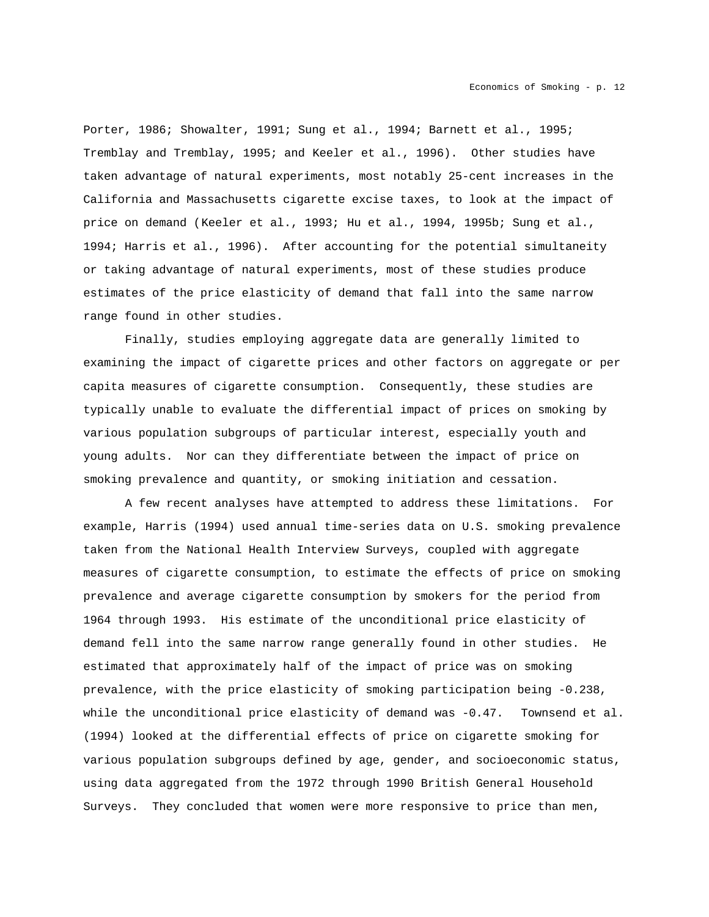Porter, 1986; Showalter, 1991; Sung et al., 1994; Barnett et al., 1995; Tremblay and Tremblay, 1995; and Keeler et al., 1996). Other studies have taken advantage of natural experiments, most notably 25-cent increases in the California and Massachusetts cigarette excise taxes, to look at the impact of price on demand (Keeler et al., 1993; Hu et al., 1994, 1995b; Sung et al., 1994; Harris et al., 1996). After accounting for the potential simultaneity or taking advantage of natural experiments, most of these studies produce estimates of the price elasticity of demand that fall into the same narrow range found in other studies.

Finally, studies employing aggregate data are generally limited to examining the impact of cigarette prices and other factors on aggregate or per capita measures of cigarette consumption. Consequently, these studies are typically unable to evaluate the differential impact of prices on smoking by various population subgroups of particular interest, especially youth and young adults. Nor can they differentiate between the impact of price on smoking prevalence and quantity, or smoking initiation and cessation.

A few recent analyses have attempted to address these limitations. For example, Harris (1994) used annual time-series data on U.S. smoking prevalence taken from the National Health Interview Surveys, coupled with aggregate measures of cigarette consumption, to estimate the effects of price on smoking prevalence and average cigarette consumption by smokers for the period from 1964 through 1993. His estimate of the unconditional price elasticity of demand fell into the same narrow range generally found in other studies. He estimated that approximately half of the impact of price was on smoking prevalence, with the price elasticity of smoking participation being -0.238, while the unconditional price elasticity of demand was -0.47. Townsend et al. (1994) looked at the differential effects of price on cigarette smoking for various population subgroups defined by age, gender, and socioeconomic status, using data aggregated from the 1972 through 1990 British General Household Surveys. They concluded that women were more responsive to price than men,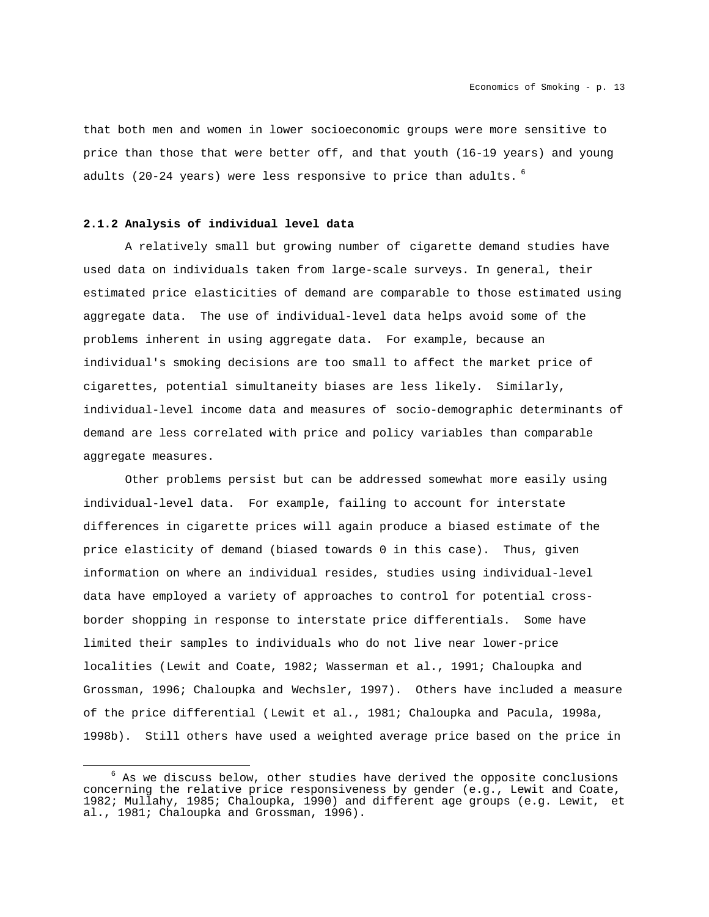that both men and women in lower socioeconomic groups were more sensitive to price than those that were better off, and that youth (16-19 years) and young adults (20-24 years) were less responsive to price than adults. <sup>6</sup>

## **2.1.2 Analysis of individual level data**

i

A relatively small but growing number of cigarette demand studies have used data on individuals taken from large-scale surveys. In general, their estimated price elasticities of demand are comparable to those estimated using aggregate data. The use of individual-level data helps avoid some of the problems inherent in using aggregate data. For example, because an individual's smoking decisions are too small to affect the market price of cigarettes, potential simultaneity biases are less likely. Similarly, individual-level income data and measures of socio-demographic determinants of demand are less correlated with price and policy variables than comparable aggregate measures.

Other problems persist but can be addressed somewhat more easily using individual-level data. For example, failing to account for interstate differences in cigarette prices will again produce a biased estimate of the price elasticity of demand (biased towards 0 in this case). Thus, given information on where an individual resides, studies using individual-level data have employed a variety of approaches to control for potential crossborder shopping in response to interstate price differentials. Some have limited their samples to individuals who do not live near lower-price localities (Lewit and Coate, 1982; Wasserman et al., 1991; Chaloupka and Grossman, 1996; Chaloupka and Wechsler, 1997). Others have included a measure of the price differential (Lewit et al., 1981; Chaloupka and Pacula, 1998a, 1998b). Still others have used a weighted average price based on the price in

 $^6$  As we discuss below, other studies have derived the opposite conclusions concerning the relative price responsiveness by gender (e.g., Lewit and Coate, 1982; Mullahy, 1985; Chaloupka, 1990) and different age groups (e.g. Lewit, et al., 1981; Chaloupka and Grossman, 1996).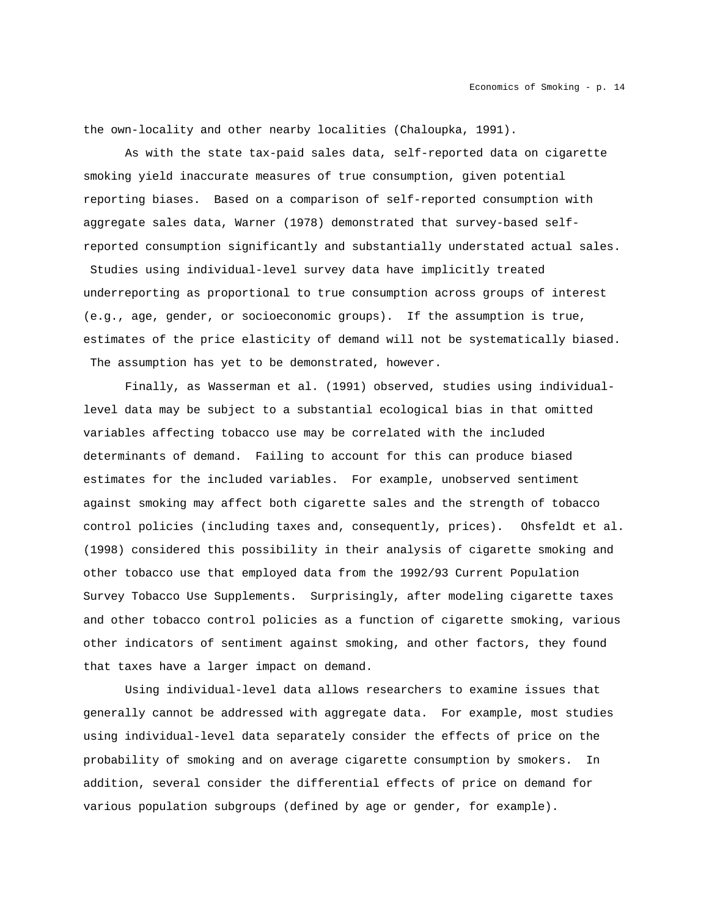the own-locality and other nearby localities (Chaloupka, 1991).

As with the state tax-paid sales data, self-reported data on cigarette smoking yield inaccurate measures of true consumption, given potential reporting biases. Based on a comparison of self-reported consumption with aggregate sales data, Warner (1978) demonstrated that survey-based selfreported consumption significantly and substantially understated actual sales. Studies using individual-level survey data have implicitly treated underreporting as proportional to true consumption across groups of interest (e.g., age, gender, or socioeconomic groups). If the assumption is true, estimates of the price elasticity of demand will not be systematically biased. The assumption has yet to be demonstrated, however.

Finally, as Wasserman et al. (1991) observed, studies using individuallevel data may be subject to a substantial ecological bias in that omitted variables affecting tobacco use may be correlated with the included determinants of demand. Failing to account for this can produce biased estimates for the included variables. For example, unobserved sentiment against smoking may affect both cigarette sales and the strength of tobacco control policies (including taxes and, consequently, prices). Ohsfeldt et al. (1998) considered this possibility in their analysis of cigarette smoking and other tobacco use that employed data from the 1992/93 Current Population Survey Tobacco Use Supplements. Surprisingly, after modeling cigarette taxes and other tobacco control policies as a function of cigarette smoking, various other indicators of sentiment against smoking, and other factors, they found that taxes have a larger impact on demand.

Using individual-level data allows researchers to examine issues that generally cannot be addressed with aggregate data. For example, most studies using individual-level data separately consider the effects of price on the probability of smoking and on average cigarette consumption by smokers. In addition, several consider the differential effects of price on demand for various population subgroups (defined by age or gender, for example).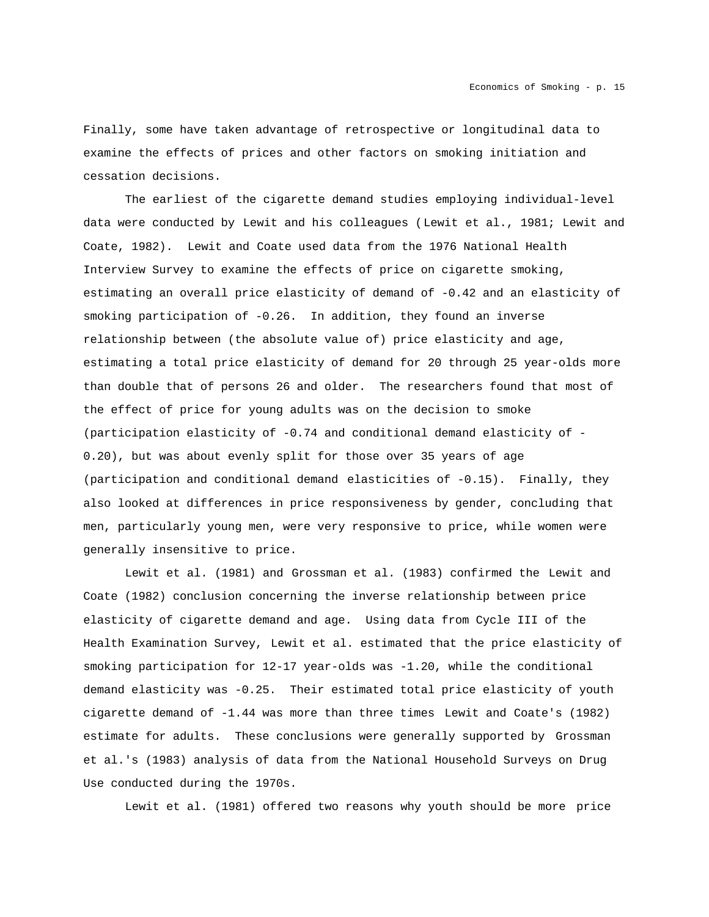Finally, some have taken advantage of retrospective or longitudinal data to examine the effects of prices and other factors on smoking initiation and cessation decisions.

The earliest of the cigarette demand studies employing individual-level data were conducted by Lewit and his colleagues (Lewit et al., 1981; Lewit and Coate, 1982). Lewit and Coate used data from the 1976 National Health Interview Survey to examine the effects of price on cigarette smoking, estimating an overall price elasticity of demand of -0.42 and an elasticity of smoking participation of -0.26. In addition, they found an inverse relationship between (the absolute value of) price elasticity and age, estimating a total price elasticity of demand for 20 through 25 year-olds more than double that of persons 26 and older. The researchers found that most of the effect of price for young adults was on the decision to smoke (participation elasticity of -0.74 and conditional demand elasticity of - 0.20), but was about evenly split for those over 35 years of age (participation and conditional demand elasticities of -0.15). Finally, they also looked at differences in price responsiveness by gender, concluding that men, particularly young men, were very responsive to price, while women were generally insensitive to price.

Lewit et al. (1981) and Grossman et al. (1983) confirmed the Lewit and Coate (1982) conclusion concerning the inverse relationship between price elasticity of cigarette demand and age. Using data from Cycle III of the Health Examination Survey, Lewit et al. estimated that the price elasticity of smoking participation for 12-17 year-olds was -1.20, while the conditional demand elasticity was -0.25. Their estimated total price elasticity of youth cigarette demand of -1.44 was more than three times Lewit and Coate's (1982) estimate for adults. These conclusions were generally supported by Grossman et al.'s (1983) analysis of data from the National Household Surveys on Drug Use conducted during the 1970s.

Lewit et al. (1981) offered two reasons why youth should be more price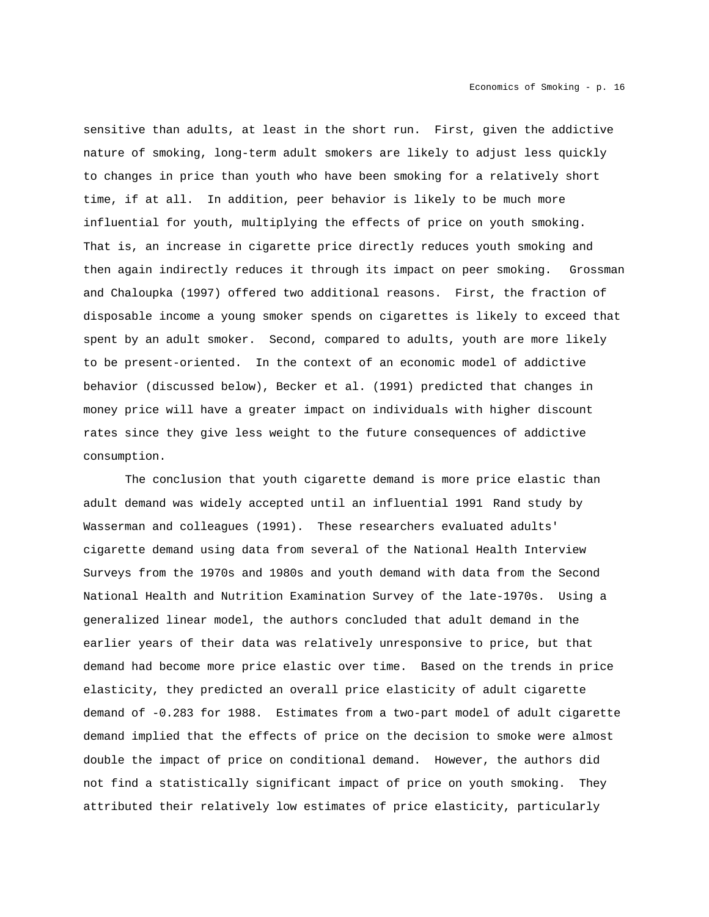sensitive than adults, at least in the short run. First, given the addictive nature of smoking, long-term adult smokers are likely to adjust less quickly to changes in price than youth who have been smoking for a relatively short time, if at all. In addition, peer behavior is likely to be much more influential for youth, multiplying the effects of price on youth smoking. That is, an increase in cigarette price directly reduces youth smoking and then again indirectly reduces it through its impact on peer smoking. Grossman and Chaloupka (1997) offered two additional reasons. First, the fraction of disposable income a young smoker spends on cigarettes is likely to exceed that spent by an adult smoker. Second, compared to adults, youth are more likely to be present-oriented. In the context of an economic model of addictive behavior (discussed below), Becker et al. (1991) predicted that changes in money price will have a greater impact on individuals with higher discount rates since they give less weight to the future consequences of addictive consumption.

The conclusion that youth cigarette demand is more price elastic than adult demand was widely accepted until an influential 1991 Rand study by Wasserman and colleagues (1991). These researchers evaluated adults' cigarette demand using data from several of the National Health Interview Surveys from the 1970s and 1980s and youth demand with data from the Second National Health and Nutrition Examination Survey of the late-1970s. Using a generalized linear model, the authors concluded that adult demand in the earlier years of their data was relatively unresponsive to price, but that demand had become more price elastic over time. Based on the trends in price elasticity, they predicted an overall price elasticity of adult cigarette demand of -0.283 for 1988. Estimates from a two-part model of adult cigarette demand implied that the effects of price on the decision to smoke were almost double the impact of price on conditional demand. However, the authors did not find a statistically significant impact of price on youth smoking. They attributed their relatively low estimates of price elasticity, particularly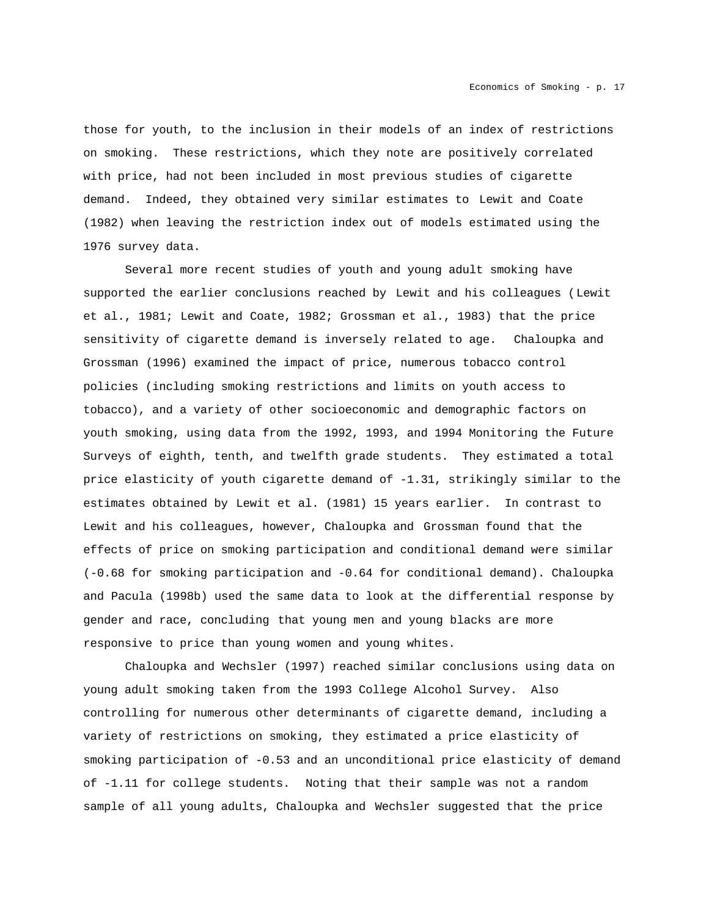those for youth, to the inclusion in their models of an index of restrictions on smoking. These restrictions, which they note are positively correlated with price, had not been included in most previous studies of cigarette demand. Indeed, they obtained very similar estimates to Lewit and Coate (1982) when leaving the restriction index out of models estimated using the 1976 survey data.

Several more recent studies of youth and young adult smoking have supported the earlier conclusions reached by Lewit and his colleagues (Lewit et al., 1981; Lewit and Coate, 1982; Grossman et al., 1983) that the price sensitivity of cigarette demand is inversely related to age. Chaloupka and Grossman (1996) examined the impact of price, numerous tobacco control policies (including smoking restrictions and limits on youth access to tobacco), and a variety of other socioeconomic and demographic factors on youth smoking, using data from the 1992, 1993, and 1994 Monitoring the Future Surveys of eighth, tenth, and twelfth grade students. They estimated a total price elasticity of youth cigarette demand of -1.31, strikingly similar to the estimates obtained by Lewit et al. (1981) 15 years earlier. In contrast to Lewit and his colleagues, however, Chaloupka and Grossman found that the effects of price on smoking participation and conditional demand were similar (-0.68 for smoking participation and -0.64 for conditional demand). Chaloupka and Pacula (1998b) used the same data to look at the differential response by gender and race, concluding that young men and young blacks are more responsive to price than young women and young whites.

Chaloupka and Wechsler (1997) reached similar conclusions using data on young adult smoking taken from the 1993 College Alcohol Survey. Also controlling for numerous other determinants of cigarette demand, including a variety of restrictions on smoking, they estimated a price elasticity of smoking participation of -0.53 and an unconditional price elasticity of demand of -1.11 for college students. Noting that their sample was not a random sample of all young adults, Chaloupka and Wechsler suggested that the price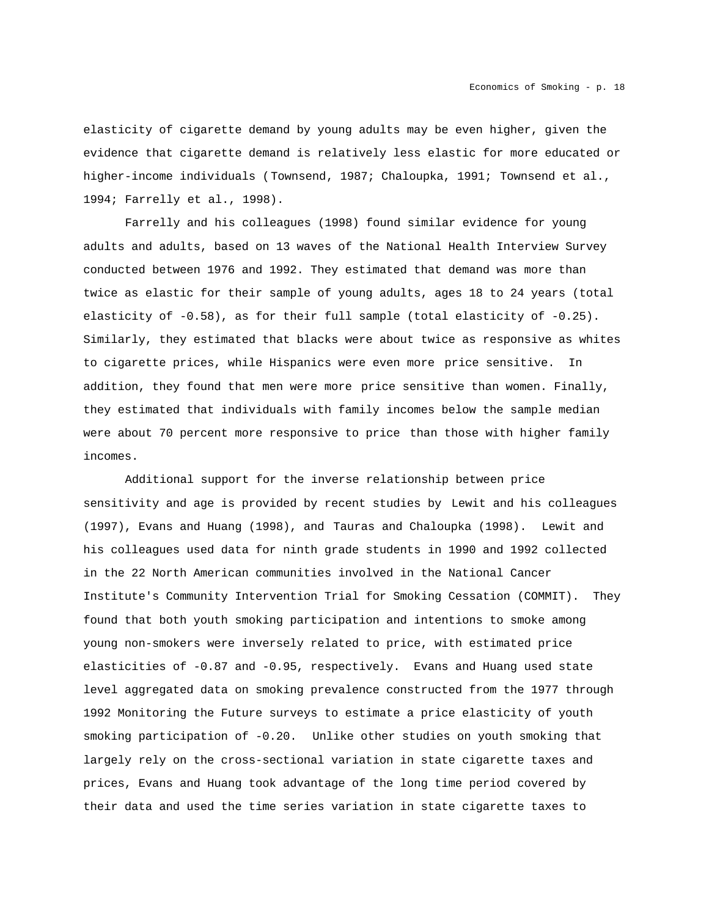elasticity of cigarette demand by young adults may be even higher, given the evidence that cigarette demand is relatively less elastic for more educated or higher-income individuals (Townsend, 1987; Chaloupka, 1991; Townsend et al., 1994; Farrelly et al., 1998).

Farrelly and his colleagues (1998) found similar evidence for young adults and adults, based on 13 waves of the National Health Interview Survey conducted between 1976 and 1992. They estimated that demand was more than twice as elastic for their sample of young adults, ages 18 to 24 years (total elasticity of -0.58), as for their full sample (total elasticity of -0.25). Similarly, they estimated that blacks were about twice as responsive as whites to cigarette prices, while Hispanics were even more price sensitive. In addition, they found that men were more price sensitive than women. Finally, they estimated that individuals with family incomes below the sample median were about 70 percent more responsive to price than those with higher family incomes.

Additional support for the inverse relationship between price sensitivity and age is provided by recent studies by Lewit and his colleagues (1997), Evans and Huang (1998), and Tauras and Chaloupka (1998). Lewit and his colleagues used data for ninth grade students in 1990 and 1992 collected in the 22 North American communities involved in the National Cancer Institute's Community Intervention Trial for Smoking Cessation (COMMIT). They found that both youth smoking participation and intentions to smoke among young non-smokers were inversely related to price, with estimated price elasticities of -0.87 and -0.95, respectively. Evans and Huang used state level aggregated data on smoking prevalence constructed from the 1977 through 1992 Monitoring the Future surveys to estimate a price elasticity of youth smoking participation of -0.20. Unlike other studies on youth smoking that largely rely on the cross-sectional variation in state cigarette taxes and prices, Evans and Huang took advantage of the long time period covered by their data and used the time series variation in state cigarette taxes to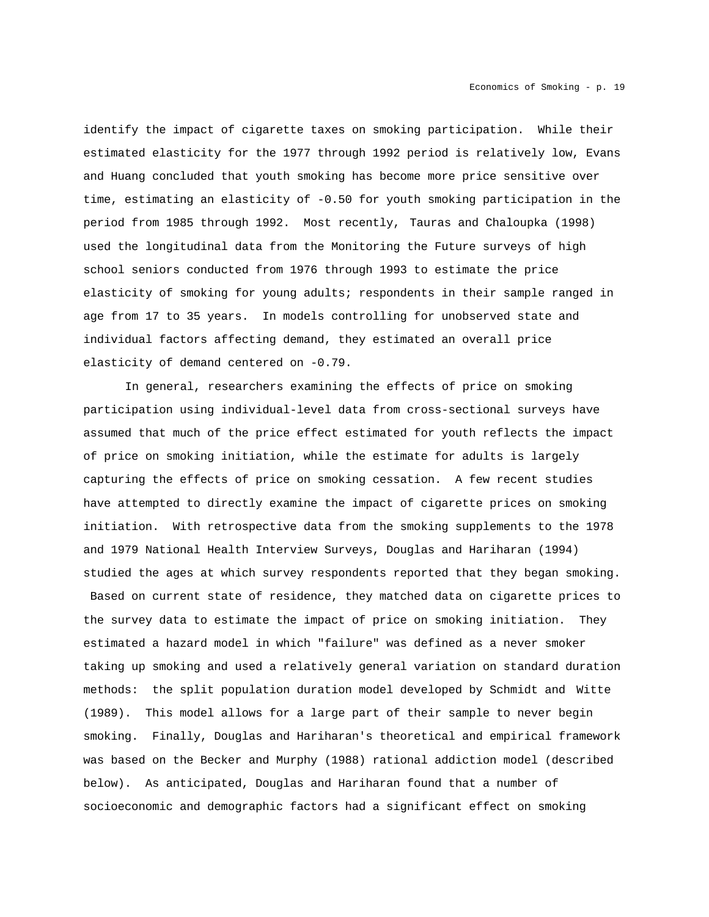identify the impact of cigarette taxes on smoking participation. While their estimated elasticity for the 1977 through 1992 period is relatively low, Evans and Huang concluded that youth smoking has become more price sensitive over time, estimating an elasticity of -0.50 for youth smoking participation in the period from 1985 through 1992. Most recently, Tauras and Chaloupka (1998) used the longitudinal data from the Monitoring the Future surveys of high school seniors conducted from 1976 through 1993 to estimate the price elasticity of smoking for young adults; respondents in their sample ranged in age from 17 to 35 years. In models controlling for unobserved state and individual factors affecting demand, they estimated an overall price elasticity of demand centered on -0.79.

In general, researchers examining the effects of price on smoking participation using individual-level data from cross-sectional surveys have assumed that much of the price effect estimated for youth reflects the impact of price on smoking initiation, while the estimate for adults is largely capturing the effects of price on smoking cessation. A few recent studies have attempted to directly examine the impact of cigarette prices on smoking initiation. With retrospective data from the smoking supplements to the 1978 and 1979 National Health Interview Surveys, Douglas and Hariharan (1994) studied the ages at which survey respondents reported that they began smoking. Based on current state of residence, they matched data on cigarette prices to the survey data to estimate the impact of price on smoking initiation. They estimated a hazard model in which "failure" was defined as a never smoker taking up smoking and used a relatively general variation on standard duration methods: the split population duration model developed by Schmidt and Witte (1989). This model allows for a large part of their sample to never begin smoking. Finally, Douglas and Hariharan's theoretical and empirical framework was based on the Becker and Murphy (1988) rational addiction model (described below). As anticipated, Douglas and Hariharan found that a number of socioeconomic and demographic factors had a significant effect on smoking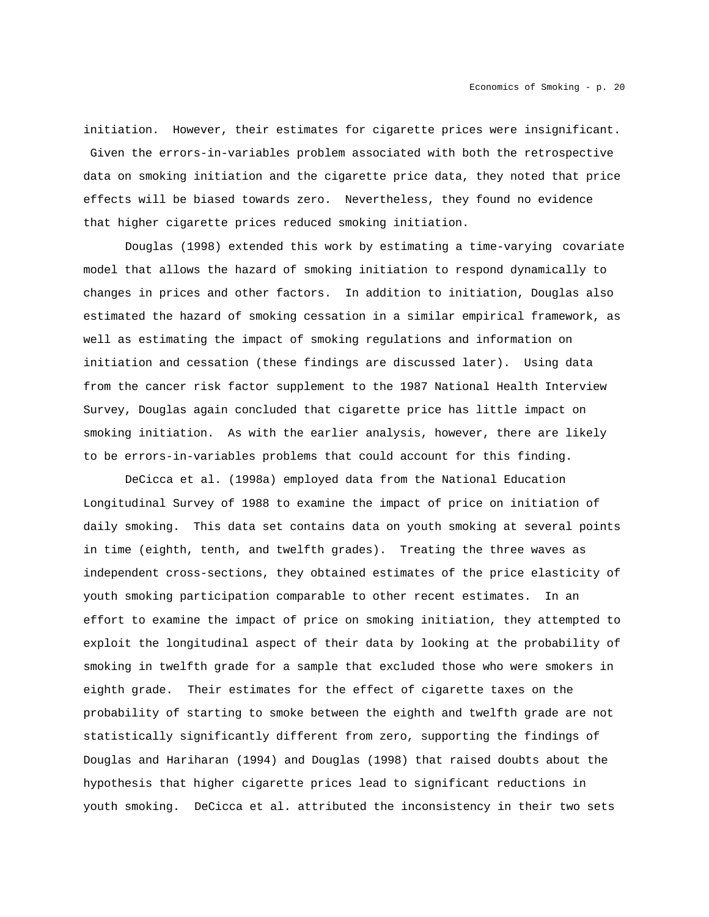initiation. However, their estimates for cigarette prices were insignificant. Given the errors-in-variables problem associated with both the retrospective data on smoking initiation and the cigarette price data, they noted that price effects will be biased towards zero. Nevertheless, they found no evidence that higher cigarette prices reduced smoking initiation.

Douglas (1998) extended this work by estimating a time-varying covariate model that allows the hazard of smoking initiation to respond dynamically to changes in prices and other factors. In addition to initiation, Douglas also estimated the hazard of smoking cessation in a similar empirical framework, as well as estimating the impact of smoking regulations and information on initiation and cessation (these findings are discussed later). Using data from the cancer risk factor supplement to the 1987 National Health Interview Survey, Douglas again concluded that cigarette price has little impact on smoking initiation. As with the earlier analysis, however, there are likely to be errors-in-variables problems that could account for this finding.

DeCicca et al. (1998a) employed data from the National Education Longitudinal Survey of 1988 to examine the impact of price on initiation of daily smoking. This data set contains data on youth smoking at several points in time (eighth, tenth, and twelfth grades). Treating the three waves as independent cross-sections, they obtained estimates of the price elasticity of youth smoking participation comparable to other recent estimates. In an effort to examine the impact of price on smoking initiation, they attempted to exploit the longitudinal aspect of their data by looking at the probability of smoking in twelfth grade for a sample that excluded those who were smokers in eighth grade. Their estimates for the effect of cigarette taxes on the probability of starting to smoke between the eighth and twelfth grade are not statistically significantly different from zero, supporting the findings of Douglas and Hariharan (1994) and Douglas (1998) that raised doubts about the hypothesis that higher cigarette prices lead to significant reductions in youth smoking. DeCicca et al. attributed the inconsistency in their two sets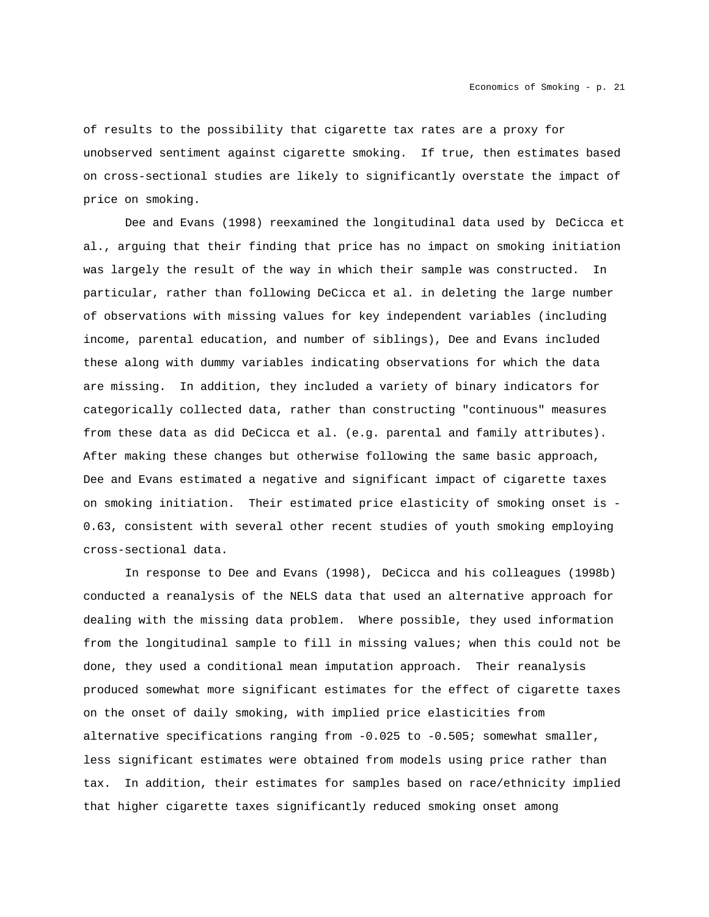of results to the possibility that cigarette tax rates are a proxy for unobserved sentiment against cigarette smoking. If true, then estimates based on cross-sectional studies are likely to significantly overstate the impact of price on smoking.

Dee and Evans (1998) reexamined the longitudinal data used by DeCicca et al., arguing that their finding that price has no impact on smoking initiation was largely the result of the way in which their sample was constructed. In particular, rather than following DeCicca et al. in deleting the large number of observations with missing values for key independent variables (including income, parental education, and number of siblings), Dee and Evans included these along with dummy variables indicating observations for which the data are missing. In addition, they included a variety of binary indicators for categorically collected data, rather than constructing "continuous" measures from these data as did DeCicca et al. (e.g. parental and family attributes). After making these changes but otherwise following the same basic approach, Dee and Evans estimated a negative and significant impact of cigarette taxes on smoking initiation. Their estimated price elasticity of smoking onset is - 0.63, consistent with several other recent studies of youth smoking employing cross-sectional data.

In response to Dee and Evans (1998), DeCicca and his colleagues (1998b) conducted a reanalysis of the NELS data that used an alternative approach for dealing with the missing data problem. Where possible, they used information from the longitudinal sample to fill in missing values; when this could not be done, they used a conditional mean imputation approach. Their reanalysis produced somewhat more significant estimates for the effect of cigarette taxes on the onset of daily smoking, with implied price elasticities from alternative specifications ranging from -0.025 to -0.505; somewhat smaller, less significant estimates were obtained from models using price rather than tax. In addition, their estimates for samples based on race/ethnicity implied that higher cigarette taxes significantly reduced smoking onset among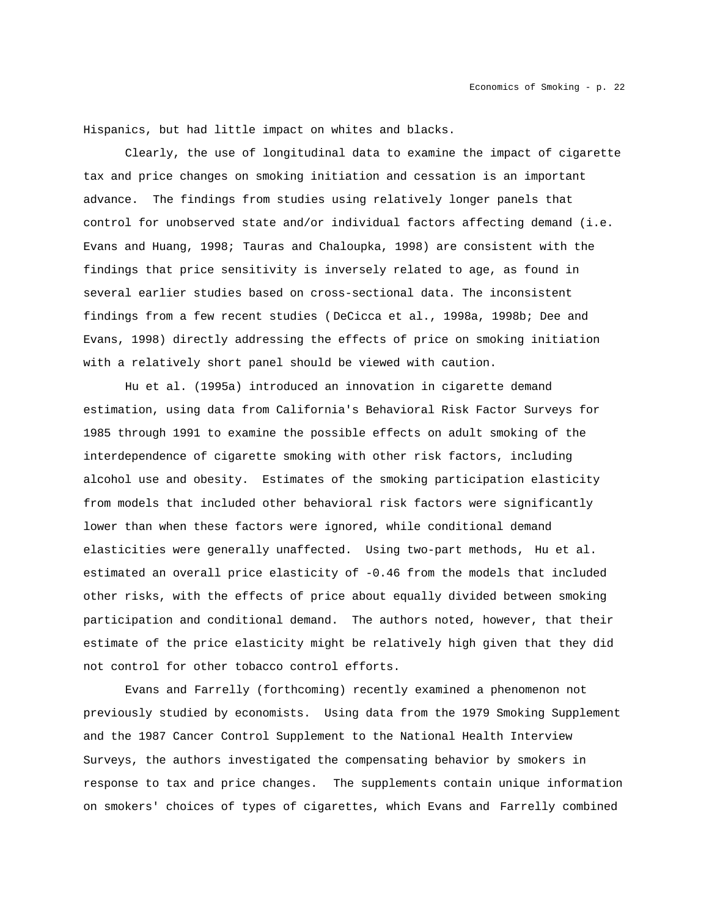Hispanics, but had little impact on whites and blacks.

Clearly, the use of longitudinal data to examine the impact of cigarette tax and price changes on smoking initiation and cessation is an important advance. The findings from studies using relatively longer panels that control for unobserved state and/or individual factors affecting demand (i.e. Evans and Huang, 1998; Tauras and Chaloupka, 1998) are consistent with the findings that price sensitivity is inversely related to age, as found in several earlier studies based on cross-sectional data. The inconsistent findings from a few recent studies ( DeCicca et al., 1998a, 1998b; Dee and Evans, 1998) directly addressing the effects of price on smoking initiation with a relatively short panel should be viewed with caution.

Hu et al. (1995a) introduced an innovation in cigarette demand estimation, using data from California's Behavioral Risk Factor Surveys for 1985 through 1991 to examine the possible effects on adult smoking of the interdependence of cigarette smoking with other risk factors, including alcohol use and obesity. Estimates of the smoking participation elasticity from models that included other behavioral risk factors were significantly lower than when these factors were ignored, while conditional demand elasticities were generally unaffected. Using two-part methods, Hu et al. estimated an overall price elasticity of -0.46 from the models that included other risks, with the effects of price about equally divided between smoking participation and conditional demand. The authors noted, however, that their estimate of the price elasticity might be relatively high given that they did not control for other tobacco control efforts.

Evans and Farrelly (forthcoming) recently examined a phenomenon not previously studied by economists. Using data from the 1979 Smoking Supplement and the 1987 Cancer Control Supplement to the National Health Interview Surveys, the authors investigated the compensating behavior by smokers in response to tax and price changes. The supplements contain unique information on smokers' choices of types of cigarettes, which Evans and Farrelly combined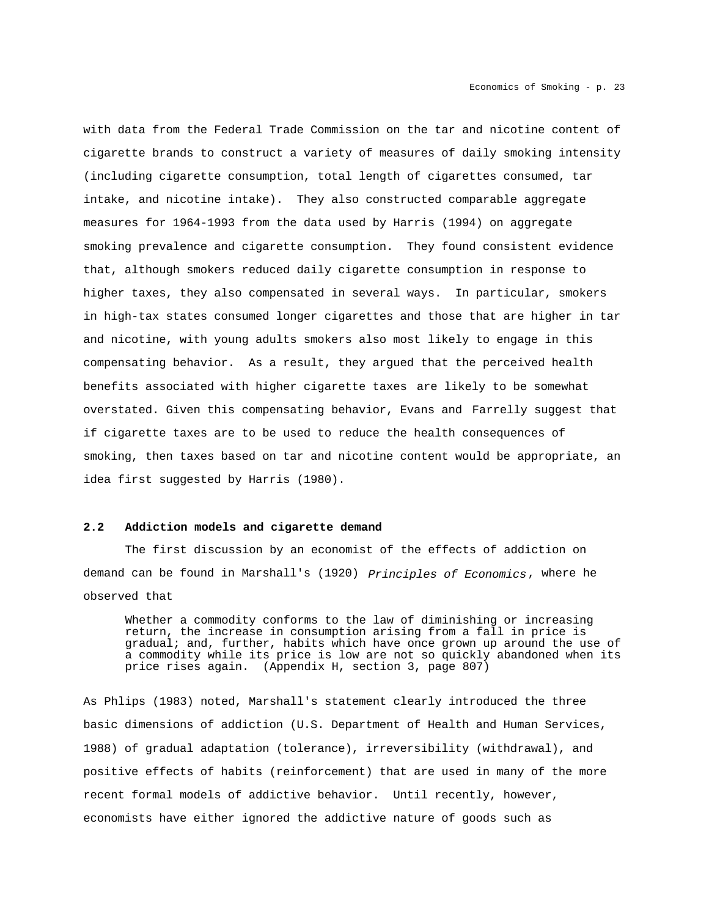with data from the Federal Trade Commission on the tar and nicotine content of cigarette brands to construct a variety of measures of daily smoking intensity (including cigarette consumption, total length of cigarettes consumed, tar intake, and nicotine intake). They also constructed comparable aggregate measures for 1964-1993 from the data used by Harris (1994) on aggregate smoking prevalence and cigarette consumption. They found consistent evidence that, although smokers reduced daily cigarette consumption in response to higher taxes, they also compensated in several ways. In particular, smokers in high-tax states consumed longer cigarettes and those that are higher in tar and nicotine, with young adults smokers also most likely to engage in this compensating behavior. As a result, they argued that the perceived health benefits associated with higher cigarette taxes are likely to be somewhat overstated. Given this compensating behavior, Evans and Farrelly suggest that if cigarette taxes are to be used to reduce the health consequences of smoking, then taxes based on tar and nicotine content would be appropriate, an idea first suggested by Harris (1980).

### **2.2 Addiction models and cigarette demand**

The first discussion by an economist of the effects of addiction on demand can be found in Marshall's (1920) *Principles of Economics*, where he observed that

Whether a commodity conforms to the law of diminishing or increasing return, the increase in consumption arising from a fall in price is gradual; and, further, habits which have once grown up around the use of a commodity while its price is low are not so quickly abandoned when its price rises again. (Appendix H, section 3, page 807)

As Phlips (1983) noted, Marshall's statement clearly introduced the three basic dimensions of addiction (U.S. Department of Health and Human Services, 1988) of gradual adaptation (tolerance), irreversibility (withdrawal), and positive effects of habits (reinforcement) that are used in many of the more recent formal models of addictive behavior. Until recently, however, economists have either ignored the addictive nature of goods such as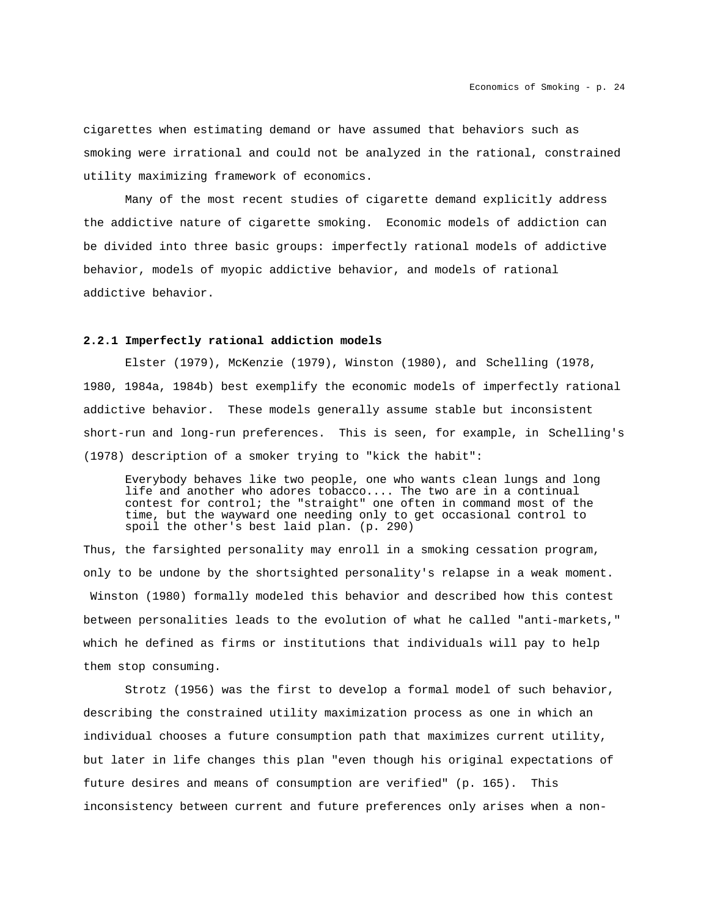cigarettes when estimating demand or have assumed that behaviors such as smoking were irrational and could not be analyzed in the rational, constrained utility maximizing framework of economics.

Many of the most recent studies of cigarette demand explicitly address the addictive nature of cigarette smoking. Economic models of addiction can be divided into three basic groups: imperfectly rational models of addictive behavior, models of myopic addictive behavior, and models of rational addictive behavior.

### **2.2.1 Imperfectly rational addiction models**

Elster (1979), McKenzie (1979), Winston (1980), and Schelling (1978, 1980, 1984a, 1984b) best exemplify the economic models of imperfectly rational addictive behavior. These models generally assume stable but inconsistent short-run and long-run preferences. This is seen, for example, in Schelling's (1978) description of a smoker trying to "kick the habit":

Everybody behaves like two people, one who wants clean lungs and long life and another who adores tobacco.... The two are in a continual contest for control; the "straight" one often in command most of the time, but the wayward one needing only to get occasional control to spoil the other's best laid plan. (p. 290)

Thus, the farsighted personality may enroll in a smoking cessation program, only to be undone by the shortsighted personality's relapse in a weak moment. Winston (1980) formally modeled this behavior and described how this contest between personalities leads to the evolution of what he called "anti-markets," which he defined as firms or institutions that individuals will pay to help them stop consuming.

Strotz (1956) was the first to develop a formal model of such behavior, describing the constrained utility maximization process as one in which an individual chooses a future consumption path that maximizes current utility, but later in life changes this plan "even though his original expectations of future desires and means of consumption are verified" (p. 165). This inconsistency between current and future preferences only arises when a non-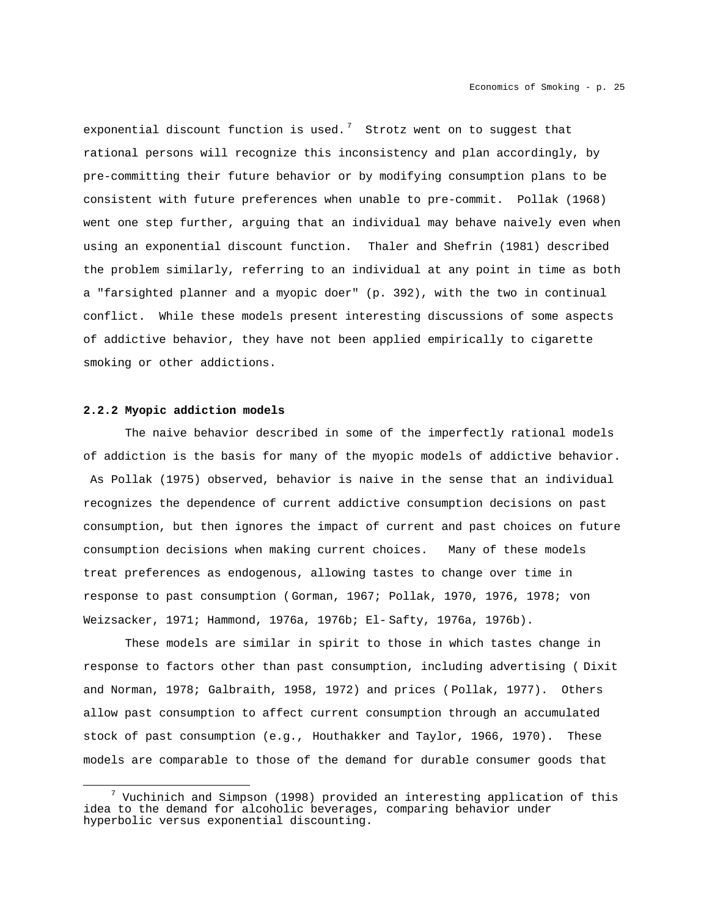exponential discount function is used. $^7$  Strotz went on to suggest that rational persons will recognize this inconsistency and plan accordingly, by pre-committing their future behavior or by modifying consumption plans to be consistent with future preferences when unable to pre-commit. Pollak (1968) went one step further, arguing that an individual may behave naively even when using an exponential discount function. Thaler and Shefrin (1981) described the problem similarly, referring to an individual at any point in time as both a "farsighted planner and a myopic doer" (p. 392), with the two in continual conflict. While these models present interesting discussions of some aspects of addictive behavior, they have not been applied empirically to cigarette smoking or other addictions.

### **2.2.2 Myopic addiction models**

i

The naive behavior described in some of the imperfectly rational models of addiction is the basis for many of the myopic models of addictive behavior. As Pollak (1975) observed, behavior is naive in the sense that an individual recognizes the dependence of current addictive consumption decisions on past consumption, but then ignores the impact of current and past choices on future consumption decisions when making current choices. Many of these models treat preferences as endogenous, allowing tastes to change over time in response to past consumption (Gorman, 1967; Pollak, 1970, 1976, 1978; von Weizsacker, 1971; Hammond, 1976a, 1976b; El- Safty, 1976a, 1976b).

These models are similar in spirit to those in which tastes change in response to factors other than past consumption, including advertising ( Dixit and Norman, 1978; Galbraith, 1958, 1972) and prices ( Pollak, 1977). Others allow past consumption to affect current consumption through an accumulated stock of past consumption (e.g., Houthakker and Taylor, 1966, 1970). These models are comparable to those of the demand for durable consumer goods that

 $^7$  Vuchinich and Simpson (1998) provided an interesting application of this idea to the demand for alcoholic beverages, comparing behavior under hyperbolic versus exponential discounting.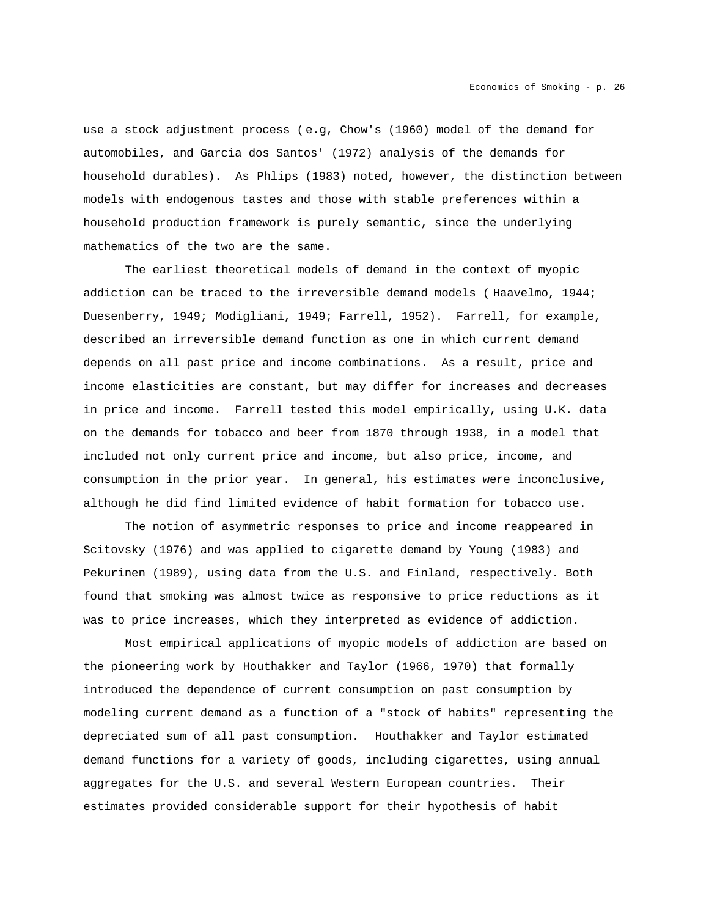use a stock adjustment process ( e.g, Chow's (1960) model of the demand for automobiles, and Garcia dos Santos' (1972) analysis of the demands for household durables). As Phlips (1983) noted, however, the distinction between models with endogenous tastes and those with stable preferences within a household production framework is purely semantic, since the underlying mathematics of the two are the same.

The earliest theoretical models of demand in the context of myopic addiction can be traced to the irreversible demand models ( Haavelmo, 1944; Duesenberry, 1949; Modigliani, 1949; Farrell, 1952). Farrell, for example, described an irreversible demand function as one in which current demand depends on all past price and income combinations. As a result, price and income elasticities are constant, but may differ for increases and decreases in price and income. Farrell tested this model empirically, using U.K. data on the demands for tobacco and beer from 1870 through 1938, in a model that included not only current price and income, but also price, income, and consumption in the prior year. In general, his estimates were inconclusive, although he did find limited evidence of habit formation for tobacco use.

The notion of asymmetric responses to price and income reappeared in Scitovsky (1976) and was applied to cigarette demand by Young (1983) and Pekurinen (1989), using data from the U.S. and Finland, respectively. Both found that smoking was almost twice as responsive to price reductions as it was to price increases, which they interpreted as evidence of addiction.

Most empirical applications of myopic models of addiction are based on the pioneering work by Houthakker and Taylor (1966, 1970) that formally introduced the dependence of current consumption on past consumption by modeling current demand as a function of a "stock of habits" representing the depreciated sum of all past consumption. Houthakker and Taylor estimated demand functions for a variety of goods, including cigarettes, using annual aggregates for the U.S. and several Western European countries. Their estimates provided considerable support for their hypothesis of habit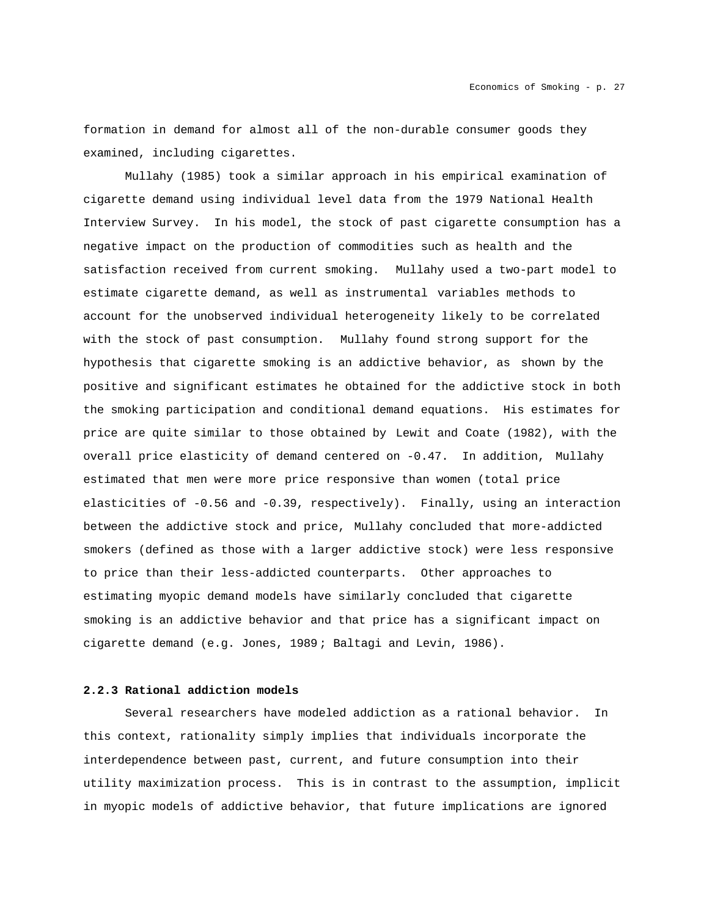formation in demand for almost all of the non-durable consumer goods they examined, including cigarettes.

Mullahy (1985) took a similar approach in his empirical examination of cigarette demand using individual level data from the 1979 National Health Interview Survey. In his model, the stock of past cigarette consumption has a negative impact on the production of commodities such as health and the satisfaction received from current smoking. Mullahy used a two-part model to estimate cigarette demand, as well as instrumental variables methods to account for the unobserved individual heterogeneity likely to be correlated with the stock of past consumption. Mullahy found strong support for the hypothesis that cigarette smoking is an addictive behavior, as shown by the positive and significant estimates he obtained for the addictive stock in both the smoking participation and conditional demand equations. His estimates for price are quite similar to those obtained by Lewit and Coate (1982), with the overall price elasticity of demand centered on -0.47. In addition, Mullahy estimated that men were more price responsive than women (total price elasticities of -0.56 and -0.39, respectively). Finally, using an interaction between the addictive stock and price, Mullahy concluded that more-addicted smokers (defined as those with a larger addictive stock) were less responsive to price than their less-addicted counterparts. Other approaches to estimating myopic demand models have similarly concluded that cigarette smoking is an addictive behavior and that price has a significant impact on cigarette demand (e.g. Jones, 1989 ; Baltagi and Levin, 1986).

## **2.2.3 Rational addiction models**

Several researchers have modeled addiction as a rational behavior. In this context, rationality simply implies that individuals incorporate the interdependence between past, current, and future consumption into their utility maximization process. This is in contrast to the assumption, implicit in myopic models of addictive behavior, that future implications are ignored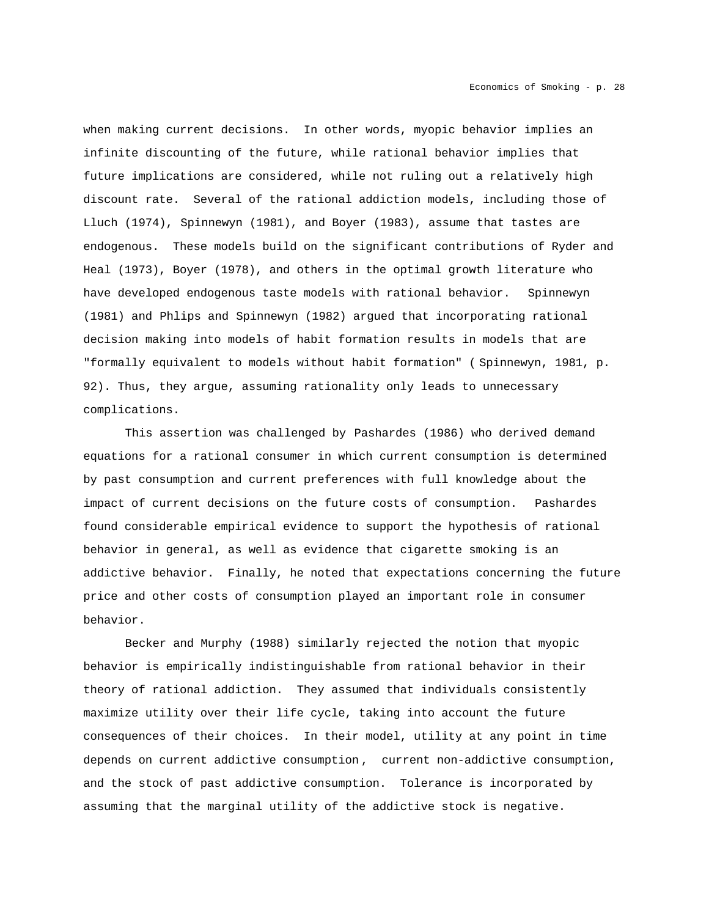when making current decisions. In other words, myopic behavior implies an infinite discounting of the future, while rational behavior implies that future implications are considered, while not ruling out a relatively high discount rate. Several of the rational addiction models, including those of Lluch (1974), Spinnewyn (1981), and Boyer (1983), assume that tastes are endogenous. These models build on the significant contributions of Ryder and Heal (1973), Boyer (1978), and others in the optimal growth literature who have developed endogenous taste models with rational behavior. Spinnewyn (1981) and Phlips and Spinnewyn (1982) argued that incorporating rational decision making into models of habit formation results in models that are "formally equivalent to models without habit formation" ( Spinnewyn, 1981, p. 92). Thus, they argue, assuming rationality only leads to unnecessary complications.

This assertion was challenged by Pashardes (1986) who derived demand equations for a rational consumer in which current consumption is determined by past consumption and current preferences with full knowledge about the impact of current decisions on the future costs of consumption. Pashardes found considerable empirical evidence to support the hypothesis of rational behavior in general, as well as evidence that cigarette smoking is an addictive behavior. Finally, he noted that expectations concerning the future price and other costs of consumption played an important role in consumer behavior.

Becker and Murphy (1988) similarly rejected the notion that myopic behavior is empirically indistinguishable from rational behavior in their theory of rational addiction. They assumed that individuals consistently maximize utility over their life cycle, taking into account the future consequences of their choices. In their model, utility at any point in time depends on current addictive consumption , current non-addictive consumption, and the stock of past addictive consumption. Tolerance is incorporated by assuming that the marginal utility of the addictive stock is negative.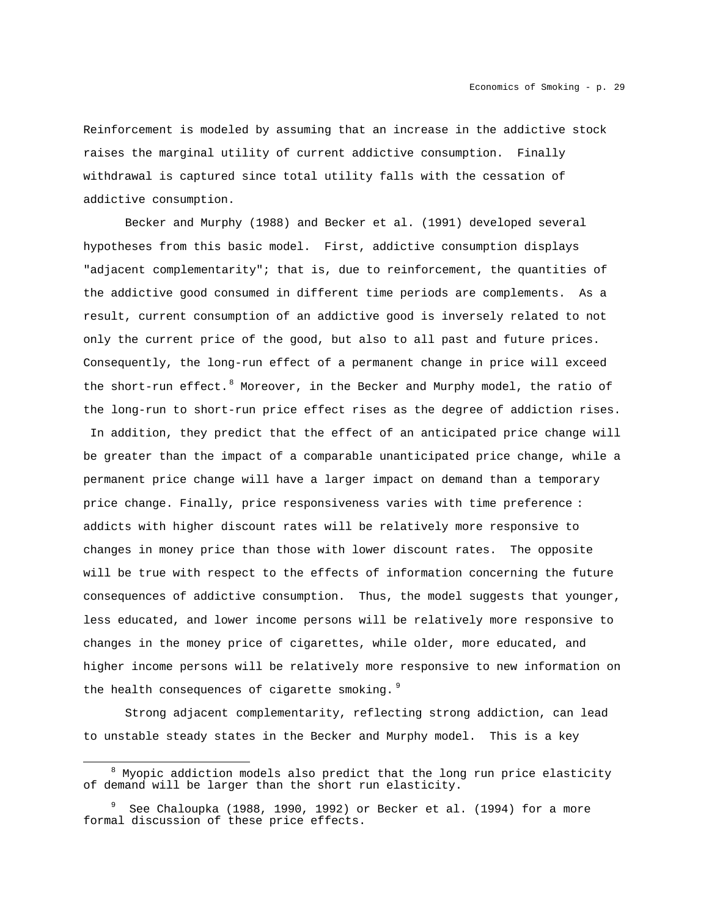Reinforcement is modeled by assuming that an increase in the addictive stock raises the marginal utility of current addictive consumption. Finally withdrawal is captured since total utility falls with the cessation of addictive consumption.

Becker and Murphy (1988) and Becker et al. (1991) developed several hypotheses from this basic model. First, addictive consumption displays "adjacent complementarity"; that is, due to reinforcement, the quantities of the addictive good consumed in different time periods are complements. As a result, current consumption of an addictive good is inversely related to not only the current price of the good, but also to all past and future prices. Consequently, the long-run effect of a permanent change in price will exceed the short-run effect.<sup>8</sup> Moreover, in the Becker and Murphy model, the ratio of the long-run to short-run price effect rises as the degree of addiction rises.

 In addition, they predict that the effect of an anticipated price change will be greater than the impact of a comparable unanticipated price change, while a permanent price change will have a larger impact on demand than a temporary price change. Finally, price responsiveness varies with time preference : addicts with higher discount rates will be relatively more responsive to changes in money price than those with lower discount rates. The opposite will be true with respect to the effects of information concerning the future consequences of addictive consumption. Thus, the model suggests that younger, less educated, and lower income persons will be relatively more responsive to changes in the money price of cigarettes, while older, more educated, and higher income persons will be relatively more responsive to new information on the health consequences of cigarette smoking.  $9$ 

Strong adjacent complementarity, reflecting strong addiction, can lead to unstable steady states in the Becker and Murphy model. This is a key

i<br>Li

 $^8$  Myopic addiction models also predict that the long run price elasticity of demand will be larger than the short run elasticity.

 $^9$  See Chaloupka (1988, 1990, 1992) or Becker et al. (1994) for a more formal discussion of these price effects.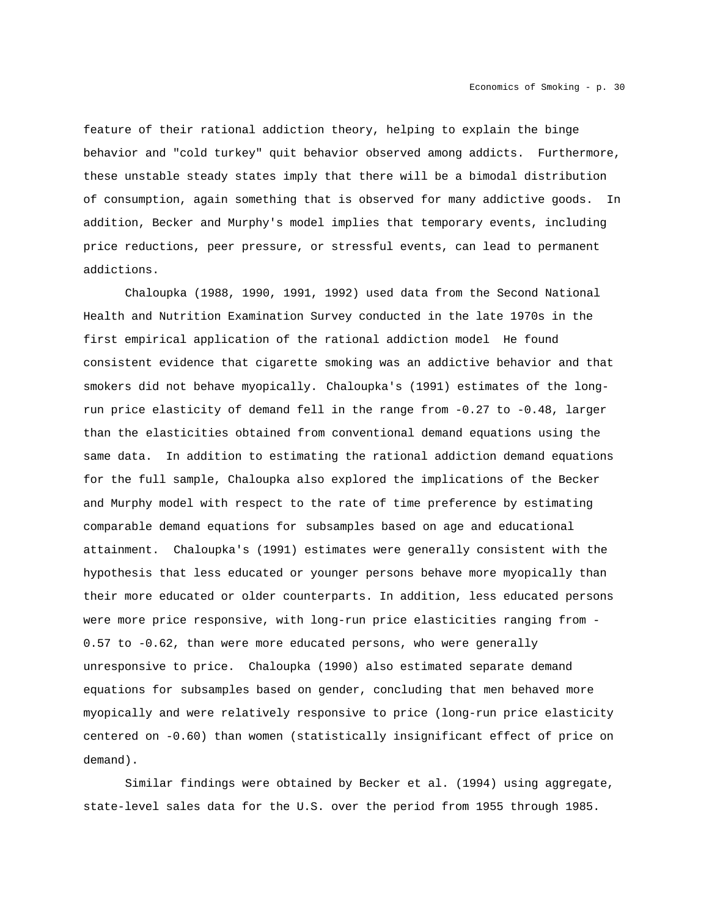feature of their rational addiction theory, helping to explain the binge behavior and "cold turkey" quit behavior observed among addicts. Furthermore, these unstable steady states imply that there will be a bimodal distribution of consumption, again something that is observed for many addictive goods. In addition, Becker and Murphy's model implies that temporary events, including price reductions, peer pressure, or stressful events, can lead to permanent addictions.

Chaloupka (1988, 1990, 1991, 1992) used data from the Second National Health and Nutrition Examination Survey conducted in the late 1970s in the first empirical application of the rational addiction model He found consistent evidence that cigarette smoking was an addictive behavior and that smokers did not behave myopically. Chaloupka's (1991) estimates of the longrun price elasticity of demand fell in the range from -0.27 to -0.48, larger than the elasticities obtained from conventional demand equations using the same data. In addition to estimating the rational addiction demand equations for the full sample, Chaloupka also explored the implications of the Becker and Murphy model with respect to the rate of time preference by estimating comparable demand equations for subsamples based on age and educational attainment. Chaloupka's (1991) estimates were generally consistent with the hypothesis that less educated or younger persons behave more myopically than their more educated or older counterparts. In addition, less educated persons were more price responsive, with long-run price elasticities ranging from - 0.57 to -0.62, than were more educated persons, who were generally unresponsive to price. Chaloupka (1990) also estimated separate demand equations for subsamples based on gender, concluding that men behaved more myopically and were relatively responsive to price (long-run price elasticity centered on -0.60) than women (statistically insignificant effect of price on demand).

Similar findings were obtained by Becker et al. (1994) using aggregate, state-level sales data for the U.S. over the period from 1955 through 1985.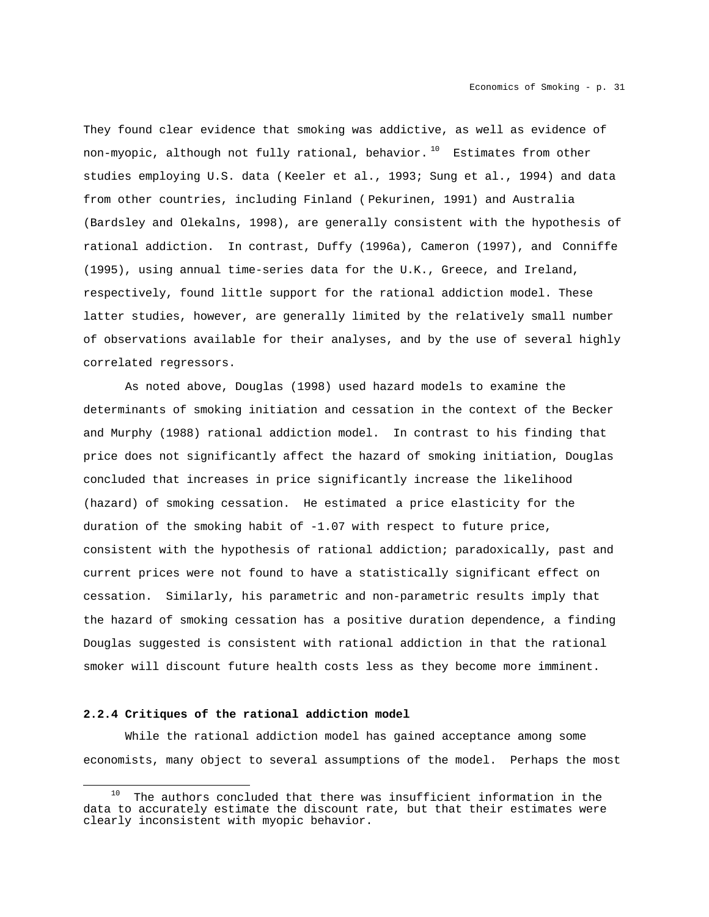They found clear evidence that smoking was addictive, as well as evidence of non-myopic, although not fully rational, behavior.  $10$  Estimates from other studies employing U.S. data (Keeler et al., 1993; Sung et al., 1994) and data from other countries, including Finland ( Pekurinen, 1991) and Australia (Bardsley and Olekalns, 1998), are generally consistent with the hypothesis of rational addiction. In contrast, Duffy (1996a), Cameron (1997), and Conniffe (1995), using annual time-series data for the U.K., Greece, and Ireland, respectively, found little support for the rational addiction model. These latter studies, however, are generally limited by the relatively small number of observations available for their analyses, and by the use of several highly correlated regressors.

As noted above, Douglas (1998) used hazard models to examine the determinants of smoking initiation and cessation in the context of the Becker and Murphy (1988) rational addiction model. In contrast to his finding that price does not significantly affect the hazard of smoking initiation, Douglas concluded that increases in price significantly increase the likelihood (hazard) of smoking cessation. He estimated a price elasticity for the duration of the smoking habit of -1.07 with respect to future price, consistent with the hypothesis of rational addiction; paradoxically, past and current prices were not found to have a statistically significant effect on cessation. Similarly, his parametric and non-parametric results imply that the hazard of smoking cessation has a positive duration dependence, a finding Douglas suggested is consistent with rational addiction in that the rational smoker will discount future health costs less as they become more imminent.

## **2.2.4 Critiques of the rational addiction model**

While the rational addiction model has gained acceptance among some economists, many object to several assumptions of the model. Perhaps the most

i  $10$  The authors concluded that there was insufficient information in the data to accurately estimate the discount rate, but that their estimates were clearly inconsistent with myopic behavior.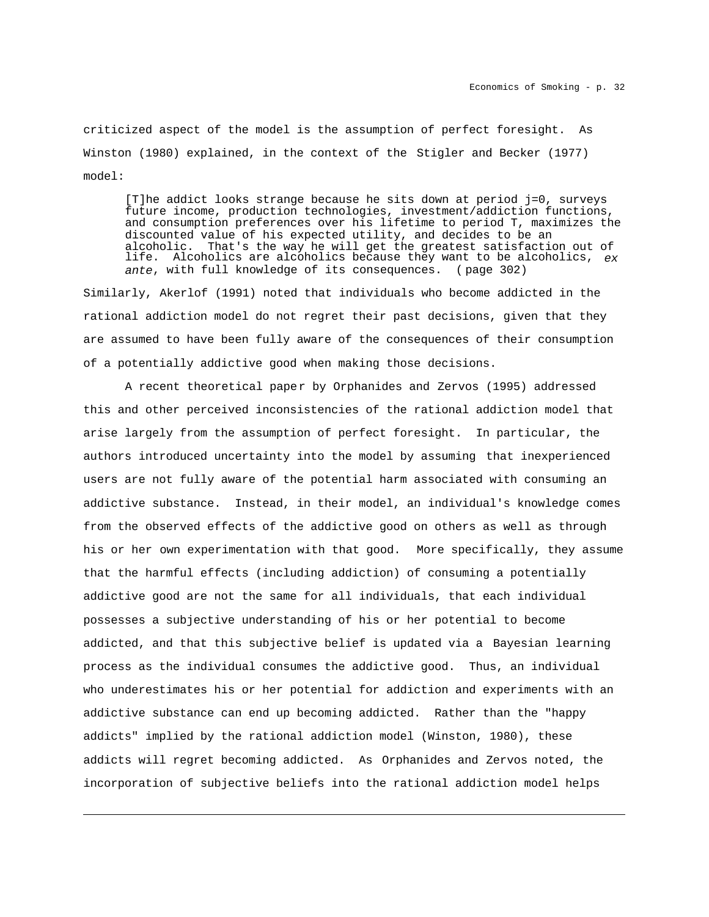criticized aspect of the model is the assumption of perfect foresight. As Winston (1980) explained, in the context of the Stigler and Becker (1977) model:

[T]he addict looks strange because he sits down at period j=0, surveys future income, production technologies, investment/addiction functions, and consumption preferences over his lifetime to period T, maximizes the discounted value of his expected utility, and decides to be an alcoholic. That's the way he will get the greatest satisfaction out of life. Alcoholics are alcoholics because they want to be alcoholics, *ex ante*, with full knowledge of its consequences. ( page 302)

Similarly, Akerlof (1991) noted that individuals who become addicted in the rational addiction model do not regret their past decisions, given that they are assumed to have been fully aware of the consequences of their consumption of a potentially addictive good when making those decisions.

A recent theoretical paper by Orphanides and Zervos (1995) addressed this and other perceived inconsistencies of the rational addiction model that arise largely from the assumption of perfect foresight. In particular, the authors introduced uncertainty into the model by assuming that inexperienced users are not fully aware of the potential harm associated with consuming an addictive substance. Instead, in their model, an individual's knowledge comes from the observed effects of the addictive good on others as well as through his or her own experimentation with that good. More specifically, they assume that the harmful effects (including addiction) of consuming a potentially addictive good are not the same for all individuals, that each individual possesses a subjective understanding of his or her potential to become addicted, and that this subjective belief is updated via a Bayesian learning process as the individual consumes the addictive good. Thus, an individual who underestimates his or her potential for addiction and experiments with an addictive substance can end up becoming addicted. Rather than the "happy addicts" implied by the rational addiction model (Winston, 1980), these addicts will regret becoming addicted. As Orphanides and Zervos noted, the incorporation of subjective beliefs into the rational addiction model helps

i<br>Li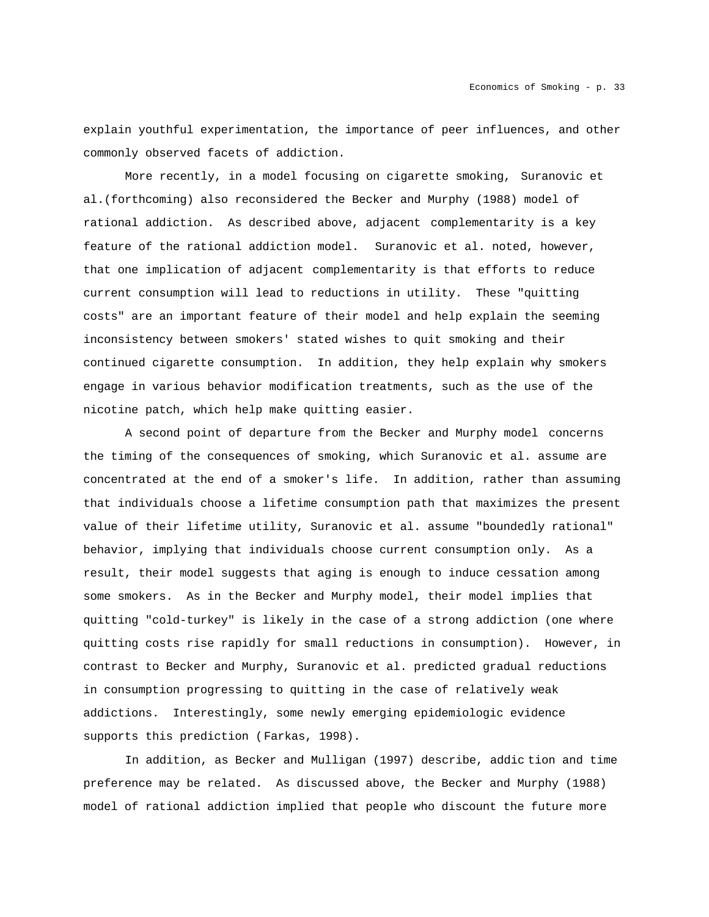explain youthful experimentation, the importance of peer influences, and other commonly observed facets of addiction.

More recently, in a model focusing on cigarette smoking, Suranovic et al.(forthcoming) also reconsidered the Becker and Murphy (1988) model of rational addiction. As described above, adjacent complementarity is a key feature of the rational addiction model. Suranovic et al. noted, however, that one implication of adjacent complementarity is that efforts to reduce current consumption will lead to reductions in utility. These "quitting costs" are an important feature of their model and help explain the seeming inconsistency between smokers' stated wishes to quit smoking and their continued cigarette consumption. In addition, they help explain why smokers engage in various behavior modification treatments, such as the use of the nicotine patch, which help make quitting easier.

A second point of departure from the Becker and Murphy model concerns the timing of the consequences of smoking, which Suranovic et al. assume are concentrated at the end of a smoker's life. In addition, rather than assuming that individuals choose a lifetime consumption path that maximizes the present value of their lifetime utility, Suranovic et al. assume "boundedly rational" behavior, implying that individuals choose current consumption only. As a result, their model suggests that aging is enough to induce cessation among some smokers. As in the Becker and Murphy model, their model implies that quitting "cold-turkey" is likely in the case of a strong addiction (one where quitting costs rise rapidly for small reductions in consumption). However, in contrast to Becker and Murphy, Suranovic et al. predicted gradual reductions in consumption progressing to quitting in the case of relatively weak addictions. Interestingly, some newly emerging epidemiologic evidence supports this prediction (Farkas, 1998).

In addition, as Becker and Mulligan (1997) describe, addic tion and time preference may be related. As discussed above, the Becker and Murphy (1988) model of rational addiction implied that people who discount the future more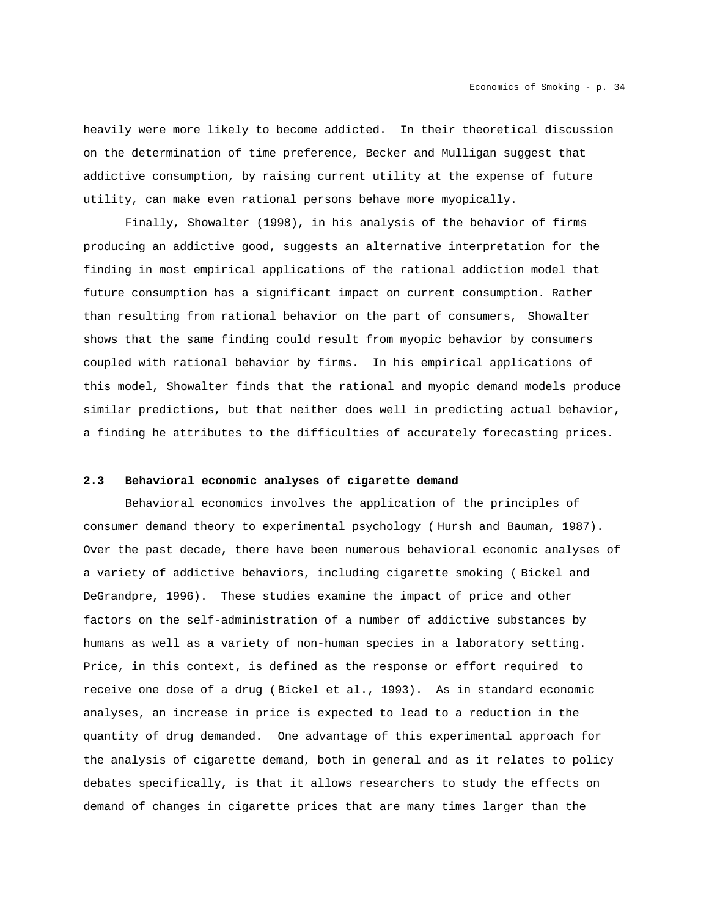heavily were more likely to become addicted. In their theoretical discussion on the determination of time preference, Becker and Mulligan suggest that addictive consumption, by raising current utility at the expense of future utility, can make even rational persons behave more myopically.

Finally, Showalter (1998), in his analysis of the behavior of firms producing an addictive good, suggests an alternative interpretation for the finding in most empirical applications of the rational addiction model that future consumption has a significant impact on current consumption. Rather than resulting from rational behavior on the part of consumers, Showalter shows that the same finding could result from myopic behavior by consumers coupled with rational behavior by firms. In his empirical applications of this model, Showalter finds that the rational and myopic demand models produce similar predictions, but that neither does well in predicting actual behavior, a finding he attributes to the difficulties of accurately forecasting prices.

## **2.3 Behavioral economic analyses of cigarette demand**

Behavioral economics involves the application of the principles of consumer demand theory to experimental psychology ( Hursh and Bauman, 1987). Over the past decade, there have been numerous behavioral economic analyses of a variety of addictive behaviors, including cigarette smoking ( Bickel and DeGrandpre, 1996). These studies examine the impact of price and other factors on the self-administration of a number of addictive substances by humans as well as a variety of non-human species in a laboratory setting. Price, in this context, is defined as the response or effort required to receive one dose of a drug (Bickel et al., 1993). As in standard economic analyses, an increase in price is expected to lead to a reduction in the quantity of drug demanded. One advantage of this experimental approach for the analysis of cigarette demand, both in general and as it relates to policy debates specifically, is that it allows researchers to study the effects on demand of changes in cigarette prices that are many times larger than the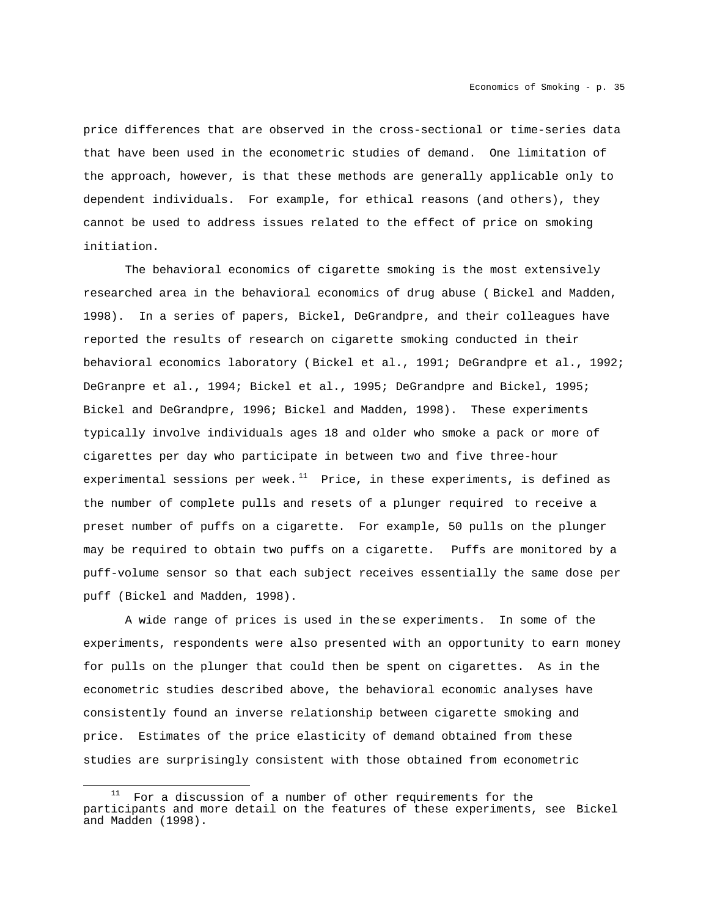price differences that are observed in the cross-sectional or time-series data that have been used in the econometric studies of demand. One limitation of the approach, however, is that these methods are generally applicable only to dependent individuals. For example, for ethical reasons (and others), they cannot be used to address issues related to the effect of price on smoking initiation.

The behavioral economics of cigarette smoking is the most extensively researched area in the behavioral economics of drug abuse ( Bickel and Madden, 1998). In a series of papers, Bickel, DeGrandpre, and their colleagues have reported the results of research on cigarette smoking conducted in their behavioral economics laboratory ( Bickel et al., 1991; DeGrandpre et al., 1992; DeGranpre et al., 1994; Bickel et al., 1995; DeGrandpre and Bickel, 1995; Bickel and DeGrandpre, 1996; Bickel and Madden, 1998). These experiments typically involve individuals ages 18 and older who smoke a pack or more of cigarettes per day who participate in between two and five three-hour experimental sessions per week. $11$  Price, in these experiments, is defined as the number of complete pulls and resets of a plunger required to receive a preset number of puffs on a cigarette. For example, 50 pulls on the plunger may be required to obtain two puffs on a cigarette. Puffs are monitored by a puff-volume sensor so that each subject receives essentially the same dose per puff (Bickel and Madden, 1998).

A wide range of prices is used in the se experiments. In some of the experiments, respondents were also presented with an opportunity to earn money for pulls on the plunger that could then be spent on cigarettes. As in the econometric studies described above, the behavioral economic analyses have consistently found an inverse relationship between cigarette smoking and price. Estimates of the price elasticity of demand obtained from these studies are surprisingly consistent with those obtained from econometric

i For a discussion of a number of other requirements for the participants and more detail on the features of these experiments, see Bickel and Madden (1998).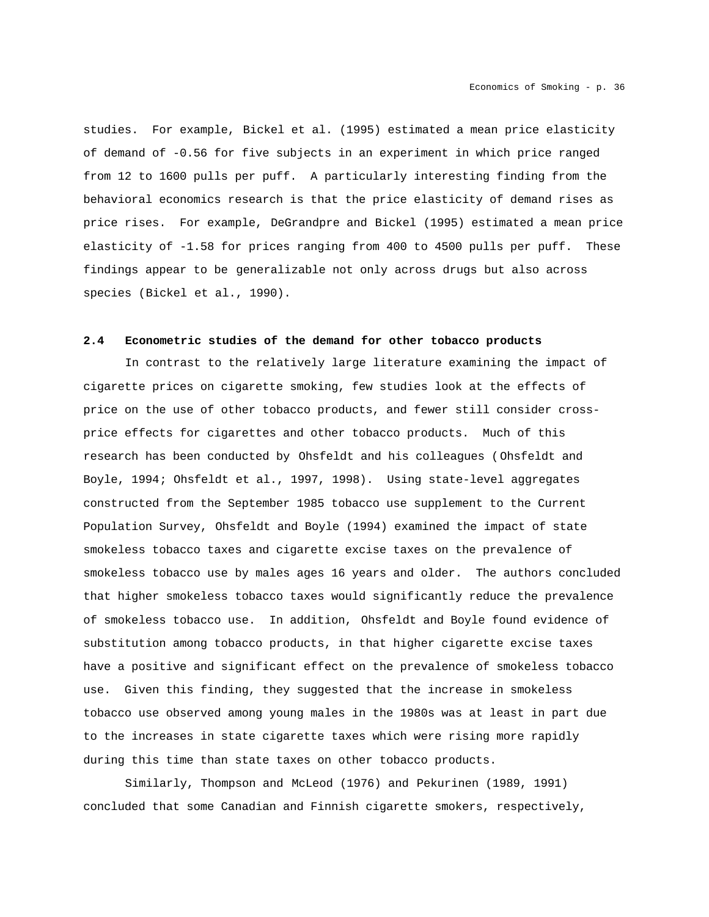studies. For example, Bickel et al. (1995) estimated a mean price elasticity of demand of -0.56 for five subjects in an experiment in which price ranged from 12 to 1600 pulls per puff. A particularly interesting finding from the behavioral economics research is that the price elasticity of demand rises as price rises. For example, DeGrandpre and Bickel (1995) estimated a mean price elasticity of -1.58 for prices ranging from 400 to 4500 pulls per puff. These findings appear to be generalizable not only across drugs but also across species (Bickel et al., 1990).

#### **2.4 Econometric studies of the demand for other tobacco products**

In contrast to the relatively large literature examining the impact of cigarette prices on cigarette smoking, few studies look at the effects of price on the use of other tobacco products, and fewer still consider crossprice effects for cigarettes and other tobacco products. Much of this research has been conducted by Ohsfeldt and his colleagues (Ohsfeldt and Boyle, 1994; Ohsfeldt et al., 1997, 1998). Using state-level aggregates constructed from the September 1985 tobacco use supplement to the Current Population Survey, Ohsfeldt and Boyle (1994) examined the impact of state smokeless tobacco taxes and cigarette excise taxes on the prevalence of smokeless tobacco use by males ages 16 years and older. The authors concluded that higher smokeless tobacco taxes would significantly reduce the prevalence of smokeless tobacco use. In addition, Ohsfeldt and Boyle found evidence of substitution among tobacco products, in that higher cigarette excise taxes have a positive and significant effect on the prevalence of smokeless tobacco use. Given this finding, they suggested that the increase in smokeless tobacco use observed among young males in the 1980s was at least in part due to the increases in state cigarette taxes which were rising more rapidly during this time than state taxes on other tobacco products.

Similarly, Thompson and McLeod (1976) and Pekurinen (1989, 1991) concluded that some Canadian and Finnish cigarette smokers, respectively,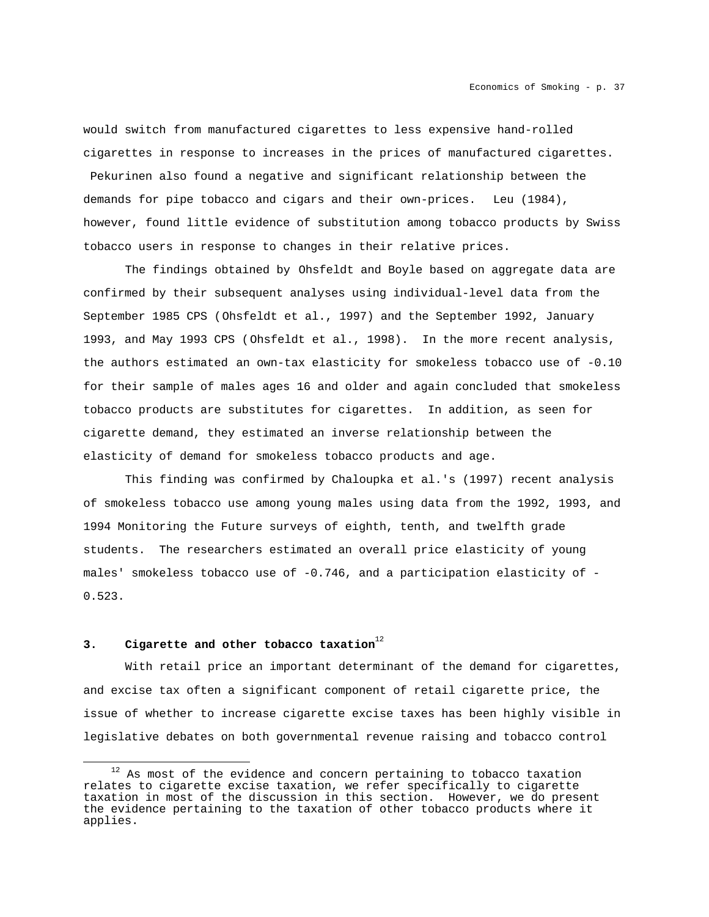would switch from manufactured cigarettes to less expensive hand-rolled cigarettes in response to increases in the prices of manufactured cigarettes. Pekurinen also found a negative and significant relationship between the demands for pipe tobacco and cigars and their own-prices. Leu (1984), however, found little evidence of substitution among tobacco products by Swiss tobacco users in response to changes in their relative prices.

The findings obtained by Ohsfeldt and Boyle based on aggregate data are confirmed by their subsequent analyses using individual-level data from the September 1985 CPS (Ohsfeldt et al., 1997) and the September 1992, January 1993, and May 1993 CPS (Ohsfeldt et al., 1998). In the more recent analysis, the authors estimated an own-tax elasticity for smokeless tobacco use of -0.10 for their sample of males ages 16 and older and again concluded that smokeless tobacco products are substitutes for cigarettes. In addition, as seen for cigarette demand, they estimated an inverse relationship between the elasticity of demand for smokeless tobacco products and age.

This finding was confirmed by Chaloupka et al.'s (1997) recent analysis of smokeless tobacco use among young males using data from the 1992, 1993, and 1994 Monitoring the Future surveys of eighth, tenth, and twelfth grade students. The researchers estimated an overall price elasticity of young males' smokeless tobacco use of  $-0.746$ , and a participation elasticity of  $-$ 0.523.

## **3.** Cigarette and other tobacco taxation<sup>12</sup>

i

With retail price an important determinant of the demand for cigarettes, and excise tax often a significant component of retail cigarette price, the issue of whether to increase cigarette excise taxes has been highly visible in legislative debates on both governmental revenue raising and tobacco control

<sup>&</sup>lt;sup>12</sup> As most of the evidence and concern pertaining to tobacco taxation relates to cigarette excise taxation, we refer specifically to cigarette taxation in most of the discussion in this section. However, we do present the evidence pertaining to the taxation of other tobacco products where it applies.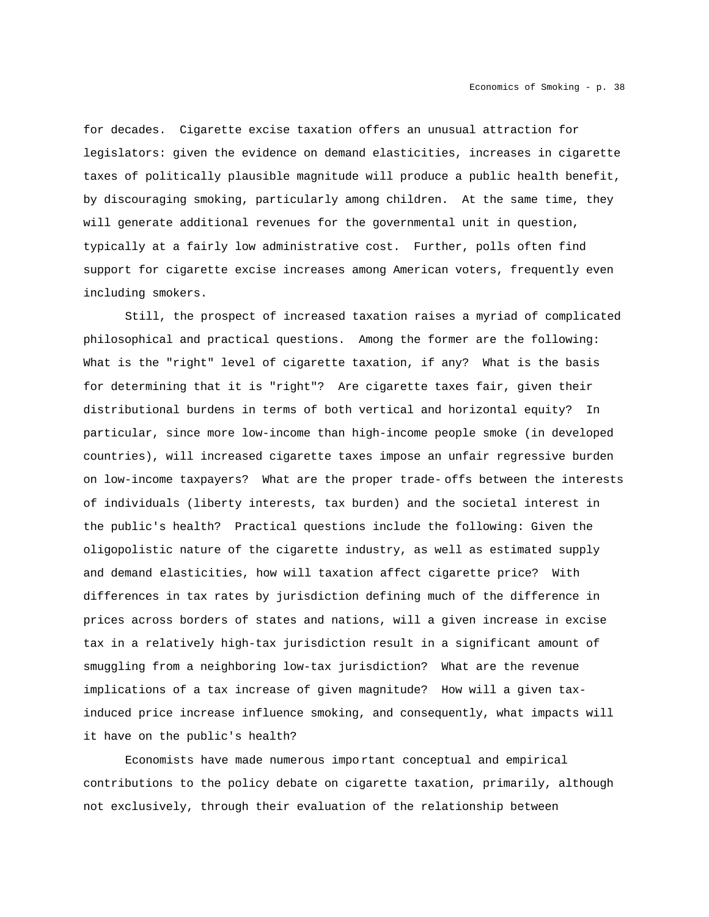for decades. Cigarette excise taxation offers an unusual attraction for legislators: given the evidence on demand elasticities, increases in cigarette taxes of politically plausible magnitude will produce a public health benefit, by discouraging smoking, particularly among children. At the same time, they will generate additional revenues for the governmental unit in question, typically at a fairly low administrative cost. Further, polls often find support for cigarette excise increases among American voters, frequently even including smokers.

Still, the prospect of increased taxation raises a myriad of complicated philosophical and practical questions. Among the former are the following: What is the "right" level of cigarette taxation, if any? What is the basis for determining that it is "right"? Are cigarette taxes fair, given their distributional burdens in terms of both vertical and horizontal equity? In particular, since more low-income than high-income people smoke (in developed countries), will increased cigarette taxes impose an unfair regressive burden on low-income taxpayers? What are the proper trade- offs between the interests of individuals (liberty interests, tax burden) and the societal interest in the public's health? Practical questions include the following: Given the oligopolistic nature of the cigarette industry, as well as estimated supply and demand elasticities, how will taxation affect cigarette price? With differences in tax rates by jurisdiction defining much of the difference in prices across borders of states and nations, will a given increase in excise tax in a relatively high-tax jurisdiction result in a significant amount of smuggling from a neighboring low-tax jurisdiction? What are the revenue implications of a tax increase of given magnitude? How will a given taxinduced price increase influence smoking, and consequently, what impacts will it have on the public's health?

Economists have made numerous impo rtant conceptual and empirical contributions to the policy debate on cigarette taxation, primarily, although not exclusively, through their evaluation of the relationship between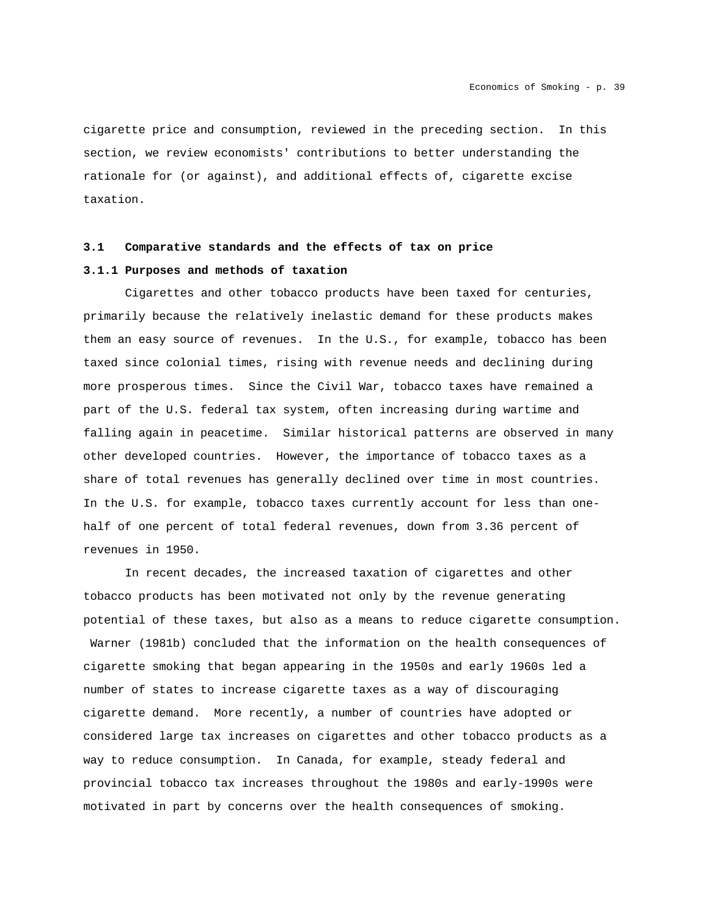cigarette price and consumption, reviewed in the preceding section. In this section, we review economists' contributions to better understanding the rationale for (or against), and additional effects of, cigarette excise taxation.

# **3.1 Comparative standards and the effects of tax on price**

#### **3.1.1 Purposes and methods of taxation**

Cigarettes and other tobacco products have been taxed for centuries, primarily because the relatively inelastic demand for these products makes them an easy source of revenues. In the U.S., for example, tobacco has been taxed since colonial times, rising with revenue needs and declining during more prosperous times. Since the Civil War, tobacco taxes have remained a part of the U.S. federal tax system, often increasing during wartime and falling again in peacetime. Similar historical patterns are observed in many other developed countries. However, the importance of tobacco taxes as a share of total revenues has generally declined over time in most countries. In the U.S. for example, tobacco taxes currently account for less than onehalf of one percent of total federal revenues, down from 3.36 percent of revenues in 1950.

In recent decades, the increased taxation of cigarettes and other tobacco products has been motivated not only by the revenue generating potential of these taxes, but also as a means to reduce cigarette consumption.

 Warner (1981b) concluded that the information on the health consequences of cigarette smoking that began appearing in the 1950s and early 1960s led a number of states to increase cigarette taxes as a way of discouraging cigarette demand. More recently, a number of countries have adopted or considered large tax increases on cigarettes and other tobacco products as a way to reduce consumption. In Canada, for example, steady federal and provincial tobacco tax increases throughout the 1980s and early-1990s were motivated in part by concerns over the health consequences of smoking.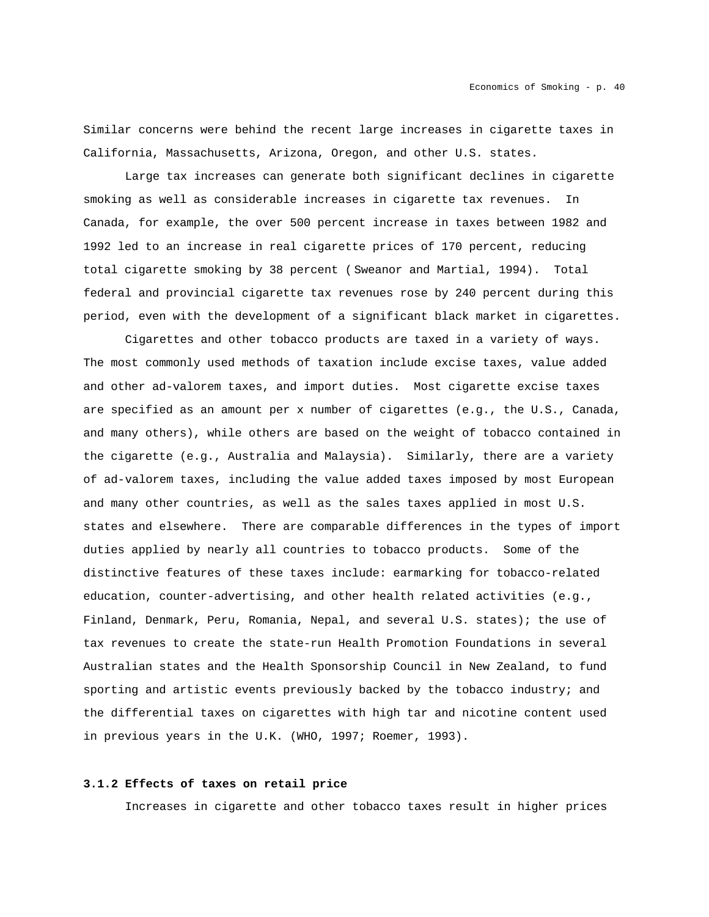Similar concerns were behind the recent large increases in cigarette taxes in California, Massachusetts, Arizona, Oregon, and other U.S. states.

Large tax increases can generate both significant declines in cigarette smoking as well as considerable increases in cigarette tax revenues. In Canada, for example, the over 500 percent increase in taxes between 1982 and 1992 led to an increase in real cigarette prices of 170 percent, reducing total cigarette smoking by 38 percent ( Sweanor and Martial, 1994). Total federal and provincial cigarette tax revenues rose by 240 percent during this period, even with the development of a significant black market in cigarettes.

Cigarettes and other tobacco products are taxed in a variety of ways. The most commonly used methods of taxation include excise taxes, value added and other ad-valorem taxes, and import duties. Most cigarette excise taxes are specified as an amount per x number of cigarettes (e.g., the U.S., Canada, and many others), while others are based on the weight of tobacco contained in the cigarette (e.g., Australia and Malaysia). Similarly, there are a variety of ad-valorem taxes, including the value added taxes imposed by most European and many other countries, as well as the sales taxes applied in most U.S. states and elsewhere. There are comparable differences in the types of import duties applied by nearly all countries to tobacco products. Some of the distinctive features of these taxes include: earmarking for tobacco-related education, counter-advertising, and other health related activities (e.g., Finland, Denmark, Peru, Romania, Nepal, and several U.S. states); the use of tax revenues to create the state-run Health Promotion Foundations in several Australian states and the Health Sponsorship Council in New Zealand, to fund sporting and artistic events previously backed by the tobacco industry; and the differential taxes on cigarettes with high tar and nicotine content used in previous years in the U.K. (WHO, 1997; Roemer, 1993).

## **3.1.2 Effects of taxes on retail price**

Increases in cigarette and other tobacco taxes result in higher prices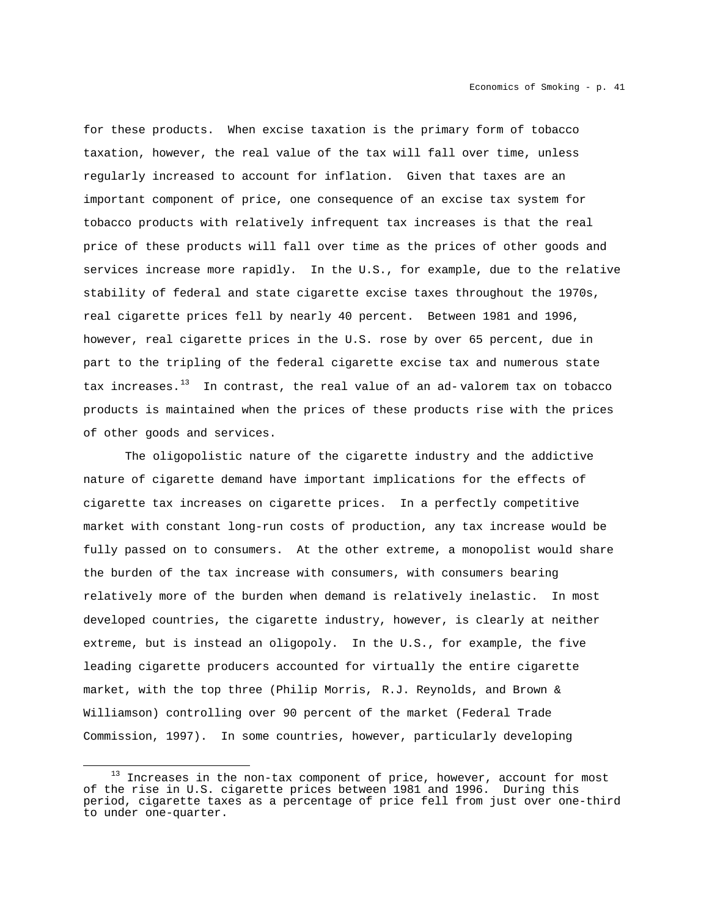for these products. When excise taxation is the primary form of tobacco taxation, however, the real value of the tax will fall over time, unless regularly increased to account for inflation. Given that taxes are an important component of price, one consequence of an excise tax system for tobacco products with relatively infrequent tax increases is that the real price of these products will fall over time as the prices of other goods and services increase more rapidly. In the U.S., for example, due to the relative stability of federal and state cigarette excise taxes throughout the 1970s, real cigarette prices fell by nearly 40 percent. Between 1981 and 1996, however, real cigarette prices in the U.S. rose by over 65 percent, due in part to the tripling of the federal cigarette excise tax and numerous state tax increases. $13$  In contrast, the real value of an ad-valorem tax on tobacco products is maintained when the prices of these products rise with the prices of other goods and services.

The oligopolistic nature of the cigarette industry and the addictive nature of cigarette demand have important implications for the effects of cigarette tax increases on cigarette prices. In a perfectly competitive market with constant long-run costs of production, any tax increase would be fully passed on to consumers. At the other extreme, a monopolist would share the burden of the tax increase with consumers, with consumers bearing relatively more of the burden when demand is relatively inelastic. In most developed countries, the cigarette industry, however, is clearly at neither extreme, but is instead an oligopoly. In the U.S., for example, the five leading cigarette producers accounted for virtually the entire cigarette market, with the top three (Philip Morris, R.J. Reynolds, and Brown & Williamson) controlling over 90 percent of the market (Federal Trade Commission, 1997). In some countries, however, particularly developing

i

<sup>&</sup>lt;sup>13</sup> Increases in the non-tax component of price, however, account for most of the rise in U.S. cigarette prices between 1981 and 1996. During this period, cigarette taxes as a percentage of price fell from just over one-third to under one-quarter.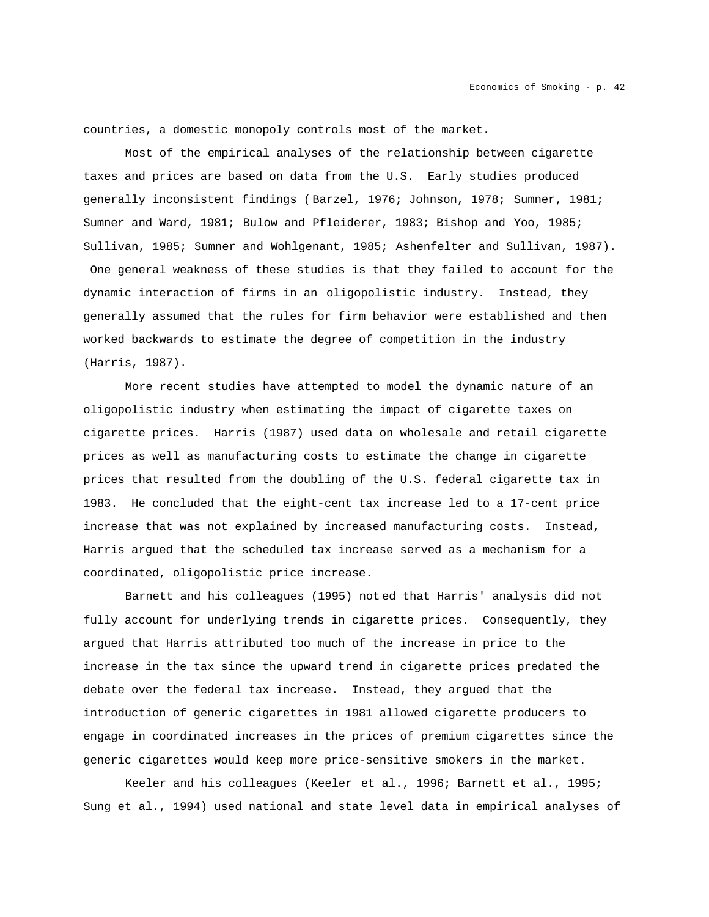countries, a domestic monopoly controls most of the market.

Most of the empirical analyses of the relationship between cigarette taxes and prices are based on data from the U.S. Early studies produced generally inconsistent findings ( Barzel, 1976; Johnson, 1978; Sumner, 1981; Sumner and Ward, 1981; Bulow and Pfleiderer, 1983; Bishop and Yoo, 1985; Sullivan, 1985; Sumner and Wohlgenant, 1985; Ashenfelter and Sullivan, 1987). One general weakness of these studies is that they failed to account for the dynamic interaction of firms in an oligopolistic industry. Instead, they generally assumed that the rules for firm behavior were established and then worked backwards to estimate the degree of competition in the industry (Harris, 1987).

More recent studies have attempted to model the dynamic nature of an oligopolistic industry when estimating the impact of cigarette taxes on cigarette prices. Harris (1987) used data on wholesale and retail cigarette prices as well as manufacturing costs to estimate the change in cigarette prices that resulted from the doubling of the U.S. federal cigarette tax in 1983. He concluded that the eight-cent tax increase led to a 17-cent price increase that was not explained by increased manufacturing costs. Instead, Harris argued that the scheduled tax increase served as a mechanism for a coordinated, oligopolistic price increase.

Barnett and his colleagues (1995) not ed that Harris' analysis did not fully account for underlying trends in cigarette prices. Consequently, they argued that Harris attributed too much of the increase in price to the increase in the tax since the upward trend in cigarette prices predated the debate over the federal tax increase. Instead, they argued that the introduction of generic cigarettes in 1981 allowed cigarette producers to engage in coordinated increases in the prices of premium cigarettes since the generic cigarettes would keep more price-sensitive smokers in the market.

Keeler and his colleagues (Keeler et al., 1996; Barnett et al., 1995; Sung et al., 1994) used national and state level data in empirical analyses of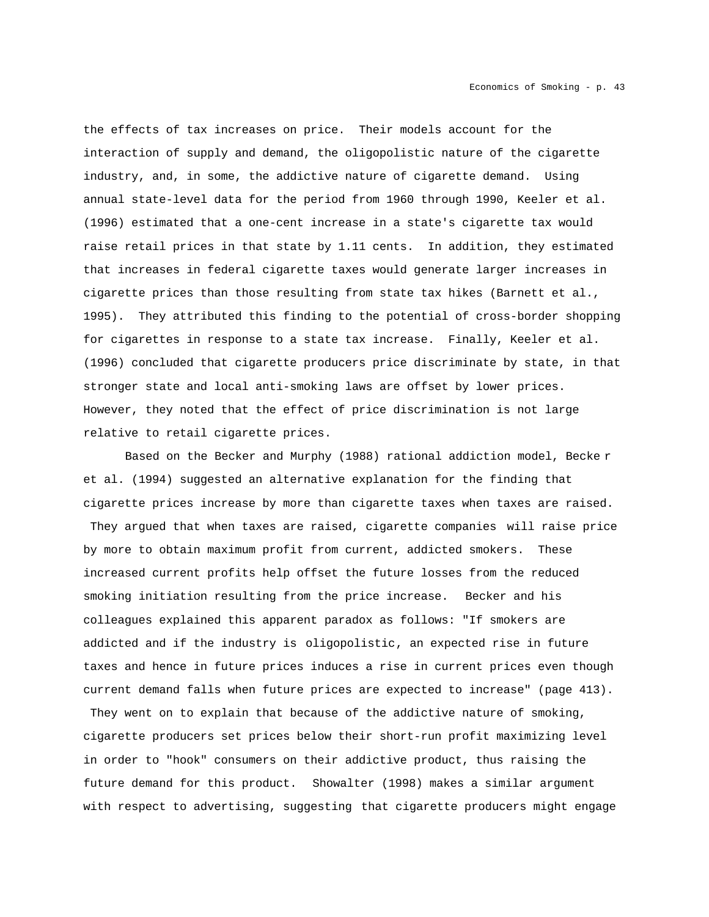the effects of tax increases on price. Their models account for the interaction of supply and demand, the oligopolistic nature of the cigarette industry, and, in some, the addictive nature of cigarette demand. Using annual state-level data for the period from 1960 through 1990, Keeler et al. (1996) estimated that a one-cent increase in a state's cigarette tax would raise retail prices in that state by 1.11 cents. In addition, they estimated that increases in federal cigarette taxes would generate larger increases in cigarette prices than those resulting from state tax hikes (Barnett et al., 1995). They attributed this finding to the potential of cross-border shopping for cigarettes in response to a state tax increase. Finally, Keeler et al. (1996) concluded that cigarette producers price discriminate by state, in that stronger state and local anti-smoking laws are offset by lower prices. However, they noted that the effect of price discrimination is not large relative to retail cigarette prices.

Based on the Becker and Murphy (1988) rational addiction model, Becke r et al. (1994) suggested an alternative explanation for the finding that cigarette prices increase by more than cigarette taxes when taxes are raised. They argued that when taxes are raised, cigarette companies will raise price by more to obtain maximum profit from current, addicted smokers. These increased current profits help offset the future losses from the reduced smoking initiation resulting from the price increase. Becker and his colleagues explained this apparent paradox as follows: "If smokers are addicted and if the industry is oligopolistic, an expected rise in future taxes and hence in future prices induces a rise in current prices even though current demand falls when future prices are expected to increase" (page 413).

 They went on to explain that because of the addictive nature of smoking, cigarette producers set prices below their short-run profit maximizing level in order to "hook" consumers on their addictive product, thus raising the future demand for this product. Showalter (1998) makes a similar argument with respect to advertising, suggesting that cigarette producers might engage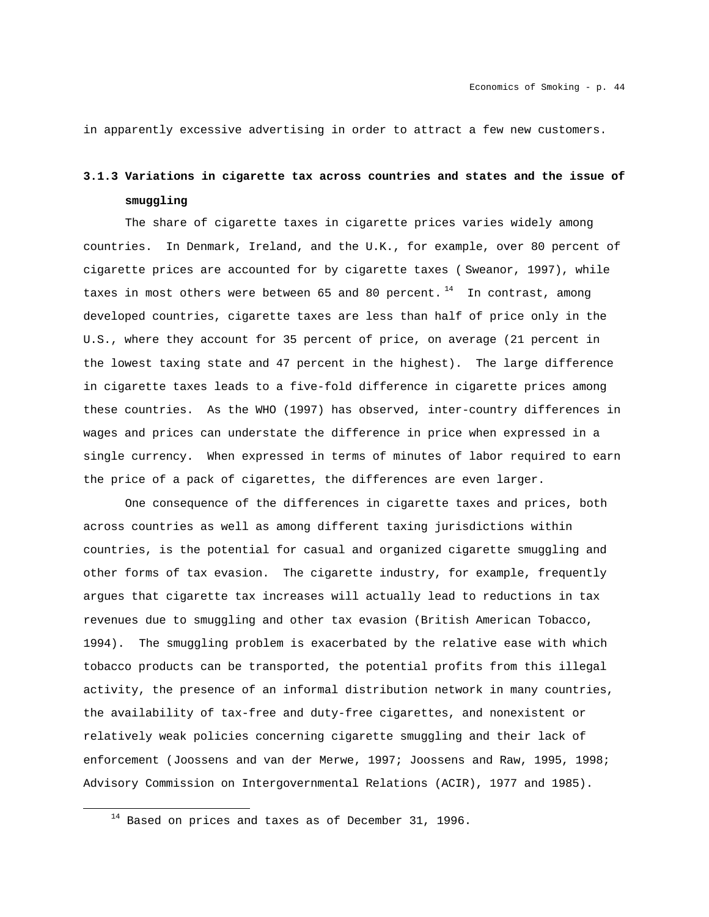in apparently excessive advertising in order to attract a few new customers.

# **3.1.3 Variations in cigarette tax across countries and states and the issue of smuggling**

The share of cigarette taxes in cigarette prices varies widely among countries. In Denmark, Ireland, and the U.K., for example, over 80 percent of cigarette prices are accounted for by cigarette taxes ( Sweanor, 1997), while taxes in most others were between 65 and 80 percent.  $14$  In contrast, among developed countries, cigarette taxes are less than half of price only in the U.S., where they account for 35 percent of price, on average (21 percent in the lowest taxing state and 47 percent in the highest). The large difference in cigarette taxes leads to a five-fold difference in cigarette prices among these countries. As the WHO (1997) has observed, inter-country differences in wages and prices can understate the difference in price when expressed in a single currency. When expressed in terms of minutes of labor required to earn the price of a pack of cigarettes, the differences are even larger.

One consequence of the differences in cigarette taxes and prices, both across countries as well as among different taxing jurisdictions within countries, is the potential for casual and organized cigarette smuggling and other forms of tax evasion. The cigarette industry, for example, frequently argues that cigarette tax increases will actually lead to reductions in tax revenues due to smuggling and other tax evasion (British American Tobacco, 1994). The smuggling problem is exacerbated by the relative ease with which tobacco products can be transported, the potential profits from this illegal activity, the presence of an informal distribution network in many countries, the availability of tax-free and duty-free cigarettes, and nonexistent or relatively weak policies concerning cigarette smuggling and their lack of enforcement (Joossens and van der Merwe, 1997; Joossens and Raw, 1995, 1998; Advisory Commission on Intergovernmental Relations (ACIR), 1977 and 1985).

i<br>Li

<sup>&</sup>lt;sup>14</sup> Based on prices and taxes as of December 31, 1996.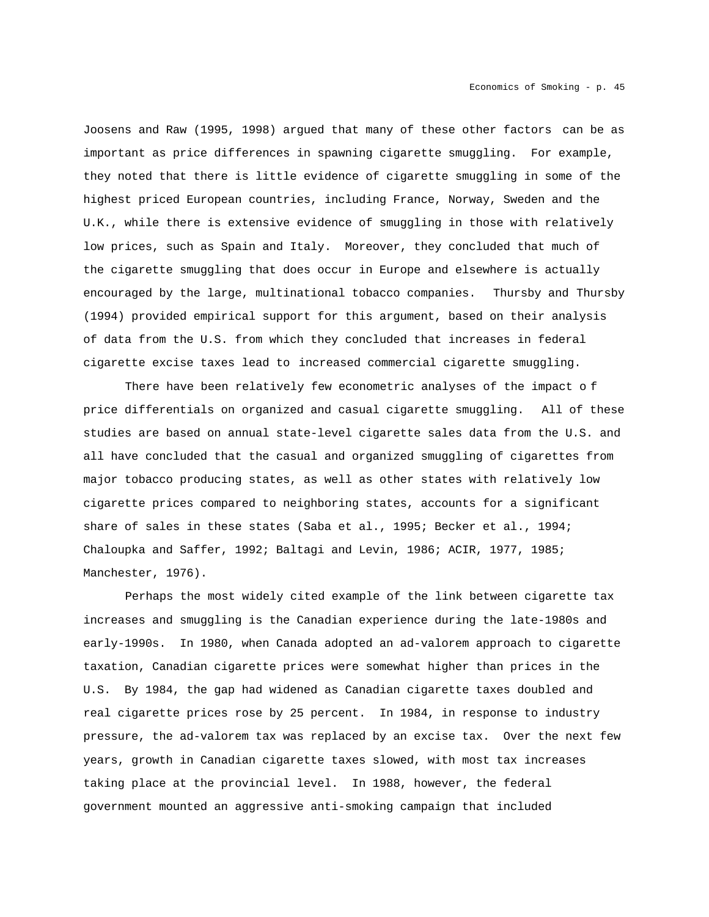Joosens and Raw (1995, 1998) argued that many of these other factors can be as important as price differences in spawning cigarette smuggling. For example, they noted that there is little evidence of cigarette smuggling in some of the highest priced European countries, including France, Norway, Sweden and the U.K., while there is extensive evidence of smuggling in those with relatively low prices, such as Spain and Italy. Moreover, they concluded that much of the cigarette smuggling that does occur in Europe and elsewhere is actually encouraged by the large, multinational tobacco companies. Thursby and Thursby (1994) provided empirical support for this argument, based on their analysis of data from the U.S. from which they concluded that increases in federal cigarette excise taxes lead to increased commercial cigarette smuggling.

There have been relatively few econometric analyses of the impact o f price differentials on organized and casual cigarette smuggling. All of these studies are based on annual state-level cigarette sales data from the U.S. and all have concluded that the casual and organized smuggling of cigarettes from major tobacco producing states, as well as other states with relatively low cigarette prices compared to neighboring states, accounts for a significant share of sales in these states (Saba et al., 1995; Becker et al., 1994; Chaloupka and Saffer, 1992; Baltagi and Levin, 1986; ACIR, 1977, 1985; Manchester, 1976).

Perhaps the most widely cited example of the link between cigarette tax increases and smuggling is the Canadian experience during the late-1980s and early-1990s. In 1980, when Canada adopted an ad-valorem approach to cigarette taxation, Canadian cigarette prices were somewhat higher than prices in the U.S. By 1984, the gap had widened as Canadian cigarette taxes doubled and real cigarette prices rose by 25 percent. In 1984, in response to industry pressure, the ad-valorem tax was replaced by an excise tax. Over the next few years, growth in Canadian cigarette taxes slowed, with most tax increases taking place at the provincial level. In 1988, however, the federal government mounted an aggressive anti-smoking campaign that included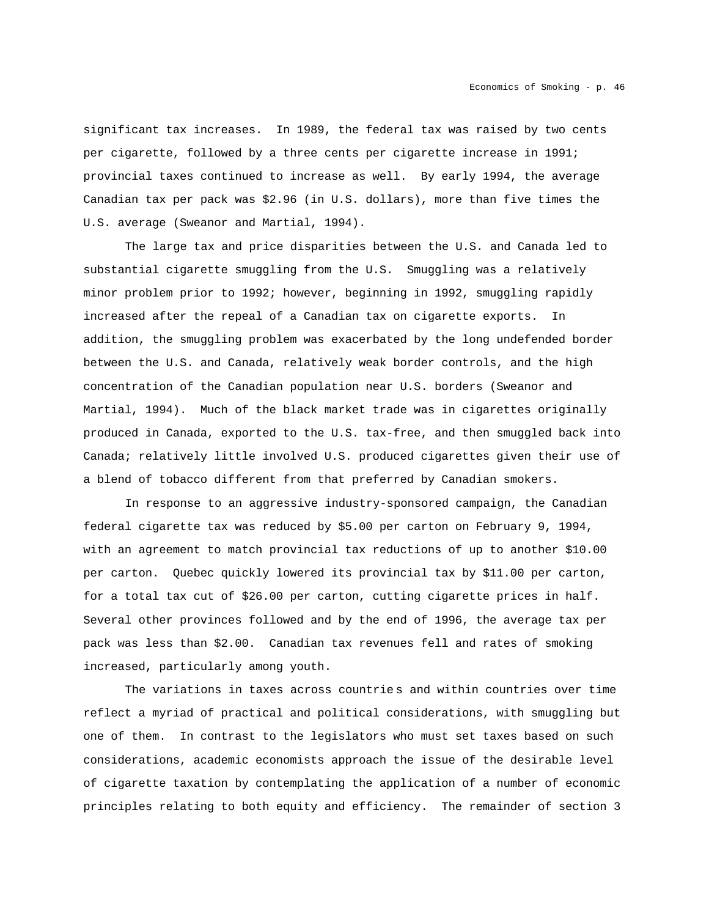significant tax increases. In 1989, the federal tax was raised by two cents per cigarette, followed by a three cents per cigarette increase in 1991; provincial taxes continued to increase as well. By early 1994, the average Canadian tax per pack was \$2.96 (in U.S. dollars), more than five times the U.S. average (Sweanor and Martial, 1994).

The large tax and price disparities between the U.S. and Canada led to substantial cigarette smuggling from the U.S. Smuggling was a relatively minor problem prior to 1992; however, beginning in 1992, smuggling rapidly increased after the repeal of a Canadian tax on cigarette exports. In addition, the smuggling problem was exacerbated by the long undefended border between the U.S. and Canada, relatively weak border controls, and the high concentration of the Canadian population near U.S. borders (Sweanor and Martial, 1994). Much of the black market trade was in cigarettes originally produced in Canada, exported to the U.S. tax-free, and then smuggled back into Canada; relatively little involved U.S. produced cigarettes given their use of a blend of tobacco different from that preferred by Canadian smokers.

In response to an aggressive industry-sponsored campaign, the Canadian federal cigarette tax was reduced by \$5.00 per carton on February 9, 1994, with an agreement to match provincial tax reductions of up to another \$10.00 per carton. Quebec quickly lowered its provincial tax by \$11.00 per carton, for a total tax cut of \$26.00 per carton, cutting cigarette prices in half. Several other provinces followed and by the end of 1996, the average tax per pack was less than \$2.00. Canadian tax revenues fell and rates of smoking increased, particularly among youth.

The variations in taxes across countries and within countries over time reflect a myriad of practical and political considerations, with smuggling but one of them. In contrast to the legislators who must set taxes based on such considerations, academic economists approach the issue of the desirable level of cigarette taxation by contemplating the application of a number of economic principles relating to both equity and efficiency. The remainder of section 3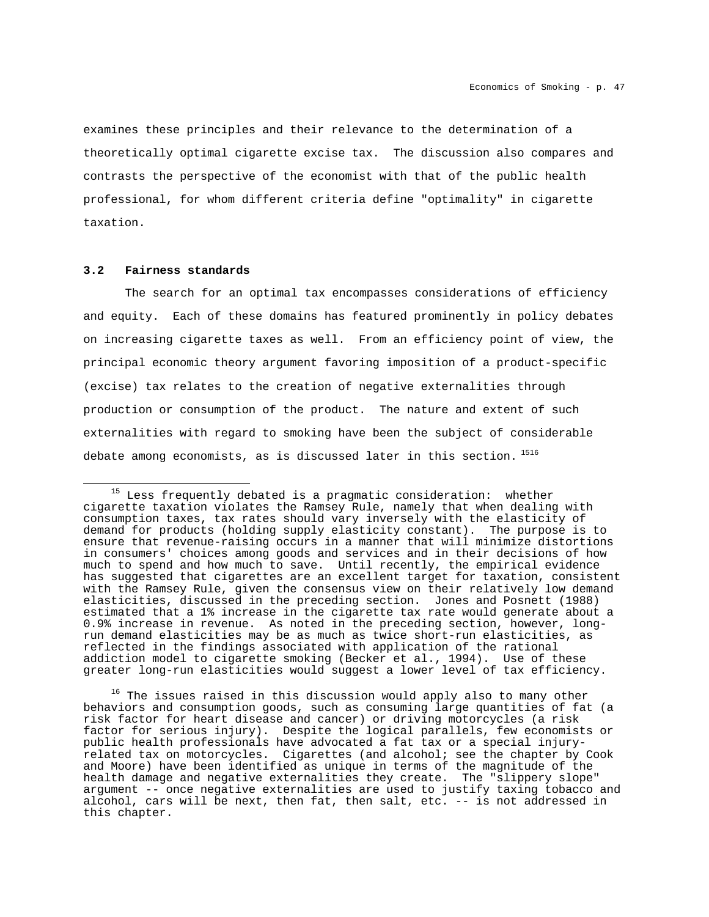examines these principles and their relevance to the determination of a theoretically optimal cigarette excise tax. The discussion also compares and contrasts the perspective of the economist with that of the public health professional, for whom different criteria define "optimality" in cigarette taxation.

## **3.2 Fairness standards**

i

The search for an optimal tax encompasses considerations of efficiency and equity. Each of these domains has featured prominently in policy debates on increasing cigarette taxes as well. From an efficiency point of view, the principal economic theory argument favoring imposition of a product-specific (excise) tax relates to the creation of negative externalities through production or consumption of the product. The nature and extent of such externalities with regard to smoking have been the subject of considerable debate among economists, as is discussed later in this section. 1516

<sup>&</sup>lt;sup>15</sup> Less frequently debated is a pragmatic consideration: whether cigarette taxation violates the Ramsey Rule, namely that when dealing with consumption taxes, tax rates should vary inversely with the elasticity of demand for products (holding supply elasticity constant). The purpose is to ensure that revenue-raising occurs in a manner that will minimize distortions in consumers' choices among goods and services and in their decisions of how much to spend and how much to save. Until recently, the empirical evidence has suggested that cigarettes are an excellent target for taxation, consistent with the Ramsey Rule, given the consensus view on their relatively low demand elasticities, discussed in the preceding section. Jones and Posnett (1988) estimated that a 1% increase in the cigarette tax rate would generate about a 0.9% increase in revenue. As noted in the preceding section, however, longrun demand elasticities may be as much as twice short-run elasticities, as reflected in the findings associated with application of the rational addiction model to cigarette smoking (Becker et al., 1994). Use of these greater long-run elasticities would suggest a lower level of tax efficiency.

 $16$  The issues raised in this discussion would apply also to many other behaviors and consumption goods, such as consuming large quantities of fat (a risk factor for heart disease and cancer) or driving motorcycles (a risk factor for serious injury). Despite the logical parallels, few economists or public health professionals have advocated a fat tax or a special injuryrelated tax on motorcycles. Cigarettes (and alcohol; see the chapter by Cook and Moore) have been identified as unique in terms of the magnitude of the health damage and negative externalities they create. The "slippery slope" argument -- once negative externalities are used to justify taxing tobacco and alcohol, cars will be next, then fat, then salt, etc. -- is not addressed in this chapter.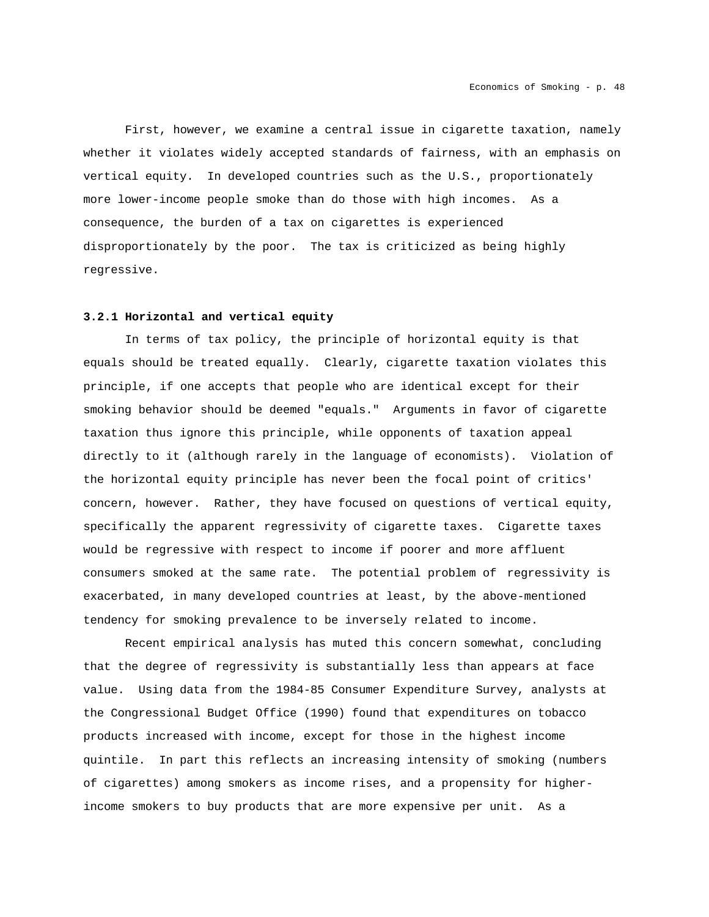First, however, we examine a central issue in cigarette taxation, namely whether it violates widely accepted standards of fairness, with an emphasis on vertical equity. In developed countries such as the U.S., proportionately more lower-income people smoke than do those with high incomes. As a consequence, the burden of a tax on cigarettes is experienced disproportionately by the poor. The tax is criticized as being highly regressive.

#### **3.2.1 Horizontal and vertical equity**

In terms of tax policy, the principle of horizontal equity is that equals should be treated equally. Clearly, cigarette taxation violates this principle, if one accepts that people who are identical except for their smoking behavior should be deemed "equals." Arguments in favor of cigarette taxation thus ignore this principle, while opponents of taxation appeal directly to it (although rarely in the language of economists). Violation of the horizontal equity principle has never been the focal point of critics' concern, however. Rather, they have focused on questions of vertical equity, specifically the apparent regressivity of cigarette taxes. Cigarette taxes would be regressive with respect to income if poorer and more affluent consumers smoked at the same rate. The potential problem of regressivity is exacerbated, in many developed countries at least, by the above-mentioned tendency for smoking prevalence to be inversely related to income.

Recent empirical analysis has muted this concern somewhat, concluding that the degree of regressivity is substantially less than appears at face value. Using data from the 1984-85 Consumer Expenditure Survey, analysts at the Congressional Budget Office (1990) found that expenditures on tobacco products increased with income, except for those in the highest income quintile. In part this reflects an increasing intensity of smoking (numbers of cigarettes) among smokers as income rises, and a propensity for higherincome smokers to buy products that are more expensive per unit. As a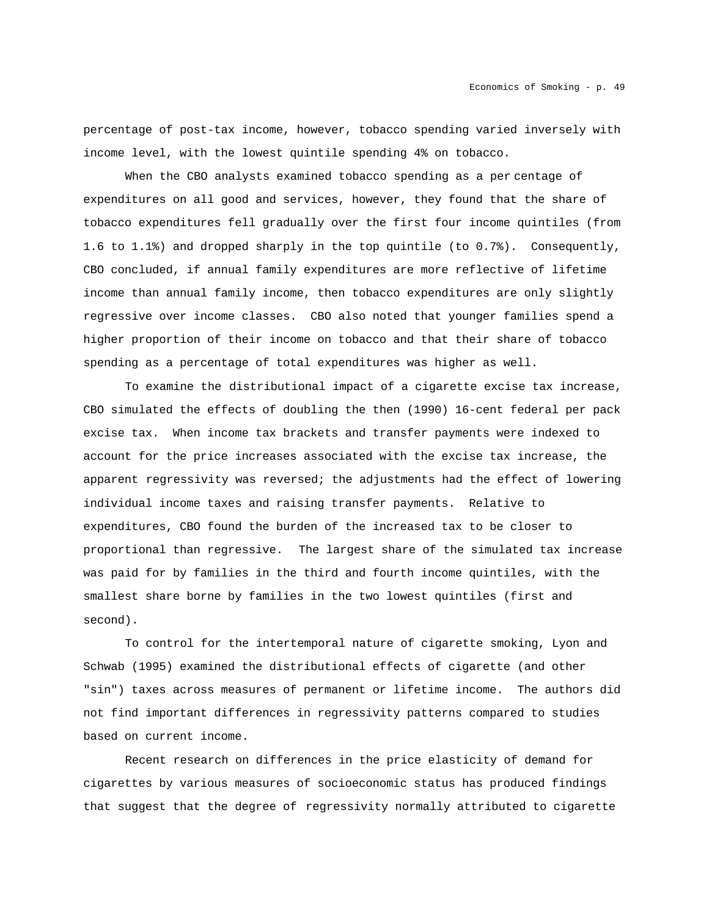percentage of post-tax income, however, tobacco spending varied inversely with income level, with the lowest quintile spending 4% on tobacco.

When the CBO analysts examined tobacco spending as a per centage of expenditures on all good and services, however, they found that the share of tobacco expenditures fell gradually over the first four income quintiles (from 1.6 to 1.1%) and dropped sharply in the top quintile (to 0.7%). Consequently, CBO concluded, if annual family expenditures are more reflective of lifetime income than annual family income, then tobacco expenditures are only slightly regressive over income classes. CBO also noted that younger families spend a higher proportion of their income on tobacco and that their share of tobacco spending as a percentage of total expenditures was higher as well.

To examine the distributional impact of a cigarette excise tax increase, CBO simulated the effects of doubling the then (1990) 16-cent federal per pack excise tax. When income tax brackets and transfer payments were indexed to account for the price increases associated with the excise tax increase, the apparent regressivity was reversed; the adjustments had the effect of lowering individual income taxes and raising transfer payments. Relative to expenditures, CBO found the burden of the increased tax to be closer to proportional than regressive. The largest share of the simulated tax increase was paid for by families in the third and fourth income quintiles, with the smallest share borne by families in the two lowest quintiles (first and second).

To control for the intertemporal nature of cigarette smoking, Lyon and Schwab (1995) examined the distributional effects of cigarette (and other "sin") taxes across measures of permanent or lifetime income. The authors did not find important differences in regressivity patterns compared to studies based on current income.

Recent research on differences in the price elasticity of demand for cigarettes by various measures of socioeconomic status has produced findings that suggest that the degree of regressivity normally attributed to cigarette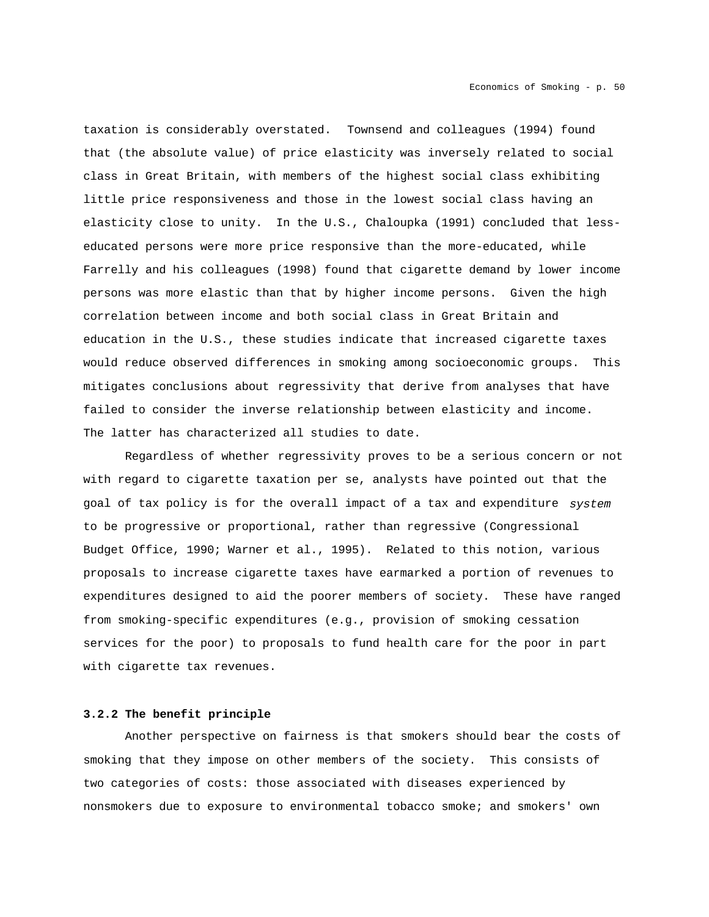taxation is considerably overstated. Townsend and colleagues (1994) found that (the absolute value) of price elasticity was inversely related to social class in Great Britain, with members of the highest social class exhibiting little price responsiveness and those in the lowest social class having an elasticity close to unity. In the U.S., Chaloupka (1991) concluded that lesseducated persons were more price responsive than the more-educated, while Farrelly and his colleagues (1998) found that cigarette demand by lower income persons was more elastic than that by higher income persons. Given the high correlation between income and both social class in Great Britain and education in the U.S., these studies indicate that increased cigarette taxes would reduce observed differences in smoking among socioeconomic groups. This mitigates conclusions about regressivity that derive from analyses that have failed to consider the inverse relationship between elasticity and income. The latter has characterized all studies to date.

Regardless of whether regressivity proves to be a serious concern or not with regard to cigarette taxation per se, analysts have pointed out that the goal of tax policy is for the overall impact of a tax and expenditure *system* to be progressive or proportional, rather than regressive (Congressional Budget Office, 1990; Warner et al., 1995). Related to this notion, various proposals to increase cigarette taxes have earmarked a portion of revenues to expenditures designed to aid the poorer members of society. These have ranged from smoking-specific expenditures (e.g., provision of smoking cessation services for the poor) to proposals to fund health care for the poor in part with cigarette tax revenues.

## **3.2.2 The benefit principle**

Another perspective on fairness is that smokers should bear the costs of smoking that they impose on other members of the society. This consists of two categories of costs: those associated with diseases experienced by nonsmokers due to exposure to environmental tobacco smoke; and smokers' own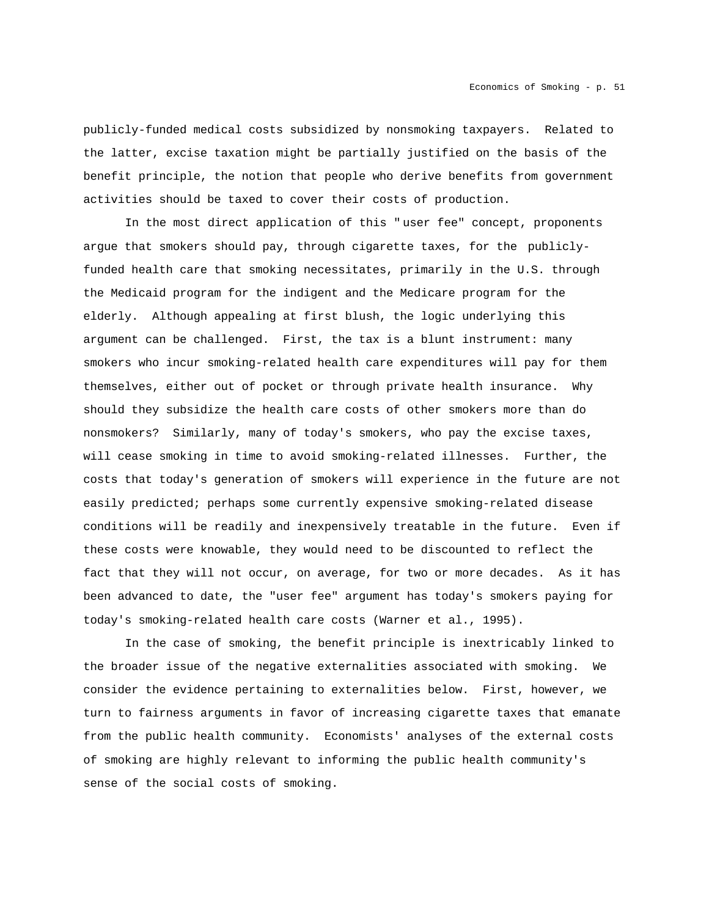publicly-funded medical costs subsidized by nonsmoking taxpayers. Related to the latter, excise taxation might be partially justified on the basis of the benefit principle, the notion that people who derive benefits from government activities should be taxed to cover their costs of production.

In the most direct application of this " user fee" concept, proponents argue that smokers should pay, through cigarette taxes, for the publiclyfunded health care that smoking necessitates, primarily in the U.S. through the Medicaid program for the indigent and the Medicare program for the elderly. Although appealing at first blush, the logic underlying this argument can be challenged. First, the tax is a blunt instrument: many smokers who incur smoking-related health care expenditures will pay for them themselves, either out of pocket or through private health insurance. Why should they subsidize the health care costs of other smokers more than do nonsmokers? Similarly, many of today's smokers, who pay the excise taxes, will cease smoking in time to avoid smoking-related illnesses. Further, the costs that today's generation of smokers will experience in the future are not easily predicted; perhaps some currently expensive smoking-related disease conditions will be readily and inexpensively treatable in the future. Even if these costs were knowable, they would need to be discounted to reflect the fact that they will not occur, on average, for two or more decades. As it has been advanced to date, the "user fee" argument has today's smokers paying for today's smoking-related health care costs (Warner et al., 1995).

In the case of smoking, the benefit principle is inextricably linked to the broader issue of the negative externalities associated with smoking. We consider the evidence pertaining to externalities below. First, however, we turn to fairness arguments in favor of increasing cigarette taxes that emanate from the public health community. Economists' analyses of the external costs of smoking are highly relevant to informing the public health community's sense of the social costs of smoking.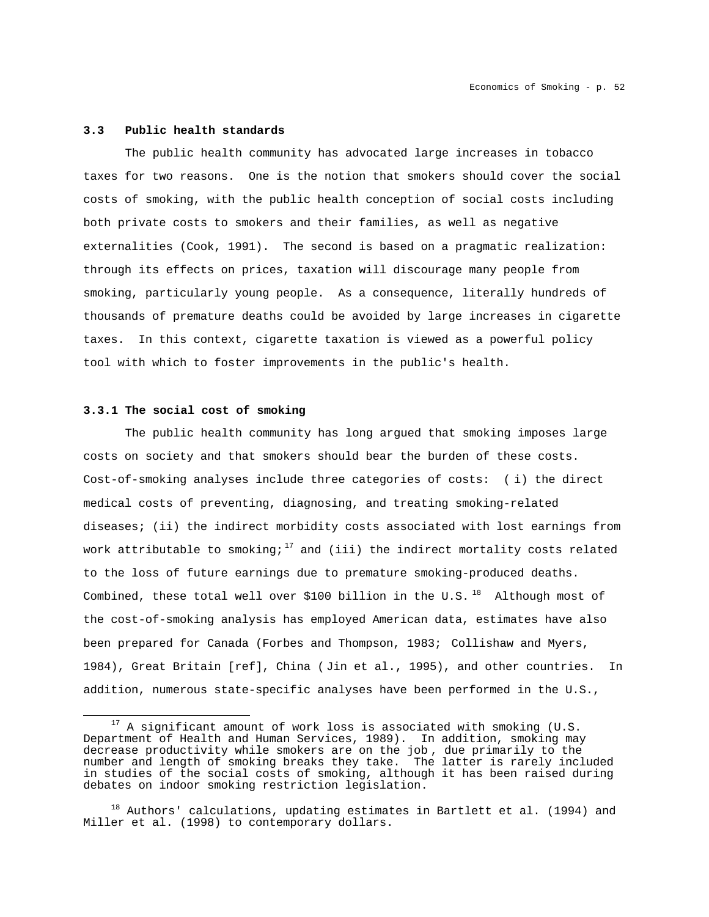#### **3.3 Public health standards**

The public health community has advocated large increases in tobacco taxes for two reasons. One is the notion that smokers should cover the social costs of smoking, with the public health conception of social costs including both private costs to smokers and their families, as well as negative externalities (Cook, 1991). The second is based on a pragmatic realization: through its effects on prices, taxation will discourage many people from smoking, particularly young people. As a consequence, literally hundreds of thousands of premature deaths could be avoided by large increases in cigarette taxes. In this context, cigarette taxation is viewed as a powerful policy tool with which to foster improvements in the public's health.

#### **3.3.1 The social cost of smoking**

i<br>Li

The public health community has long argued that smoking imposes large costs on society and that smokers should bear the burden of these costs. Cost-of-smoking analyses include three categories of costs: ( i) the direct medical costs of preventing, diagnosing, and treating smoking-related diseases; (ii) the indirect morbidity costs associated with lost earnings from work attributable to smoking;<sup>17</sup> and (iii) the indirect mortality costs related to the loss of future earnings due to premature smoking-produced deaths. Combined, these total well over \$100 billion in the U.S.  $^{18}$  Although most of the cost-of-smoking analysis has employed American data, estimates have also been prepared for Canada (Forbes and Thompson, 1983; Collishaw and Myers, 1984), Great Britain [ref], China ( Jin et al., 1995), and other countries. In addition, numerous state-specific analyses have been performed in the U.S.,

 $17$  A significant amount of work loss is associated with smoking (U.S. Department of Health and Human Services, 1989). In addition, smoking may decrease productivity while smokers are on the job , due primarily to the number and length of smoking breaks they take. The latter is rarely included in studies of the social costs of smoking, although it has been raised during debates on indoor smoking restriction legislation.

 $18$  Authors' calculations, updating estimates in Bartlett et al. (1994) and Miller et al. (1998) to contemporary dollars.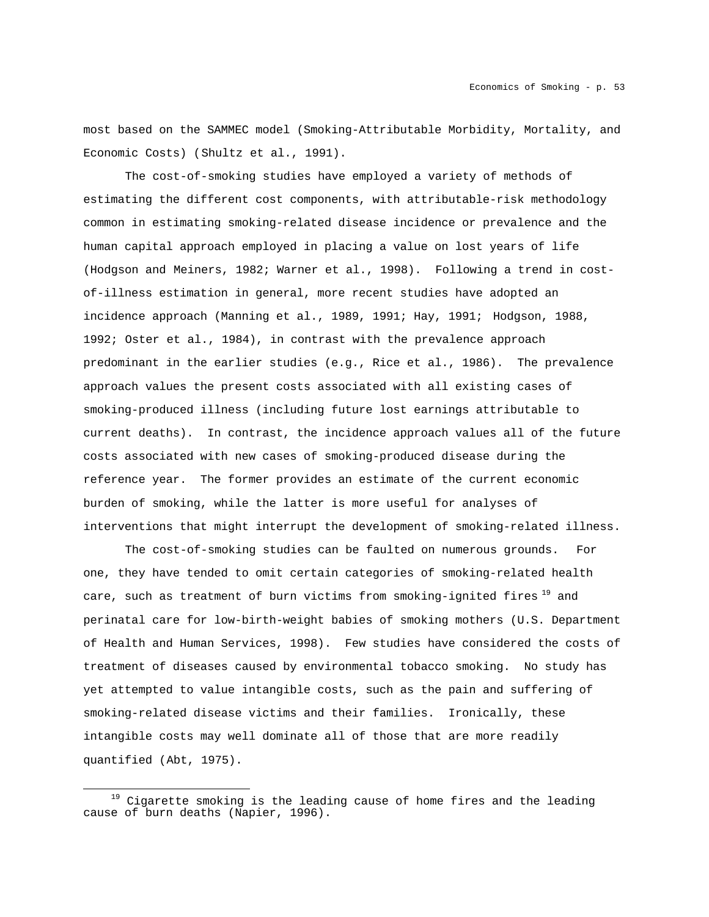most based on the SAMMEC model (Smoking-Attributable Morbidity, Mortality, and Economic Costs) (Shultz et al., 1991).

The cost-of-smoking studies have employed a variety of methods of estimating the different cost components, with attributable-risk methodology common in estimating smoking-related disease incidence or prevalence and the human capital approach employed in placing a value on lost years of life (Hodgson and Meiners, 1982; Warner et al., 1998). Following a trend in costof-illness estimation in general, more recent studies have adopted an incidence approach (Manning et al., 1989, 1991; Hay, 1991; Hodgson, 1988, 1992; Oster et al., 1984), in contrast with the prevalence approach predominant in the earlier studies (e.g., Rice et al., 1986). The prevalence approach values the present costs associated with all existing cases of smoking-produced illness (including future lost earnings attributable to current deaths). In contrast, the incidence approach values all of the future costs associated with new cases of smoking-produced disease during the reference year. The former provides an estimate of the current economic burden of smoking, while the latter is more useful for analyses of interventions that might interrupt the development of smoking-related illness.

The cost-of-smoking studies can be faulted on numerous grounds. For one, they have tended to omit certain categories of smoking-related health care, such as treatment of burn victims from smoking-ignited fires<sup>19</sup> and perinatal care for low-birth-weight babies of smoking mothers (U.S. Department of Health and Human Services, 1998). Few studies have considered the costs of treatment of diseases caused by environmental tobacco smoking. No study has yet attempted to value intangible costs, such as the pain and suffering of smoking-related disease victims and their families. Ironically, these intangible costs may well dominate all of those that are more readily quantified (Abt, 1975).

i <sup>19</sup> Cigarette smoking is the leading cause of home fires and the leading cause of burn deaths (Napier, 1996).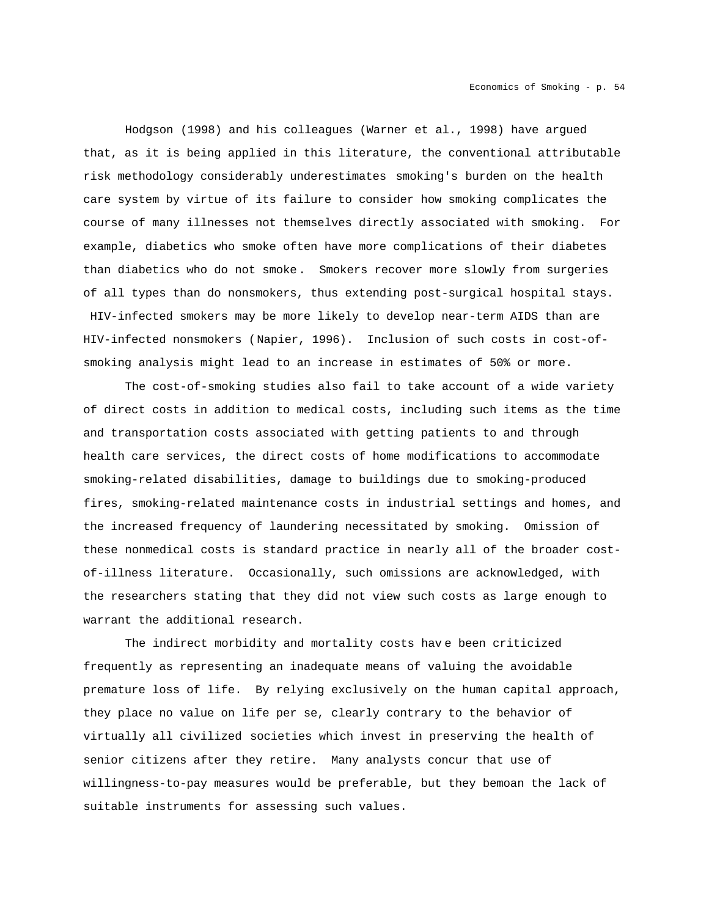Hodgson (1998) and his colleagues (Warner et al., 1998) have argued that, as it is being applied in this literature, the conventional attributable risk methodology considerably underestimates smoking's burden on the health care system by virtue of its failure to consider how smoking complicates the course of many illnesses not themselves directly associated with smoking. For example, diabetics who smoke often have more complications of their diabetes than diabetics who do not smoke . Smokers recover more slowly from surgeries of all types than do nonsmokers, thus extending post-surgical hospital stays. HIV-infected smokers may be more likely to develop near-term AIDS than are HIV-infected nonsmokers (Napier, 1996). Inclusion of such costs in cost-ofsmoking analysis might lead to an increase in estimates of 50% or more.

The cost-of-smoking studies also fail to take account of a wide variety of direct costs in addition to medical costs, including such items as the time and transportation costs associated with getting patients to and through health care services, the direct costs of home modifications to accommodate smoking-related disabilities, damage to buildings due to smoking-produced fires, smoking-related maintenance costs in industrial settings and homes, and the increased frequency of laundering necessitated by smoking. Omission of these nonmedical costs is standard practice in nearly all of the broader costof-illness literature. Occasionally, such omissions are acknowledged, with the researchers stating that they did not view such costs as large enough to warrant the additional research.

The indirect morbidity and mortality costs hav e been criticized frequently as representing an inadequate means of valuing the avoidable premature loss of life. By relying exclusively on the human capital approach, they place no value on life per se, clearly contrary to the behavior of virtually all civilized societies which invest in preserving the health of senior citizens after they retire. Many analysts concur that use of willingness-to-pay measures would be preferable, but they bemoan the lack of suitable instruments for assessing such values.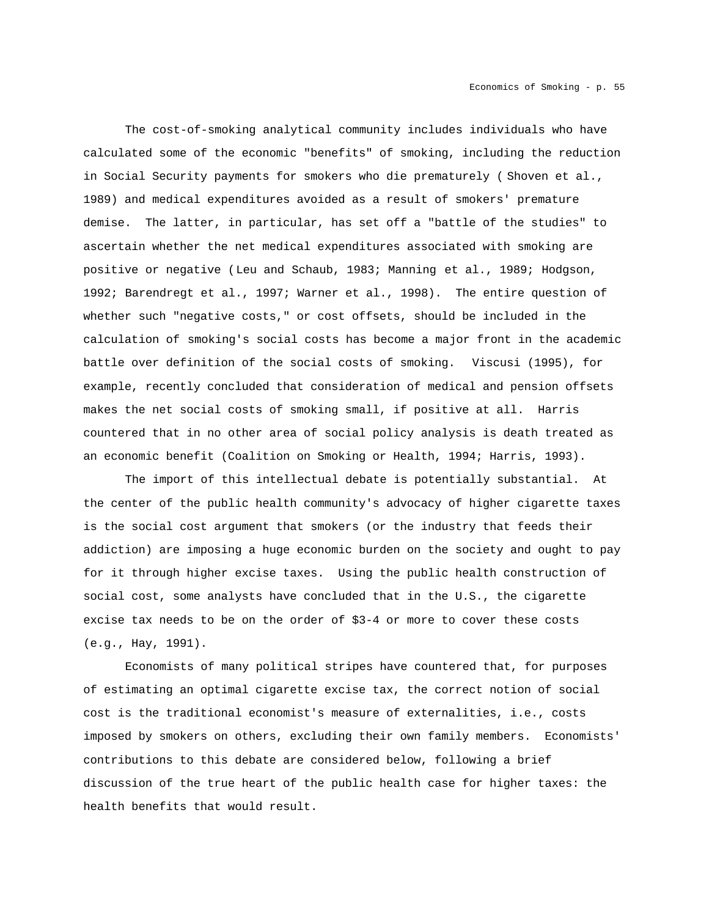The cost-of-smoking analytical community includes individuals who have calculated some of the economic "benefits" of smoking, including the reduction in Social Security payments for smokers who die prematurely ( Shoven et al., 1989) and medical expenditures avoided as a result of smokers' premature demise. The latter, in particular, has set off a "battle of the studies" to ascertain whether the net medical expenditures associated with smoking are positive or negative (Leu and Schaub, 1983; Manning et al., 1989; Hodgson, 1992; Barendregt et al., 1997; Warner et al., 1998). The entire question of whether such "negative costs," or cost offsets, should be included in the calculation of smoking's social costs has become a major front in the academic battle over definition of the social costs of smoking. Viscusi (1995), for example, recently concluded that consideration of medical and pension offsets makes the net social costs of smoking small, if positive at all. Harris countered that in no other area of social policy analysis is death treated as an economic benefit (Coalition on Smoking or Health, 1994; Harris, 1993).

The import of this intellectual debate is potentially substantial. At the center of the public health community's advocacy of higher cigarette taxes is the social cost argument that smokers (or the industry that feeds their addiction) are imposing a huge economic burden on the society and ought to pay for it through higher excise taxes. Using the public health construction of social cost, some analysts have concluded that in the U.S., the cigarette excise tax needs to be on the order of \$3-4 or more to cover these costs (e.g., Hay, 1991).

Economists of many political stripes have countered that, for purposes of estimating an optimal cigarette excise tax, the correct notion of social cost is the traditional economist's measure of externalities, i.e., costs imposed by smokers on others, excluding their own family members. Economists' contributions to this debate are considered below, following a brief discussion of the true heart of the public health case for higher taxes: the health benefits that would result.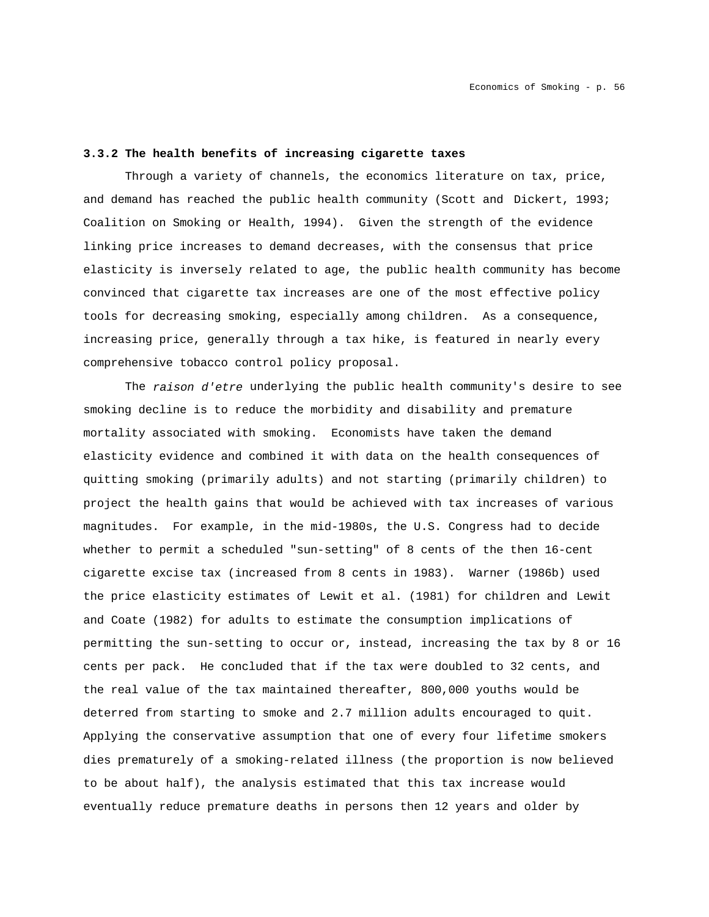## **3.3.2 The health benefits of increasing cigarette taxes**

Through a variety of channels, the economics literature on tax, price, and demand has reached the public health community (Scott and Dickert, 1993; Coalition on Smoking or Health, 1994). Given the strength of the evidence linking price increases to demand decreases, with the consensus that price elasticity is inversely related to age, the public health community has become convinced that cigarette tax increases are one of the most effective policy tools for decreasing smoking, especially among children. As a consequence, increasing price, generally through a tax hike, is featured in nearly every comprehensive tobacco control policy proposal.

The *raison d'etre* underlying the public health community's desire to see smoking decline is to reduce the morbidity and disability and premature mortality associated with smoking. Economists have taken the demand elasticity evidence and combined it with data on the health consequences of quitting smoking (primarily adults) and not starting (primarily children) to project the health gains that would be achieved with tax increases of various magnitudes. For example, in the mid-1980s, the U.S. Congress had to decide whether to permit a scheduled "sun-setting" of 8 cents of the then 16-cent cigarette excise tax (increased from 8 cents in 1983). Warner (1986b) used the price elasticity estimates of Lewit et al. (1981) for children and Lewit and Coate (1982) for adults to estimate the consumption implications of permitting the sun-setting to occur or, instead, increasing the tax by 8 or 16 cents per pack. He concluded that if the tax were doubled to 32 cents, and the real value of the tax maintained thereafter, 800,000 youths would be deterred from starting to smoke and 2.7 million adults encouraged to quit. Applying the conservative assumption that one of every four lifetime smokers dies prematurely of a smoking-related illness (the proportion is now believed to be about half), the analysis estimated that this tax increase would eventually reduce premature deaths in persons then 12 years and older by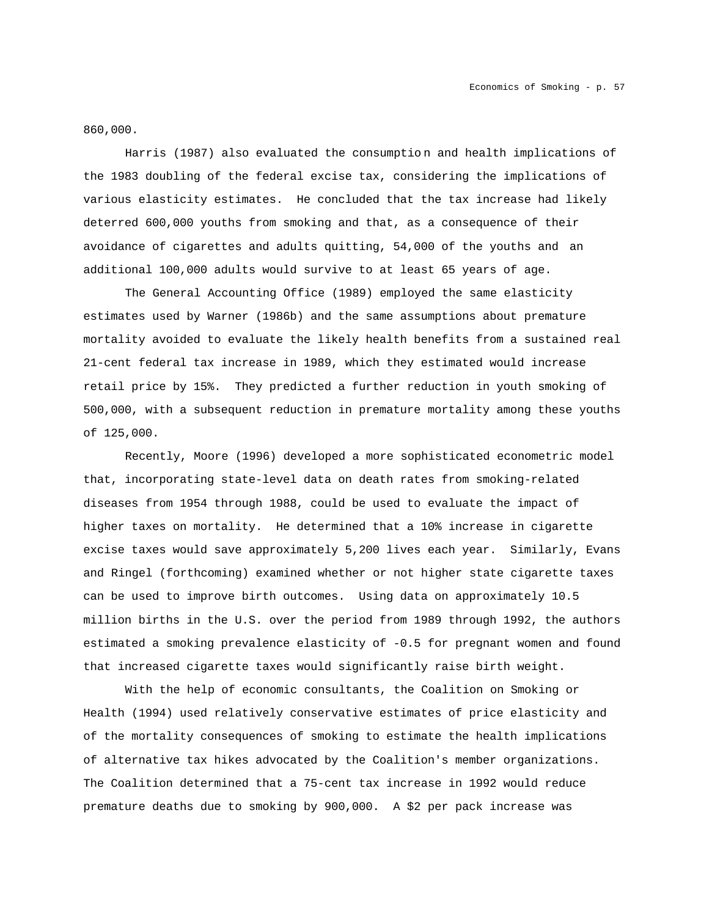860,000.

Harris (1987) also evaluated the consumption and health implications of the 1983 doubling of the federal excise tax, considering the implications of various elasticity estimates. He concluded that the tax increase had likely deterred 600,000 youths from smoking and that, as a consequence of their avoidance of cigarettes and adults quitting, 54,000 of the youths and an additional 100,000 adults would survive to at least 65 years of age.

The General Accounting Office (1989) employed the same elasticity estimates used by Warner (1986b) and the same assumptions about premature mortality avoided to evaluate the likely health benefits from a sustained real 21-cent federal tax increase in 1989, which they estimated would increase retail price by 15%. They predicted a further reduction in youth smoking of 500,000, with a subsequent reduction in premature mortality among these youths of 125,000.

Recently, Moore (1996) developed a more sophisticated econometric model that, incorporating state-level data on death rates from smoking-related diseases from 1954 through 1988, could be used to evaluate the impact of higher taxes on mortality. He determined that a 10% increase in cigarette excise taxes would save approximately 5,200 lives each year. Similarly, Evans and Ringel (forthcoming) examined whether or not higher state cigarette taxes can be used to improve birth outcomes. Using data on approximately 10.5 million births in the U.S. over the period from 1989 through 1992, the authors estimated a smoking prevalence elasticity of -0.5 for pregnant women and found that increased cigarette taxes would significantly raise birth weight.

With the help of economic consultants, the Coalition on Smoking or Health (1994) used relatively conservative estimates of price elasticity and of the mortality consequences of smoking to estimate the health implications of alternative tax hikes advocated by the Coalition's member organizations. The Coalition determined that a 75-cent tax increase in 1992 would reduce premature deaths due to smoking by 900,000. A \$2 per pack increase was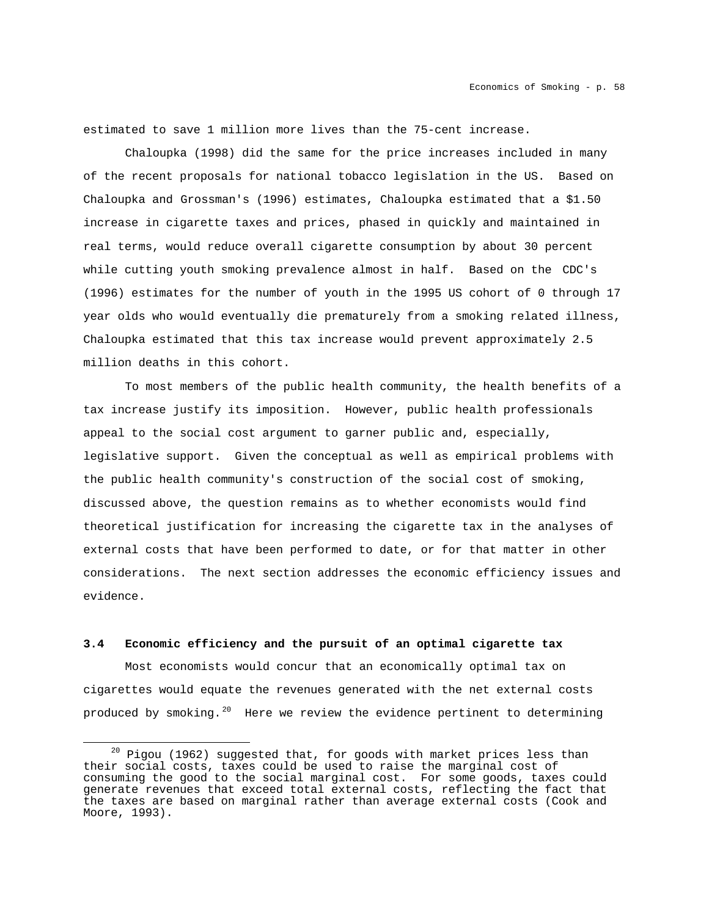estimated to save 1 million more lives than the 75-cent increase.

Chaloupka (1998) did the same for the price increases included in many of the recent proposals for national tobacco legislation in the US. Based on Chaloupka and Grossman's (1996) estimates, Chaloupka estimated that a \$1.50 increase in cigarette taxes and prices, phased in quickly and maintained in real terms, would reduce overall cigarette consumption by about 30 percent while cutting youth smoking prevalence almost in half. Based on the CDC's (1996) estimates for the number of youth in the 1995 US cohort of 0 through 17 year olds who would eventually die prematurely from a smoking related illness, Chaloupka estimated that this tax increase would prevent approximately 2.5 million deaths in this cohort.

To most members of the public health community, the health benefits of a tax increase justify its imposition. However, public health professionals appeal to the social cost argument to garner public and, especially, legislative support. Given the conceptual as well as empirical problems with the public health community's construction of the social cost of smoking, discussed above, the question remains as to whether economists would find theoretical justification for increasing the cigarette tax in the analyses of external costs that have been performed to date, or for that matter in other considerations. The next section addresses the economic efficiency issues and evidence.

#### **3.4 Economic efficiency and the pursuit of an optimal cigarette tax**

i<br>Li

Most economists would concur that an economically optimal tax on cigarettes would equate the revenues generated with the net external costs produced by smoking. $^{20}$  Here we review the evidence pertinent to determining

 $20$  Pigou (1962) suggested that, for goods with market prices less than their social costs, taxes could be used to raise the marginal cost of consuming the good to the social marginal cost. For some goods, taxes could generate revenues that exceed total external costs, reflecting the fact that the taxes are based on marginal rather than average external costs (Cook and Moore, 1993).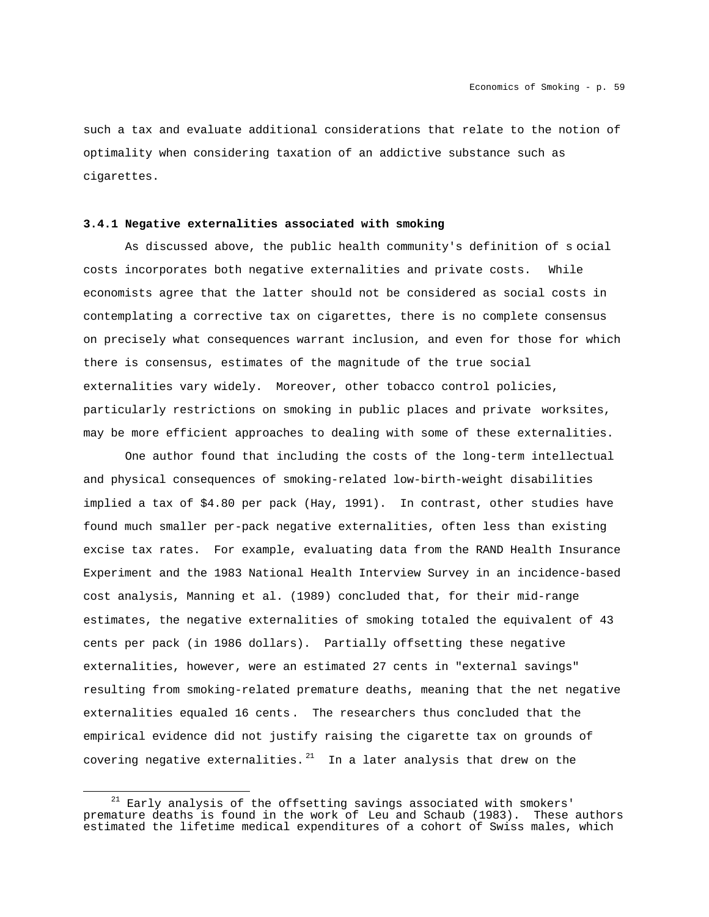such a tax and evaluate additional considerations that relate to the notion of optimality when considering taxation of an addictive substance such as cigarettes.

## **3.4.1 Negative externalities associated with smoking**

As discussed above, the public health community's definition of s ocial costs incorporates both negative externalities and private costs. While economists agree that the latter should not be considered as social costs in contemplating a corrective tax on cigarettes, there is no complete consensus on precisely what consequences warrant inclusion, and even for those for which there is consensus, estimates of the magnitude of the true social externalities vary widely. Moreover, other tobacco control policies, particularly restrictions on smoking in public places and private worksites, may be more efficient approaches to dealing with some of these externalities.

One author found that including the costs of the long-term intellectual and physical consequences of smoking-related low-birth-weight disabilities implied a tax of \$4.80 per pack (Hay, 1991). In contrast, other studies have found much smaller per-pack negative externalities, often less than existing excise tax rates. For example, evaluating data from the RAND Health Insurance Experiment and the 1983 National Health Interview Survey in an incidence-based cost analysis, Manning et al. (1989) concluded that, for their mid-range estimates, the negative externalities of smoking totaled the equivalent of 43 cents per pack (in 1986 dollars). Partially offsetting these negative externalities, however, were an estimated 27 cents in "external savings" resulting from smoking-related premature deaths, meaning that the net negative externalities equaled 16 cents. The researchers thus concluded that the empirical evidence did not justify raising the cigarette tax on grounds of covering negative externalities. $21$  In a later analysis that drew on the

i  $21$  Early analysis of the offsetting savings associated with smokers' premature deaths is found in the work of Leu and Schaub (1983). These authors estimated the lifetime medical expenditures of a cohort of Swiss males, which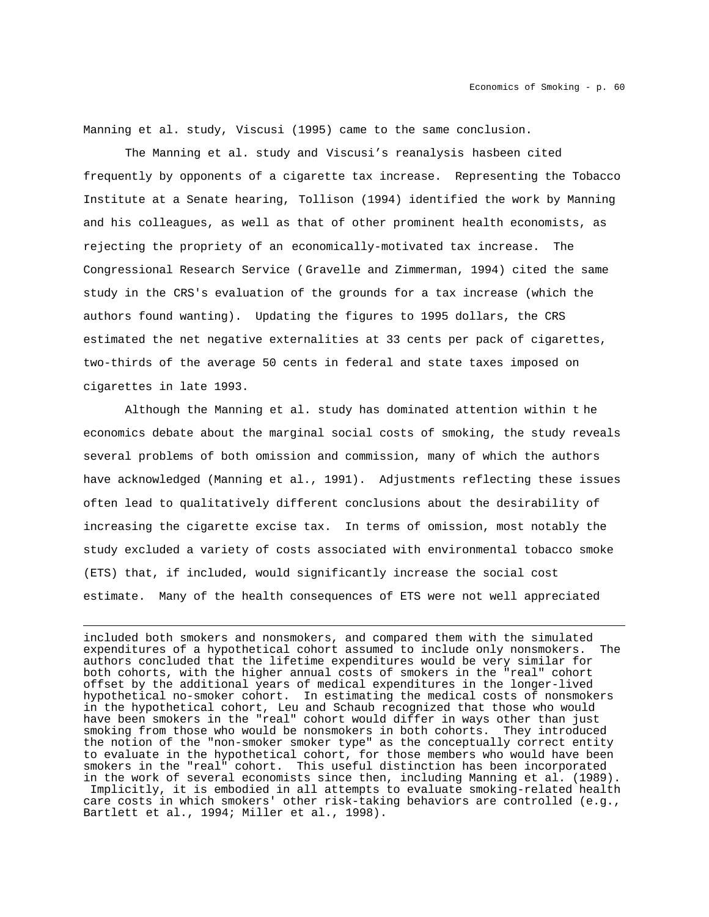Manning et al. study, Viscusi (1995) came to the same conclusion.

The Manning et al. study and Viscusi's reanalysis hasbeen cited frequently by opponents of a cigarette tax increase. Representing the Tobacco Institute at a Senate hearing, Tollison (1994) identified the work by Manning and his colleagues, as well as that of other prominent health economists, as rejecting the propriety of an economically-motivated tax increase. The Congressional Research Service ( Gravelle and Zimmerman, 1994) cited the same study in the CRS's evaluation of the grounds for a tax increase (which the authors found wanting). Updating the figures to 1995 dollars, the CRS estimated the net negative externalities at 33 cents per pack of cigarettes, two-thirds of the average 50 cents in federal and state taxes imposed on cigarettes in late 1993.

Although the Manning et al. study has dominated attention within t he economics debate about the marginal social costs of smoking, the study reveals several problems of both omission and commission, many of which the authors have acknowledged (Manning et al., 1991). Adjustments reflecting these issues often lead to qualitatively different conclusions about the desirability of increasing the cigarette excise tax. In terms of omission, most notably the study excluded a variety of costs associated with environmental tobacco smoke (ETS) that, if included, would significantly increase the social cost estimate. Many of the health consequences of ETS were not well appreciated

i<br>Li included both smokers and nonsmokers, and compared them with the simulated expenditures of a hypothetical cohort assumed to include only nonsmokers. The authors concluded that the lifetime expenditures would be very similar for both cohorts, with the higher annual costs of smokers in the "real" cohort offset by the additional years of medical expenditures in the longer-lived hypothetical no-smoker cohort. In estimating the medical costs of nonsmokers in the hypothetical cohort, Leu and Schaub recognized that those who would have been smokers in the "real" cohort would differ in ways other than just smoking from those who would be nonsmokers in both cohorts. They introduced the notion of the "non-smoker smoker type" as the conceptually correct entity to evaluate in the hypothetical cohort, for those members who would have been smokers in the "real" cohort. This useful distinction has been incorporated in the work of several economists since then, including Manning et al. (1989).

 Implicitly, it is embodied in all attempts to evaluate smoking-related health care costs in which smokers' other risk-taking behaviors are controlled (e.g., Bartlett et al., 1994; Miller et al., 1998).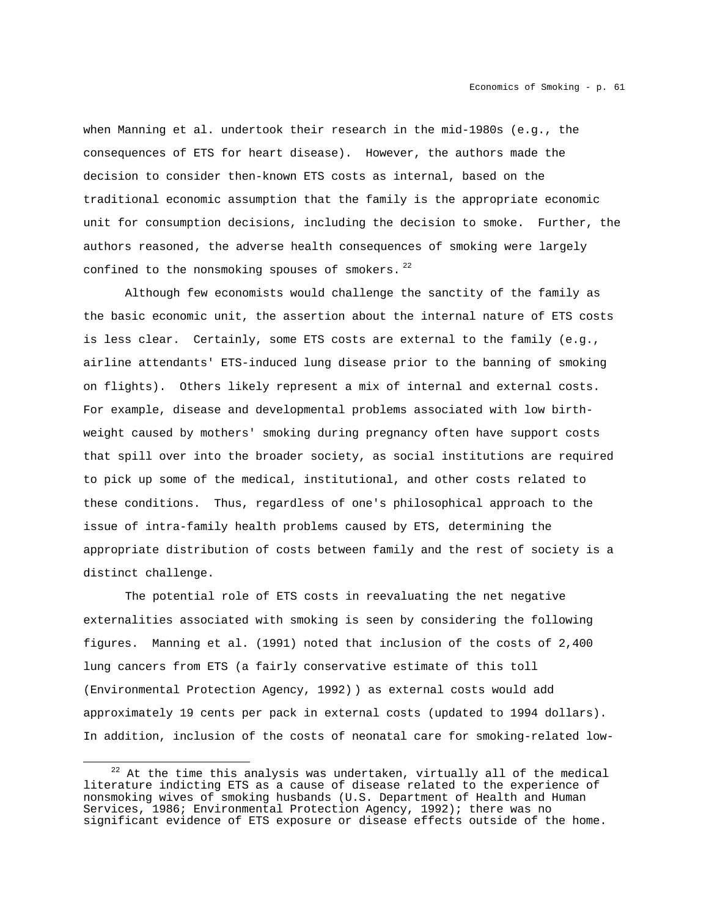when Manning et al. undertook their research in the mid-1980s (e.g., the consequences of ETS for heart disease). However, the authors made the decision to consider then-known ETS costs as internal, based on the traditional economic assumption that the family is the appropriate economic unit for consumption decisions, including the decision to smoke. Further, the authors reasoned, the adverse health consequences of smoking were largely confined to the nonsmoking spouses of smokers.<sup>22</sup>

Although few economists would challenge the sanctity of the family as the basic economic unit, the assertion about the internal nature of ETS costs is less clear. Certainly, some ETS costs are external to the family (e.g., airline attendants' ETS-induced lung disease prior to the banning of smoking on flights). Others likely represent a mix of internal and external costs. For example, disease and developmental problems associated with low birthweight caused by mothers' smoking during pregnancy often have support costs that spill over into the broader society, as social institutions are required to pick up some of the medical, institutional, and other costs related to these conditions. Thus, regardless of one's philosophical approach to the issue of intra-family health problems caused by ETS, determining the appropriate distribution of costs between family and the rest of society is a distinct challenge.

The potential role of ETS costs in reevaluating the net negative externalities associated with smoking is seen by considering the following figures. Manning et al. (1991) noted that inclusion of the costs of 2,400 lung cancers from ETS (a fairly conservative estimate of this toll (Environmental Protection Agency, 1992) ) as external costs would add approximately 19 cents per pack in external costs (updated to 1994 dollars). In addition, inclusion of the costs of neonatal care for smoking-related low-

i<br>Li  $22$  At the time this analysis was undertaken, virtually all of the medical literature indicting ETS as a cause of disease related to the experience of nonsmoking wives of smoking husbands (U.S. Department of Health and Human Services, 1986; Environmental Protection Agency, 1992); there was no significant evidence of ETS exposure or disease effects outside of the home.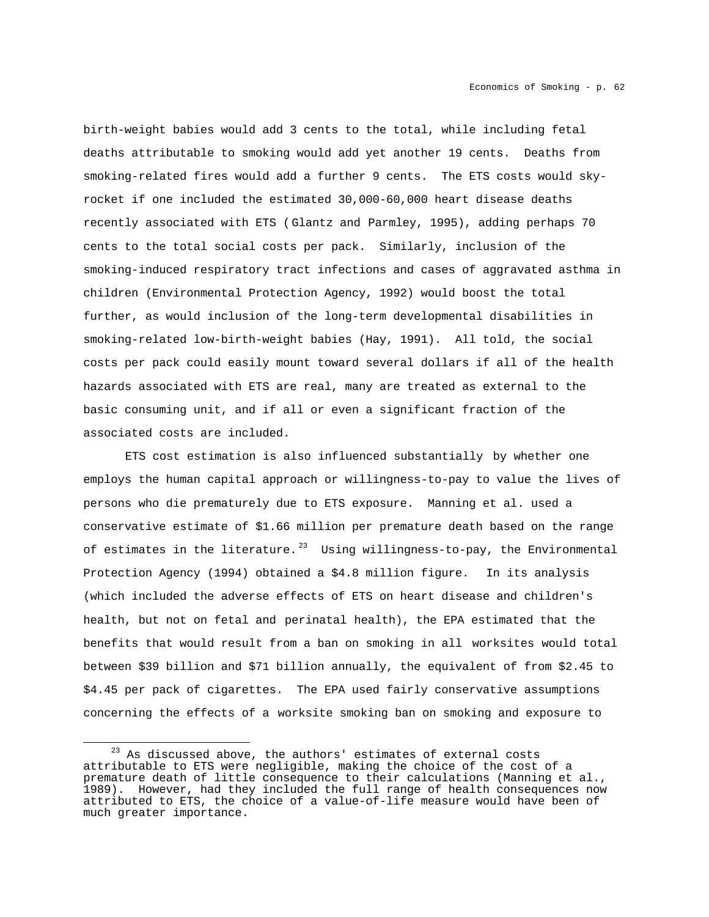birth-weight babies would add 3 cents to the total, while including fetal deaths attributable to smoking would add yet another 19 cents. Deaths from smoking-related fires would add a further 9 cents. The ETS costs would skyrocket if one included the estimated 30,000-60,000 heart disease deaths recently associated with ETS (Glantz and Parmley, 1995), adding perhaps 70 cents to the total social costs per pack. Similarly, inclusion of the smoking-induced respiratory tract infections and cases of aggravated asthma in children (Environmental Protection Agency, 1992) would boost the total further, as would inclusion of the long-term developmental disabilities in smoking-related low-birth-weight babies (Hay, 1991). All told, the social costs per pack could easily mount toward several dollars if all of the health hazards associated with ETS are real, many are treated as external to the basic consuming unit, and if all or even a significant fraction of the associated costs are included.

ETS cost estimation is also influenced substantially by whether one employs the human capital approach or willingness-to-pay to value the lives of persons who die prematurely due to ETS exposure. Manning et al. used a conservative estimate of \$1.66 million per premature death based on the range of estimates in the literature.<sup>23</sup> Using willingness-to-pay, the Environmental Protection Agency (1994) obtained a \$4.8 million figure. In its analysis (which included the adverse effects of ETS on heart disease and children's health, but not on fetal and perinatal health), the EPA estimated that the benefits that would result from a ban on smoking in all worksites would total between \$39 billion and \$71 billion annually, the equivalent of from \$2.45 to \$4.45 per pack of cigarettes. The EPA used fairly conservative assumptions concerning the effects of a worksite smoking ban on smoking and exposure to

i<br>Li

 $^{23}$  As discussed above, the authors' estimates of external costs attributable to ETS were negligible, making the choice of the cost of a premature death of little consequence to their calculations (Manning et al., 1989). However, had they included the full range of health consequences now attributed to ETS, the choice of a value-of-life measure would have been of much greater importance.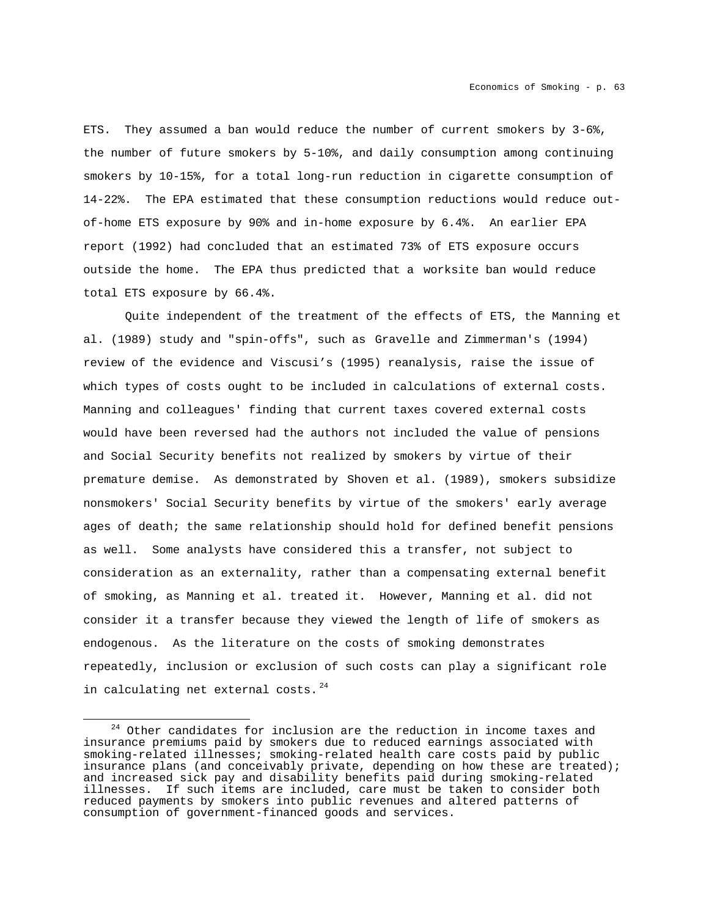ETS. They assumed a ban would reduce the number of current smokers by 3-6%, the number of future smokers by 5-10%, and daily consumption among continuing smokers by 10-15%, for a total long-run reduction in cigarette consumption of 14-22%. The EPA estimated that these consumption reductions would reduce outof-home ETS exposure by 90% and in-home exposure by 6.4%. An earlier EPA report (1992) had concluded that an estimated 73% of ETS exposure occurs outside the home. The EPA thus predicted that a worksite ban would reduce total ETS exposure by 66.4%.

Quite independent of the treatment of the effects of ETS, the Manning et al. (1989) study and "spin-offs", such as Gravelle and Zimmerman's (1994) review of the evidence and Viscusi's (1995) reanalysis, raise the issue of which types of costs ought to be included in calculations of external costs. Manning and colleagues' finding that current taxes covered external costs would have been reversed had the authors not included the value of pensions and Social Security benefits not realized by smokers by virtue of their premature demise. As demonstrated by Shoven et al. (1989), smokers subsidize nonsmokers' Social Security benefits by virtue of the smokers' early average ages of death; the same relationship should hold for defined benefit pensions as well. Some analysts have considered this a transfer, not subject to consideration as an externality, rather than a compensating external benefit of smoking, as Manning et al. treated it. However, Manning et al. did not consider it a transfer because they viewed the length of life of smokers as endogenous. As the literature on the costs of smoking demonstrates repeatedly, inclusion or exclusion of such costs can play a significant role in calculating net external costs.<sup>24</sup>

i<br>Li

 $24$  Other candidates for inclusion are the reduction in income taxes and insurance premiums paid by smokers due to reduced earnings associated with smoking-related illnesses; smoking-related health care costs paid by public insurance plans (and conceivably private, depending on how these are treated); and increased sick pay and disability benefits paid during smoking-related illnesses. If such items are included, care must be taken to consider both reduced payments by smokers into public revenues and altered patterns of consumption of government-financed goods and services.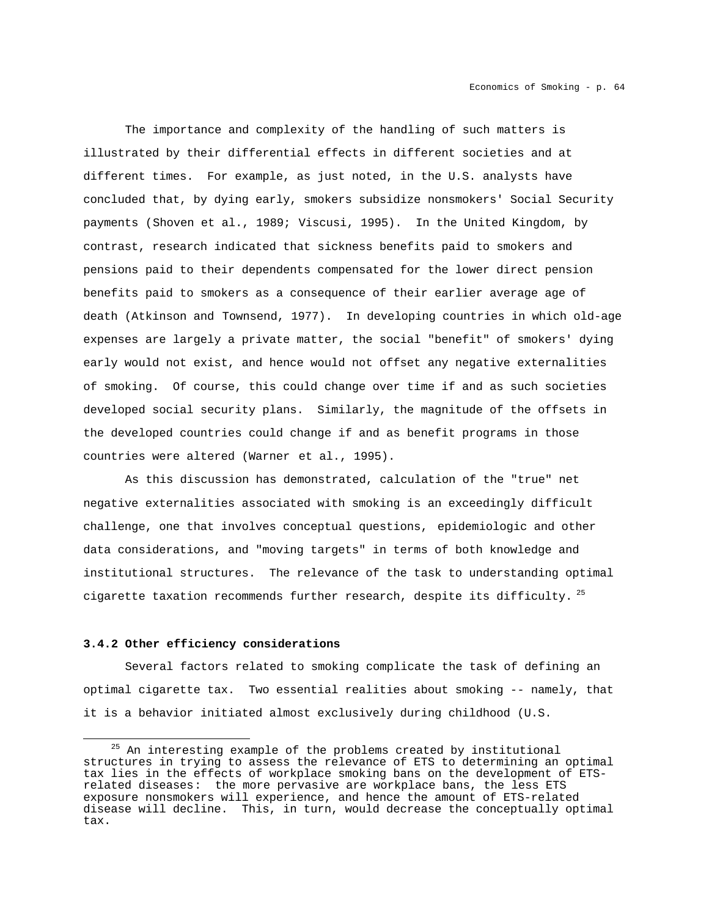The importance and complexity of the handling of such matters is illustrated by their differential effects in different societies and at different times. For example, as just noted, in the U.S. analysts have concluded that, by dying early, smokers subsidize nonsmokers' Social Security payments (Shoven et al., 1989; Viscusi, 1995). In the United Kingdom, by contrast, research indicated that sickness benefits paid to smokers and pensions paid to their dependents compensated for the lower direct pension benefits paid to smokers as a consequence of their earlier average age of death (Atkinson and Townsend, 1977). In developing countries in which old-age expenses are largely a private matter, the social "benefit" of smokers' dying early would not exist, and hence would not offset any negative externalities of smoking. Of course, this could change over time if and as such societies developed social security plans. Similarly, the magnitude of the offsets in the developed countries could change if and as benefit programs in those countries were altered (Warner et al., 1995).

As this discussion has demonstrated, calculation of the "true" net negative externalities associated with smoking is an exceedingly difficult challenge, one that involves conceptual questions, epidemiologic and other data considerations, and "moving targets" in terms of both knowledge and institutional structures. The relevance of the task to understanding optimal cigarette taxation recommends further research, despite its difficulty.<sup>25</sup>

#### **3.4.2 Other efficiency considerations**

i<br>Li

Several factors related to smoking complicate the task of defining an optimal cigarette tax. Two essential realities about smoking -- namely, that it is a behavior initiated almost exclusively during childhood (U.S.

 $25$  An interesting example of the problems created by institutional structures in trying to assess the relevance of ETS to determining an optimal tax lies in the effects of workplace smoking bans on the development of ETSrelated diseases: the more pervasive are workplace bans, the less ETS exposure nonsmokers will experience, and hence the amount of ETS-related disease will decline. This, in turn, would decrease the conceptually optimal tax.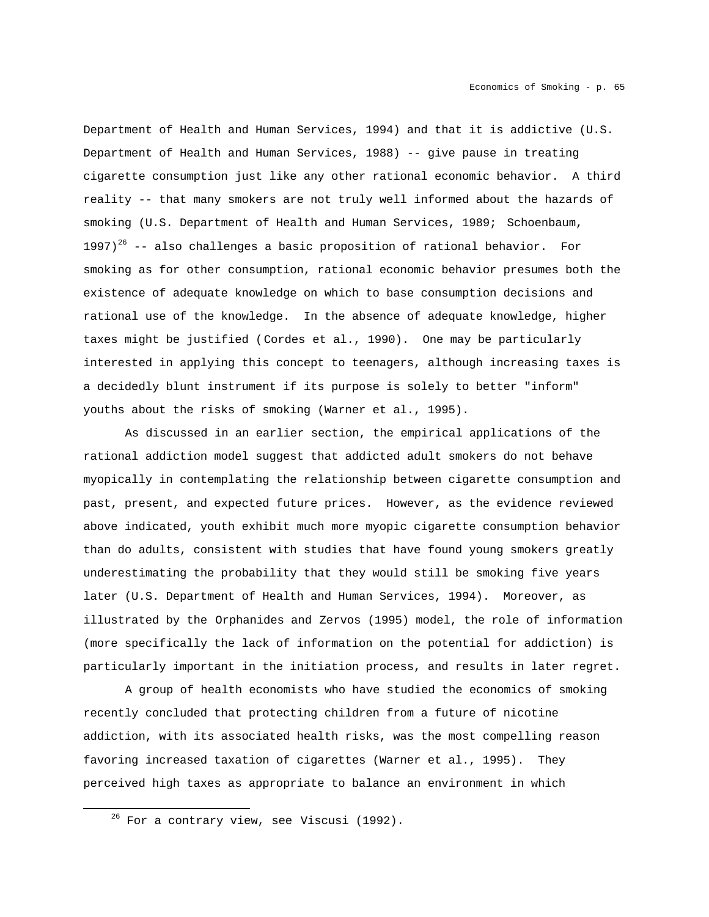Department of Health and Human Services, 1994) and that it is addictive (U.S. Department of Health and Human Services, 1988) -- give pause in treating cigarette consumption just like any other rational economic behavior. A third reality -- that many smokers are not truly well informed about the hazards of smoking (U.S. Department of Health and Human Services, 1989; Schoenbaum, 1997)<sup>26</sup> -- also challenges a basic proposition of rational behavior. For smoking as for other consumption, rational economic behavior presumes both the existence of adequate knowledge on which to base consumption decisions and rational use of the knowledge. In the absence of adequate knowledge, higher taxes might be justified (Cordes et al., 1990). One may be particularly interested in applying this concept to teenagers, although increasing taxes is a decidedly blunt instrument if its purpose is solely to better "inform" youths about the risks of smoking (Warner et al., 1995).

As discussed in an earlier section, the empirical applications of the rational addiction model suggest that addicted adult smokers do not behave myopically in contemplating the relationship between cigarette consumption and past, present, and expected future prices. However, as the evidence reviewed above indicated, youth exhibit much more myopic cigarette consumption behavior than do adults, consistent with studies that have found young smokers greatly underestimating the probability that they would still be smoking five years later (U.S. Department of Health and Human Services, 1994). Moreover, as illustrated by the Orphanides and Zervos (1995) model, the role of information (more specifically the lack of information on the potential for addiction) is particularly important in the initiation process, and results in later regret.

A group of health economists who have studied the economics of smoking recently concluded that protecting children from a future of nicotine addiction, with its associated health risks, was the most compelling reason favoring increased taxation of cigarettes (Warner et al., 1995). They perceived high taxes as appropriate to balance an environment in which

i<br>Li

 $26$  For a contrary view, see Viscusi (1992).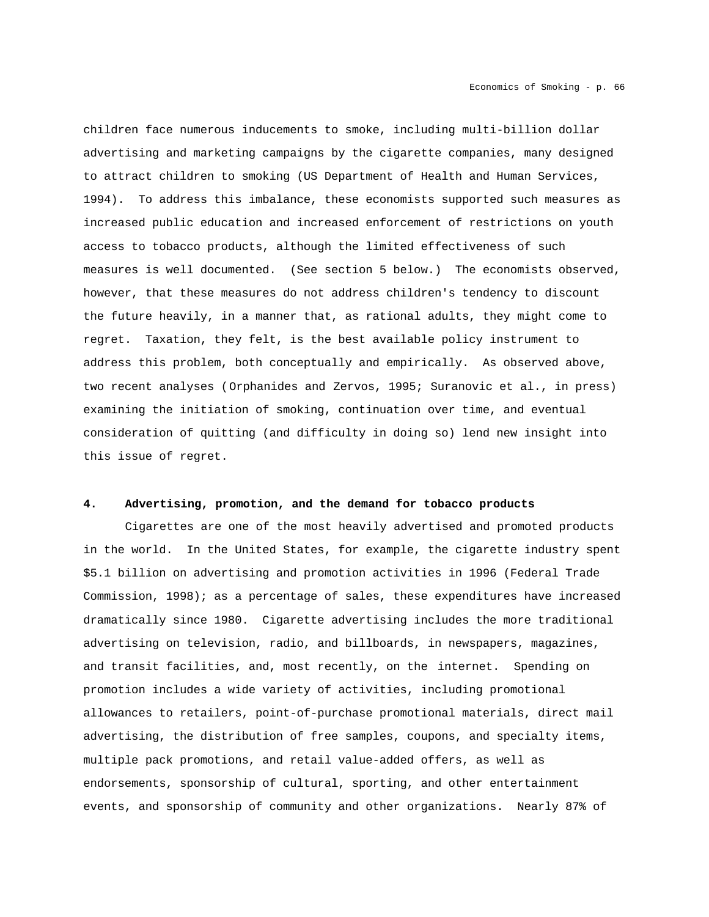children face numerous inducements to smoke, including multi-billion dollar advertising and marketing campaigns by the cigarette companies, many designed to attract children to smoking (US Department of Health and Human Services, 1994). To address this imbalance, these economists supported such measures as increased public education and increased enforcement of restrictions on youth access to tobacco products, although the limited effectiveness of such measures is well documented. (See section 5 below.) The economists observed, however, that these measures do not address children's tendency to discount the future heavily, in a manner that, as rational adults, they might come to regret. Taxation, they felt, is the best available policy instrument to address this problem, both conceptually and empirically. As observed above, two recent analyses (Orphanides and Zervos, 1995; Suranovic et al., in press) examining the initiation of smoking, continuation over time, and eventual consideration of quitting (and difficulty in doing so) lend new insight into this issue of regret.

#### **4. Advertising, promotion, and the demand for tobacco products**

Cigarettes are one of the most heavily advertised and promoted products in the world. In the United States, for example, the cigarette industry spent \$5.1 billion on advertising and promotion activities in 1996 (Federal Trade Commission, 1998); as a percentage of sales, these expenditures have increased dramatically since 1980. Cigarette advertising includes the more traditional advertising on television, radio, and billboards, in newspapers, magazines, and transit facilities, and, most recently, on the internet. Spending on promotion includes a wide variety of activities, including promotional allowances to retailers, point-of-purchase promotional materials, direct mail advertising, the distribution of free samples, coupons, and specialty items, multiple pack promotions, and retail value-added offers, as well as endorsements, sponsorship of cultural, sporting, and other entertainment events, and sponsorship of community and other organizations. Nearly 87% of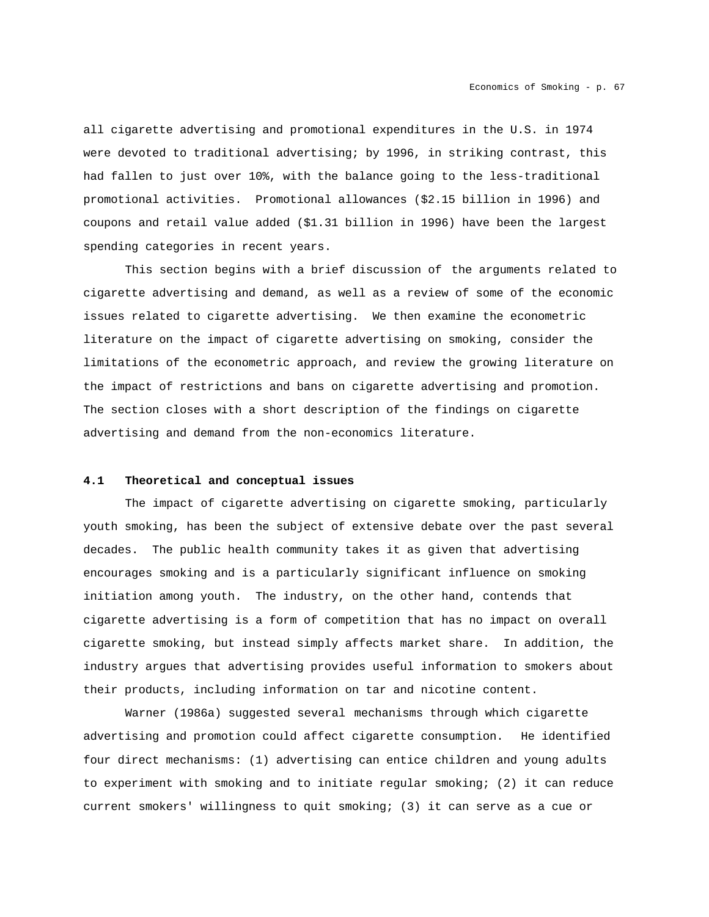all cigarette advertising and promotional expenditures in the U.S. in 1974 were devoted to traditional advertising; by 1996, in striking contrast, this had fallen to just over 10%, with the balance going to the less-traditional promotional activities. Promotional allowances (\$2.15 billion in 1996) and coupons and retail value added (\$1.31 billion in 1996) have been the largest spending categories in recent years.

This section begins with a brief discussion of the arguments related to cigarette advertising and demand, as well as a review of some of the economic issues related to cigarette advertising. We then examine the econometric literature on the impact of cigarette advertising on smoking, consider the limitations of the econometric approach, and review the growing literature on the impact of restrictions and bans on cigarette advertising and promotion. The section closes with a short description of the findings on cigarette advertising and demand from the non-economics literature.

# **4.1 Theoretical and conceptual issues**

The impact of cigarette advertising on cigarette smoking, particularly youth smoking, has been the subject of extensive debate over the past several decades. The public health community takes it as given that advertising encourages smoking and is a particularly significant influence on smoking initiation among youth. The industry, on the other hand, contends that cigarette advertising is a form of competition that has no impact on overall cigarette smoking, but instead simply affects market share. In addition, the industry argues that advertising provides useful information to smokers about their products, including information on tar and nicotine content.

Warner (1986a) suggested several mechanisms through which cigarette advertising and promotion could affect cigarette consumption. He identified four direct mechanisms: (1) advertising can entice children and young adults to experiment with smoking and to initiate regular smoking; (2) it can reduce current smokers' willingness to quit smoking; (3) it can serve as a cue or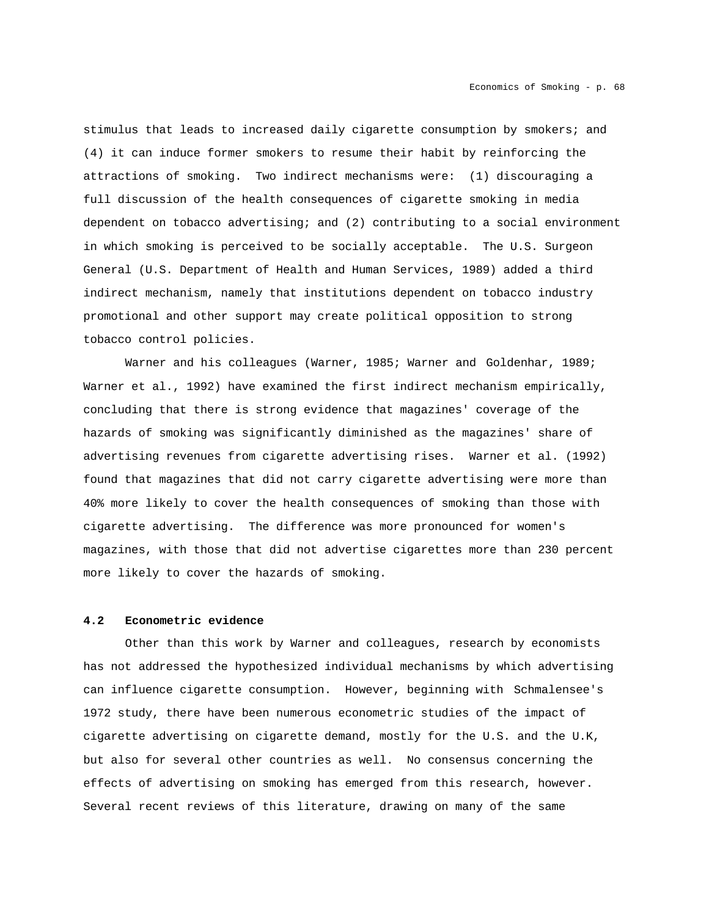stimulus that leads to increased daily cigarette consumption by smokers; and (4) it can induce former smokers to resume their habit by reinforcing the attractions of smoking. Two indirect mechanisms were: (1) discouraging a full discussion of the health consequences of cigarette smoking in media dependent on tobacco advertising; and (2) contributing to a social environment in which smoking is perceived to be socially acceptable. The U.S. Surgeon General (U.S. Department of Health and Human Services, 1989) added a third indirect mechanism, namely that institutions dependent on tobacco industry promotional and other support may create political opposition to strong tobacco control policies.

Warner and his colleagues (Warner, 1985; Warner and Goldenhar, 1989; Warner et al., 1992) have examined the first indirect mechanism empirically, concluding that there is strong evidence that magazines' coverage of the hazards of smoking was significantly diminished as the magazines' share of advertising revenues from cigarette advertising rises. Warner et al. (1992) found that magazines that did not carry cigarette advertising were more than 40% more likely to cover the health consequences of smoking than those with cigarette advertising. The difference was more pronounced for women's magazines, with those that did not advertise cigarettes more than 230 percent more likely to cover the hazards of smoking.

## **4.2 Econometric evidence**

Other than this work by Warner and colleagues, research by economists has not addressed the hypothesized individual mechanisms by which advertising can influence cigarette consumption. However, beginning with Schmalensee's 1972 study, there have been numerous econometric studies of the impact of cigarette advertising on cigarette demand, mostly for the U.S. and the U.K, but also for several other countries as well. No consensus concerning the effects of advertising on smoking has emerged from this research, however. Several recent reviews of this literature, drawing on many of the same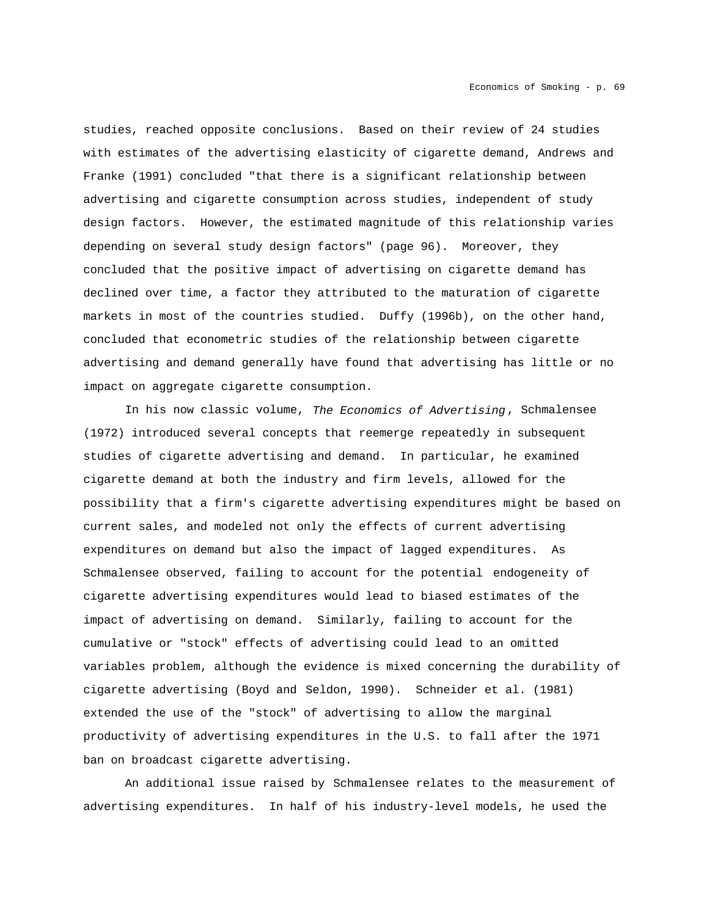studies, reached opposite conclusions. Based on their review of 24 studies with estimates of the advertising elasticity of cigarette demand, Andrews and Franke (1991) concluded "that there is a significant relationship between advertising and cigarette consumption across studies, independent of study design factors. However, the estimated magnitude of this relationship varies depending on several study design factors" (page 96). Moreover, they concluded that the positive impact of advertising on cigarette demand has declined over time, a factor they attributed to the maturation of cigarette markets in most of the countries studied. Duffy (1996b), on the other hand, concluded that econometric studies of the relationship between cigarette advertising and demand generally have found that advertising has little or no impact on aggregate cigarette consumption.

In his now classic volume, *The Economics of Advertising*, Schmalensee (1972) introduced several concepts that reemerge repeatedly in subsequent studies of cigarette advertising and demand. In particular, he examined cigarette demand at both the industry and firm levels, allowed for the possibility that a firm's cigarette advertising expenditures might be based on current sales, and modeled not only the effects of current advertising expenditures on demand but also the impact of lagged expenditures. As Schmalensee observed, failing to account for the potential endogeneity of cigarette advertising expenditures would lead to biased estimates of the impact of advertising on demand. Similarly, failing to account for the cumulative or "stock" effects of advertising could lead to an omitted variables problem, although the evidence is mixed concerning the durability of cigarette advertising (Boyd and Seldon, 1990). Schneider et al. (1981) extended the use of the "stock" of advertising to allow the marginal productivity of advertising expenditures in the U.S. to fall after the 1971 ban on broadcast cigarette advertising.

An additional issue raised by Schmalensee relates to the measurement of advertising expenditures. In half of his industry-level models, he used the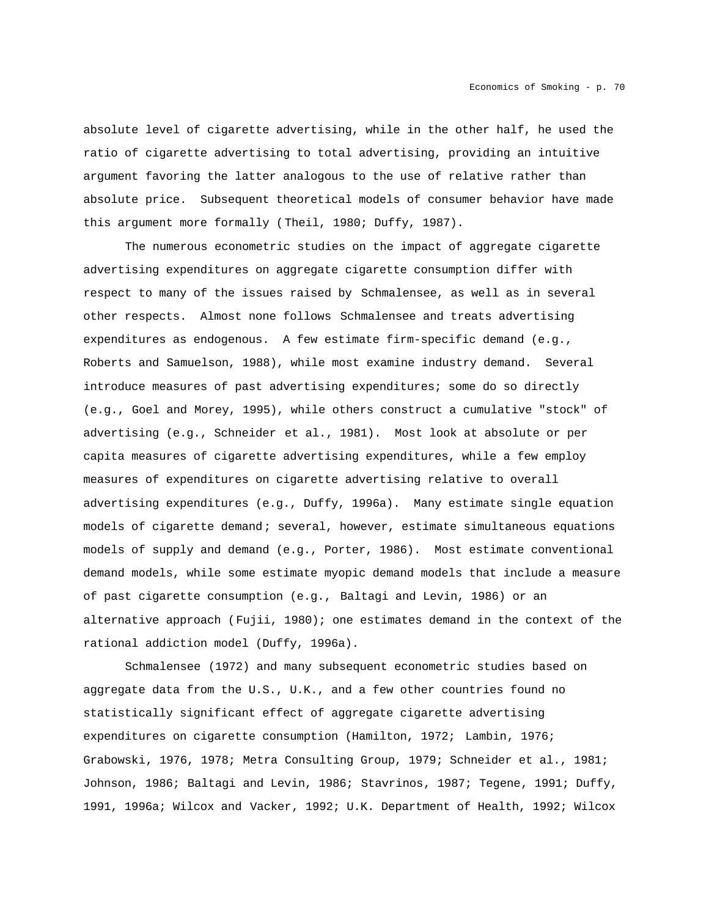absolute level of cigarette advertising, while in the other half, he used the ratio of cigarette advertising to total advertising, providing an intuitive argument favoring the latter analogous to the use of relative rather than absolute price. Subsequent theoretical models of consumer behavior have made this argument more formally (Theil, 1980; Duffy, 1987).

The numerous econometric studies on the impact of aggregate cigarette advertising expenditures on aggregate cigarette consumption differ with respect to many of the issues raised by Schmalensee, as well as in several other respects. Almost none follows Schmalensee and treats advertising expenditures as endogenous. A few estimate firm-specific demand (e.g., Roberts and Samuelson, 1988), while most examine industry demand. Several introduce measures of past advertising expenditures; some do so directly (e.g., Goel and Morey, 1995), while others construct a cumulative "stock" of advertising (e.g., Schneider et al., 1981). Most look at absolute or per capita measures of cigarette advertising expenditures, while a few employ measures of expenditures on cigarette advertising relative to overall advertising expenditures (e.g., Duffy, 1996a). Many estimate single equation models of cigarette demand; several, however, estimate simultaneous equations models of supply and demand (e.g., Porter, 1986). Most estimate conventional demand models, while some estimate myopic demand models that include a measure of past cigarette consumption (e.g., Baltagi and Levin, 1986) or an alternative approach (Fujii, 1980); one estimates demand in the context of the rational addiction model (Duffy, 1996a).

Schmalensee (1972) and many subsequent econometric studies based on aggregate data from the U.S., U.K., and a few other countries found no statistically significant effect of aggregate cigarette advertising expenditures on cigarette consumption (Hamilton, 1972; Lambin, 1976; Grabowski, 1976, 1978; Metra Consulting Group, 1979; Schneider et al., 1981; Johnson, 1986; Baltagi and Levin, 1986; Stavrinos, 1987; Tegene, 1991; Duffy, 1991, 1996a; Wilcox and Vacker, 1992; U.K. Department of Health, 1992; Wilcox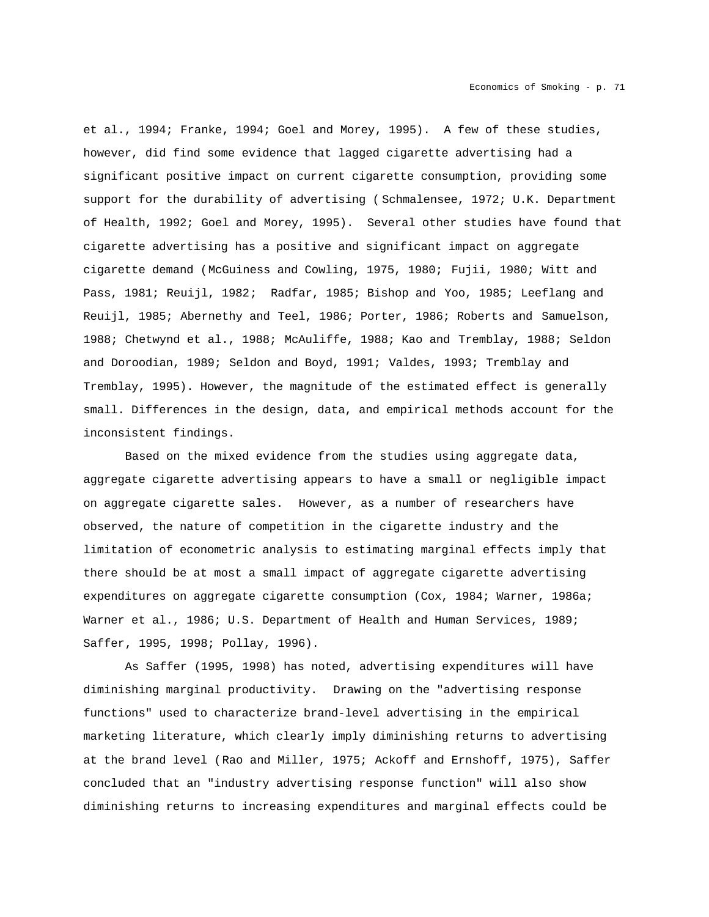et al., 1994; Franke, 1994; Goel and Morey, 1995). A few of these studies, however, did find some evidence that lagged cigarette advertising had a significant positive impact on current cigarette consumption, providing some support for the durability of advertising ( Schmalensee, 1972; U.K. Department of Health, 1992; Goel and Morey, 1995). Several other studies have found that cigarette advertising has a positive and significant impact on aggregate cigarette demand (McGuiness and Cowling, 1975, 1980; Fujii, 1980; Witt and Pass, 1981; Reuijl, 1982; Radfar, 1985; Bishop and Yoo, 1985; Leeflang and Reuijl, 1985; Abernethy and Teel, 1986; Porter, 1986; Roberts and Samuelson, 1988; Chetwynd et al., 1988; McAuliffe, 1988; Kao and Tremblay, 1988; Seldon and Doroodian, 1989; Seldon and Boyd, 1991; Valdes, 1993; Tremblay and Tremblay, 1995). However, the magnitude of the estimated effect is generally small. Differences in the design, data, and empirical methods account for the inconsistent findings.

Based on the mixed evidence from the studies using aggregate data, aggregate cigarette advertising appears to have a small or negligible impact on aggregate cigarette sales. However, as a number of researchers have observed, the nature of competition in the cigarette industry and the limitation of econometric analysis to estimating marginal effects imply that there should be at most a small impact of aggregate cigarette advertising expenditures on aggregate cigarette consumption (Cox, 1984; Warner, 1986a; Warner et al., 1986; U.S. Department of Health and Human Services, 1989; Saffer, 1995, 1998; Pollay, 1996).

As Saffer (1995, 1998) has noted, advertising expenditures will have diminishing marginal productivity. Drawing on the "advertising response functions" used to characterize brand-level advertising in the empirical marketing literature, which clearly imply diminishing returns to advertising at the brand level (Rao and Miller, 1975; Ackoff and Ernshoff, 1975), Saffer concluded that an "industry advertising response function" will also show diminishing returns to increasing expenditures and marginal effects could be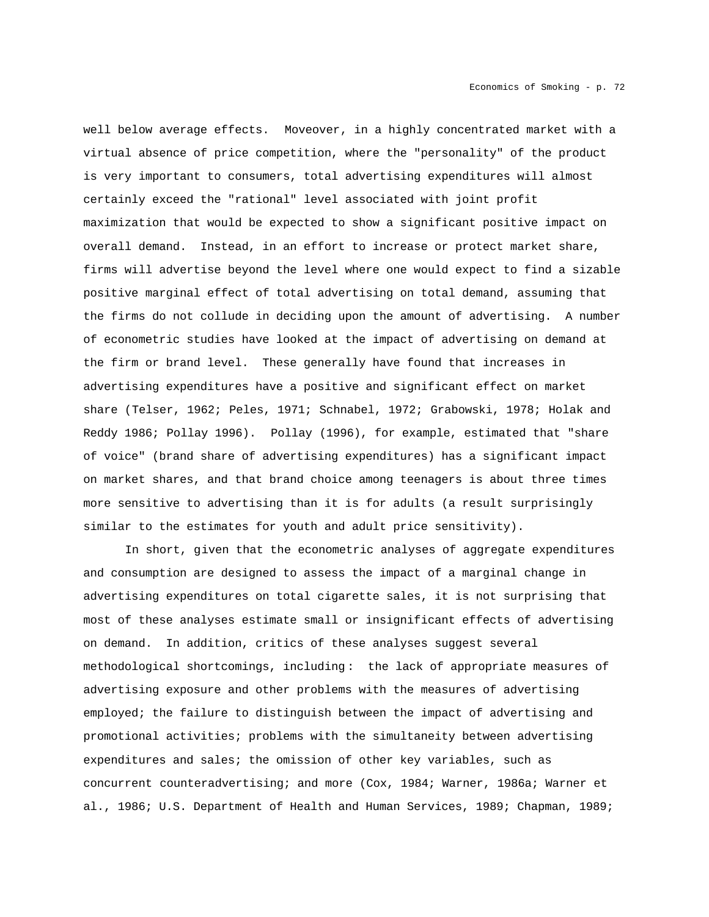well below average effects. Moveover, in a highly concentrated market with a virtual absence of price competition, where the "personality" of the product is very important to consumers, total advertising expenditures will almost certainly exceed the "rational" level associated with joint profit maximization that would be expected to show a significant positive impact on overall demand. Instead, in an effort to increase or protect market share, firms will advertise beyond the level where one would expect to find a sizable positive marginal effect of total advertising on total demand, assuming that the firms do not collude in deciding upon the amount of advertising. A number of econometric studies have looked at the impact of advertising on demand at the firm or brand level. These generally have found that increases in advertising expenditures have a positive and significant effect on market share (Telser, 1962; Peles, 1971; Schnabel, 1972; Grabowski, 1978; Holak and Reddy 1986; Pollay 1996). Pollay (1996), for example, estimated that "share of voice" (brand share of advertising expenditures) has a significant impact on market shares, and that brand choice among teenagers is about three times more sensitive to advertising than it is for adults (a result surprisingly similar to the estimates for youth and adult price sensitivity).

In short, given that the econometric analyses of aggregate expenditures and consumption are designed to assess the impact of a marginal change in advertising expenditures on total cigarette sales, it is not surprising that most of these analyses estimate small or insignificant effects of advertising on demand. In addition, critics of these analyses suggest several methodological shortcomings, including : the lack of appropriate measures of advertising exposure and other problems with the measures of advertising employed; the failure to distinguish between the impact of advertising and promotional activities; problems with the simultaneity between advertising expenditures and sales; the omission of other key variables, such as concurrent counteradvertising; and more (Cox, 1984; Warner, 1986a; Warner et al., 1986; U.S. Department of Health and Human Services, 1989; Chapman, 1989;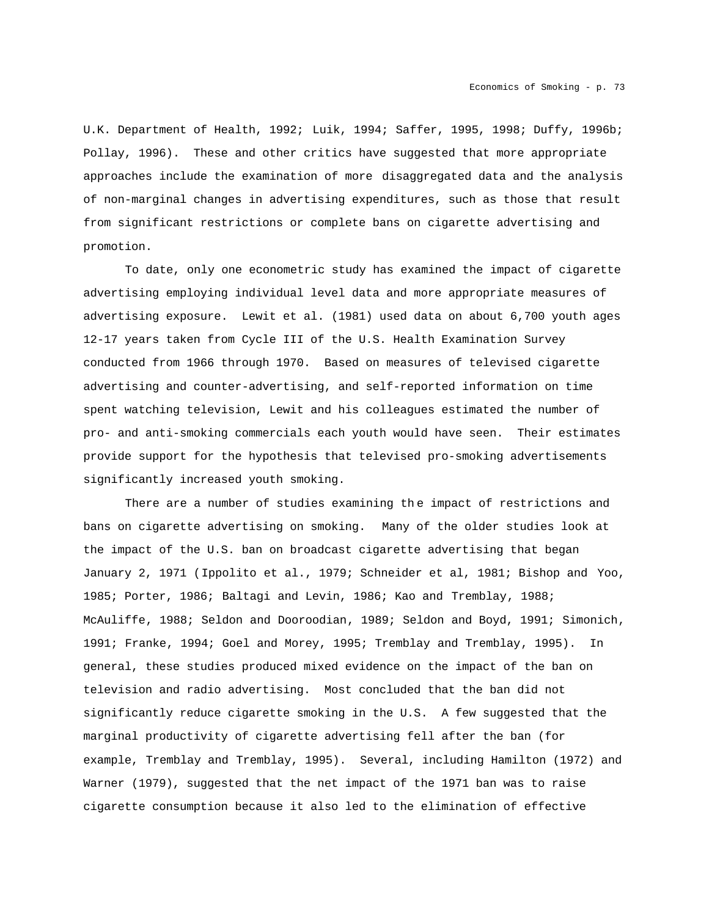U.K. Department of Health, 1992; Luik, 1994; Saffer, 1995, 1998; Duffy, 1996b; Pollay, 1996). These and other critics have suggested that more appropriate approaches include the examination of more disaggregated data and the analysis of non-marginal changes in advertising expenditures, such as those that result from significant restrictions or complete bans on cigarette advertising and promotion.

To date, only one econometric study has examined the impact of cigarette advertising employing individual level data and more appropriate measures of advertising exposure. Lewit et al. (1981) used data on about 6,700 youth ages 12-17 years taken from Cycle III of the U.S. Health Examination Survey conducted from 1966 through 1970. Based on measures of televised cigarette advertising and counter-advertising, and self-reported information on time spent watching television, Lewit and his colleagues estimated the number of pro- and anti-smoking commercials each youth would have seen. Their estimates provide support for the hypothesis that televised pro-smoking advertisements significantly increased youth smoking.

There are a number of studies examining the impact of restrictions and bans on cigarette advertising on smoking. Many of the older studies look at the impact of the U.S. ban on broadcast cigarette advertising that began January 2, 1971 (Ippolito et al., 1979; Schneider et al, 1981; Bishop and Yoo, 1985; Porter, 1986; Baltagi and Levin, 1986; Kao and Tremblay, 1988; McAuliffe, 1988; Seldon and Dooroodian, 1989; Seldon and Boyd, 1991; Simonich, 1991; Franke, 1994; Goel and Morey, 1995; Tremblay and Tremblay, 1995). In general, these studies produced mixed evidence on the impact of the ban on television and radio advertising. Most concluded that the ban did not significantly reduce cigarette smoking in the U.S. A few suggested that the marginal productivity of cigarette advertising fell after the ban (for example, Tremblay and Tremblay, 1995). Several, including Hamilton (1972) and Warner (1979), suggested that the net impact of the 1971 ban was to raise cigarette consumption because it also led to the elimination of effective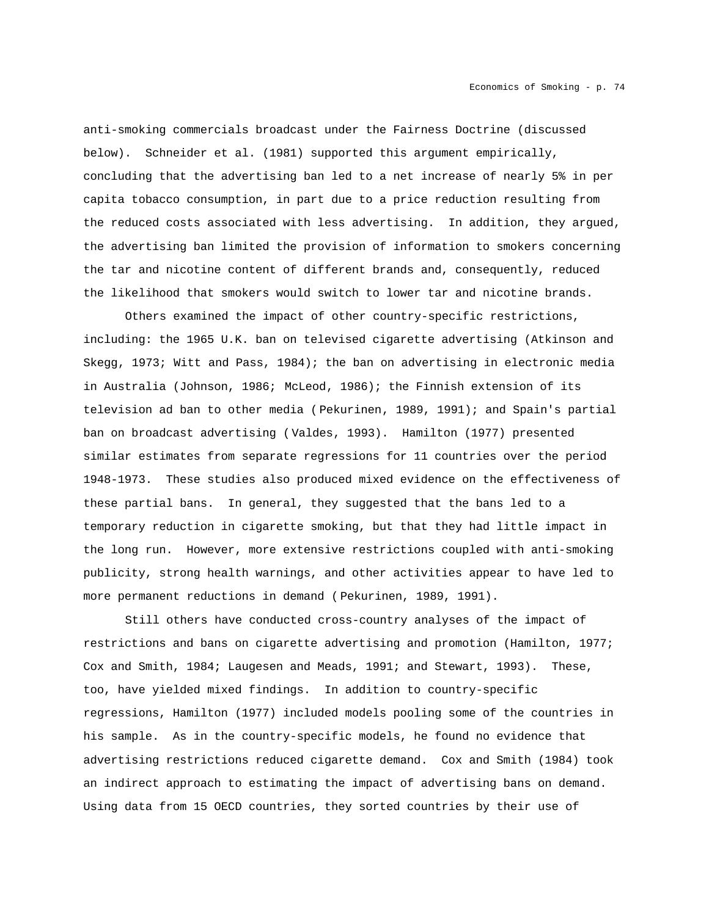anti-smoking commercials broadcast under the Fairness Doctrine (discussed below). Schneider et al. (1981) supported this argument empirically, concluding that the advertising ban led to a net increase of nearly 5% in per capita tobacco consumption, in part due to a price reduction resulting from the reduced costs associated with less advertising. In addition, they argued, the advertising ban limited the provision of information to smokers concerning the tar and nicotine content of different brands and, consequently, reduced the likelihood that smokers would switch to lower tar and nicotine brands.

Others examined the impact of other country-specific restrictions, including: the 1965 U.K. ban on televised cigarette advertising (Atkinson and Skegg, 1973; Witt and Pass, 1984); the ban on advertising in electronic media in Australia (Johnson, 1986; McLeod, 1986); the Finnish extension of its television ad ban to other media ( Pekurinen, 1989, 1991); and Spain's partial ban on broadcast advertising (Valdes, 1993). Hamilton (1977) presented similar estimates from separate regressions for 11 countries over the period 1948-1973. These studies also produced mixed evidence on the effectiveness of these partial bans. In general, they suggested that the bans led to a temporary reduction in cigarette smoking, but that they had little impact in the long run. However, more extensive restrictions coupled with anti-smoking publicity, strong health warnings, and other activities appear to have led to more permanent reductions in demand ( Pekurinen, 1989, 1991).

Still others have conducted cross-country analyses of the impact of restrictions and bans on cigarette advertising and promotion (Hamilton, 1977; Cox and Smith, 1984; Laugesen and Meads, 1991; and Stewart, 1993). These, too, have yielded mixed findings. In addition to country-specific regressions, Hamilton (1977) included models pooling some of the countries in his sample. As in the country-specific models, he found no evidence that advertising restrictions reduced cigarette demand. Cox and Smith (1984) took an indirect approach to estimating the impact of advertising bans on demand. Using data from 15 OECD countries, they sorted countries by their use of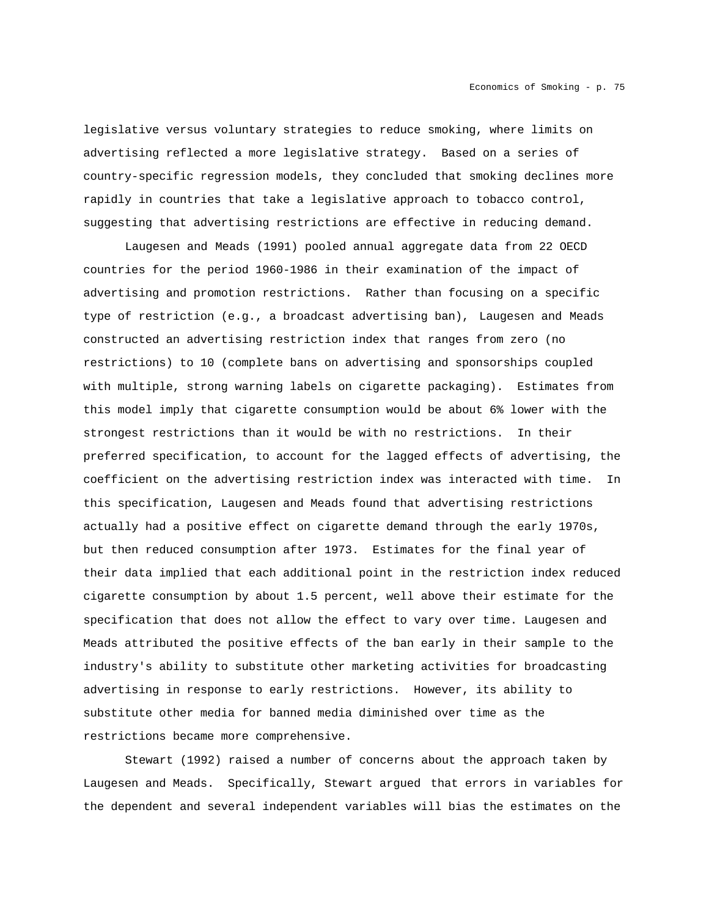legislative versus voluntary strategies to reduce smoking, where limits on advertising reflected a more legislative strategy. Based on a series of country-specific regression models, they concluded that smoking declines more rapidly in countries that take a legislative approach to tobacco control, suggesting that advertising restrictions are effective in reducing demand.

Laugesen and Meads (1991) pooled annual aggregate data from 22 OECD countries for the period 1960-1986 in their examination of the impact of advertising and promotion restrictions. Rather than focusing on a specific type of restriction (e.g., a broadcast advertising ban), Laugesen and Meads constructed an advertising restriction index that ranges from zero (no restrictions) to 10 (complete bans on advertising and sponsorships coupled with multiple, strong warning labels on cigarette packaging). Estimates from this model imply that cigarette consumption would be about 6% lower with the strongest restrictions than it would be with no restrictions. In their preferred specification, to account for the lagged effects of advertising, the coefficient on the advertising restriction index was interacted with time. In this specification, Laugesen and Meads found that advertising restrictions actually had a positive effect on cigarette demand through the early 1970s, but then reduced consumption after 1973. Estimates for the final year of their data implied that each additional point in the restriction index reduced cigarette consumption by about 1.5 percent, well above their estimate for the specification that does not allow the effect to vary over time. Laugesen and Meads attributed the positive effects of the ban early in their sample to the industry's ability to substitute other marketing activities for broadcasting advertising in response to early restrictions. However, its ability to substitute other media for banned media diminished over time as the restrictions became more comprehensive.

Stewart (1992) raised a number of concerns about the approach taken by Laugesen and Meads. Specifically, Stewart argued that errors in variables for the dependent and several independent variables will bias the estimates on the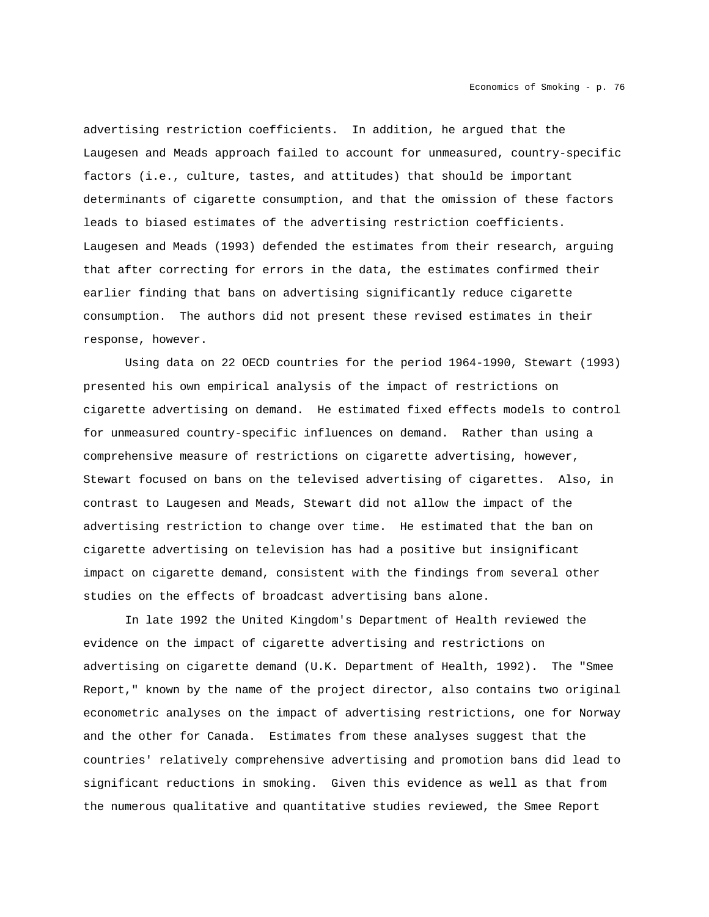advertising restriction coefficients. In addition, he argued that the Laugesen and Meads approach failed to account for unmeasured, country-specific factors (i.e., culture, tastes, and attitudes) that should be important determinants of cigarette consumption, and that the omission of these factors leads to biased estimates of the advertising restriction coefficients. Laugesen and Meads (1993) defended the estimates from their research, arguing that after correcting for errors in the data, the estimates confirmed their earlier finding that bans on advertising significantly reduce cigarette consumption. The authors did not present these revised estimates in their response, however.

Using data on 22 OECD countries for the period 1964-1990, Stewart (1993) presented his own empirical analysis of the impact of restrictions on cigarette advertising on demand. He estimated fixed effects models to control for unmeasured country-specific influences on demand. Rather than using a comprehensive measure of restrictions on cigarette advertising, however, Stewart focused on bans on the televised advertising of cigarettes. Also, in contrast to Laugesen and Meads, Stewart did not allow the impact of the advertising restriction to change over time. He estimated that the ban on cigarette advertising on television has had a positive but insignificant impact on cigarette demand, consistent with the findings from several other studies on the effects of broadcast advertising bans alone.

In late 1992 the United Kingdom's Department of Health reviewed the evidence on the impact of cigarette advertising and restrictions on advertising on cigarette demand (U.K. Department of Health, 1992). The "Smee Report," known by the name of the project director, also contains two original econometric analyses on the impact of advertising restrictions, one for Norway and the other for Canada. Estimates from these analyses suggest that the countries' relatively comprehensive advertising and promotion bans did lead to significant reductions in smoking. Given this evidence as well as that from the numerous qualitative and quantitative studies reviewed, the Smee Report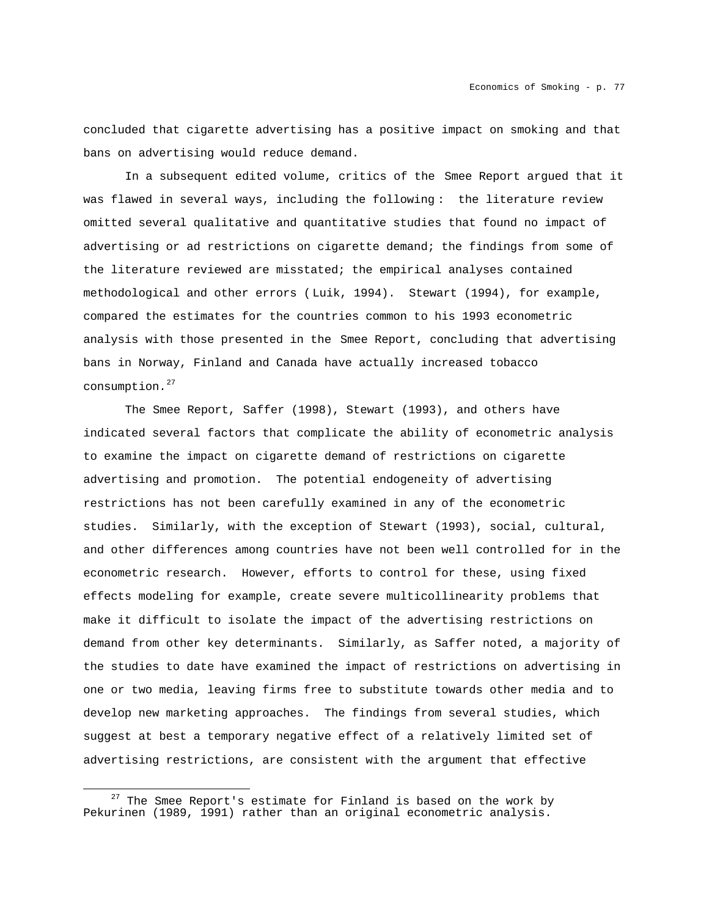concluded that cigarette advertising has a positive impact on smoking and that bans on advertising would reduce demand.

In a subsequent edited volume, critics of the Smee Report argued that it was flawed in several ways, including the following : the literature review omitted several qualitative and quantitative studies that found no impact of advertising or ad restrictions on cigarette demand; the findings from some of the literature reviewed are misstated; the empirical analyses contained methodological and other errors ( Luik, 1994). Stewart (1994), for example, compared the estimates for the countries common to his 1993 econometric analysis with those presented in the Smee Report, concluding that advertising bans in Norway, Finland and Canada have actually increased tobacco consumption.<sup>27</sup>

The Smee Report, Saffer (1998), Stewart (1993), and others have indicated several factors that complicate the ability of econometric analysis to examine the impact on cigarette demand of restrictions on cigarette advertising and promotion. The potential endogeneity of advertising restrictions has not been carefully examined in any of the econometric studies. Similarly, with the exception of Stewart (1993), social, cultural, and other differences among countries have not been well controlled for in the econometric research. However, efforts to control for these, using fixed effects modeling for example, create severe multicollinearity problems that make it difficult to isolate the impact of the advertising restrictions on demand from other key determinants. Similarly, as Saffer noted, a majority of the studies to date have examined the impact of restrictions on advertising in one or two media, leaving firms free to substitute towards other media and to develop new marketing approaches. The findings from several studies, which suggest at best a temporary negative effect of a relatively limited set of advertising restrictions, are consistent with the argument that effective

i  $27$  The Smee Report's estimate for Finland is based on the work by Pekurinen (1989, 1991) rather than an original econometric analysis.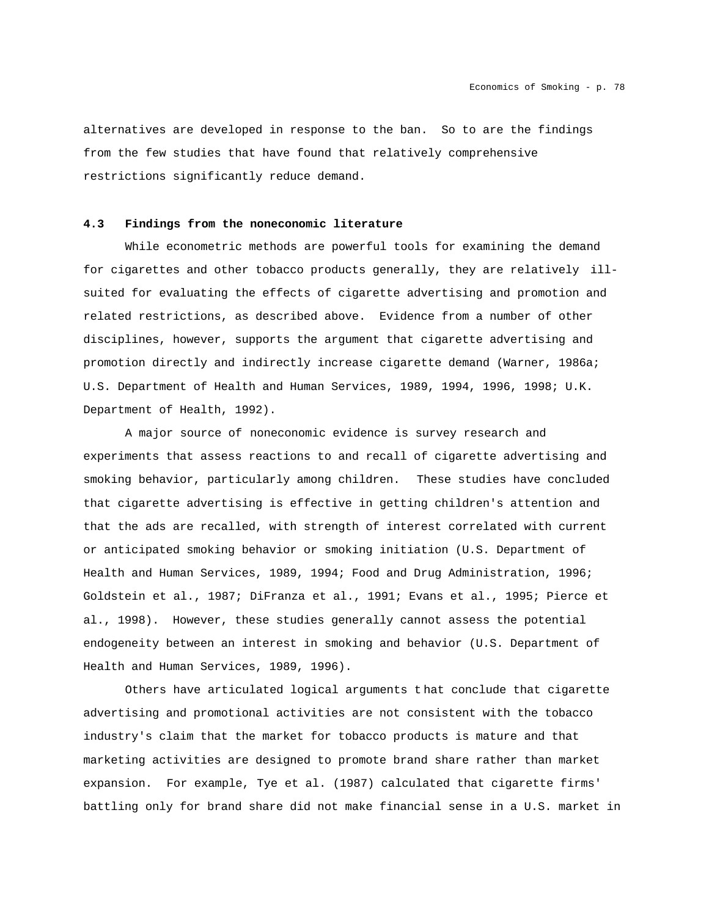alternatives are developed in response to the ban. So to are the findings from the few studies that have found that relatively comprehensive restrictions significantly reduce demand.

# **4.3 Findings from the noneconomic literature**

While econometric methods are powerful tools for examining the demand for cigarettes and other tobacco products generally, they are relatively illsuited for evaluating the effects of cigarette advertising and promotion and related restrictions, as described above. Evidence from a number of other disciplines, however, supports the argument that cigarette advertising and promotion directly and indirectly increase cigarette demand (Warner, 1986a; U.S. Department of Health and Human Services, 1989, 1994, 1996, 1998; U.K. Department of Health, 1992).

A major source of noneconomic evidence is survey research and experiments that assess reactions to and recall of cigarette advertising and smoking behavior, particularly among children. These studies have concluded that cigarette advertising is effective in getting children's attention and that the ads are recalled, with strength of interest correlated with current or anticipated smoking behavior or smoking initiation (U.S. Department of Health and Human Services, 1989, 1994; Food and Drug Administration, 1996; Goldstein et al., 1987; DiFranza et al., 1991; Evans et al., 1995; Pierce et al., 1998). However, these studies generally cannot assess the potential endogeneity between an interest in smoking and behavior (U.S. Department of Health and Human Services, 1989, 1996).

Others have articulated logical arguments t hat conclude that cigarette advertising and promotional activities are not consistent with the tobacco industry's claim that the market for tobacco products is mature and that marketing activities are designed to promote brand share rather than market expansion. For example, Tye et al. (1987) calculated that cigarette firms' battling only for brand share did not make financial sense in a U.S. market in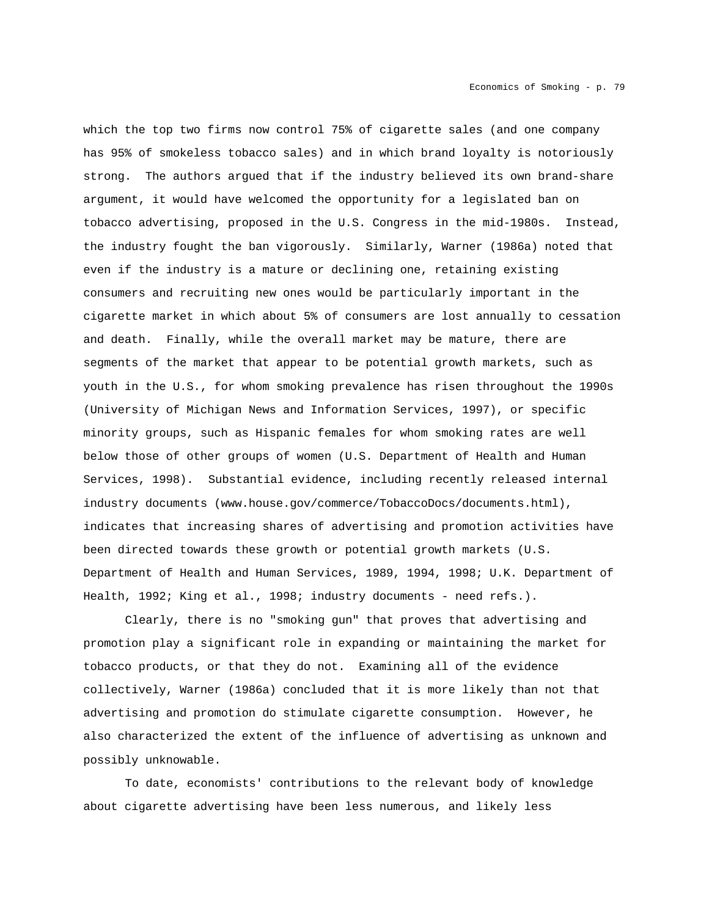which the top two firms now control 75% of cigarette sales (and one company has 95% of smokeless tobacco sales) and in which brand loyalty is notoriously strong. The authors argued that if the industry believed its own brand-share argument, it would have welcomed the opportunity for a legislated ban on tobacco advertising, proposed in the U.S. Congress in the mid-1980s. Instead, the industry fought the ban vigorously. Similarly, Warner (1986a) noted that even if the industry is a mature or declining one, retaining existing consumers and recruiting new ones would be particularly important in the cigarette market in which about 5% of consumers are lost annually to cessation and death. Finally, while the overall market may be mature, there are segments of the market that appear to be potential growth markets, such as youth in the U.S., for whom smoking prevalence has risen throughout the 1990s (University of Michigan News and Information Services, 1997), or specific minority groups, such as Hispanic females for whom smoking rates are well below those of other groups of women (U.S. Department of Health and Human Services, 1998). Substantial evidence, including recently released internal industry documents (www.house.gov/commerce/TobaccoDocs/documents.html), indicates that increasing shares of advertising and promotion activities have been directed towards these growth or potential growth markets (U.S. Department of Health and Human Services, 1989, 1994, 1998; U.K. Department of Health, 1992; King et al., 1998; industry documents - need refs.).

Clearly, there is no "smoking gun" that proves that advertising and promotion play a significant role in expanding or maintaining the market for tobacco products, or that they do not. Examining all of the evidence collectively, Warner (1986a) concluded that it is more likely than not that advertising and promotion do stimulate cigarette consumption. However, he also characterized the extent of the influence of advertising as unknown and possibly unknowable.

To date, economists' contributions to the relevant body of knowledge about cigarette advertising have been less numerous, and likely less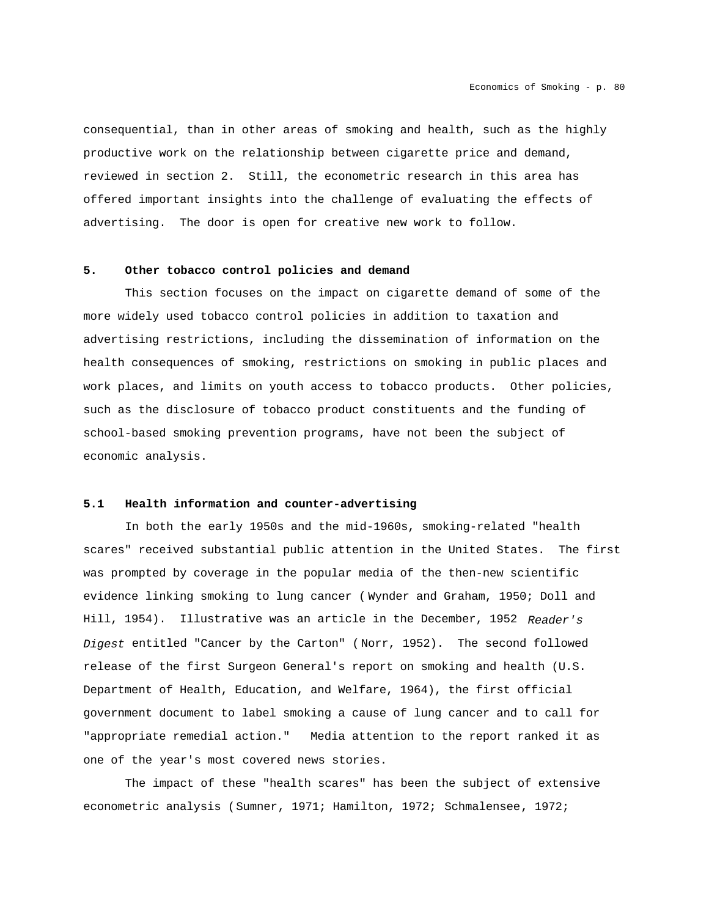consequential, than in other areas of smoking and health, such as the highly productive work on the relationship between cigarette price and demand, reviewed in section 2. Still, the econometric research in this area has offered important insights into the challenge of evaluating the effects of advertising. The door is open for creative new work to follow.

#### **5. Other tobacco control policies and demand**

This section focuses on the impact on cigarette demand of some of the more widely used tobacco control policies in addition to taxation and advertising restrictions, including the dissemination of information on the health consequences of smoking, restrictions on smoking in public places and work places, and limits on youth access to tobacco products. Other policies, such as the disclosure of tobacco product constituents and the funding of school-based smoking prevention programs, have not been the subject of economic analysis.

#### **5.1 Health information and counter-advertising**

In both the early 1950s and the mid-1960s, smoking-related "health scares" received substantial public attention in the United States. The first was prompted by coverage in the popular media of the then-new scientific evidence linking smoking to lung cancer ( Wynder and Graham, 1950; Doll and Hill, 1954). Illustrative was an article in the December, 1952 *Reader's Digest* entitled "Cancer by the Carton" ( Norr, 1952). The second followed release of the first Surgeon General's report on smoking and health (U.S. Department of Health, Education, and Welfare, 1964), the first official government document to label smoking a cause of lung cancer and to call for "appropriate remedial action." Media attention to the report ranked it as one of the year's most covered news stories.

The impact of these "health scares" has been the subject of extensive econometric analysis (Sumner, 1971; Hamilton, 1972; Schmalensee, 1972;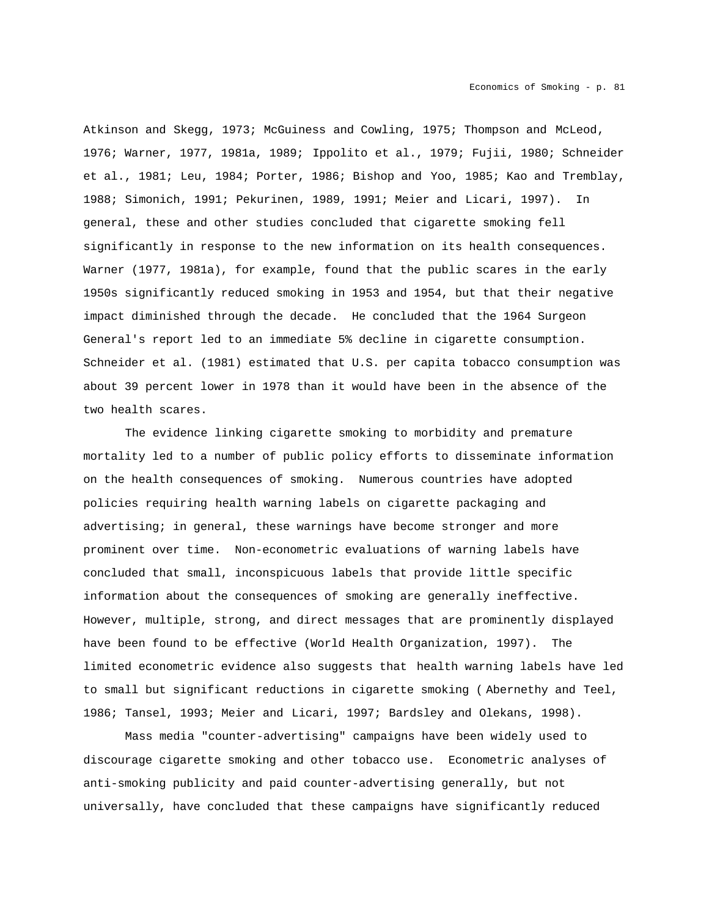Atkinson and Skegg, 1973; McGuiness and Cowling, 1975; Thompson and McLeod, 1976; Warner, 1977, 1981a, 1989; Ippolito et al., 1979; Fujii, 1980; Schneider et al., 1981; Leu, 1984; Porter, 1986; Bishop and Yoo, 1985; Kao and Tremblay, 1988; Simonich, 1991; Pekurinen, 1989, 1991; Meier and Licari, 1997). In general, these and other studies concluded that cigarette smoking fell significantly in response to the new information on its health consequences. Warner (1977, 1981a), for example, found that the public scares in the early 1950s significantly reduced smoking in 1953 and 1954, but that their negative impact diminished through the decade. He concluded that the 1964 Surgeon General's report led to an immediate 5% decline in cigarette consumption. Schneider et al. (1981) estimated that U.S. per capita tobacco consumption was about 39 percent lower in 1978 than it would have been in the absence of the two health scares.

The evidence linking cigarette smoking to morbidity and premature mortality led to a number of public policy efforts to disseminate information on the health consequences of smoking. Numerous countries have adopted policies requiring health warning labels on cigarette packaging and advertising; in general, these warnings have become stronger and more prominent over time. Non-econometric evaluations of warning labels have concluded that small, inconspicuous labels that provide little specific information about the consequences of smoking are generally ineffective. However, multiple, strong, and direct messages that are prominently displayed have been found to be effective (World Health Organization, 1997). The limited econometric evidence also suggests that health warning labels have led to small but significant reductions in cigarette smoking ( Abernethy and Teel, 1986; Tansel, 1993; Meier and Licari, 1997; Bardsley and Olekans, 1998).

Mass media "counter-advertising" campaigns have been widely used to discourage cigarette smoking and other tobacco use. Econometric analyses of anti-smoking publicity and paid counter-advertising generally, but not universally, have concluded that these campaigns have significantly reduced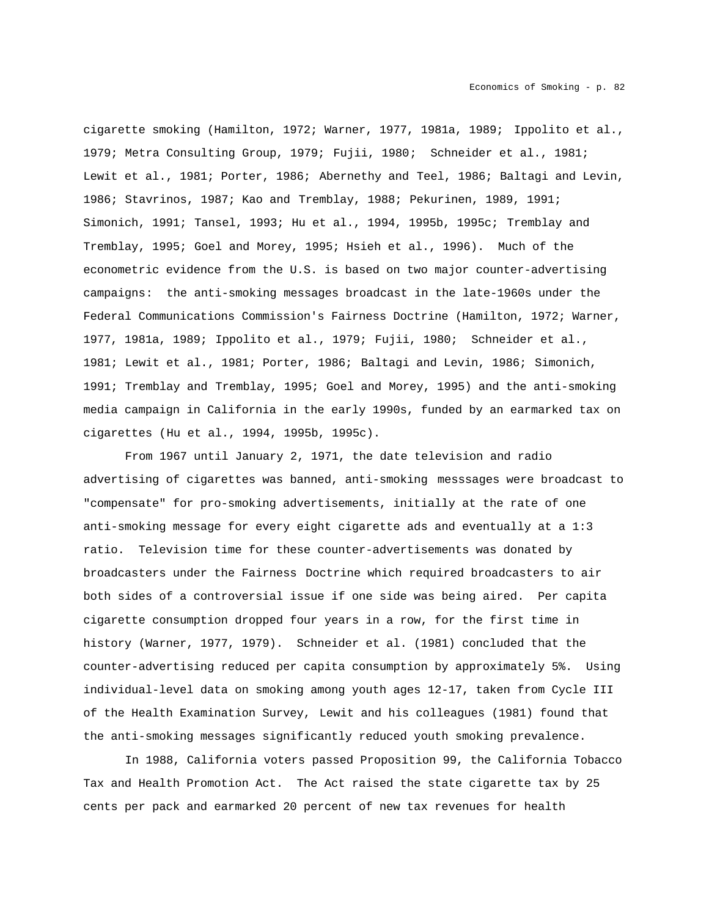cigarette smoking (Hamilton, 1972; Warner, 1977, 1981a, 1989; Ippolito et al., 1979; Metra Consulting Group, 1979; Fujii, 1980; Schneider et al., 1981; Lewit et al., 1981; Porter, 1986; Abernethy and Teel, 1986; Baltagi and Levin, 1986; Stavrinos, 1987; Kao and Tremblay, 1988; Pekurinen, 1989, 1991; Simonich, 1991; Tansel, 1993; Hu et al., 1994, 1995b, 1995c; Tremblay and Tremblay, 1995; Goel and Morey, 1995; Hsieh et al., 1996). Much of the econometric evidence from the U.S. is based on two major counter-advertising campaigns: the anti-smoking messages broadcast in the late-1960s under the Federal Communications Commission's Fairness Doctrine (Hamilton, 1972; Warner, 1977, 1981a, 1989; Ippolito et al., 1979; Fujii, 1980; Schneider et al., 1981; Lewit et al., 1981; Porter, 1986; Baltagi and Levin, 1986; Simonich, 1991; Tremblay and Tremblay, 1995; Goel and Morey, 1995) and the anti-smoking media campaign in California in the early 1990s, funded by an earmarked tax on cigarettes (Hu et al., 1994, 1995b, 1995c).

From 1967 until January 2, 1971, the date television and radio advertising of cigarettes was banned, anti-smoking messsages were broadcast to "compensate" for pro-smoking advertisements, initially at the rate of one anti-smoking message for every eight cigarette ads and eventually at a 1:3 ratio. Television time for these counter-advertisements was donated by broadcasters under the Fairness Doctrine which required broadcasters to air both sides of a controversial issue if one side was being aired. Per capita cigarette consumption dropped four years in a row, for the first time in history (Warner, 1977, 1979). Schneider et al. (1981) concluded that the counter-advertising reduced per capita consumption by approximately 5%. Using individual-level data on smoking among youth ages 12-17, taken from Cycle III of the Health Examination Survey, Lewit and his colleagues (1981) found that the anti-smoking messages significantly reduced youth smoking prevalence.

In 1988, California voters passed Proposition 99, the California Tobacco Tax and Health Promotion Act. The Act raised the state cigarette tax by 25 cents per pack and earmarked 20 percent of new tax revenues for health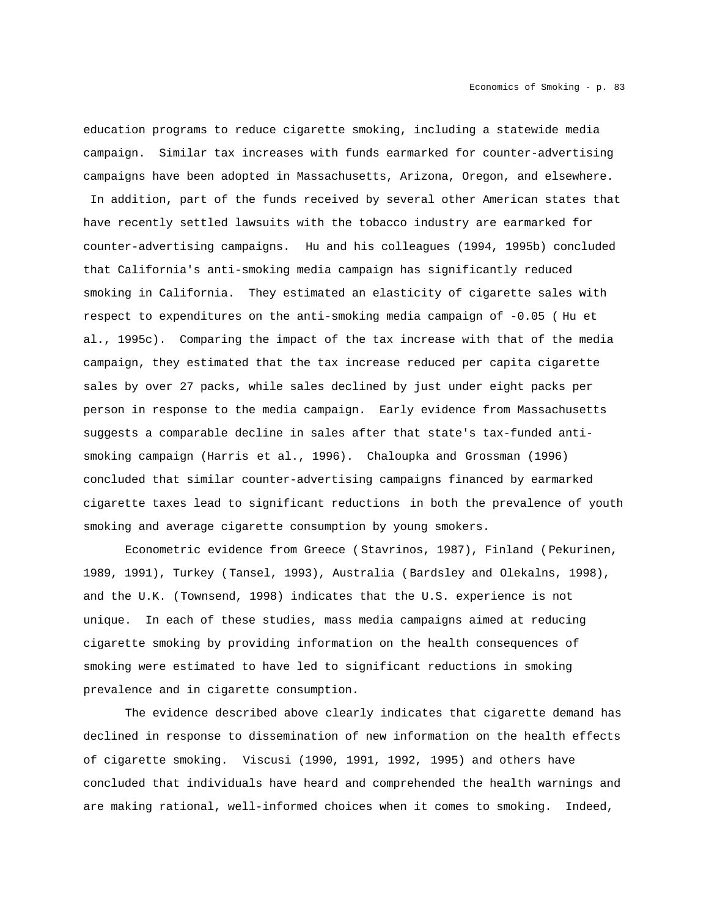education programs to reduce cigarette smoking, including a statewide media campaign. Similar tax increases with funds earmarked for counter-advertising campaigns have been adopted in Massachusetts, Arizona, Oregon, and elsewhere.

 In addition, part of the funds received by several other American states that have recently settled lawsuits with the tobacco industry are earmarked for counter-advertising campaigns. Hu and his colleagues (1994, 1995b) concluded that California's anti-smoking media campaign has significantly reduced smoking in California. They estimated an elasticity of cigarette sales with respect to expenditures on the anti-smoking media campaign of -0.05 ( Hu et al., 1995c). Comparing the impact of the tax increase with that of the media campaign, they estimated that the tax increase reduced per capita cigarette sales by over 27 packs, while sales declined by just under eight packs per person in response to the media campaign. Early evidence from Massachusetts suggests a comparable decline in sales after that state's tax-funded antismoking campaign (Harris et al., 1996). Chaloupka and Grossman (1996) concluded that similar counter-advertising campaigns financed by earmarked cigarette taxes lead to significant reductions in both the prevalence of youth smoking and average cigarette consumption by young smokers.

Econometric evidence from Greece ( Stavrinos, 1987), Finland (Pekurinen, 1989, 1991), Turkey (Tansel, 1993), Australia (Bardsley and Olekalns, 1998), and the U.K. (Townsend, 1998) indicates that the U.S. experience is not unique. In each of these studies, mass media campaigns aimed at reducing cigarette smoking by providing information on the health consequences of smoking were estimated to have led to significant reductions in smoking prevalence and in cigarette consumption.

The evidence described above clearly indicates that cigarette demand has declined in response to dissemination of new information on the health effects of cigarette smoking. Viscusi (1990, 1991, 1992, 1995) and others have concluded that individuals have heard and comprehended the health warnings and are making rational, well-informed choices when it comes to smoking. Indeed,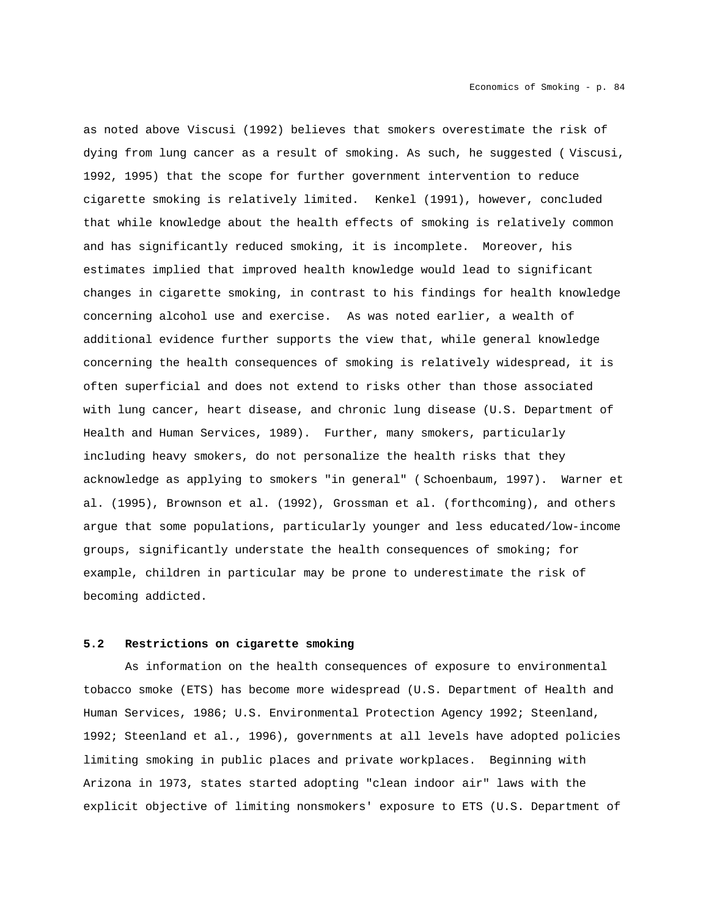as noted above Viscusi (1992) believes that smokers overestimate the risk of dying from lung cancer as a result of smoking. As such, he suggested ( Viscusi, 1992, 1995) that the scope for further government intervention to reduce cigarette smoking is relatively limited. Kenkel (1991), however, concluded that while knowledge about the health effects of smoking is relatively common and has significantly reduced smoking, it is incomplete. Moreover, his estimates implied that improved health knowledge would lead to significant changes in cigarette smoking, in contrast to his findings for health knowledge concerning alcohol use and exercise. As was noted earlier, a wealth of additional evidence further supports the view that, while general knowledge concerning the health consequences of smoking is relatively widespread, it is often superficial and does not extend to risks other than those associated with lung cancer, heart disease, and chronic lung disease (U.S. Department of Health and Human Services, 1989). Further, many smokers, particularly including heavy smokers, do not personalize the health risks that they acknowledge as applying to smokers "in general" ( Schoenbaum, 1997). Warner et al. (1995), Brownson et al. (1992), Grossman et al. (forthcoming), and others argue that some populations, particularly younger and less educated/low-income groups, significantly understate the health consequences of smoking; for example, children in particular may be prone to underestimate the risk of becoming addicted.

#### **5.2 Restrictions on cigarette smoking**

As information on the health consequences of exposure to environmental tobacco smoke (ETS) has become more widespread (U.S. Department of Health and Human Services, 1986; U.S. Environmental Protection Agency 1992; Steenland, 1992; Steenland et al., 1996), governments at all levels have adopted policies limiting smoking in public places and private workplaces. Beginning with Arizona in 1973, states started adopting "clean indoor air" laws with the explicit objective of limiting nonsmokers' exposure to ETS (U.S. Department of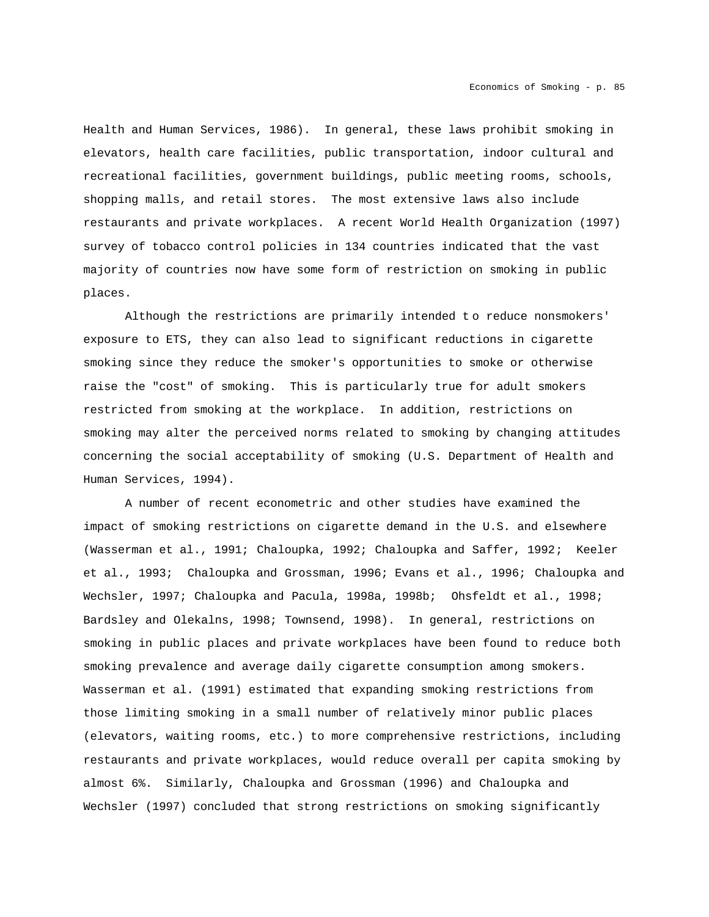Health and Human Services, 1986). In general, these laws prohibit smoking in elevators, health care facilities, public transportation, indoor cultural and recreational facilities, government buildings, public meeting rooms, schools, shopping malls, and retail stores. The most extensive laws also include restaurants and private workplaces. A recent World Health Organization (1997) survey of tobacco control policies in 134 countries indicated that the vast majority of countries now have some form of restriction on smoking in public places.

Although the restrictions are primarily intended t o reduce nonsmokers' exposure to ETS, they can also lead to significant reductions in cigarette smoking since they reduce the smoker's opportunities to smoke or otherwise raise the "cost" of smoking. This is particularly true for adult smokers restricted from smoking at the workplace. In addition, restrictions on smoking may alter the perceived norms related to smoking by changing attitudes concerning the social acceptability of smoking (U.S. Department of Health and Human Services, 1994).

A number of recent econometric and other studies have examined the impact of smoking restrictions on cigarette demand in the U.S. and elsewhere (Wasserman et al., 1991; Chaloupka, 1992; Chaloupka and Saffer, 1992; Keeler et al., 1993; Chaloupka and Grossman, 1996; Evans et al., 1996; Chaloupka and Wechsler, 1997; Chaloupka and Pacula, 1998a, 1998b; Ohsfeldt et al., 1998; Bardsley and Olekalns, 1998; Townsend, 1998). In general, restrictions on smoking in public places and private workplaces have been found to reduce both smoking prevalence and average daily cigarette consumption among smokers. Wasserman et al. (1991) estimated that expanding smoking restrictions from those limiting smoking in a small number of relatively minor public places (elevators, waiting rooms, etc.) to more comprehensive restrictions, including restaurants and private workplaces, would reduce overall per capita smoking by almost 6%. Similarly, Chaloupka and Grossman (1996) and Chaloupka and Wechsler (1997) concluded that strong restrictions on smoking significantly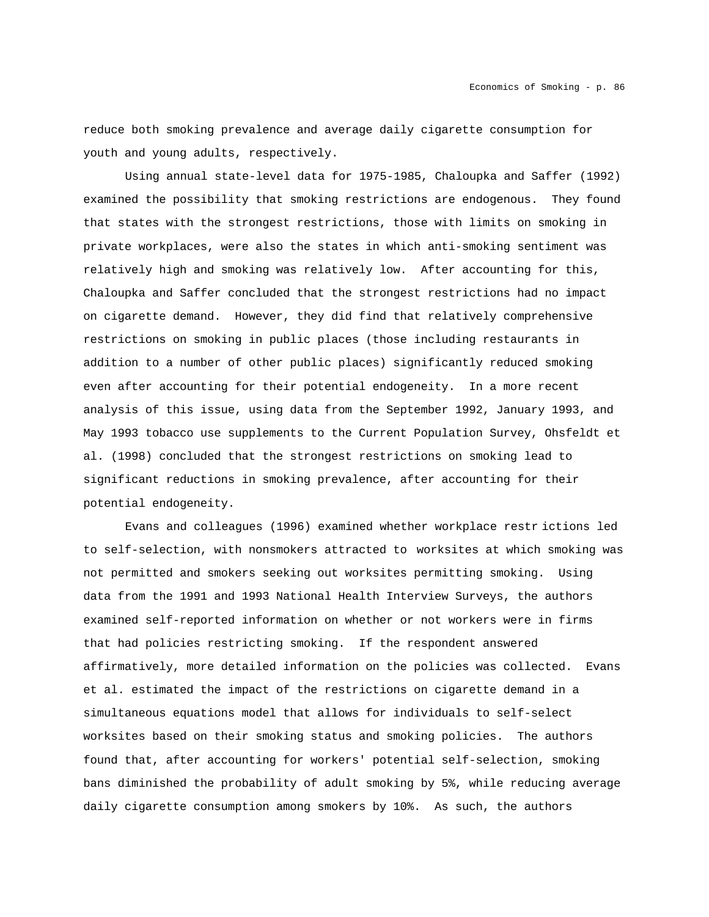reduce both smoking prevalence and average daily cigarette consumption for youth and young adults, respectively.

Using annual state-level data for 1975-1985, Chaloupka and Saffer (1992) examined the possibility that smoking restrictions are endogenous. They found that states with the strongest restrictions, those with limits on smoking in private workplaces, were also the states in which anti-smoking sentiment was relatively high and smoking was relatively low. After accounting for this, Chaloupka and Saffer concluded that the strongest restrictions had no impact on cigarette demand. However, they did find that relatively comprehensive restrictions on smoking in public places (those including restaurants in addition to a number of other public places) significantly reduced smoking even after accounting for their potential endogeneity. In a more recent analysis of this issue, using data from the September 1992, January 1993, and May 1993 tobacco use supplements to the Current Population Survey, Ohsfeldt et al. (1998) concluded that the strongest restrictions on smoking lead to significant reductions in smoking prevalence, after accounting for their potential endogeneity.

Evans and colleagues (1996) examined whether workplace restr ictions led to self-selection, with nonsmokers attracted to worksites at which smoking was not permitted and smokers seeking out worksites permitting smoking. Using data from the 1991 and 1993 National Health Interview Surveys, the authors examined self-reported information on whether or not workers were in firms that had policies restricting smoking. If the respondent answered affirmatively, more detailed information on the policies was collected. Evans et al. estimated the impact of the restrictions on cigarette demand in a simultaneous equations model that allows for individuals to self-select worksites based on their smoking status and smoking policies. The authors found that, after accounting for workers' potential self-selection, smoking bans diminished the probability of adult smoking by 5%, while reducing average daily cigarette consumption among smokers by 10%. As such, the authors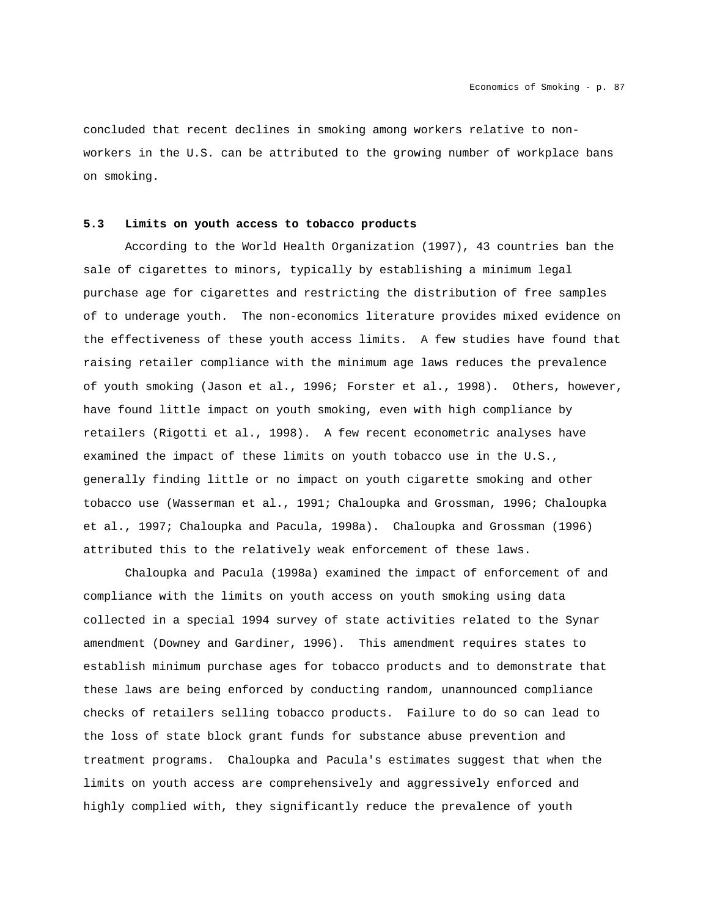concluded that recent declines in smoking among workers relative to nonworkers in the U.S. can be attributed to the growing number of workplace bans on smoking.

# **5.3 Limits on youth access to tobacco products**

According to the World Health Organization (1997), 43 countries ban the sale of cigarettes to minors, typically by establishing a minimum legal purchase age for cigarettes and restricting the distribution of free samples of to underage youth. The non-economics literature provides mixed evidence on the effectiveness of these youth access limits. A few studies have found that raising retailer compliance with the minimum age laws reduces the prevalence of youth smoking (Jason et al., 1996; Forster et al., 1998). Others, however, have found little impact on youth smoking, even with high compliance by retailers (Rigotti et al., 1998). A few recent econometric analyses have examined the impact of these limits on youth tobacco use in the U.S., generally finding little or no impact on youth cigarette smoking and other tobacco use (Wasserman et al., 1991; Chaloupka and Grossman, 1996; Chaloupka et al., 1997; Chaloupka and Pacula, 1998a). Chaloupka and Grossman (1996) attributed this to the relatively weak enforcement of these laws.

Chaloupka and Pacula (1998a) examined the impact of enforcement of and compliance with the limits on youth access on youth smoking using data collected in a special 1994 survey of state activities related to the Synar amendment (Downey and Gardiner, 1996). This amendment requires states to establish minimum purchase ages for tobacco products and to demonstrate that these laws are being enforced by conducting random, unannounced compliance checks of retailers selling tobacco products. Failure to do so can lead to the loss of state block grant funds for substance abuse prevention and treatment programs. Chaloupka and Pacula's estimates suggest that when the limits on youth access are comprehensively and aggressively enforced and highly complied with, they significantly reduce the prevalence of youth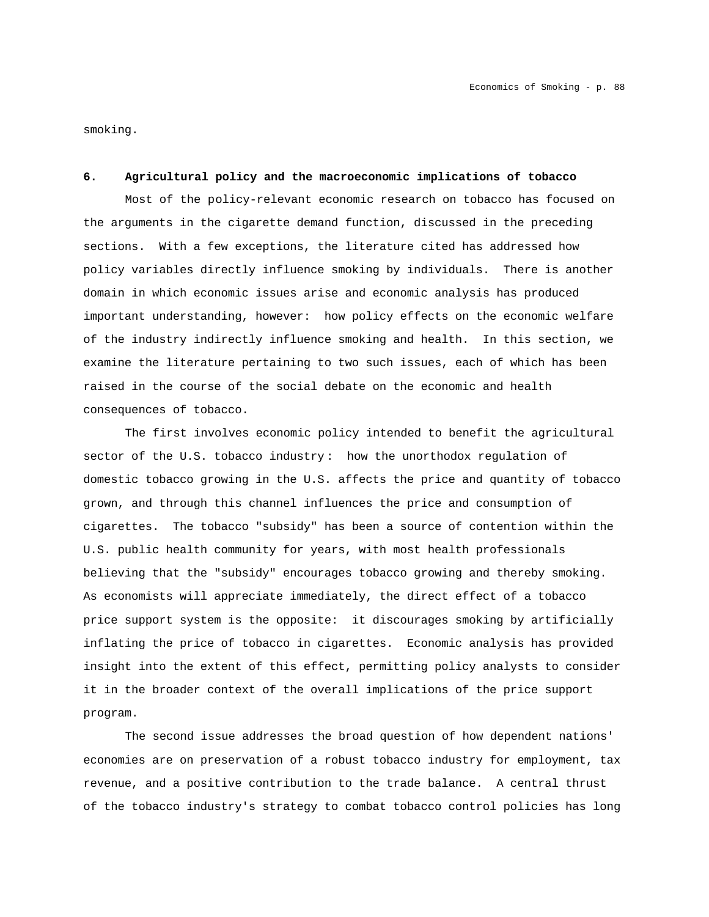smoking.

## **6. Agricultural policy and the macroeconomic implications of tobacco**

Most of the policy-relevant economic research on tobacco has focused on the arguments in the cigarette demand function, discussed in the preceding sections. With a few exceptions, the literature cited has addressed how policy variables directly influence smoking by individuals. There is another domain in which economic issues arise and economic analysis has produced important understanding, however: how policy effects on the economic welfare of the industry indirectly influence smoking and health. In this section, we examine the literature pertaining to two such issues, each of which has been raised in the course of the social debate on the economic and health consequences of tobacco.

The first involves economic policy intended to benefit the agricultural sector of the U.S. tobacco industry : how the unorthodox regulation of domestic tobacco growing in the U.S. affects the price and quantity of tobacco grown, and through this channel influences the price and consumption of cigarettes. The tobacco "subsidy" has been a source of contention within the U.S. public health community for years, with most health professionals believing that the "subsidy" encourages tobacco growing and thereby smoking. As economists will appreciate immediately, the direct effect of a tobacco price support system is the opposite: it discourages smoking by artificially inflating the price of tobacco in cigarettes. Economic analysis has provided insight into the extent of this effect, permitting policy analysts to consider it in the broader context of the overall implications of the price support program.

The second issue addresses the broad question of how dependent nations' economies are on preservation of a robust tobacco industry for employment, tax revenue, and a positive contribution to the trade balance. A central thrust of the tobacco industry's strategy to combat tobacco control policies has long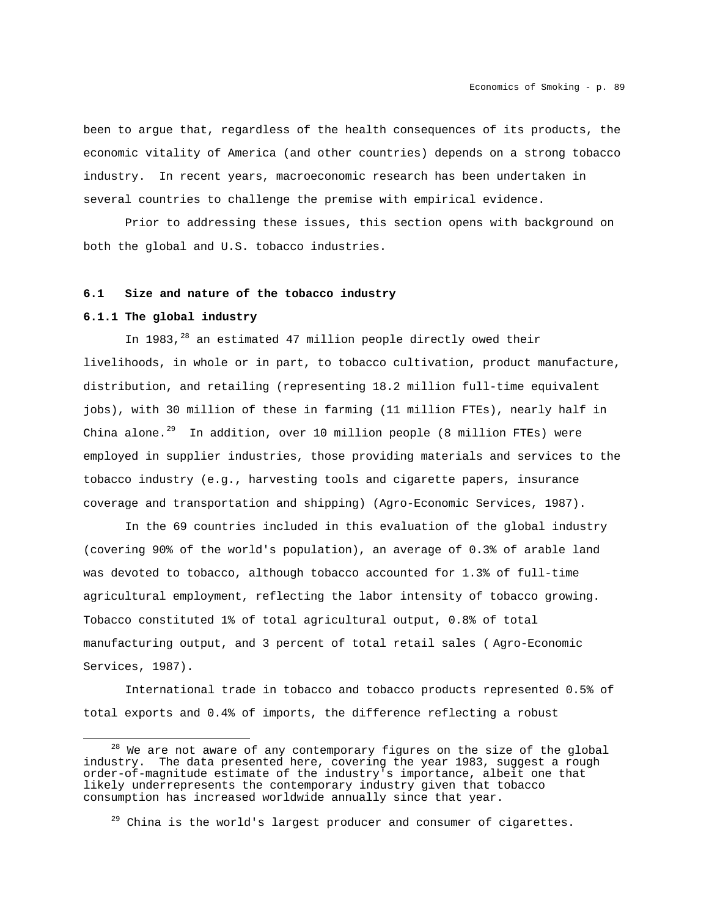been to argue that, regardless of the health consequences of its products, the economic vitality of America (and other countries) depends on a strong tobacco industry. In recent years, macroeconomic research has been undertaken in several countries to challenge the premise with empirical evidence.

Prior to addressing these issues, this section opens with background on both the global and U.S. tobacco industries.

## **6.1 Size and nature of the tobacco industry**

## **6.1.1 The global industry**

i<br>Li

In 1983, $^{28}$  an estimated 47 million people directly owed their livelihoods, in whole or in part, to tobacco cultivation, product manufacture, distribution, and retailing (representing 18.2 million full-time equivalent jobs), with 30 million of these in farming (11 million FTEs), nearly half in China alone.<sup>29</sup> In addition, over 10 million people (8 million FTEs) were employed in supplier industries, those providing materials and services to the tobacco industry (e.g., harvesting tools and cigarette papers, insurance coverage and transportation and shipping) (Agro-Economic Services, 1987).

In the 69 countries included in this evaluation of the global industry (covering 90% of the world's population), an average of 0.3% of arable land was devoted to tobacco, although tobacco accounted for 1.3% of full-time agricultural employment, reflecting the labor intensity of tobacco growing. Tobacco constituted 1% of total agricultural output, 0.8% of total manufacturing output, and 3 percent of total retail sales ( Agro-Economic Services, 1987).

International trade in tobacco and tobacco products represented 0.5% of total exports and 0.4% of imports, the difference reflecting a robust

 $29$  China is the world's largest producer and consumer of cigarettes.

 $28$  We are not aware of any contemporary figures on the size of the global industry. The data presented here, covering the year 1983, suggest a rough order-of-magnitude estimate of the industry's importance, albeit one that likely underrepresents the contemporary industry given that tobacco consumption has increased worldwide annually since that year.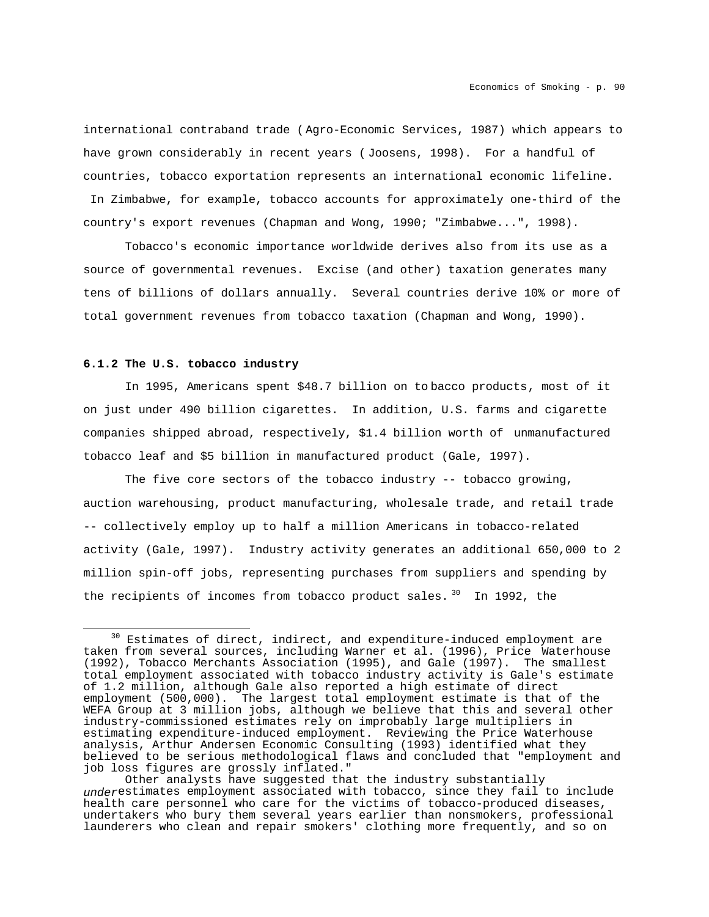international contraband trade ( Agro-Economic Services, 1987) which appears to have grown considerably in recent years ( Joosens, 1998). For a handful of countries, tobacco exportation represents an international economic lifeline. In Zimbabwe, for example, tobacco accounts for approximately one-third of the

country's export revenues (Chapman and Wong, 1990; "Zimbabwe...", 1998).

Tobacco's economic importance worldwide derives also from its use as a source of governmental revenues. Excise (and other) taxation generates many tens of billions of dollars annually. Several countries derive 10% or more of total government revenues from tobacco taxation (Chapman and Wong, 1990).

## **6.1.2 The U.S. tobacco industry**

In 1995, Americans spent \$48.7 billion on to bacco products, most of it on just under 490 billion cigarettes. In addition, U.S. farms and cigarette companies shipped abroad, respectively, \$1.4 billion worth of unmanufactured tobacco leaf and \$5 billion in manufactured product (Gale, 1997).

The five core sectors of the tobacco industry -- tobacco growing, auction warehousing, product manufacturing, wholesale trade, and retail trade -- collectively employ up to half a million Americans in tobacco-related activity (Gale, 1997). Industry activity generates an additional 650,000 to 2 million spin-off jobs, representing purchases from suppliers and spending by the recipients of incomes from tobacco product sales.  $30$  In 1992, the

i<br>Li <sup>30</sup> Estimates of direct, indirect, and expenditure-induced employment are taken from several sources, including Warner et al. (1996), Price Waterhouse (1992), Tobacco Merchants Association (1995), and Gale (1997). The smallest total employment associated with tobacco industry activity is Gale's estimate of 1.2 million, although Gale also reported a high estimate of direct employment (500,000). The largest total employment estimate is that of the WEFA Group at 3 million jobs, although we believe that this and several other industry-commissioned estimates rely on improbably large multipliers in estimating expenditure-induced employment. Reviewing the Price Waterhouse analysis, Arthur Andersen Economic Consulting (1993) identified what they believed to be serious methodological flaws and concluded that "employment and job loss figures are grossly inflated."

Other analysts have suggested that the industry substantially *under*estimates employment associated with tobacco, since they fail to include health care personnel who care for the victims of tobacco-produced diseases, undertakers who bury them several years earlier than nonsmokers, professional launderers who clean and repair smokers' clothing more frequently, and so on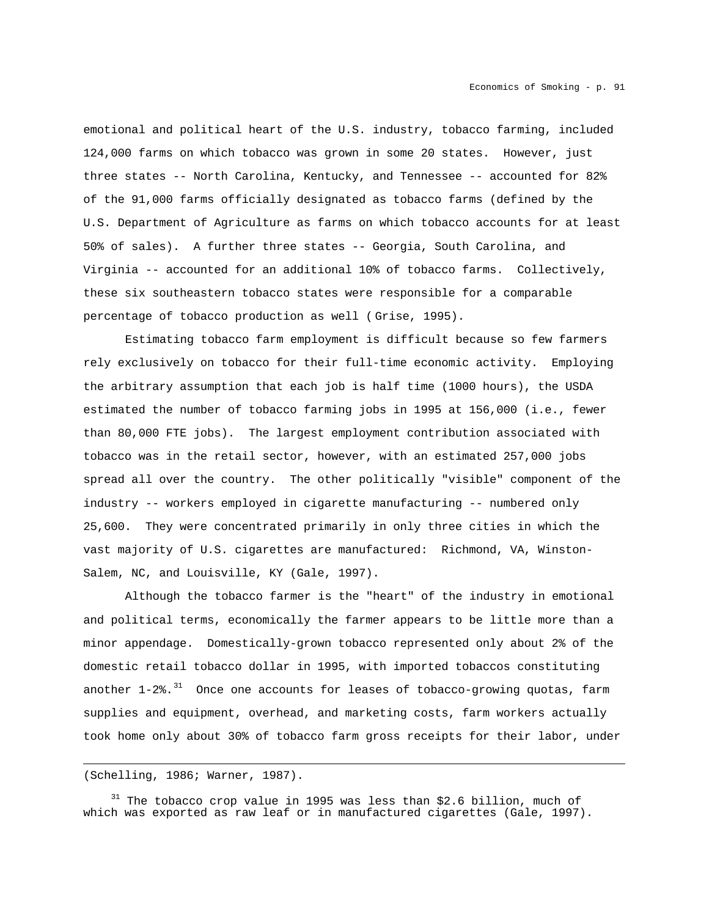emotional and political heart of the U.S. industry, tobacco farming, included 124,000 farms on which tobacco was grown in some 20 states. However, just three states -- North Carolina, Kentucky, and Tennessee -- accounted for 82% of the 91,000 farms officially designated as tobacco farms (defined by the U.S. Department of Agriculture as farms on which tobacco accounts for at least 50% of sales). A further three states -- Georgia, South Carolina, and Virginia -- accounted for an additional 10% of tobacco farms. Collectively, these six southeastern tobacco states were responsible for a comparable percentage of tobacco production as well ( Grise, 1995).

Estimating tobacco farm employment is difficult because so few farmers rely exclusively on tobacco for their full-time economic activity. Employing the arbitrary assumption that each job is half time (1000 hours), the USDA estimated the number of tobacco farming jobs in 1995 at 156,000 (i.e., fewer than 80,000 FTE jobs). The largest employment contribution associated with tobacco was in the retail sector, however, with an estimated 257,000 jobs spread all over the country. The other politically "visible" component of the industry -- workers employed in cigarette manufacturing -- numbered only 25,600. They were concentrated primarily in only three cities in which the vast majority of U.S. cigarettes are manufactured: Richmond, VA, Winston-Salem, NC, and Louisville, KY (Gale, 1997).

Although the tobacco farmer is the "heart" of the industry in emotional and political terms, economically the farmer appears to be little more than a minor appendage. Domestically-grown tobacco represented only about 2% of the domestic retail tobacco dollar in 1995, with imported tobaccos constituting another  $1-2^8$ .<sup>31</sup> Once one accounts for leases of tobacco-growing quotas, farm supplies and equipment, overhead, and marketing costs, farm workers actually took home only about 30% of tobacco farm gross receipts for their labor, under

## (Schelling, 1986; Warner, 1987).

i

 $31$  The tobacco crop value in 1995 was less than \$2.6 billion, much of which was exported as raw leaf or in manufactured cigarettes (Gale, 1997).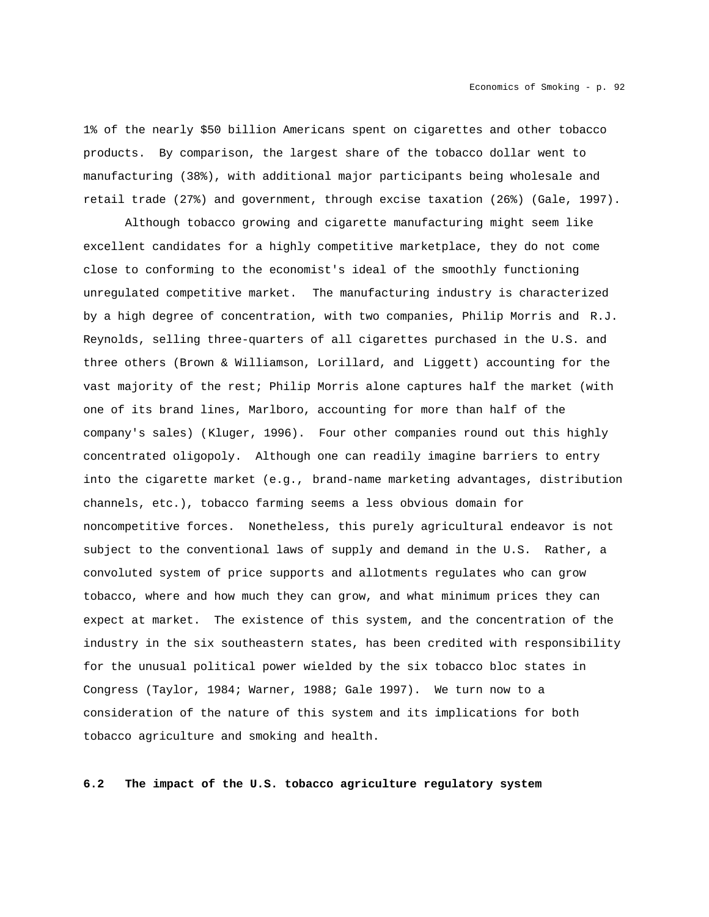1% of the nearly \$50 billion Americans spent on cigarettes and other tobacco products. By comparison, the largest share of the tobacco dollar went to manufacturing (38%), with additional major participants being wholesale and retail trade (27%) and government, through excise taxation (26%) (Gale, 1997).

Although tobacco growing and cigarette manufacturing might seem like excellent candidates for a highly competitive marketplace, they do not come close to conforming to the economist's ideal of the smoothly functioning unregulated competitive market. The manufacturing industry is characterized by a high degree of concentration, with two companies, Philip Morris and R.J. Reynolds, selling three-quarters of all cigarettes purchased in the U.S. and three others (Brown & Williamson, Lorillard, and Liggett) accounting for the vast majority of the rest; Philip Morris alone captures half the market (with one of its brand lines, Marlboro, accounting for more than half of the company's sales) (Kluger, 1996). Four other companies round out this highly concentrated oligopoly. Although one can readily imagine barriers to entry into the cigarette market (e.g., brand-name marketing advantages, distribution channels, etc.), tobacco farming seems a less obvious domain for noncompetitive forces. Nonetheless, this purely agricultural endeavor is not subject to the conventional laws of supply and demand in the U.S. Rather, a convoluted system of price supports and allotments regulates who can grow tobacco, where and how much they can grow, and what minimum prices they can expect at market. The existence of this system, and the concentration of the industry in the six southeastern states, has been credited with responsibility for the unusual political power wielded by the six tobacco bloc states in Congress (Taylor, 1984; Warner, 1988; Gale 1997). We turn now to a consideration of the nature of this system and its implications for both tobacco agriculture and smoking and health.

**6.2 The impact of the U.S. tobacco agriculture regulatory system**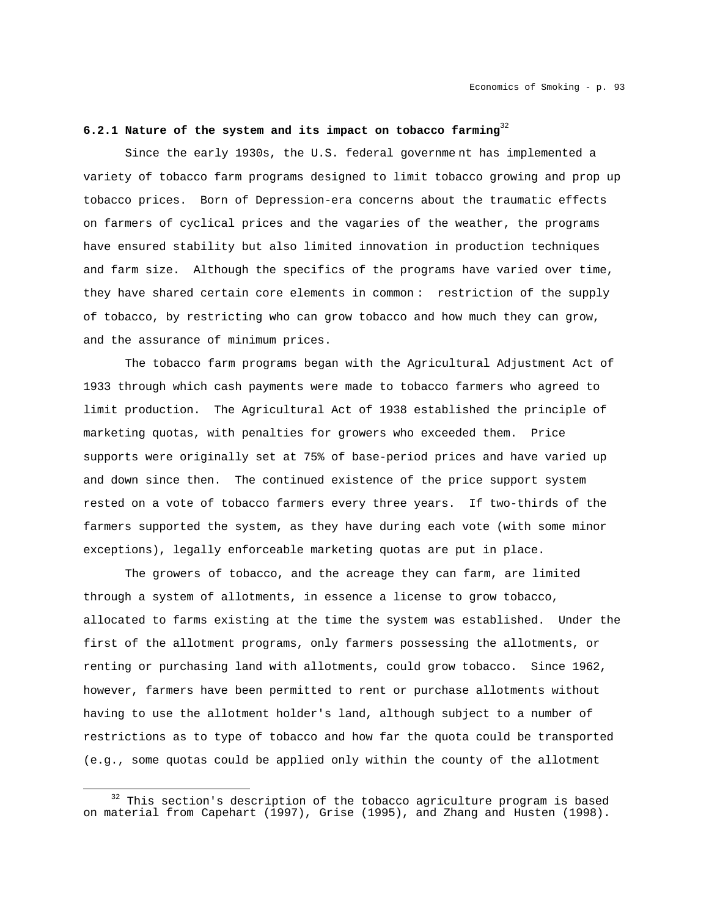# **6.2.1** Nature of the system and its impact on tobacco farming<sup>32</sup>

Since the early 1930s, the U.S. federal governme nt has implemented a variety of tobacco farm programs designed to limit tobacco growing and prop up tobacco prices. Born of Depression-era concerns about the traumatic effects on farmers of cyclical prices and the vagaries of the weather, the programs have ensured stability but also limited innovation in production techniques and farm size. Although the specifics of the programs have varied over time, they have shared certain core elements in common : restriction of the supply of tobacco, by restricting who can grow tobacco and how much they can grow, and the assurance of minimum prices.

The tobacco farm programs began with the Agricultural Adjustment Act of 1933 through which cash payments were made to tobacco farmers who agreed to limit production. The Agricultural Act of 1938 established the principle of marketing quotas, with penalties for growers who exceeded them. Price supports were originally set at 75% of base-period prices and have varied up and down since then. The continued existence of the price support system rested on a vote of tobacco farmers every three years. If two-thirds of the farmers supported the system, as they have during each vote (with some minor exceptions), legally enforceable marketing quotas are put in place.

The growers of tobacco, and the acreage they can farm, are limited through a system of allotments, in essence a license to grow tobacco, allocated to farms existing at the time the system was established. Under the first of the allotment programs, only farmers possessing the allotments, or renting or purchasing land with allotments, could grow tobacco. Since 1962, however, farmers have been permitted to rent or purchase allotments without having to use the allotment holder's land, although subject to a number of restrictions as to type of tobacco and how far the quota could be transported (e.g., some quotas could be applied only within the county of the allotment

i  $32$  This section's description of the tobacco agriculture program is based on material from Capehart (1997), Grise (1995), and Zhang and Husten (1998).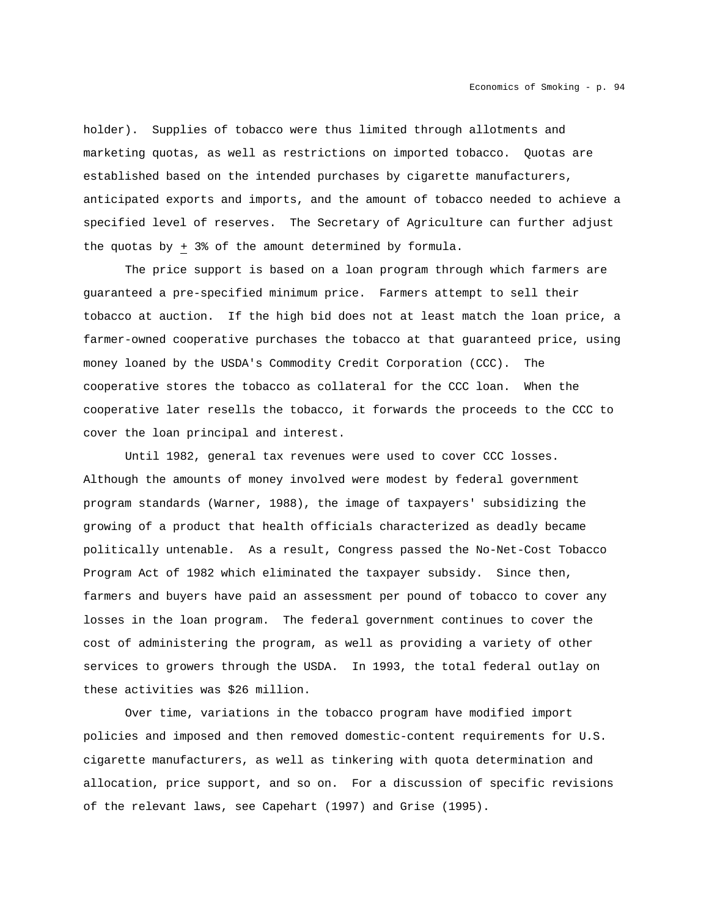holder). Supplies of tobacco were thus limited through allotments and marketing quotas, as well as restrictions on imported tobacco. Quotas are established based on the intended purchases by cigarette manufacturers, anticipated exports and imports, and the amount of tobacco needed to achieve a specified level of reserves. The Secretary of Agriculture can further adjust the quotas by  $+3$ % of the amount determined by formula.

The price support is based on a loan program through which farmers are guaranteed a pre-specified minimum price. Farmers attempt to sell their tobacco at auction. If the high bid does not at least match the loan price, a farmer-owned cooperative purchases the tobacco at that guaranteed price, using money loaned by the USDA's Commodity Credit Corporation (CCC). The cooperative stores the tobacco as collateral for the CCC loan. When the cooperative later resells the tobacco, it forwards the proceeds to the CCC to cover the loan principal and interest.

Until 1982, general tax revenues were used to cover CCC losses. Although the amounts of money involved were modest by federal government program standards (Warner, 1988), the image of taxpayers' subsidizing the growing of a product that health officials characterized as deadly became politically untenable. As a result, Congress passed the No-Net-Cost Tobacco Program Act of 1982 which eliminated the taxpayer subsidy. Since then, farmers and buyers have paid an assessment per pound of tobacco to cover any losses in the loan program. The federal government continues to cover the cost of administering the program, as well as providing a variety of other services to growers through the USDA. In 1993, the total federal outlay on these activities was \$26 million.

Over time, variations in the tobacco program have modified import policies and imposed and then removed domestic-content requirements for U.S. cigarette manufacturers, as well as tinkering with quota determination and allocation, price support, and so on. For a discussion of specific revisions of the relevant laws, see Capehart (1997) and Grise (1995).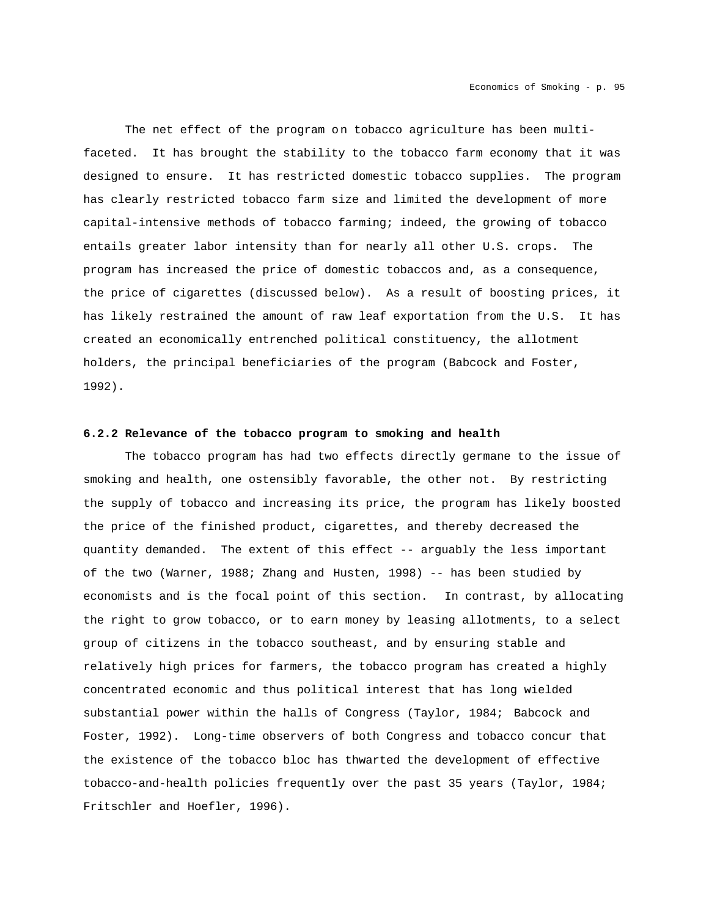The net effect of the program on tobacco agriculture has been multifaceted. It has brought the stability to the tobacco farm economy that it was designed to ensure. It has restricted domestic tobacco supplies. The program has clearly restricted tobacco farm size and limited the development of more capital-intensive methods of tobacco farming; indeed, the growing of tobacco entails greater labor intensity than for nearly all other U.S. crops. The program has increased the price of domestic tobaccos and, as a consequence, the price of cigarettes (discussed below). As a result of boosting prices, it has likely restrained the amount of raw leaf exportation from the U.S. It has created an economically entrenched political constituency, the allotment holders, the principal beneficiaries of the program (Babcock and Foster, 1992).

# **6.2.2 Relevance of the tobacco program to smoking and health**

The tobacco program has had two effects directly germane to the issue of smoking and health, one ostensibly favorable, the other not. By restricting the supply of tobacco and increasing its price, the program has likely boosted the price of the finished product, cigarettes, and thereby decreased the quantity demanded. The extent of this effect -- arguably the less important of the two (Warner, 1988; Zhang and Husten, 1998) -- has been studied by economists and is the focal point of this section. In contrast, by allocating the right to grow tobacco, or to earn money by leasing allotments, to a select group of citizens in the tobacco southeast, and by ensuring stable and relatively high prices for farmers, the tobacco program has created a highly concentrated economic and thus political interest that has long wielded substantial power within the halls of Congress (Taylor, 1984; Babcock and Foster, 1992). Long-time observers of both Congress and tobacco concur that the existence of the tobacco bloc has thwarted the development of effective tobacco-and-health policies frequently over the past 35 years (Taylor, 1984; Fritschler and Hoefler, 1996).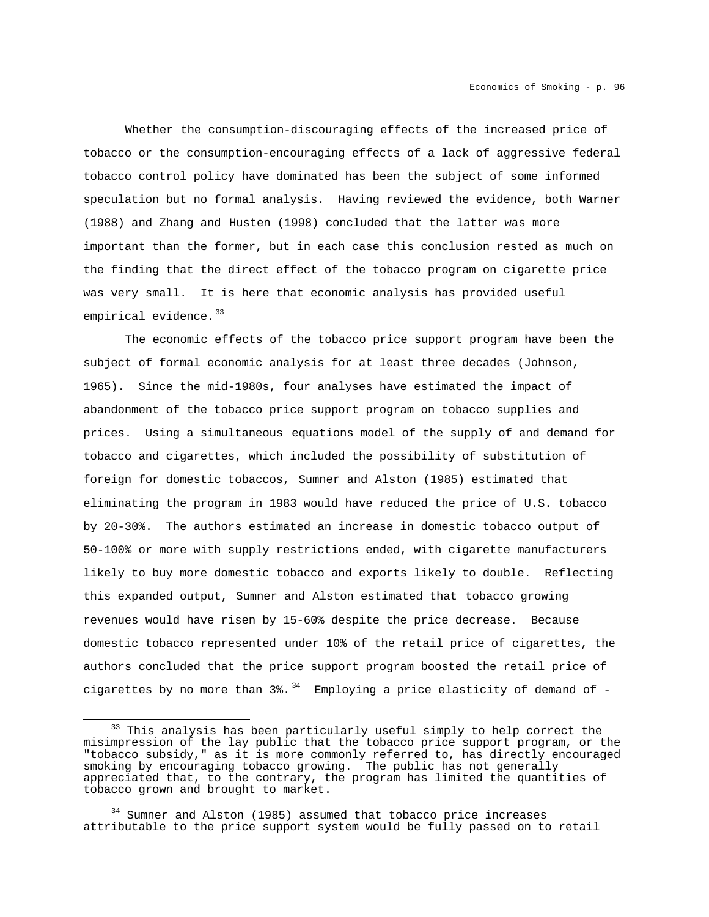Whether the consumption-discouraging effects of the increased price of tobacco or the consumption-encouraging effects of a lack of aggressive federal tobacco control policy have dominated has been the subject of some informed speculation but no formal analysis. Having reviewed the evidence, both Warner (1988) and Zhang and Husten (1998) concluded that the latter was more important than the former, but in each case this conclusion rested as much on the finding that the direct effect of the tobacco program on cigarette price was very small. It is here that economic analysis has provided useful empirical evidence.<sup>33</sup>

The economic effects of the tobacco price support program have been the subject of formal economic analysis for at least three decades (Johnson, 1965). Since the mid-1980s, four analyses have estimated the impact of abandonment of the tobacco price support program on tobacco supplies and prices. Using a simultaneous equations model of the supply of and demand for tobacco and cigarettes, which included the possibility of substitution of foreign for domestic tobaccos, Sumner and Alston (1985) estimated that eliminating the program in 1983 would have reduced the price of U.S. tobacco by 20-30%. The authors estimated an increase in domestic tobacco output of 50-100% or more with supply restrictions ended, with cigarette manufacturers likely to buy more domestic tobacco and exports likely to double. Reflecting this expanded output, Sumner and Alston estimated that tobacco growing revenues would have risen by 15-60% despite the price decrease. Because domestic tobacco represented under 10% of the retail price of cigarettes, the authors concluded that the price support program boosted the retail price of cigarettes by no more than  $3\frac{3}{4}$  Employing a price elasticity of demand of -

i<br>Li

<sup>&</sup>lt;sup>33</sup> This analysis has been particularly useful simply to help correct the misimpression of the lay public that the tobacco price support program, or the "tobacco subsidy," as it is more commonly referred to, has directly encouraged smoking by encouraging tobacco growing. The public has not generally appreciated that, to the contrary, the program has limited the quantities of tobacco grown and brought to market.

<sup>&</sup>lt;sup>34</sup> Sumner and Alston (1985) assumed that tobacco price increases attributable to the price support system would be fully passed on to retail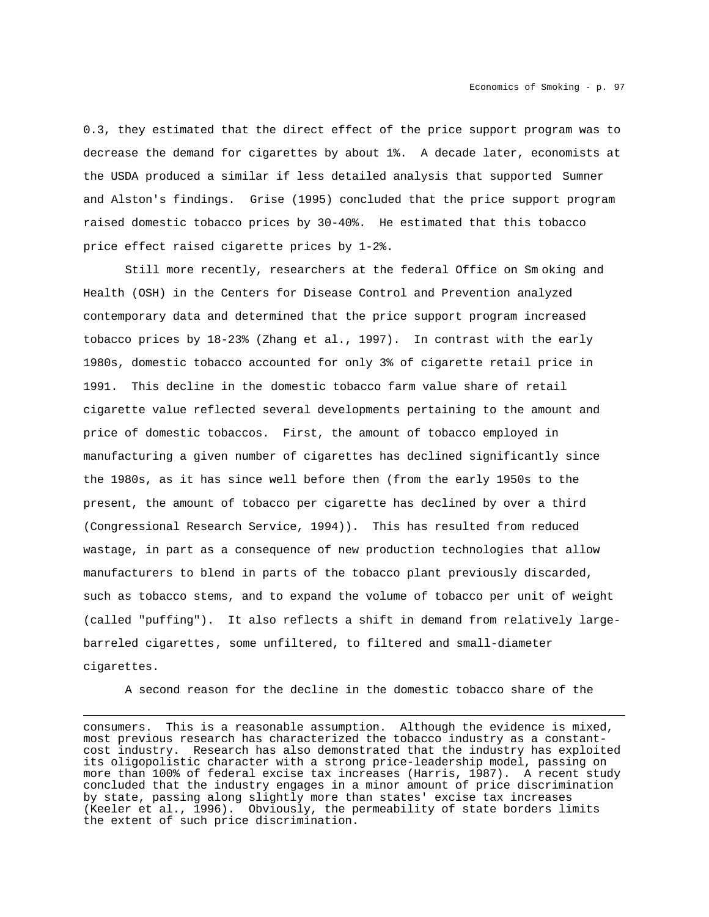0.3, they estimated that the direct effect of the price support program was to decrease the demand for cigarettes by about 1%. A decade later, economists at the USDA produced a similar if less detailed analysis that supported Sumner and Alston's findings. Grise (1995) concluded that the price support program raised domestic tobacco prices by 30-40%. He estimated that this tobacco price effect raised cigarette prices by 1-2%.

Still more recently, researchers at the federal Office on Sm oking and Health (OSH) in the Centers for Disease Control and Prevention analyzed contemporary data and determined that the price support program increased tobacco prices by 18-23% (Zhang et al., 1997). In contrast with the early 1980s, domestic tobacco accounted for only 3% of cigarette retail price in 1991. This decline in the domestic tobacco farm value share of retail cigarette value reflected several developments pertaining to the amount and price of domestic tobaccos. First, the amount of tobacco employed in manufacturing a given number of cigarettes has declined significantly since the 1980s, as it has since well before then (from the early 1950s to the present, the amount of tobacco per cigarette has declined by over a third (Congressional Research Service, 1994)). This has resulted from reduced wastage, in part as a consequence of new production technologies that allow manufacturers to blend in parts of the tobacco plant previously discarded, such as tobacco stems, and to expand the volume of tobacco per unit of weight (called "puffing"). It also reflects a shift in demand from relatively largebarreled cigarettes, some unfiltered, to filtered and small-diameter cigarettes.

A second reason for the decline in the domestic tobacco share of the

i<br>Li

consumers. This is a reasonable assumption. Although the evidence is mixed, most previous research has characterized the tobacco industry as a constantcost industry. Research has also demonstrated that the industry has exploited its oligopolistic character with a strong price-leadership model, passing on more than 100% of federal excise tax increases (Harris, 1987). A recent study concluded that the industry engages in a minor amount of price discrimination by state, passing along slightly more than states' excise tax increases (Keeler et al., 1996). Obviously, the permeability of state borders limits the extent of such price discrimination.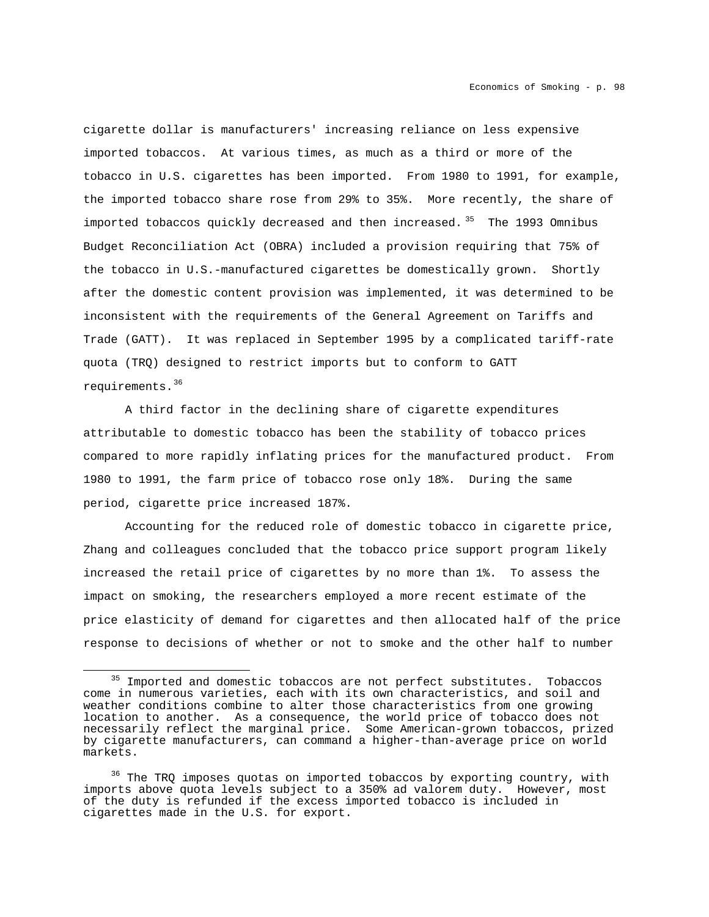cigarette dollar is manufacturers' increasing reliance on less expensive imported tobaccos. At various times, as much as a third or more of the tobacco in U.S. cigarettes has been imported. From 1980 to 1991, for example, the imported tobacco share rose from 29% to 35%. More recently, the share of imported tobaccos quickly decreased and then increased.  $35$  The 1993 Omnibus Budget Reconciliation Act (OBRA) included a provision requiring that 75% of the tobacco in U.S.-manufactured cigarettes be domestically grown. Shortly after the domestic content provision was implemented, it was determined to be inconsistent with the requirements of the General Agreement on Tariffs and Trade (GATT). It was replaced in September 1995 by a complicated tariff-rate quota (TRQ) designed to restrict imports but to conform to GATT requirements.<sup>36</sup>

A third factor in the declining share of cigarette expenditures attributable to domestic tobacco has been the stability of tobacco prices compared to more rapidly inflating prices for the manufactured product. From 1980 to 1991, the farm price of tobacco rose only 18%. During the same period, cigarette price increased 187%.

Accounting for the reduced role of domestic tobacco in cigarette price, Zhang and colleagues concluded that the tobacco price support program likely increased the retail price of cigarettes by no more than 1%. To assess the impact on smoking, the researchers employed a more recent estimate of the price elasticity of demand for cigarettes and then allocated half of the price response to decisions of whether or not to smoke and the other half to number

i

<sup>&</sup>lt;sup>35</sup> Imported and domestic tobaccos are not perfect substitutes. Tobaccos come in numerous varieties, each with its own characteristics, and soil and weather conditions combine to alter those characteristics from one growing location to another. As a consequence, the world price of tobacco does not necessarily reflect the marginal price. Some American-grown tobaccos, prized by cigarette manufacturers, can command a higher-than-average price on world markets.

<sup>&</sup>lt;sup>36</sup> The TRQ imposes quotas on imported tobaccos by exporting country, with imports above quota levels subject to a 350% ad valorem duty. However, most of the duty is refunded if the excess imported tobacco is included in cigarettes made in the U.S. for export.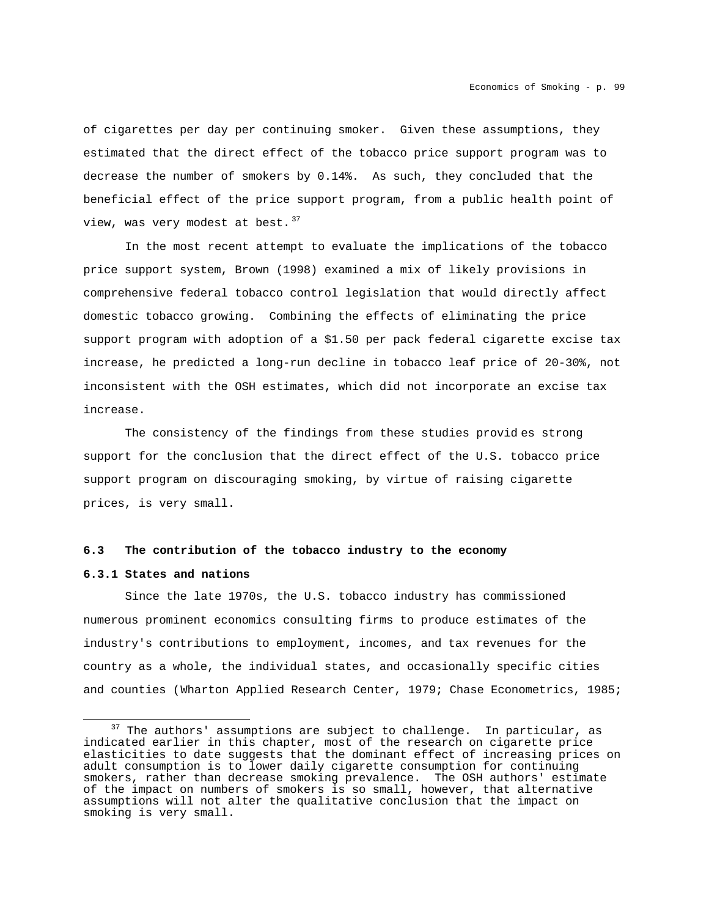of cigarettes per day per continuing smoker. Given these assumptions, they estimated that the direct effect of the tobacco price support program was to decrease the number of smokers by 0.14%. As such, they concluded that the beneficial effect of the price support program, from a public health point of view, was very modest at best.  $37$ 

In the most recent attempt to evaluate the implications of the tobacco price support system, Brown (1998) examined a mix of likely provisions in comprehensive federal tobacco control legislation that would directly affect domestic tobacco growing. Combining the effects of eliminating the price support program with adoption of a \$1.50 per pack federal cigarette excise tax increase, he predicted a long-run decline in tobacco leaf price of 20-30%, not inconsistent with the OSH estimates, which did not incorporate an excise tax increase.

The consistency of the findings from these studies provid es strong support for the conclusion that the direct effect of the U.S. tobacco price support program on discouraging smoking, by virtue of raising cigarette prices, is very small.

## **6.3 The contribution of the tobacco industry to the economy**

# **6.3.1 States and nations**

i<br>Li

Since the late 1970s, the U.S. tobacco industry has commissioned numerous prominent economics consulting firms to produce estimates of the industry's contributions to employment, incomes, and tax revenues for the country as a whole, the individual states, and occasionally specific cities and counties (Wharton Applied Research Center, 1979; Chase Econometrics, 1985;

 $37$  The authors' assumptions are subject to challenge. In particular, as indicated earlier in this chapter, most of the research on cigarette price elasticities to date suggests that the dominant effect of increasing prices on adult consumption is to lower daily cigarette consumption for continuing smokers, rather than decrease smoking prevalence. The OSH authors' estimate of the impact on numbers of smokers is so small, however, that alternative assumptions will not alter the qualitative conclusion that the impact on smoking is very small.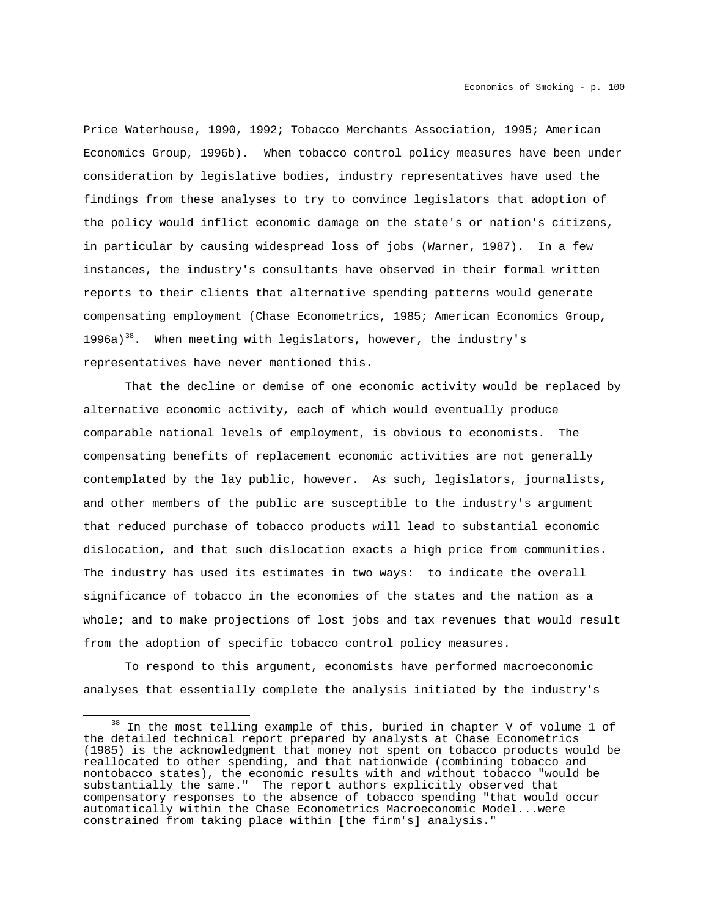Price Waterhouse, 1990, 1992; Tobacco Merchants Association, 1995; American Economics Group, 1996b). When tobacco control policy measures have been under consideration by legislative bodies, industry representatives have used the findings from these analyses to try to convince legislators that adoption of the policy would inflict economic damage on the state's or nation's citizens, in particular by causing widespread loss of jobs (Warner, 1987). In a few instances, the industry's consultants have observed in their formal written reports to their clients that alternative spending patterns would generate compensating employment (Chase Econometrics, 1985; American Economics Group, 1996a)<sup>38</sup>. When meeting with legislators, however, the industry's representatives have never mentioned this.

That the decline or demise of one economic activity would be replaced by alternative economic activity, each of which would eventually produce comparable national levels of employment, is obvious to economists. The compensating benefits of replacement economic activities are not generally contemplated by the lay public, however. As such, legislators, journalists, and other members of the public are susceptible to the industry's argument that reduced purchase of tobacco products will lead to substantial economic dislocation, and that such dislocation exacts a high price from communities. The industry has used its estimates in two ways: to indicate the overall significance of tobacco in the economies of the states and the nation as a whole; and to make projections of lost jobs and tax revenues that would result from the adoption of specific tobacco control policy measures.

To respond to this argument, economists have performed macroeconomic analyses that essentially complete the analysis initiated by the industry's

 $\overline{\phantom{0}}$ 

<sup>&</sup>lt;sup>38</sup> In the most telling example of this, buried in chapter V of volume 1 of the detailed technical report prepared by analysts at Chase Econometrics (1985) is the acknowledgment that money not spent on tobacco products would be reallocated to other spending, and that nationwide (combining tobacco and nontobacco states), the economic results with and without tobacco "would be substantially the same." The report authors explicitly observed that compensatory responses to the absence of tobacco spending "that would occur automatically within the Chase Econometrics Macroeconomic Model...were constrained from taking place within [the firm's] analysis."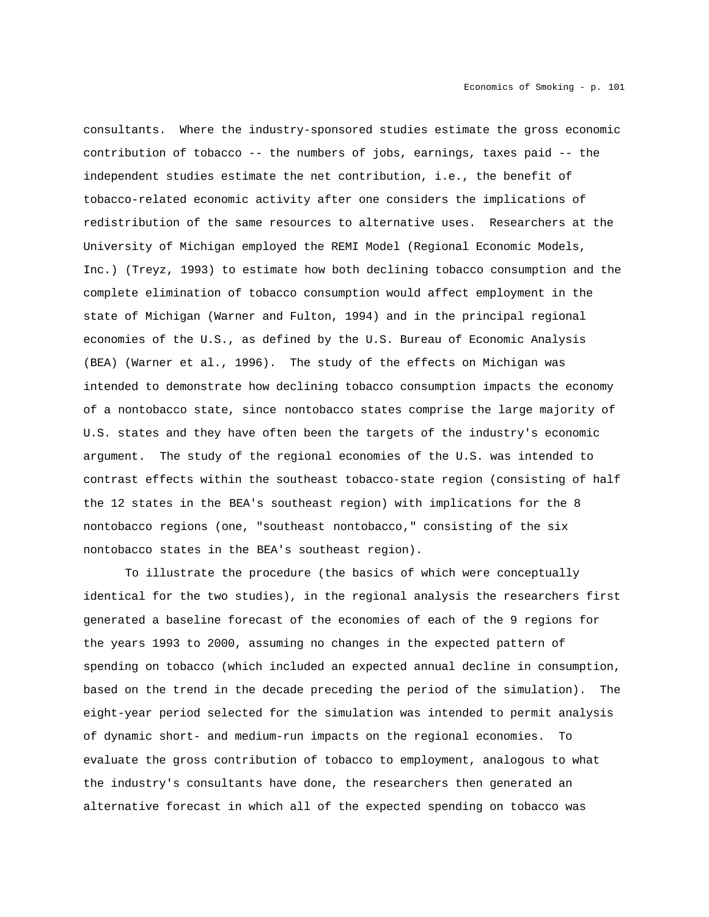consultants. Where the industry-sponsored studies estimate the gross economic contribution of tobacco -- the numbers of jobs, earnings, taxes paid -- the independent studies estimate the net contribution, i.e., the benefit of tobacco-related economic activity after one considers the implications of redistribution of the same resources to alternative uses. Researchers at the University of Michigan employed the REMI Model (Regional Economic Models, Inc.) (Treyz, 1993) to estimate how both declining tobacco consumption and the complete elimination of tobacco consumption would affect employment in the state of Michigan (Warner and Fulton, 1994) and in the principal regional economies of the U.S., as defined by the U.S. Bureau of Economic Analysis (BEA) (Warner et al., 1996). The study of the effects on Michigan was intended to demonstrate how declining tobacco consumption impacts the economy of a nontobacco state, since nontobacco states comprise the large majority of U.S. states and they have often been the targets of the industry's economic argument. The study of the regional economies of the U.S. was intended to contrast effects within the southeast tobacco-state region (consisting of half the 12 states in the BEA's southeast region) with implications for the 8 nontobacco regions (one, "southeast nontobacco," consisting of the six nontobacco states in the BEA's southeast region).

To illustrate the procedure (the basics of which were conceptually identical for the two studies), in the regional analysis the researchers first generated a baseline forecast of the economies of each of the 9 regions for the years 1993 to 2000, assuming no changes in the expected pattern of spending on tobacco (which included an expected annual decline in consumption, based on the trend in the decade preceding the period of the simulation). The eight-year period selected for the simulation was intended to permit analysis of dynamic short- and medium-run impacts on the regional economies. To evaluate the gross contribution of tobacco to employment, analogous to what the industry's consultants have done, the researchers then generated an alternative forecast in which all of the expected spending on tobacco was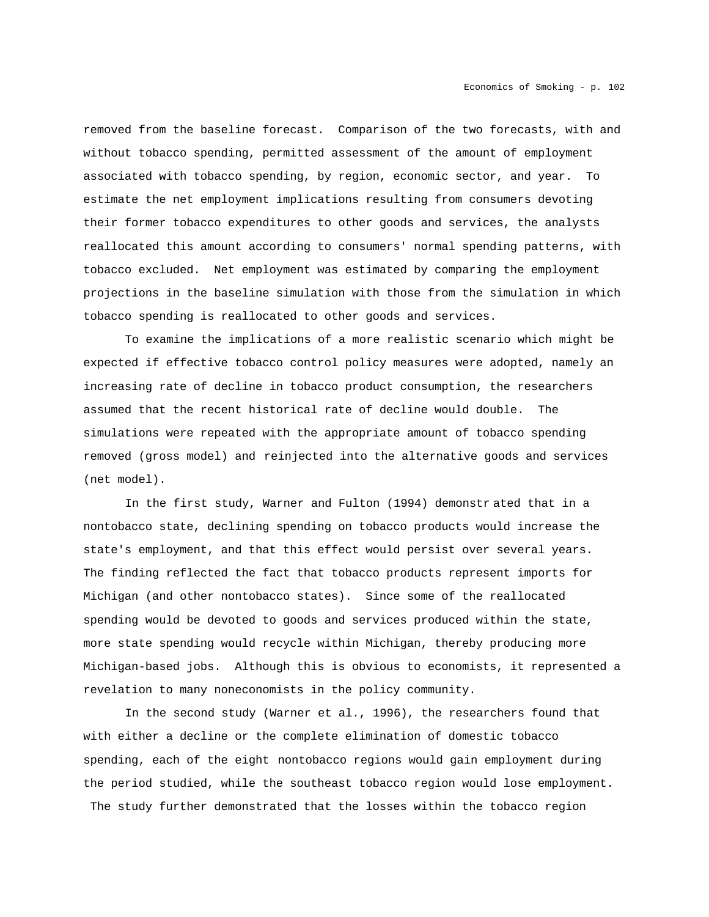removed from the baseline forecast. Comparison of the two forecasts, with and without tobacco spending, permitted assessment of the amount of employment associated with tobacco spending, by region, economic sector, and year. To estimate the net employment implications resulting from consumers devoting their former tobacco expenditures to other goods and services, the analysts reallocated this amount according to consumers' normal spending patterns, with tobacco excluded. Net employment was estimated by comparing the employment projections in the baseline simulation with those from the simulation in which tobacco spending is reallocated to other goods and services.

To examine the implications of a more realistic scenario which might be expected if effective tobacco control policy measures were adopted, namely an increasing rate of decline in tobacco product consumption, the researchers assumed that the recent historical rate of decline would double. The simulations were repeated with the appropriate amount of tobacco spending removed (gross model) and reinjected into the alternative goods and services (net model).

In the first study, Warner and Fulton (1994) demonstr ated that in a nontobacco state, declining spending on tobacco products would increase the state's employment, and that this effect would persist over several years. The finding reflected the fact that tobacco products represent imports for Michigan (and other nontobacco states). Since some of the reallocated spending would be devoted to goods and services produced within the state, more state spending would recycle within Michigan, thereby producing more Michigan-based jobs. Although this is obvious to economists, it represented a revelation to many noneconomists in the policy community.

In the second study (Warner et al., 1996), the researchers found that with either a decline or the complete elimination of domestic tobacco spending, each of the eight nontobacco regions would gain employment during the period studied, while the southeast tobacco region would lose employment. The study further demonstrated that the losses within the tobacco region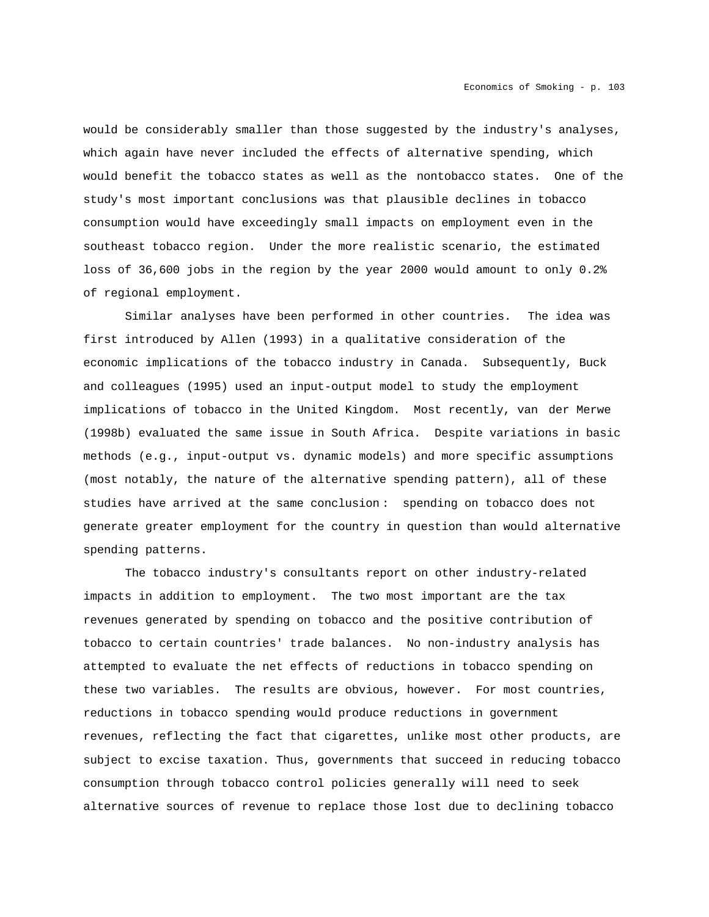would be considerably smaller than those suggested by the industry's analyses, which again have never included the effects of alternative spending, which would benefit the tobacco states as well as the nontobacco states. One of the study's most important conclusions was that plausible declines in tobacco consumption would have exceedingly small impacts on employment even in the southeast tobacco region. Under the more realistic scenario, the estimated loss of 36,600 jobs in the region by the year 2000 would amount to only 0.2% of regional employment.

Similar analyses have been performed in other countries. The idea was first introduced by Allen (1993) in a qualitative consideration of the economic implications of the tobacco industry in Canada. Subsequently, Buck and colleagues (1995) used an input-output model to study the employment implications of tobacco in the United Kingdom. Most recently, van der Merwe (1998b) evaluated the same issue in South Africa. Despite variations in basic methods (e.g., input-output vs. dynamic models) and more specific assumptions (most notably, the nature of the alternative spending pattern), all of these studies have arrived at the same conclusion : spending on tobacco does not generate greater employment for the country in question than would alternative spending patterns.

The tobacco industry's consultants report on other industry-related impacts in addition to employment. The two most important are the tax revenues generated by spending on tobacco and the positive contribution of tobacco to certain countries' trade balances. No non-industry analysis has attempted to evaluate the net effects of reductions in tobacco spending on these two variables. The results are obvious, however. For most countries, reductions in tobacco spending would produce reductions in government revenues, reflecting the fact that cigarettes, unlike most other products, are subject to excise taxation. Thus, governments that succeed in reducing tobacco consumption through tobacco control policies generally will need to seek alternative sources of revenue to replace those lost due to declining tobacco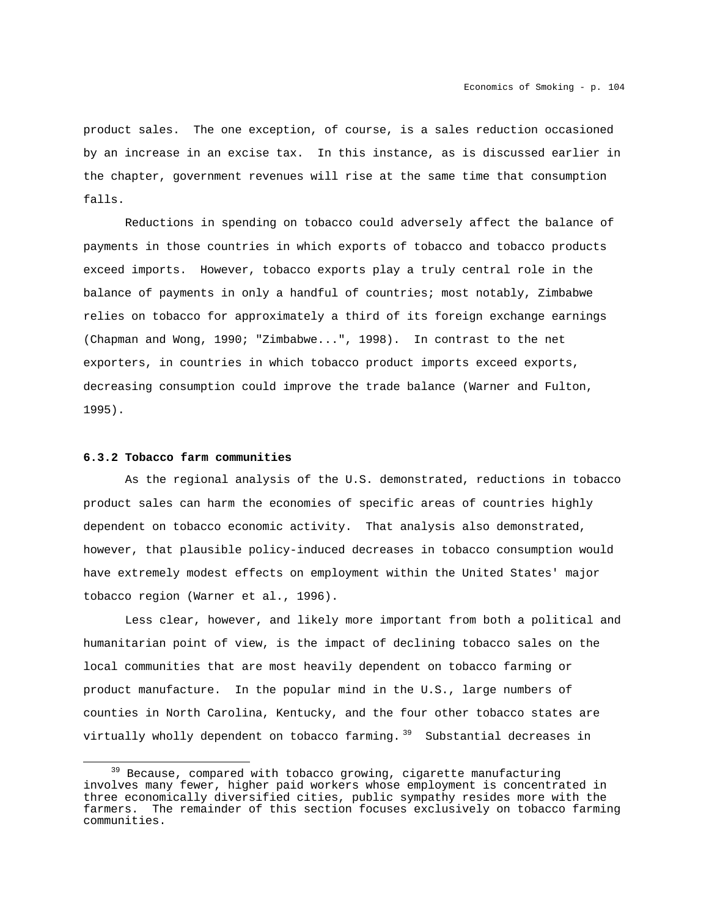product sales. The one exception, of course, is a sales reduction occasioned by an increase in an excise tax. In this instance, as is discussed earlier in the chapter, government revenues will rise at the same time that consumption falls.

Reductions in spending on tobacco could adversely affect the balance of payments in those countries in which exports of tobacco and tobacco products exceed imports. However, tobacco exports play a truly central role in the balance of payments in only a handful of countries; most notably, Zimbabwe relies on tobacco for approximately a third of its foreign exchange earnings (Chapman and Wong, 1990; "Zimbabwe...", 1998). In contrast to the net exporters, in countries in which tobacco product imports exceed exports, decreasing consumption could improve the trade balance (Warner and Fulton, 1995).

## **6.3.2 Tobacco farm communities**

As the regional analysis of the U.S. demonstrated, reductions in tobacco product sales can harm the economies of specific areas of countries highly dependent on tobacco economic activity. That analysis also demonstrated, however, that plausible policy-induced decreases in tobacco consumption would have extremely modest effects on employment within the United States' major tobacco region (Warner et al., 1996).

Less clear, however, and likely more important from both a political and humanitarian point of view, is the impact of declining tobacco sales on the local communities that are most heavily dependent on tobacco farming or product manufacture. In the popular mind in the U.S., large numbers of counties in North Carolina, Kentucky, and the four other tobacco states are virtually wholly dependent on tobacco farming.<sup>39</sup> Substantial decreases in

 $\overline{\phantom{0}}$ <sup>39</sup> Because, compared with tobacco growing, cigarette manufacturing involves many fewer, higher paid workers whose employment is concentrated in three economically diversified cities, public sympathy resides more with the farmers. The remainder of this section focuses exclusively on tobacco farming communities.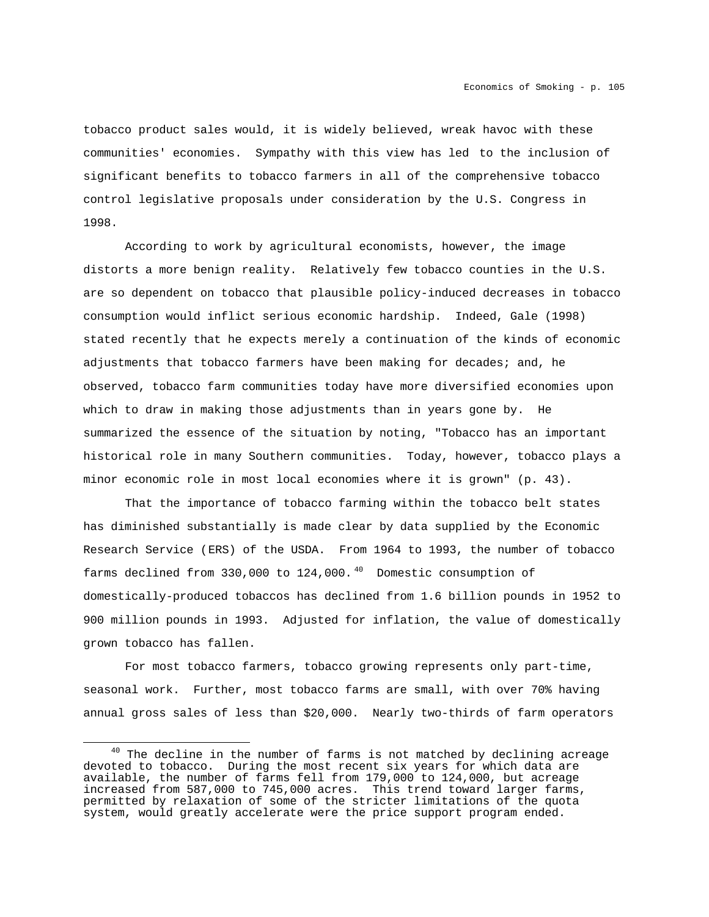tobacco product sales would, it is widely believed, wreak havoc with these communities' economies. Sympathy with this view has led to the inclusion of significant benefits to tobacco farmers in all of the comprehensive tobacco control legislative proposals under consideration by the U.S. Congress in 1998.

According to work by agricultural economists, however, the image distorts a more benign reality. Relatively few tobacco counties in the U.S. are so dependent on tobacco that plausible policy-induced decreases in tobacco consumption would inflict serious economic hardship. Indeed, Gale (1998) stated recently that he expects merely a continuation of the kinds of economic adjustments that tobacco farmers have been making for decades; and, he observed, tobacco farm communities today have more diversified economies upon which to draw in making those adjustments than in years gone by. He summarized the essence of the situation by noting, "Tobacco has an important historical role in many Southern communities. Today, however, tobacco plays a minor economic role in most local economies where it is grown" (p. 43).

That the importance of tobacco farming within the tobacco belt states has diminished substantially is made clear by data supplied by the Economic Research Service (ERS) of the USDA. From 1964 to 1993, the number of tobacco farms declined from 330,000 to  $124,000$ .<sup>40</sup> Domestic consumption of domestically-produced tobaccos has declined from 1.6 billion pounds in 1952 to 900 million pounds in 1993. Adjusted for inflation, the value of domestically grown tobacco has fallen.

For most tobacco farmers, tobacco growing represents only part-time, seasonal work. Further, most tobacco farms are small, with over 70% having annual gross sales of less than \$20,000. Nearly two-thirds of farm operators

 $\overline{\phantom{0}}$ 

 $40$  The decline in the number of farms is not matched by declining acreage devoted to tobacco. During the most recent six years for which data are available, the number of farms fell from 179,000 to 124,000, but acreage increased from 587,000 to 745,000 acres. This trend toward larger farms, permitted by relaxation of some of the stricter limitations of the quota system, would greatly accelerate were the price support program ended.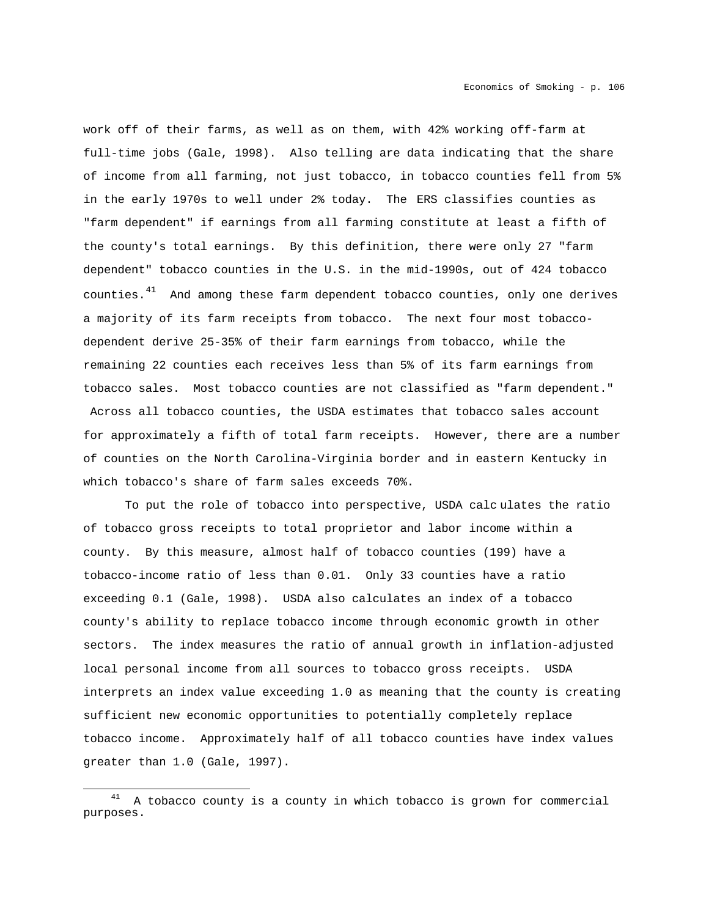work off of their farms, as well as on them, with 42% working off-farm at full-time jobs (Gale, 1998). Also telling are data indicating that the share of income from all farming, not just tobacco, in tobacco counties fell from 5% in the early 1970s to well under 2% today. The ERS classifies counties as "farm dependent" if earnings from all farming constitute at least a fifth of the county's total earnings. By this definition, there were only 27 "farm dependent" tobacco counties in the U.S. in the mid-1990s, out of 424 tobacco counties. $41$  And among these farm dependent tobacco counties, only one derives a majority of its farm receipts from tobacco. The next four most tobaccodependent derive 25-35% of their farm earnings from tobacco, while the remaining 22 counties each receives less than 5% of its farm earnings from tobacco sales. Most tobacco counties are not classified as "farm dependent." Across all tobacco counties, the USDA estimates that tobacco sales account for approximately a fifth of total farm receipts. However, there are a number of counties on the North Carolina-Virginia border and in eastern Kentucky in which tobacco's share of farm sales exceeds 70%.

To put the role of tobacco into perspective, USDA calc ulates the ratio of tobacco gross receipts to total proprietor and labor income within a county. By this measure, almost half of tobacco counties (199) have a tobacco-income ratio of less than 0.01. Only 33 counties have a ratio exceeding 0.1 (Gale, 1998). USDA also calculates an index of a tobacco county's ability to replace tobacco income through economic growth in other sectors. The index measures the ratio of annual growth in inflation-adjusted local personal income from all sources to tobacco gross receipts. USDA interprets an index value exceeding 1.0 as meaning that the county is creating sufficient new economic opportunities to potentially completely replace tobacco income. Approximately half of all tobacco counties have index values greater than 1.0 (Gale, 1997).

 $\overline{\phantom{0}}$ 

 $41$  A tobacco county is a county in which tobacco is grown for commercial purposes.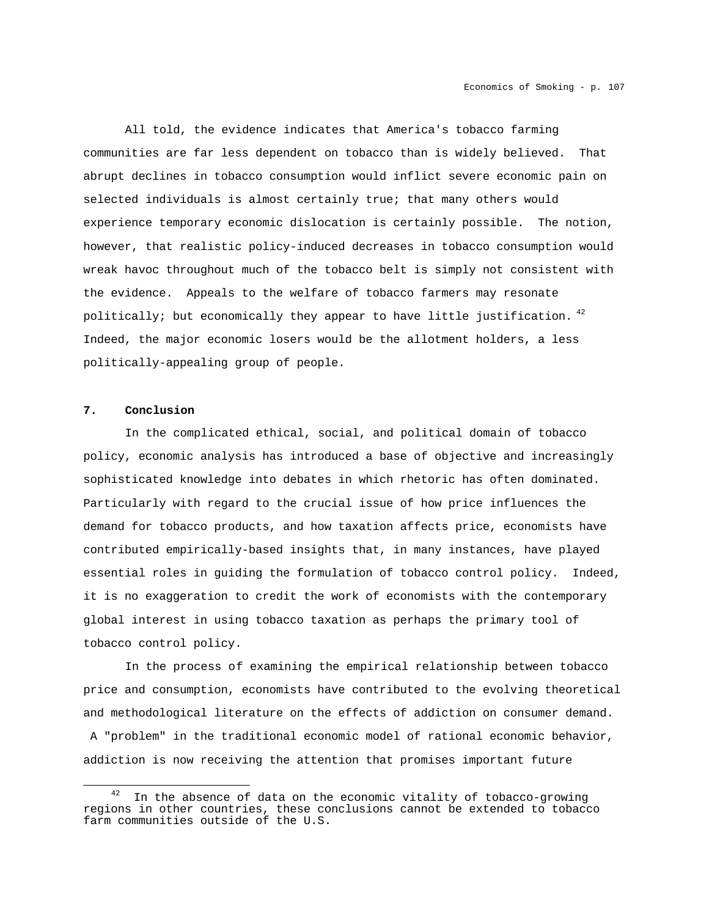All told, the evidence indicates that America's tobacco farming communities are far less dependent on tobacco than is widely believed. That abrupt declines in tobacco consumption would inflict severe economic pain on selected individuals is almost certainly true; that many others would experience temporary economic dislocation is certainly possible. The notion, however, that realistic policy-induced decreases in tobacco consumption would wreak havoc throughout much of the tobacco belt is simply not consistent with the evidence. Appeals to the welfare of tobacco farmers may resonate politically; but economically they appear to have little justification.  $42$ Indeed, the major economic losers would be the allotment holders, a less politically-appealing group of people.

## **7. Conclusion**

In the complicated ethical, social, and political domain of tobacco policy, economic analysis has introduced a base of objective and increasingly sophisticated knowledge into debates in which rhetoric has often dominated. Particularly with regard to the crucial issue of how price influences the demand for tobacco products, and how taxation affects price, economists have contributed empirically-based insights that, in many instances, have played essential roles in guiding the formulation of tobacco control policy. Indeed, it is no exaggeration to credit the work of economists with the contemporary global interest in using tobacco taxation as perhaps the primary tool of tobacco control policy.

In the process of examining the empirical relationship between tobacco price and consumption, economists have contributed to the evolving theoretical and methodological literature on the effects of addiction on consumer demand. A "problem" in the traditional economic model of rational economic behavior, addiction is now receiving the attention that promises important future

 $\overline{\phantom{0}}$ In the absence of data on the economic vitality of tobacco-growing regions in other countries, these conclusions cannot be extended to tobacco farm communities outside of the U.S.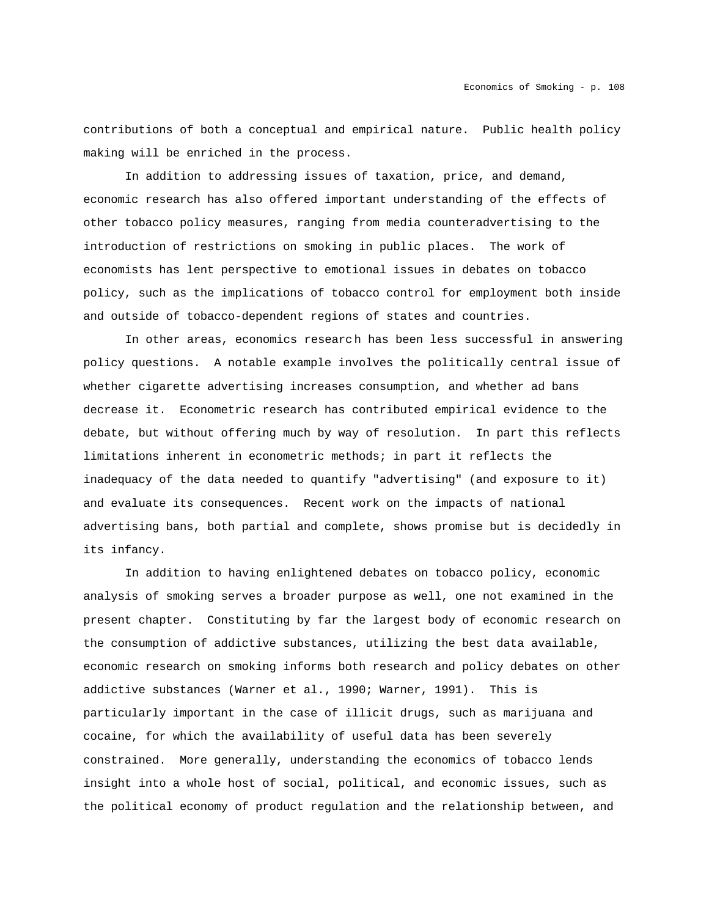contributions of both a conceptual and empirical nature. Public health policy making will be enriched in the process.

In addition to addressing issues of taxation, price, and demand, economic research has also offered important understanding of the effects of other tobacco policy measures, ranging from media counteradvertising to the introduction of restrictions on smoking in public places. The work of economists has lent perspective to emotional issues in debates on tobacco policy, such as the implications of tobacco control for employment both inside and outside of tobacco-dependent regions of states and countries.

In other areas, economics research has been less successful in answering policy questions. A notable example involves the politically central issue of whether cigarette advertising increases consumption, and whether ad bans decrease it. Econometric research has contributed empirical evidence to the debate, but without offering much by way of resolution. In part this reflects limitations inherent in econometric methods; in part it reflects the inadequacy of the data needed to quantify "advertising" (and exposure to it) and evaluate its consequences. Recent work on the impacts of national advertising bans, both partial and complete, shows promise but is decidedly in its infancy.

In addition to having enlightened debates on tobacco policy, economic analysis of smoking serves a broader purpose as well, one not examined in the present chapter. Constituting by far the largest body of economic research on the consumption of addictive substances, utilizing the best data available, economic research on smoking informs both research and policy debates on other addictive substances (Warner et al., 1990; Warner, 1991). This is particularly important in the case of illicit drugs, such as marijuana and cocaine, for which the availability of useful data has been severely constrained. More generally, understanding the economics of tobacco lends insight into a whole host of social, political, and economic issues, such as the political economy of product regulation and the relationship between, and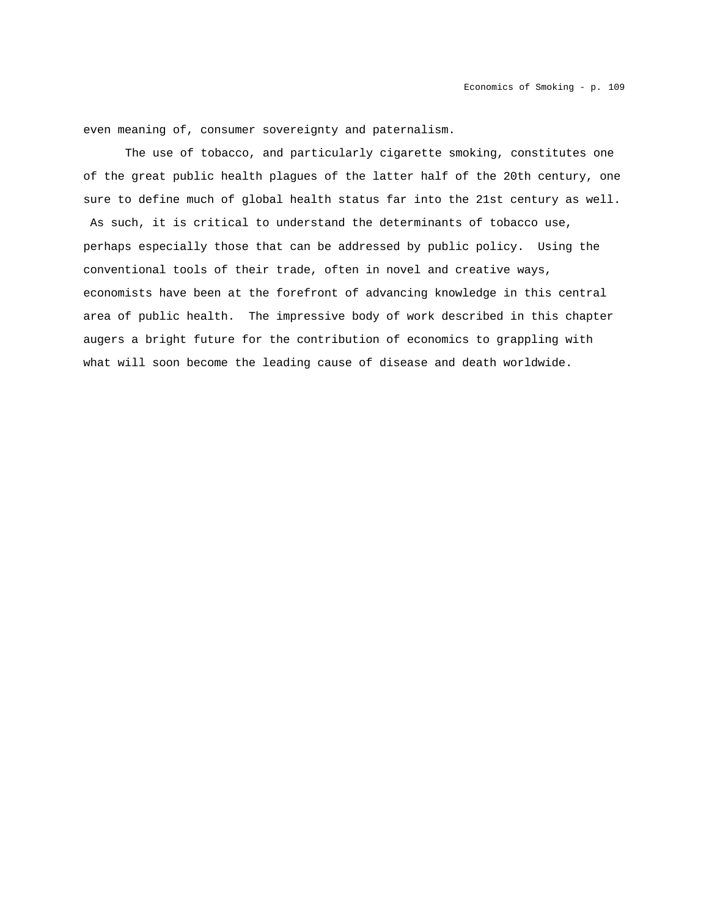even meaning of, consumer sovereignty and paternalism.

The use of tobacco, and particularly cigarette smoking, constitutes one of the great public health plagues of the latter half of the 20th century, one sure to define much of global health status far into the 21st century as well. As such, it is critical to understand the determinants of tobacco use, perhaps especially those that can be addressed by public policy. Using the conventional tools of their trade, often in novel and creative ways, economists have been at the forefront of advancing knowledge in this central area of public health. The impressive body of work described in this chapter augers a bright future for the contribution of economics to grappling with what will soon become the leading cause of disease and death worldwide.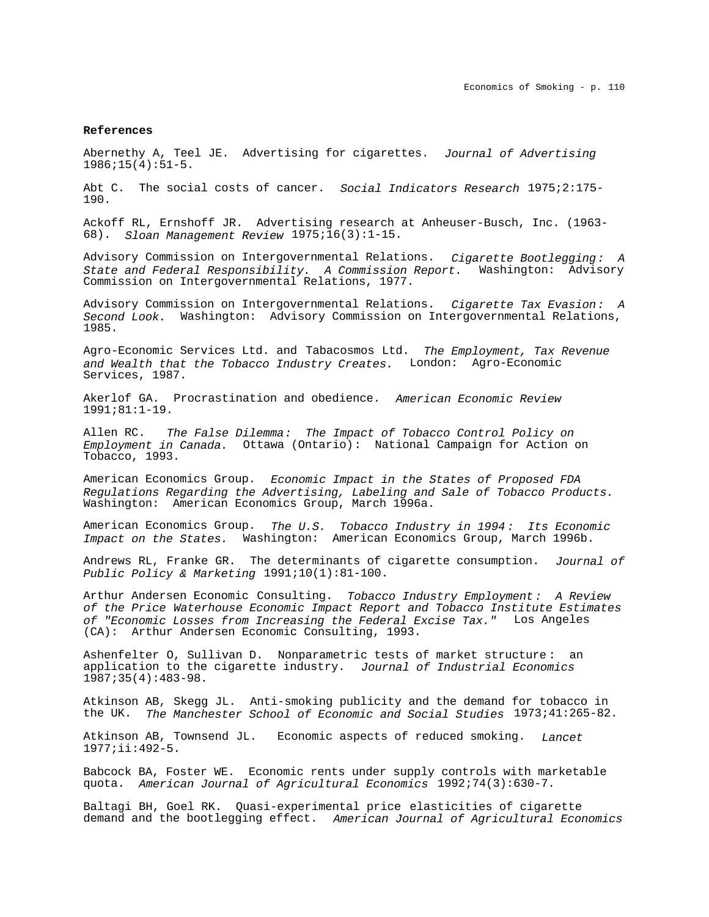## **References**

Abernethy A, Teel JE. Advertising for cigarettes. *Journal of Advertising*  $1986;15(4):51-5.$ 

Abt C. The social costs of cancer. *Social Indicators Research* 1975;2:175- 190.

Ackoff RL, Ernshoff JR. Advertising research at Anheuser-Busch, Inc. (1963- 68). *Sloan Management Review* 1975;16(3):1-15.

Advisory Commission on Intergovernmental Relations. *Cigarette Bootlegging: A State and Federal Responsibility. A Commission Report.* Washington: Advisory Commission on Intergovernmental Relations, 1977.

Advisory Commission on Intergovernmental Relations. *Cigarette Tax Evasion: A Second Look.* Washington: Advisory Commission on Intergovernmental Relations, 1985.

Agro-Economic Services Ltd. and Tabacosmos Ltd. *The Employment, Tax Revenue and Wealth that the Tobacco Industry Creates.* London: Agro-Economic Services, 1987.

Akerlof GA. Procrastination and obedience. *American Economic Review* 1991;81:1-19.

Allen RC. *The False Dilemma: The Impact of Tobacco Control Policy on Employment in Canada.* Ottawa (Ontario): National Campaign for Action on Tobacco, 1993.

American Economics Group. *Economic Impact in the States of Proposed FDA Regulations Regarding the Advertising, Labeling and Sale of Tobacco Products.* Washington: American Economics Group, March 1996a.

American Economics Group. *The U.S. Tobacco Industry in 1994 : Its Economic Impact on the States.* Washington: American Economics Group, March 1996b.

Andrews RL, Franke GR. The determinants of cigarette consumption. *Journal of Public Policy & Marketing* 1991;10(1):81-100.

Arthur Andersen Economic Consulting. *Tobacco Industry Employment: A Review of the Price Waterhouse Economic Impact Report and Tobacco Institute Estimates of "Economic Losses from Increasing the Federal Excise Tax."* Los Angeles (CA): Arthur Andersen Economic Consulting, 1993.

Ashenfelter O, Sullivan D. Nonparametric tests of market structure : an application to the cigarette industry. *Journal of Industrial Economics* 1987;35(4):483-98.

Atkinson AB, Skegg JL. Anti-smoking publicity and the demand for tobacco in the UK. *The Manchester School of Economic and Social Studies* 1973;41:265-82.

Atkinson AB, Townsend JL. Economic aspects of reduced smoking. *Lancet* 1977;ii:492-5.

Babcock BA, Foster WE. Economic rents under supply controls with marketable quota. *American Journal of Agricultural Economics* 1992;74(3):630-7.

Baltagi BH, Goel RK. Quasi-experimental price elasticities of cigarette demand and the bootlegging effect. *American Journal of Agricultural Economics*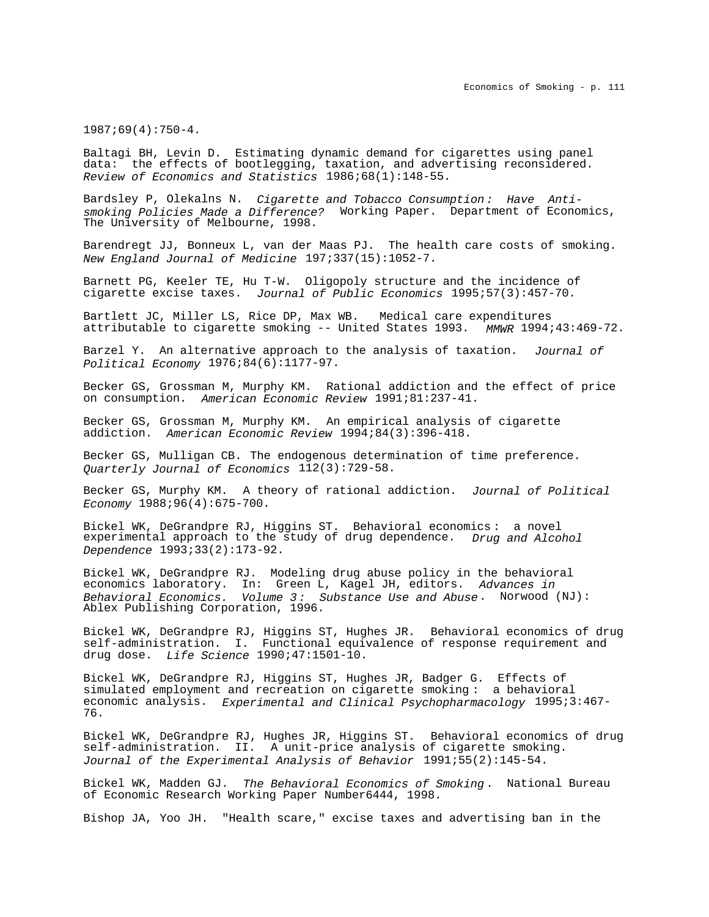$1987;69(4):750-4.$ 

Baltagi BH, Levin D. Estimating dynamic demand for cigarettes using panel data: the effects of bootlegging, taxation, and advertising reconsidered. *Review of Economics and Statistics* 1986;68(1):148-55.

Bardsley P, Olekalns N. *Cigarette and Tobacco Consumption : Have Antismoking Policies Made a Difference?* Working Paper. Department of Economics, The University of Melbourne, 1998.

Barendregt JJ, Bonneux L, van der Maas PJ. The health care costs of smoking. *New England Journal of Medicine* 197;337(15):1052-7.

Barnett PG, Keeler TE, Hu T-W. Oligopoly structure and the incidence of cigarette excise taxes. *Journal of Public Economics* 1995;57(3):457-70.

Bartlett JC, Miller LS, Rice DP, Max WB. Medical care expenditures attributable to cigarette smoking -- United States 1993. *MMWR* 1994;43:469-72.

Barzel Y. An alternative approach to the analysis of taxation. *Journal of Political Economy* 1976;84(6):1177-97.

Becker GS, Grossman M, Murphy KM. Rational addiction and the effect of price on consumption. *American Economic Review* 1991;81:237-41.

Becker GS, Grossman M, Murphy KM. An empirical analysis of cigarette addiction. *American Economic Review* 1994;84(3):396-418.

Becker GS, Mulligan CB. The endogenous determination of time preference. *Quarterly Journal of Economics* 112(3):729-58.

Becker GS, Murphy KM. A theory of rational addiction. *Journal of Political Economy* 1988;96(4):675-700.

Bickel WK, DeGrandpre RJ, Higgins ST. Behavioral economics : a novel experimental approach to the study of drug dependence. *Drug and Alcohol Dependence* 1993;33(2):173-92.

Bickel WK, DeGrandpre RJ. Modeling drug abuse policy in the behavioral economics laboratory. In: Green L, Kagel JH, editors. *Advances in Behavioral Economics. Volume 3 : Substance Use and Abuse*. Norwood (NJ): Ablex Publishing Corporation, 1996.

Bickel WK, DeGrandpre RJ, Higgins ST, Hughes JR. Behavioral economics of drug self-administration. I. Functional equivalence of response requirement and drug dose. *Life Science* 1990;47:1501-10.

Bickel WK, DeGrandpre RJ, Higgins ST, Hughes JR, Badger G. Effects of simulated employment and recreation on cigarette smoking : a behavioral economic analysis. *Experimental and Clinical Psychopharmacology* 1995;3:467- 76.

Bickel WK, DeGrandpre RJ, Hughes JR, Higgins ST. Behavioral economics of drug self-administration. II. A unit-price analysis of cigarette smoking. *Journal of the Experimental Analysis of Behavior* 1991;55(2):145-54.

Bickel WK, Madden GJ. *The Behavioral Economics of Smoking* . National Bureau of Economic Research Working Paper Number6444, 1998.

Bishop JA, Yoo JH. "Health scare," excise taxes and advertising ban in the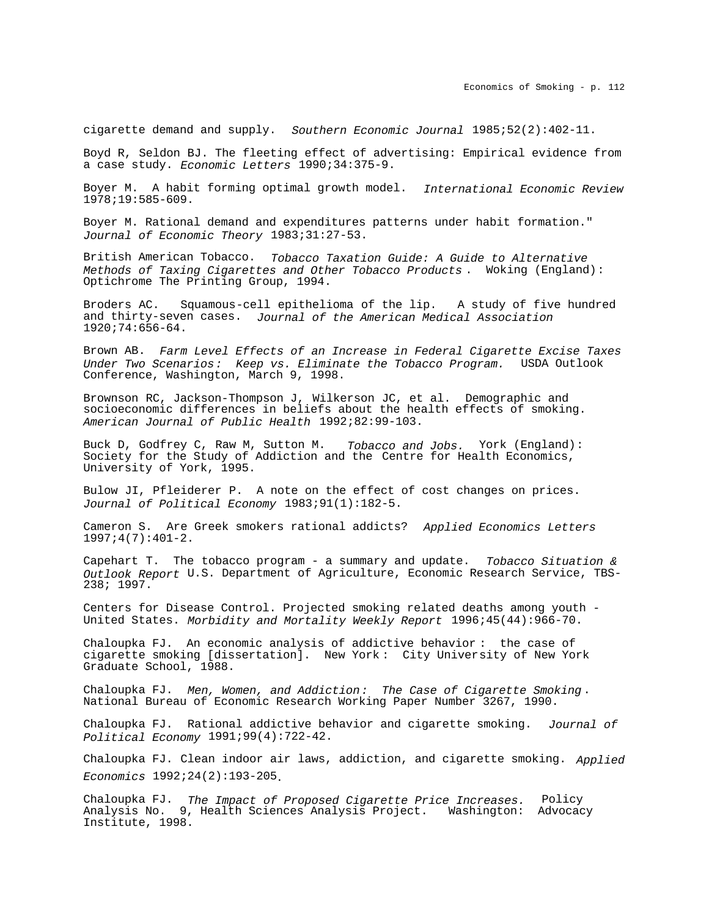cigarette demand and supply. *Southern Economic Journal* 1985;52(2):402-11.

Boyd R, Seldon BJ. The fleeting effect of advertising: Empirical evidence from a case study. *Economic Letters* 1990;34:375-9.

Boyer M. A habit forming optimal growth model. *International Economic Review* 1978;19:585-609.

Boyer M. Rational demand and expenditures patterns under habit formation." *Journal of Economic Theory* 1983;31:27-53.

British American Tobacco. *Tobacco Taxation Guide: A Guide to Alternative Methods of Taxing Cigarettes and Other Tobacco Products* . Woking (England): Optichrome The Printing Group, 1994.

Broders AC. Squamous-cell epithelioma of the lip. A study of five hundred and thirty-seven cases. *Journal of the American Medical Association* 1920;74:656-64.

Brown AB. *Farm Level Effects of an Increase in Federal Cigarette Excise Taxes Under Two Scenarios: Keep vs. Eliminate the Tobacco Program.* USDA Outlook Conference, Washington, March 9, 1998.

Brownson RC, Jackson-Thompson J, Wilkerson JC, et al. Demographic and socioeconomic differences in beliefs about the health effects of smoking. *American Journal of Public Health* 1992;82:99-103.

Buck D, Godfrey C, Raw M, Sutton M. *Tobacco and Jobs.* York (England): Society for the Study of Addiction and the Centre for Health Economics, University of York, 1995.

Bulow JI, Pfleiderer P. A note on the effect of cost changes on prices. *Journal of Political Economy* 1983;91(1):182-5.

Cameron S. Are Greek smokers rational addicts? *Applied Economics Letters*  $1997;4(7):401-2.$ 

Capehart T. The tobacco program - a summary and update. *Tobacco Situation & Outlook Report* U.S. Department of Agriculture, Economic Research Service, TBS-238; 1997.

Centers for Disease Control. Projected smoking related deaths among youth - United States. *Morbidity and Mortality Weekly Report* 1996;45(44):966-70.

Chaloupka FJ. An economic analysis of addictive behavior : the case of cigarette smoking [dissertation]. New York : City University of New York Graduate School, 1988.

Chaloupka FJ. *Men, Women, and Addiction: The Case of Cigarette Smoking* . National Bureau of Economic Research Working Paper Number 3267, 1990.

Chaloupka FJ. Rational addictive behavior and cigarette smoking. *Journal of Political Economy* 1991;99(4):722-42.

Chaloupka FJ. Clean indoor air laws, addiction, and cigarette smoking. *Applied Economics* 1992;24(2):193-205.

Chaloupka FJ. *The Impact of Proposed Cigarette Price Increases.* Policy Analysis No. 9, Health Sciences Analysis Project. Washington: Advocacy Institute, 1998.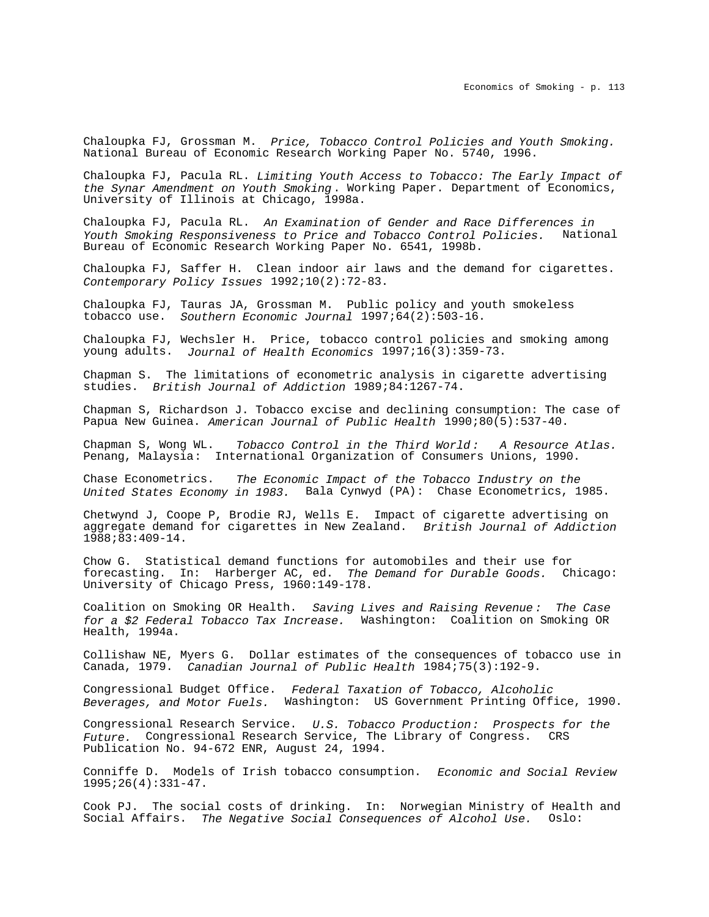Chaloupka FJ, Grossman M. *Price, Tobacco Control Policies and Youth Smoking.* National Bureau of Economic Research Working Paper No. 5740, 1996.

Chaloupka FJ, Pacula RL. *Limiting Youth Access to Tobacco: The Early Impact of the Synar Amendment on Youth Smoking* . Working Paper. Department of Economics, University of Illinois at Chicago, 1998a.

Chaloupka FJ, Pacula RL. *An Examination of Gender and Race Differences in Youth Smoking Responsiveness to Price and Tobacco Control Policies.* National Bureau of Economic Research Working Paper No. 6541, 1998b.

Chaloupka FJ, Saffer H. Clean indoor air laws and the demand for cigarettes. *Contemporary Policy Issues* 1992;10(2):72-83.

Chaloupka FJ, Tauras JA, Grossman M. Public policy and youth smokeless tobacco use. *Southern Economic Journal* 1997;64(2):503-16.

Chaloupka FJ, Wechsler H. Price, tobacco control policies and smoking among young adults. *Journal of Health Economics* 1997;16(3):359-73.

Chapman S. The limitations of econometric analysis in cigarette advertising studies. *British Journal of Addiction* 1989;84:1267-74.

Chapman S, Richardson J. Tobacco excise and declining consumption: The case of Papua New Guinea. *American Journal of Public Health* 1990;80(5):537-40.

Chapman S, Wong WL. *Tobacco Control in the Third World : A Resource Atlas.* Penang, Malaysia: International Organization of Consumers Unions, 1990.

Chase Econometrics. *The Economic Impact of the Tobacco Industry on the United States Economy in 1983.* Bala Cynwyd (PA): Chase Econometrics, 1985.

Chetwynd J, Coope P, Brodie RJ, Wells E. Impact of cigarette advertising on aggregate demand for cigarettes in New Zealand. *British Journal of Addiction* 1988;83:409-14.

Chow G. Statistical demand functions for automobiles and their use for forecasting. In: Harberger AC, ed. *The Demand for Durable Goods.* Chicago: University of Chicago Press, 1960:149-178.

Coalition on Smoking OR Health. *Saving Lives and Raising Revenue : The Case for a \$2 Federal Tobacco Tax Increase.* Washington: Coalition on Smoking OR Health, 1994a.

Collishaw NE, Myers G. Dollar estimates of the consequences of tobacco use in Canada, 1979. *Canadian Journal of Public Health* 1984;75(3):192-9.

Congressional Budget Office. *Federal Taxation of Tobacco, Alcoholic Beverages, and Motor Fuels.* Washington: US Government Printing Office, 1990.

Congressional Research Service. *U.S. Tobacco Production: Prospects for the Future.* Congressional Research Service, The Library of Congress. CRS Publication No. 94-672 ENR, August 24, 1994.

Conniffe D. Models of Irish tobacco consumption. *Economic and Social Review* 1995;26(4):331-47.

Cook PJ. The social costs of drinking. In: Norwegian Ministry of Health and Social Affairs. *The Negative Social Consequences of Alcohol Use.* Oslo: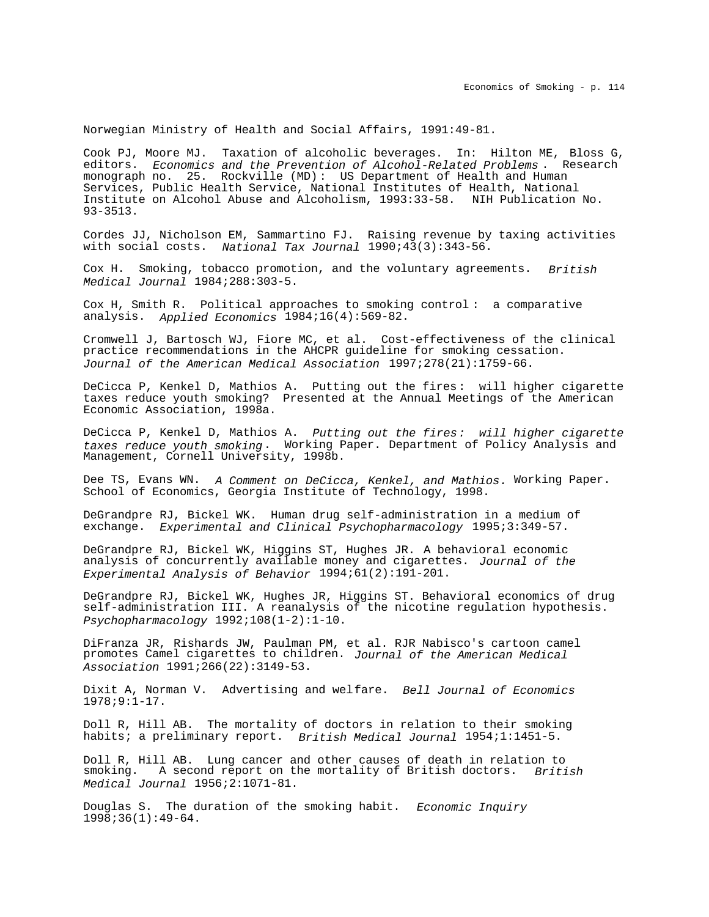Norwegian Ministry of Health and Social Affairs, 1991:49-81.

Cook PJ, Moore MJ. Taxation of alcoholic beverages. In: Hilton ME, Bloss G, editors. *Economics and the Prevention of Alcohol-Related Problems* . Research monograph no. 25. Rockville (MD) : US Department of Health and Human Services, Public Health Service, National Institutes of Health, National Institute on Alcohol Abuse and Alcoholism, 1993:33-58. NIH Publication No. 93-3513.

Cordes JJ, Nicholson EM, Sammartino FJ. Raising revenue by taxing activities with social costs. *National Tax Journal* 1990;43(3):343-56.

Cox H. Smoking, tobacco promotion, and the voluntary agreements. *British Medical Journal* 1984;288:303-5.

Cox H, Smith R. Political approaches to smoking control : a comparative analysis. *Applied Economics* 1984;16(4):569-82.

Cromwell J, Bartosch WJ, Fiore MC, et al. Cost-effectiveness of the clinical practice recommendations in the AHCPR guideline for smoking cessation. *Journal of the American Medical Association* 1997;278(21):1759-66.

DeCicca P, Kenkel D, Mathios A. Putting out the fires: will higher cigarette taxes reduce youth smoking? Presented at the Annual Meetings of the American Economic Association, 1998a.

DeCicca P, Kenkel D, Mathios A. *Putting out the fires: will higher cigarette taxes reduce youth smoking*. Working Paper. Department of Policy Analysis and Management, Cornell University, 1998b.

Dee TS, Evans WN. *A Comment on DeCicca, Kenkel, and Mathios.* Working Paper. School of Economics, Georgia Institute of Technology, 1998.

DeGrandpre RJ, Bickel WK. Human drug self-administration in a medium of exchange. *Experimental and Clinical Psychopharmacology* 1995;3:349-57.

DeGrandpre RJ, Bickel WK, Higgins ST, Hughes JR. A behavioral economic analysis of concurrently available money and cigarettes. *Journal of the Experimental Analysis of Behavior* 1994;61(2):191-201.

DeGrandpre RJ, Bickel WK, Hughes JR, Higgins ST. Behavioral economics of drug self-administration III. A reanalysis of the nicotine regulation hypothesis. *Psychopharmacology* 1992;108(1-2):1-10.

DiFranza JR, Rishards JW, Paulman PM, et al. RJR Nabisco's cartoon camel promotes Camel cigarettes to children. *Journal of the American Medical Association* 1991;266(22):3149-53.

Dixit A, Norman V. Advertising and welfare. *Bell Journal of Economics* 1978;9:1-17.

Doll R, Hill AB. The mortality of doctors in relation to their smoking habits; a preliminary report. *British Medical Journal* 1954;1:1451-5.

Doll R, Hill AB. Lung cancer and other causes of death in relation to smoking. A second report on the mortality of British doctors. *British Medical Journal* 1956;2:1071-81.

Douglas S. The duration of the smoking habit. *Economic Inquiry*  $1998:36(1):49-64.$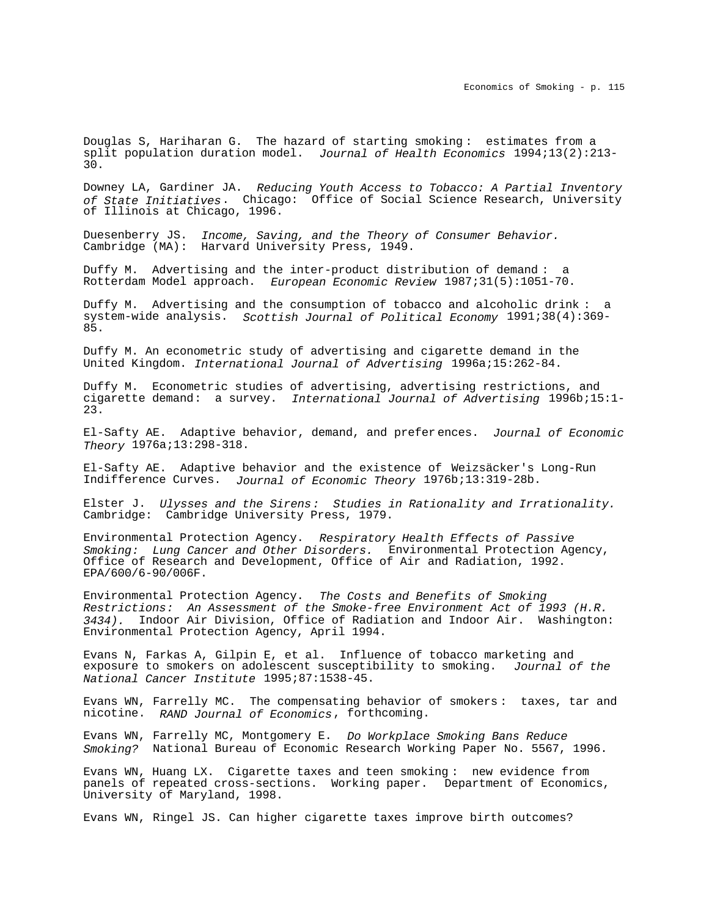Douglas S, Hariharan G. The hazard of starting smoking : estimates from a split population duration model. *Journal of Health Economics* 1994;13(2):213- 30.

Downey LA, Gardiner JA. *Reducing Youth Access to Tobacco: A Partial Inventory of State Initiatives*. Chicago: Office of Social Science Research, University of Illinois at Chicago, 1996.

Duesenberry JS. *Income, Saving, and the Theory of Consumer Behavior.* Cambridge (MA): Harvard University Press, 1949.

Duffy M. Advertising and the inter-product distribution of demand : a Rotterdam Model approach. *European Economic Review* 1987;31(5):1051-70.

Duffy M. Advertising and the consumption of tobacco and alcoholic drink: system-wide analysis. *Scottish Journal of Political Economy* 1991;38(4):369- 85.

Duffy M. An econometric study of advertising and cigarette demand in the United Kingdom. *International Journal of Advertising* 1996a;15:262-84.

Duffy M. Econometric studies of advertising, advertising restrictions, and cigarette demand: a survey. *International Journal of Advertising* 1996b;15:1- 23.

El-Safty AE. Adaptive behavior, demand, and prefer ences. *Journal of Economic Theory* 1976a;13:298-318.

El-Safty AE. Adaptive behavior and the existence of Weizsäcker's Long-Run Indifference Curves. *Journal of Economic Theory* 1976b;13:319-28b.

Elster J. *Ulysses and the Sirens: Studies in Rationality and Irrationality.* Cambridge: Cambridge University Press, 1979.

Environmental Protection Agency. *Respiratory Health Effects of Passive Smoking: Lung Cancer and Other Disorders.* Environmental Protection Agency, Office of Research and Development, Office of Air and Radiation, 1992. EPA/600/6-90/006F.

Environmental Protection Agency. *The Costs and Benefits of Smoking Restrictions: An Assessment of the Smoke-free Environment Act of 1993 (H.R. 3434).* Indoor Air Division, Office of Radiation and Indoor Air. Washington: Environmental Protection Agency, April 1994.

Evans N, Farkas A, Gilpin E, et al. Influence of tobacco marketing and exposure to smokers on adolescent susceptibility to smoking. *Journal of the National Cancer Institute* 1995;87:1538-45.

Evans WN, Farrelly MC. The compensating behavior of smokers : taxes, tar and nicotine. *RAND Journal of Economics*, forthcoming.

Evans WN, Farrelly MC, Montgomery E. *Do Workplace Smoking Bans Reduce Smoking?* National Bureau of Economic Research Working Paper No. 5567, 1996.

Evans WN, Huang LX. Cigarette taxes and teen smoking : new evidence from panels of repeated cross-sections. Working paper. Department of Economics, University of Maryland, 1998.

Evans WN, Ringel JS. Can higher cigarette taxes improve birth outcomes?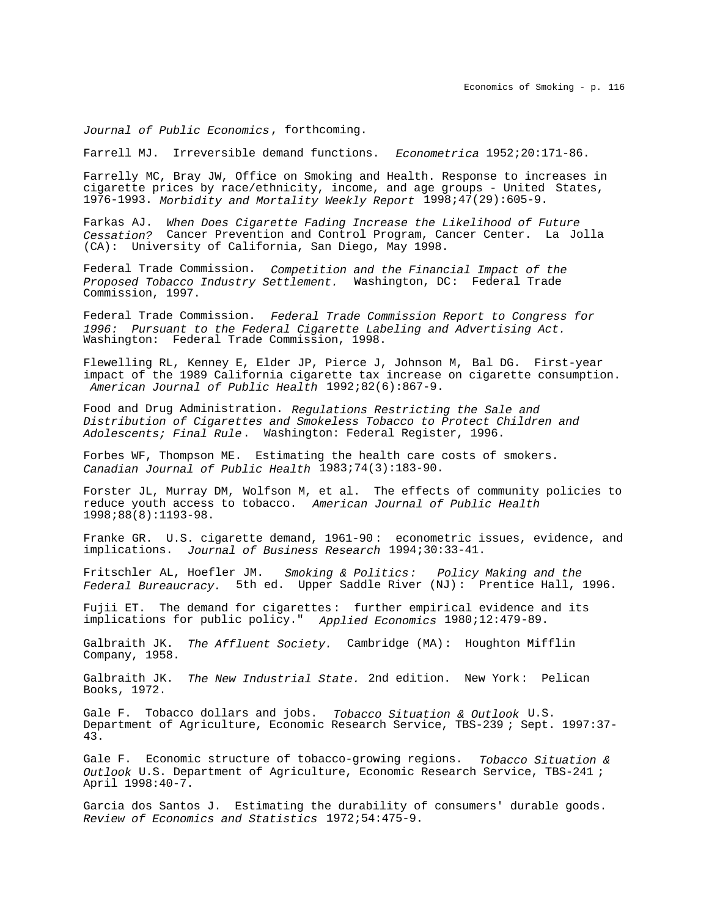Economics of Smoking - p. 116

*Journal of Public Economics*, forthcoming.

Farrell MJ. Irreversible demand functions. *Econometrica* 1952;20:171-86.

Farrelly MC, Bray JW, Office on Smoking and Health. Response to increases in cigarette prices by race/ethnicity, income, and age groups - United States, 1976-1993. *Morbidity and Mortality Weekly Report* 1998;47(29):605-9.

Farkas AJ. *When Does Cigarette Fading Increase the Likelihood of Future Cessation?* Cancer Prevention and Control Program, Cancer Center. La Jolla (CA): University of California, San Diego, May 1998.

Federal Trade Commission. *Competition and the Financial Impact of the Proposed Tobacco Industry Settlement.* Washington, DC: Federal Trade Commission, 1997.

Federal Trade Commission. *Federal Trade Commission Report to Congress for 1996: Pursuant to the Federal Cigarette Labeling and Advertising Act.*  Washington: Federal Trade Commission, 1998.

Flewelling RL, Kenney E, Elder JP, Pierce J, Johnson M, Bal DG. First-year impact of the 1989 California cigarette tax increase on cigarette consumption. *American Journal of Public Health* 1992;82(6):867-9.

Food and Drug Administration. *Regulations Restricting the Sale and Distribution of Cigarettes and Smokeless Tobacco to Protect Children and Adolescents; Final Rule*. Washington: Federal Register, 1996.

Forbes WF, Thompson ME. Estimating the health care costs of smokers. *Canadian Journal of Public Health* 1983;74(3):183-90.

Forster JL, Murray DM, Wolfson M, et al. The effects of community policies to reduce youth access to tobacco. *American Journal of Public Health* 1998;88(8):1193-98.

Franke GR. U.S. cigarette demand, 1961-90 : econometric issues, evidence, and implications. *Journal of Business Research* 1994;30:33-41.

Fritschler AL, Hoefler JM. *Smoking & Politics: Policy Making and the Federal Bureaucracy.* 5th ed. Upper Saddle River (NJ): Prentice Hall, 1996.

Fujii ET. The demand for cigarettes : further empirical evidence and its implications for public policy." *Applied Economics* 1980;12:479-89.

Galbraith JK. *The Affluent Society.* Cambridge (MA): Houghton Mifflin Company, 1958.

Galbraith JK. *The New Industrial State.* 2nd edition. New York: Pelican Books, 1972.

Gale F. Tobacco dollars and jobs. *Tobacco Situation & Outlook* U.S. Department of Agriculture, Economic Research Service, TBS-239 ; Sept. 1997:37- 43.

Gale F. Economic structure of tobacco-growing regions. *Tobacco Situation & Outlook* U.S. Department of Agriculture, Economic Research Service, TBS-241 ; April 1998:40-7.

Garcia dos Santos J. Estimating the durability of consumers' durable goods. *Review of Economics and Statistics* 1972;54:475-9.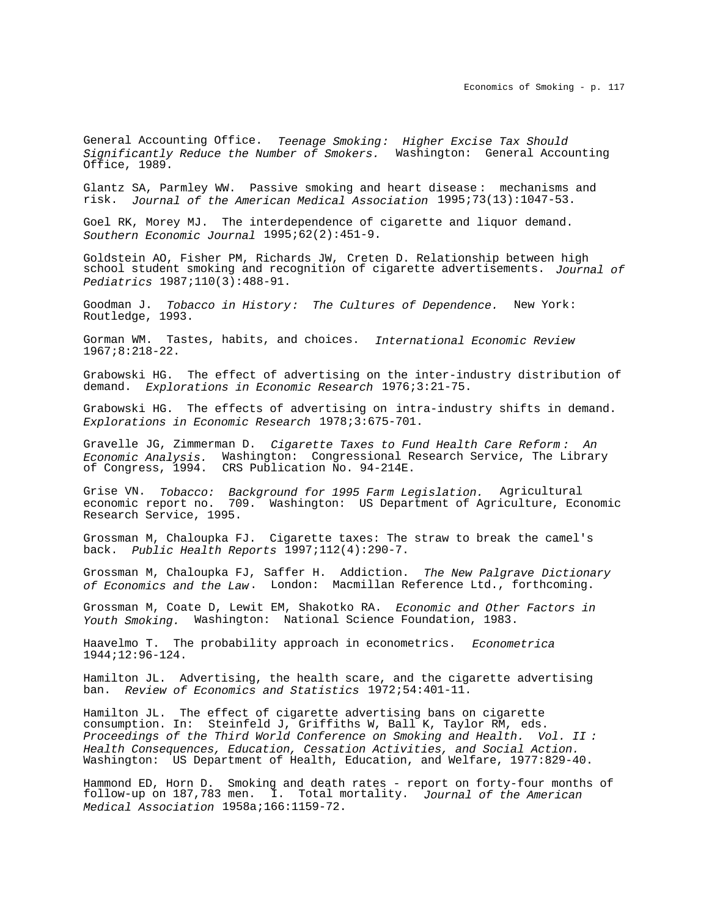General Accounting Office. *Teenage Smoking: Higher Excise Tax Should Significantly Reduce the Number of Smokers.* Washington: General Accounting Office, 1989.

Glantz SA, Parmley WW. Passive smoking and heart disease : mechanisms and risk. *Journal of the American Medical Association* 1995;73(13):1047-53.

Goel RK, Morey MJ. The interdependence of cigarette and liquor demand. *Southern Economic Journal* 1995;62(2):451-9.

Goldstein AO, Fisher PM, Richards JW, Creten D. Relationship between high school student smoking and recognition of cigarette advertisements. *Journal of Pediatrics* 1987;110(3):488-91.

Goodman J. *Tobacco in History: The Cultures of Dependence.* New York: Routledge, 1993.

Gorman WM. Tastes, habits, and choices. *International Economic Review* 1967;8:218-22.

Grabowski HG. The effect of advertising on the inter-industry distribution of demand. *Explorations in Economic Research* 1976;3:21-75.

Grabowski HG. The effects of advertising on intra-industry shifts in demand. *Explorations in Economic Research* 1978;3:675-701.

Gravelle JG, Zimmerman D. *Cigarette Taxes to Fund Health Care Reform : An Economic Analysis.* Washington: Congressional Research Service, The Library of Congress, 1994. CRS Publication No. 94-214E.

Grise VN. *Tobacco: Background for 1995 Farm Legislation.* Agricultural economic report no. 709. Washington: US Department of Agriculture, Economic Research Service, 1995.

Grossman M, Chaloupka FJ. Cigarette taxes: The straw to break the camel's back. *Public Health Reports* 1997;112(4):290-7.

Grossman M, Chaloupka FJ, Saffer H. Addiction. *The New Palgrave Dictionary of Economics and the Law*. London: Macmillan Reference Ltd., forthcoming.

Grossman M, Coate D, Lewit EM, Shakotko RA. *Economic and Other Factors in Youth Smoking.* Washington: National Science Foundation, 1983.

Haavelmo T. The probability approach in econometrics. *Econometrica* 1944;12:96-124.

Hamilton JL. Advertising, the health scare, and the cigarette advertising ban. *Review of Economics and Statistics* 1972;54:401-11.

Hamilton JL. The effect of cigarette advertising bans on cigarette consumption. In: Steinfeld J, Griffiths W, Ball K, Taylor RM, eds. *Proceedings of the Third World Conference on Smoking and Health. Vol. II : Health Consequences, Education, Cessation Activities, and Social Action.* Washington: US Department of Health, Education, and Welfare, 1977:829-40.

Hammond ED, Horn D. Smoking and death rates - report on forty-four months of follow-up on 187,783 men. I. Total mortality. *Journal of the American Medical Association* 1958a;166:1159-72.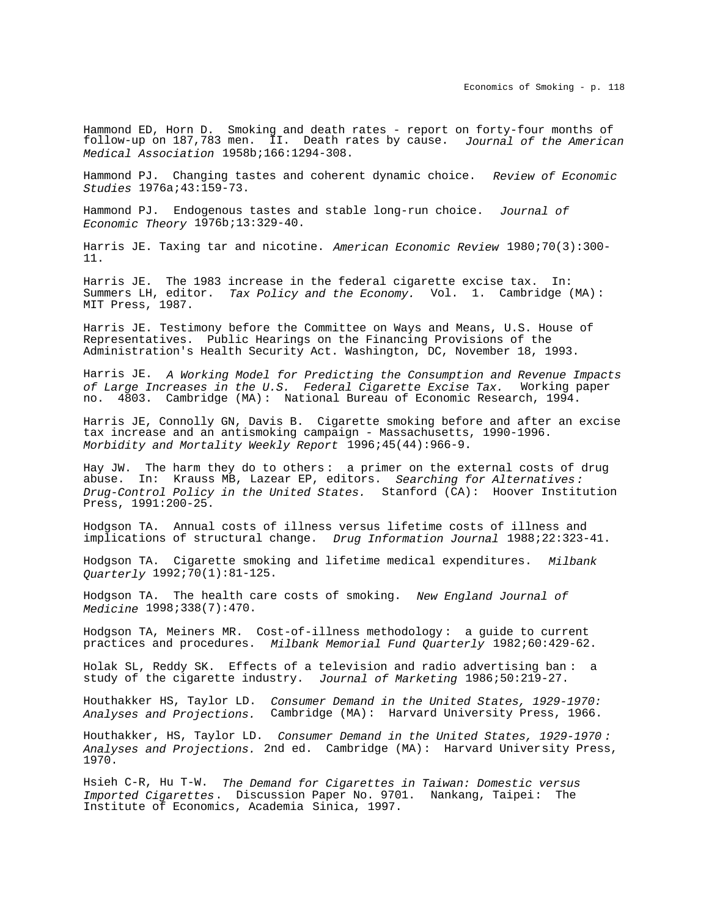Hammond ED, Horn D. Smoking and death rates - report on forty-four months of follow-up on 187,783 men. II. Death rates by cause. *Journal of the American Medical Association* 1958b;166:1294-308.

Hammond PJ. Changing tastes and coherent dynamic choice. *Review of Economic Studies* 1976a;43:159-73.

Hammond PJ. Endogenous tastes and stable long-run choice. *Journal of Economic Theory* 1976b;13:329-40.

Harris JE. Taxing tar and nicotine. *American Economic Review* 1980;70(3):300- 11.

Harris JE. The 1983 increase in the federal cigarette excise tax. In: Summers LH, editor. *Tax Policy and the Economy.* Vol. 1. Cambridge (MA): MIT Press, 1987.

Harris JE. Testimony before the Committee on Ways and Means, U.S. House of Representatives. Public Hearings on the Financing Provisions of the Administration's Health Security Act. Washington, DC, November 18, 1993.

Harris JE. *A Working Model for Predicting the Consumption and Revenue Impacts of Large Increases in the U.S. Federal Cigarette Excise Tax.* Working paper no. 4803. Cambridge (MA): National Bureau of Economic Research, 1994.

Harris JE, Connolly GN, Davis B. Cigarette smoking before and after an excise tax increase and an antismoking campaign - Massachusetts, 1990-1996. *Morbidity and Mortality Weekly Report* 1996;45(44):966-9.

Hay JW. The harm they do to others : a primer on the external costs of drug abuse. In: Krauss MB, Lazear EP, editors. *Searching for Alternatives: Drug-Control Policy in the United States.* Stanford (CA): Hoover Institution Press, 1991:200-25.

Hodgson TA. Annual costs of illness versus lifetime costs of illness and implications of structural change. *Drug Information Journal* 1988;22:323-41.

Hodgson TA. Cigarette smoking and lifetime medical expenditures. *Milbank Quarterly* 1992;70(1):81-125.

Hodgson TA. The health care costs of smoking. *New England Journal of Medicine* 1998;338(7):470.

Hodgson TA, Meiners MR. Cost-of-illness methodology : a guide to current practices and procedures. *Milbank Memorial Fund Quarterly* 1982;60:429-62.

Holak SL, Reddy SK. Effects of a television and radio advertising ban : a study of the cigarette industry. *Journal of Marketing* 1986;50:219-27.

Houthakker HS, Taylor LD. *Consumer Demand in the United States, 1929-1970: Analyses and Projections.* Cambridge (MA): Harvard University Press, 1966.

Houthakker, HS, Taylor LD. *Consumer Demand in the United States, 1929-1970 : Analyses and Projections.* 2nd ed. Cambridge (MA): Harvard University Press, 1970.

Hsieh C-R, Hu T-W. *The Demand for Cigarettes in Taiwan: Domestic versus Imported Cigarettes*. Discussion Paper No. 9701. Nankang, Taipei: The Institute of Economics, Academia Sinica, 1997.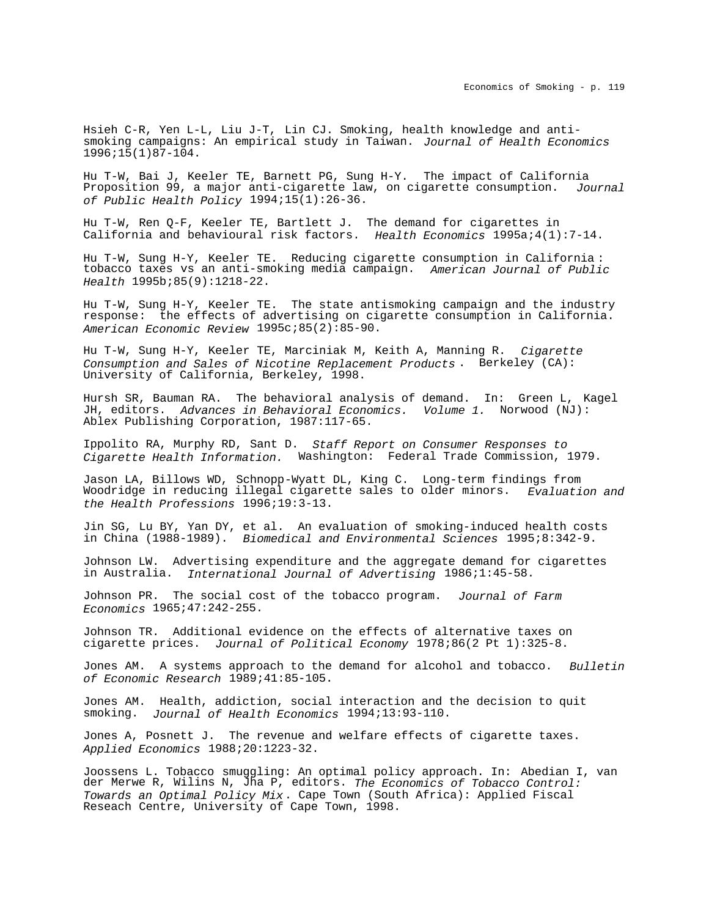Hsieh C-R, Yen L-L, Liu J-T, Lin CJ. Smoking, health knowledge and antismoking campaigns: An empirical study in Taiwan. *Journal of Health Economics* 1996;15(1)87-104.

Hu T-W, Bai J, Keeler TE, Barnett PG, Sung H-Y. The impact of California Proposition 99, a major anti-cigarette law, on cigarette consumption. *Journal of Public Health Policy* 1994;15(1):26-36.

Hu T-W, Ren Q-F, Keeler TE, Bartlett J. The demand for cigarettes in California and behavioural risk factors. *Health Economics* 1995a;4(1):7-14.

Hu T-W, Sung H-Y, Keeler TE. Reducing cigarette consumption in California : tobacco taxes vs an anti-smoking media campaign. *American Journal of Public Health* 1995b;85(9):1218-22.

Hu T-W, Sung H-Y, Keeler TE. The state antismoking campaign and the industry response: the effects of advertising on cigarette consumption in California. *American Economic Review* 1995c;85(2):85-90.

Hu T-W, Sung H-Y, Keeler TE, Marciniak M, Keith A, Manning R. *Cigarette Consumption and Sales of Nicotine Replacement Products* . Berkeley (CA): University of California, Berkeley, 1998.

Hursh SR, Bauman RA. The behavioral analysis of demand. In: Green L, Kagel JH, editors. *Advances in Behavioral Economics. Volume 1.* Norwood (NJ): Ablex Publishing Corporation, 1987:117-65.

Ippolito RA, Murphy RD, Sant D. *Staff Report on Consumer Responses to Cigarette Health Information.* Washington: Federal Trade Commission, 1979.

Jason LA, Billows WD, Schnopp-Wyatt DL, King C. Long-term findings from Woodridge in reducing illegal cigarette sales to older minors. *Evaluation and the Health Professions* 1996;19:3-13.

Jin SG, Lu BY, Yan DY, et al. An evaluation of smoking-induced health costs in China (1988-1989). *Biomedical and Environmental Sciences* 1995;8:342-9.

Johnson LW. Advertising expenditure and the aggregate demand for cigarettes in Australia. *International Journal of Advertising* 1986;1:45-58.

Johnson PR. The social cost of the tobacco program. *Journal of Farm Economics* 1965;47:242-255.

Johnson TR. Additional evidence on the effects of alternative taxes on cigarette prices. *Journal of Political Economy* 1978;86(2 Pt 1):325-8.

Jones AM. A systems approach to the demand for alcohol and tobacco. *Bulletin of Economic Research* 1989;41:85-105.

Jones AM. Health, addiction, social interaction and the decision to quit smoking. *Journal of Health Economics* 1994;13:93-110.

Jones A, Posnett J. The revenue and welfare effects of cigarette taxes. *Applied Economics* 1988;20:1223-32.

Joossens L. Tobacco smuggling: An optimal policy approach. In: Abedian I, van der Merwe R, Wilins N, Jha P, editors. *The Economics of Tobacco Control: Towards an Optimal Policy Mix*. Cape Town (South Africa): Applied Fiscal Reseach Centre, University of Cape Town, 1998.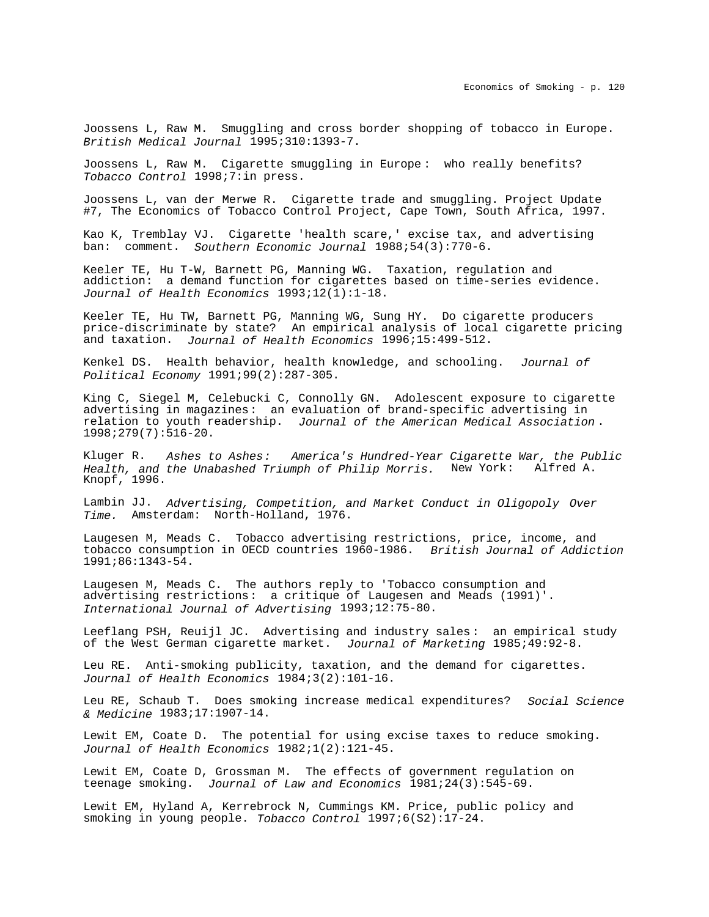Joossens L, Raw M. Smuggling and cross border shopping of tobacco in Europe. *British Medical Journal* 1995;310:1393-7.

Joossens L, Raw M. Cigarette smuggling in Europe : who really benefits? *Tobacco Control* 1998;7:in press.

Joossens L, van der Merwe R. Cigarette trade and smuggling. Project Update #7, The Economics of Tobacco Control Project, Cape Town, South Africa, 1997.

Kao K, Tremblay VJ. Cigarette 'health scare,' excise tax, and advertising ban: comment. *Southern Economic Journal* 1988;54(3):770-6.

Keeler TE, Hu T-W, Barnett PG, Manning WG. Taxation, regulation and addiction: a demand function for cigarettes based on time-series evidence. *Journal of Health Economics* 1993;12(1):1-18.

Keeler TE, Hu TW, Barnett PG, Manning WG, Sung HY. Do cigarette producers price-discriminate by state? An empirical analysis of local cigarette pricing and taxation. *Journal of Health Economics* 1996;15:499-512.

Kenkel DS. Health behavior, health knowledge, and schooling. *Journal of Political Economy* 1991;99(2):287-305.

King C, Siegel M, Celebucki C, Connolly GN. Adolescent exposure to cigarette advertising in magazines: an evaluation of brand-specific advertising in relation to youth readership. *Journal of the American Medical Association* . 1998;279(7):516-20.

Kluger R. *Ashes to Ashes: America's Hundred-Year Cigarette War, the Public Health, and the Unabashed Triumph of Philip Morris.* New York: Alfred A. Knopf, 1996.

Lambin JJ. *Advertising, Competition, and Market Conduct in Oligopoly Over Time.* Amsterdam: North-Holland, 1976.

Laugesen M, Meads C. Tobacco advertising restrictions, price, income, and tobacco consumption in OECD countries 1960-1986. *British Journal of Addiction* 1991;86:1343-54.

Laugesen M, Meads C. The authors reply to 'Tobacco consumption and advertising restrictions: a critique of Laugesen and Meads (1991)'. *International Journal of Advertising* 1993;12:75-80.

Leeflang PSH, Reuijl JC. Advertising and industry sales : an empirical study of the West German cigarette market. *Journal of Marketing* 1985;49:92-8.

Leu RE. Anti-smoking publicity, taxation, and the demand for cigarettes. *Journal of Health Economics* 1984;3(2):101-16.

Leu RE, Schaub T. Does smoking increase medical expenditures? *Social Science & Medicine* 1983;17:1907-14.

Lewit EM, Coate D. The potential for using excise taxes to reduce smoking. *Journal of Health Economics* 1982;1(2):121-45.

Lewit EM, Coate D, Grossman M. The effects of government regulation on teenage smoking. *Journal of Law and Economics* 1981;24(3):545-69.

Lewit EM, Hyland A, Kerrebrock N, Cummings KM. Price, public policy and smoking in young people. *Tobacco Control* 1997;6(S2):17-24.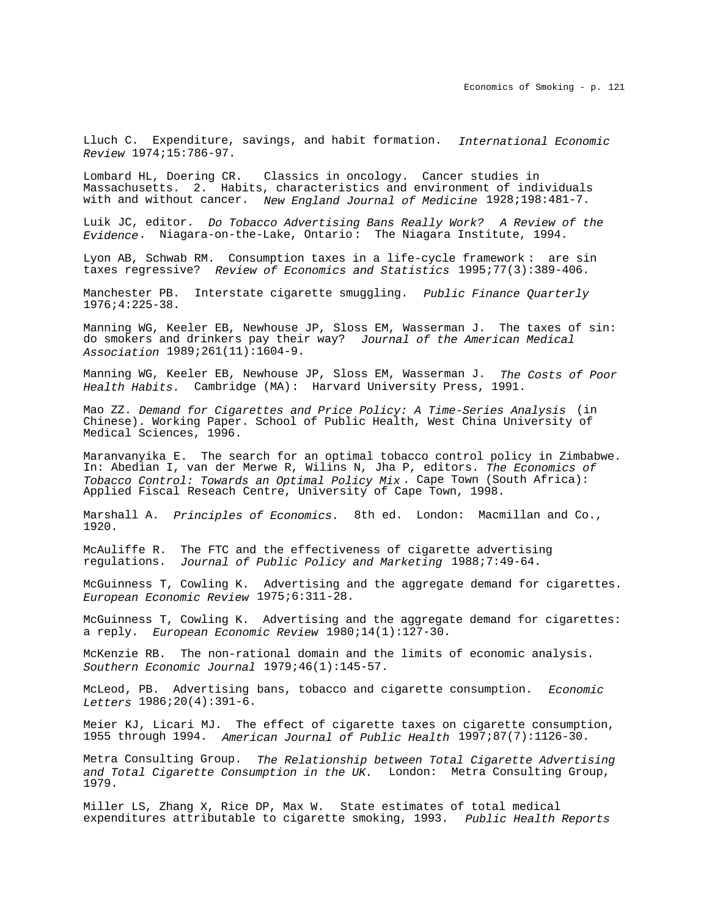Lluch C. Expenditure, savings, and habit formation. *International Economic Review* 1974;15:786-97.

Lombard HL, Doering CR. Classics in oncology. Cancer studies in Massachusetts. 2. Habits, characteristics and environment of individuals with and without cancer. *New England Journal of Medicine* 1928;198:481-7.

Luik JC, editor. *Do Tobacco Advertising Bans Really Work? A Review of the Evidence*. Niagara-on-the-Lake, Ontario : The Niagara Institute, 1994.

Lyon AB, Schwab RM. Consumption taxes in a life-cycle framework : are sin taxes regressive? *Review of Economics and Statistics* 1995;77(3):389-406.

Manchester PB. Interstate cigarette smuggling. *Public Finance Quarterly* 1976;4:225-38.

Manning WG, Keeler EB, Newhouse JP, Sloss EM, Wasserman J. The taxes of sin: do smokers and drinkers pay their way? *Journal of the American Medical Association* 1989;261(11):1604-9.

Manning WG, Keeler EB, Newhouse JP, Sloss EM, Wasserman J. *The Costs of Poor Health Habits.* Cambridge (MA): Harvard University Press, 1991.

Mao ZZ. *Demand for Cigarettes and Price Policy: A Time-Series Analysis* (in Chinese). Working Paper. School of Public Health, West China University of Medical Sciences, 1996.

Maranvanyika E. The search for an optimal tobacco control policy in Zimbabwe. In: Abedian I, van der Merwe R, Wilins N, Jha P, editors. *The Economics of Tobacco Control: Towards an Optimal Policy Mix* . Cape Town (South Africa): Applied Fiscal Reseach Centre, University of Cape Town, 1998.

Marshall A. *Principles of Economics.* 8th ed. London: Macmillan and Co., 1920.

McAuliffe R. The FTC and the effectiveness of cigarette advertising regulations. *Journal of Public Policy and Marketing* 1988;7:49-64.

McGuinness T, Cowling K. Advertising and the aggregate demand for cigarettes. *European Economic Review* 1975;6:311-28.

McGuinness T, Cowling K. Advertising and the aggregate demand for cigarettes: a reply. *European Economic Review* 1980;14(1):127-30.

McKenzie RB. The non-rational domain and the limits of economic analysis. *Southern Economic Journal* 1979;46(1):145-57.

McLeod, PB. Advertising bans, tobacco and cigarette consumption. *Economic Letters* 1986;20(4):391-6.

Meier KJ, Licari MJ. The effect of cigarette taxes on cigarette consumption, 1955 through 1994. *American Journal of Public Health* 1997;87(7):1126-30.

Metra Consulting Group. *The Relationship between Total Cigarette Advertising and Total Cigarette Consumption in the UK.* London: Metra Consulting Group, 1979.

Miller LS, Zhang X, Rice DP, Max W. State estimates of total medical expenditures attributable to cigarette smoking, 1993. *Public Health Reports*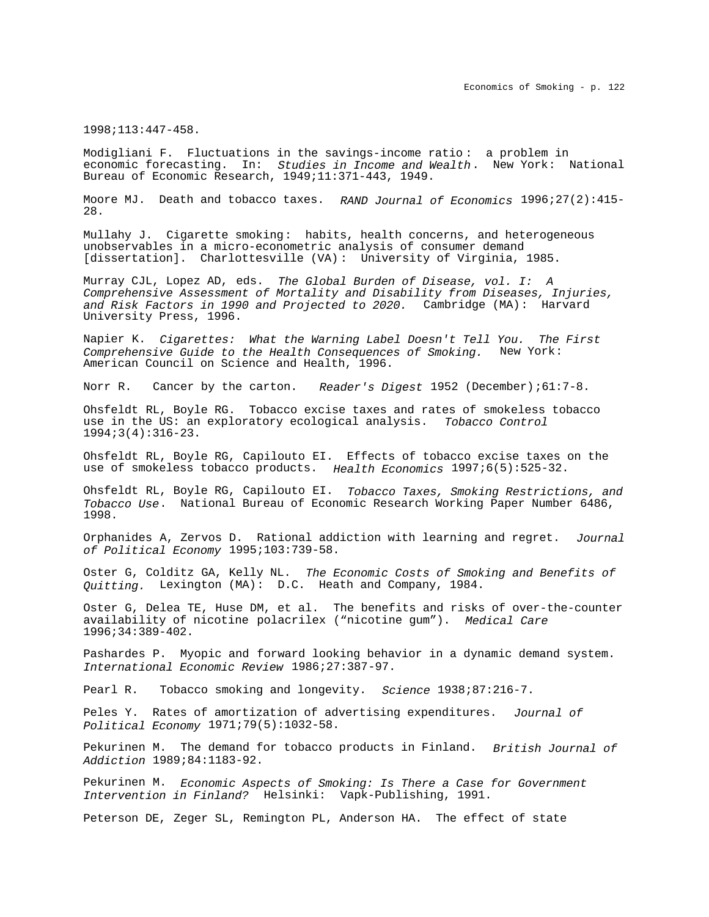1998;113:447-458.

Modigliani F. Fluctuations in the savings-income ratio : a problem in economic forecasting. In: *Studies in Income and Wealth*. New York: National Bureau of Economic Research, 1949;11:371-443, 1949.

Moore MJ. Death and tobacco taxes. *RAND Journal of Economics* 1996;27(2):415- 28.

Mullahy J. Cigarette smoking: habits, health concerns, and heterogeneous unobservables in a micro-econometric analysis of consumer demand [dissertation]. Charlottesville (VA) : University of Virginia, 1985.

Murray CJL, Lopez AD, eds. *The Global Burden of Disease, vol. I: A Comprehensive Assessment of Mortality and Disability from Diseases, Injuries, and Risk Factors in 1990 and Projected to 2020.* Cambridge (MA): Harvard University Press, 1996.

Napier K. *Cigarettes: What the Warning Label Doesn't Tell You. The First Comprehensive Guide to the Health Consequences of Smoking.* New York: American Council on Science and Health, 1996.

Norr R. Cancer by the carton. *Reader's Digest* 1952 (December);61:7-8.

Ohsfeldt RL, Boyle RG. Tobacco excise taxes and rates of smokeless tobacco use in the US: an exploratory ecological analysis. *Tobacco Control* 1994;3(4):316-23.

Ohsfeldt RL, Boyle RG, Capilouto EI. Effects of tobacco excise taxes on the use of smokeless tobacco products. *Health Economics* 1997;6(5):525-32.

Ohsfeldt RL, Boyle RG, Capilouto EI. *Tobacco Taxes, Smoking Restrictions, and Tobacco Use*. National Bureau of Economic Research Working Paper Number 6486, 1998.

Orphanides A, Zervos D. Rational addiction with learning and regret. *Journal of Political Economy* 1995;103:739-58.

Oster G, Colditz GA, Kelly NL. *The Economic Costs of Smoking and Benefits of Quitting.* Lexington (MA): D.C. Heath and Company, 1984.

Oster G, Delea TE, Huse DM, et al. The benefits and risks of over-the-counter availability of nicotine polacrilex ("nicotine gum"). *Medical Care* 1996;34:389-402.

Pashardes P. Myopic and forward looking behavior in a dynamic demand system. *International Economic Review* 1986;27:387-97.

Pearl R. Tobacco smoking and longevity. *Science* 1938;87:216-7.

Peles Y. Rates of amortization of advertising expenditures. *Journal of Political Economy* 1971;79(5):1032-58.

Pekurinen M. The demand for tobacco products in Finland. *British Journal of Addiction* 1989;84:1183-92.

Pekurinen M. *Economic Aspects of Smoking: Is There a Case for Government Intervention in Finland?* Helsinki: Vapk-Publishing, 1991.

Peterson DE, Zeger SL, Remington PL, Anderson HA. The effect of state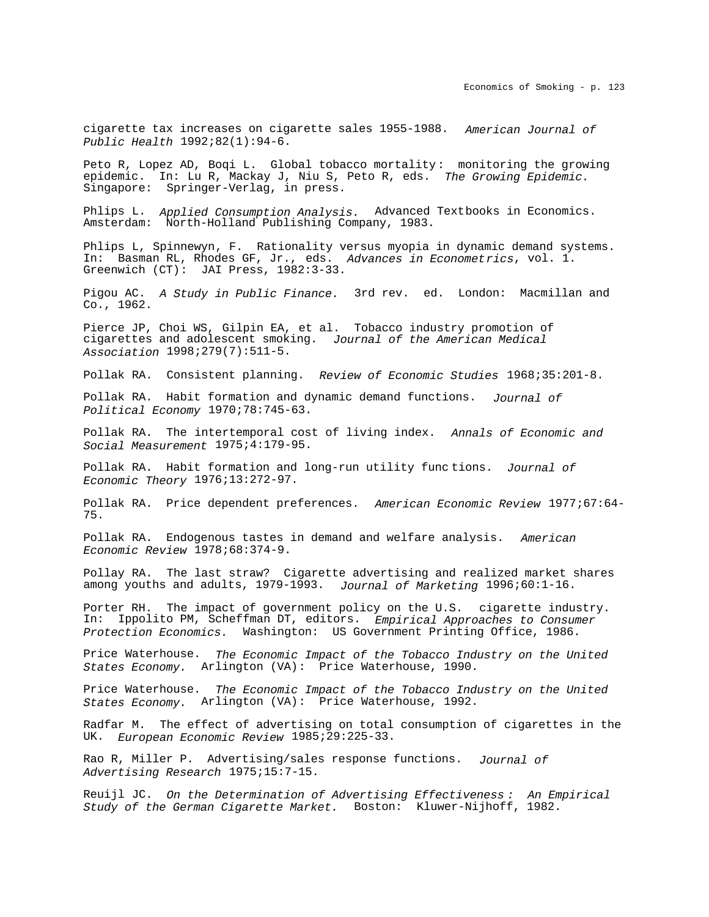cigarette tax increases on cigarette sales 1955-1988. *American Journal of Public Health* 1992;82(1):94-6.

Peto R, Lopez AD, Boqi L. Global tobacco mortality: monitoring the growing epidemic. In: Lu R, Mackay J, Niu S, Peto R, eds. *The Growing Epidemic.* Singapore: Springer-Verlag, in press.

Phlips L. *Applied Consumption Analysis.* Advanced Textbooks in Economics. Amsterdam: North-Holland Publishing Company, 1983.

Phlips L, Spinnewyn, F. Rationality versus myopia in dynamic demand systems. In: Basman RL, Rhodes GF, Jr., eds. *Advances in Econometrics*, vol. 1. Greenwich (CT): JAI Press, 1982:3-33.

Pigou AC. *A Study in Public Finance.* 3rd rev. ed. London: Macmillan and Co., 1962.

Pierce JP, Choi WS, Gilpin EA, et al. Tobacco industry promotion of cigarettes and adolescent smoking. *Journal of the American Medical Association* 1998;279(7):511-5.

Pollak RA. Consistent planning. *Review of Economic Studies* 1968;35:201-8.

Pollak RA. Habit formation and dynamic demand functions. *Journal of Political Economy* 1970;78:745-63.

Pollak RA. The intertemporal cost of living index. *Annals of Economic and Social Measurement* 1975;4:179-95.

Pollak RA. Habit formation and long-run utility func tions. *Journal of Economic Theory* 1976;13:272-97.

Pollak RA. Price dependent preferences. *American Economic Review* 1977;67:64- 75.

Pollak RA. Endogenous tastes in demand and welfare analysis. *American Economic Review* 1978;68:374-9.

Pollay RA. The last straw? Cigarette advertising and realized market shares among youths and adults, 1979-1993. *Journal of Marketing* 1996;60:1-16.

Porter RH. The impact of government policy on the U.S. cigarette industry. In: Ippolito PM, Scheffman DT, editors. *Empirical Approaches to Consumer Protection Economics.* Washington: US Government Printing Office, 1986.

Price Waterhouse. *The Economic Impact of the Tobacco Industry on the United States Economy.* Arlington (VA): Price Waterhouse, 1990.

Price Waterhouse. *The Economic Impact of the Tobacco Industry on the United States Economy.* Arlington (VA): Price Waterhouse, 1992.

Radfar M. The effect of advertising on total consumption of cigarettes in the UK. *European Economic Review* 1985;29:225-33.

Rao R, Miller P. Advertising/sales response functions. *Journal of Advertising Research* 1975;15:7-15.

Reuijl JC. *On the Determination of Advertising Effectiveness : An Empirical Study of the German Cigarette Market.* Boston: Kluwer-Nijhoff, 1982.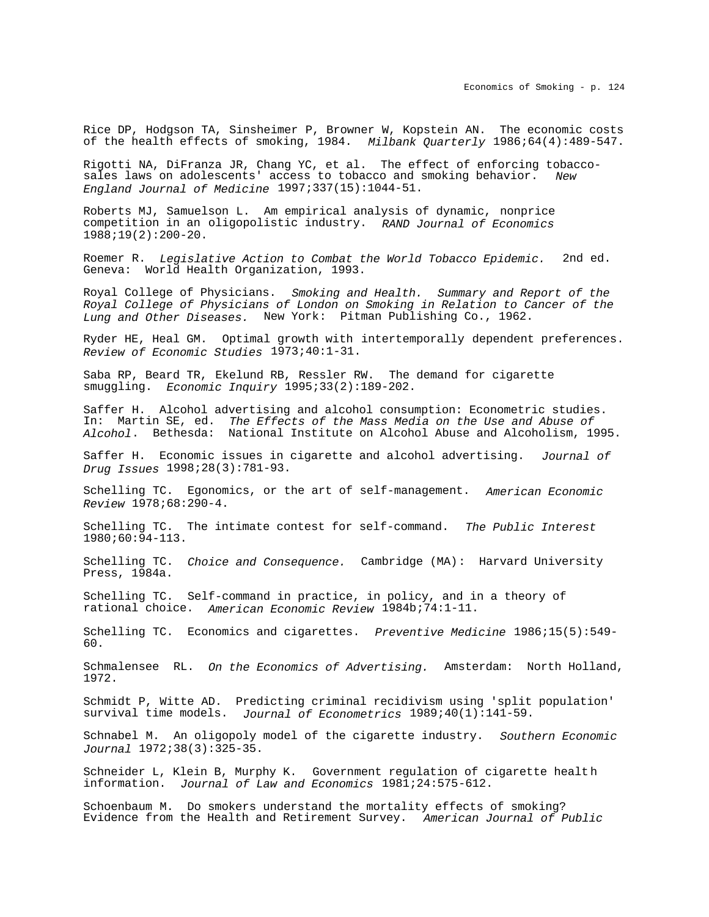Rice DP, Hodgson TA, Sinsheimer P, Browner W, Kopstein AN. The economic costs of the health effects of smoking, 1984. *Milbank Quarterly* 1986;64(4):489-547.

Rigotti NA, DiFranza JR, Chang YC, et al. The effect of enforcing tobaccosales laws on adolescents' access to tobacco and smoking behavior. *New England Journal of Medicine* 1997;337(15):1044-51.

Roberts MJ, Samuelson L. Am empirical analysis of dynamic, nonprice competition in an oligopolistic industry. *RAND Journal of Economics* 1988;19(2):200-20.

Roemer R. *Legislative Action to Combat the World Tobacco Epidemic.* 2nd ed. Geneva: World Health Organization, 1993.

Royal College of Physicians. *Smoking and Health. Summary and Report of the Royal College of Physicians of London on Smoking in Relation to Cancer of the Lung and Other Diseases.* New York: Pitman Publishing Co., 1962.

Ryder HE, Heal GM. Optimal growth with intertemporally dependent preferences. *Review of Economic Studies* 1973;40:1-31.

Saba RP, Beard TR, Ekelund RB, Ressler RW. The demand for cigarette smuggling. *Economic Inquiry* 1995;33(2):189-202.

Saffer H. Alcohol advertising and alcohol consumption: Econometric studies. In: Martin SE, ed. *The Effects of the Mass Media on the Use and Abuse of Alcohol*. Bethesda: National Institute on Alcohol Abuse and Alcoholism, 1995.

Saffer H. Economic issues in cigarette and alcohol advertising. *Journal of Drug Issues* 1998;28(3):781-93.

Schelling TC. Egonomics, or the art of self-management. *American Economic Review* 1978;68:290-4.

Schelling TC. The intimate contest for self-command. *The Public Interest* 1980;60:94-113.

Schelling TC. *Choice and Consequence.* Cambridge (MA): Harvard University Press, 1984a.

Schelling TC. Self-command in practice, in policy, and in a theory of rational choice. *American Economic Review* 1984b;74:1-11.

Schelling TC. Economics and cigarettes. *Preventive Medicine* 1986;15(5):549- 60.

Schmalensee RL. *On the Economics of Advertising.* Amsterdam: North Holland, 1972.

Schmidt P, Witte AD. Predicting criminal recidivism using 'split population' survival time models. *Journal of Econometrics* 1989;40(1):141-59.

Schnabel M. An oligopoly model of the cigarette industry. *Southern Economic Journal* 1972;38(3):325-35.

Schneider L, Klein B, Murphy K. Government regulation of cigarette healt h information. *Journal of Law and Economics* 1981;24:575-612.

Schoenbaum M. Do smokers understand the mortality effects of smoking? Evidence from the Health and Retirement Survey. *American Journal of Public*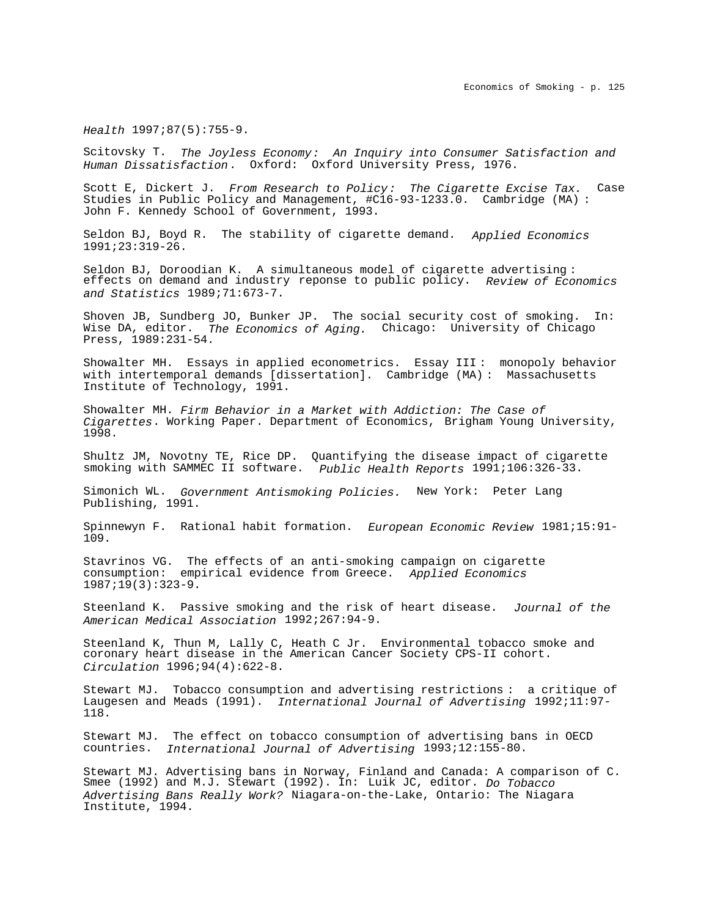Economics of Smoking - p. 125

*Health* 1997;87(5):755-9.

Scitovsky T. *The Joyless Economy: An Inquiry into Consumer Satisfaction and Human Dissatisfaction*. Oxford: Oxford University Press, 1976.

Scott E, Dickert J. *From Research to Policy: The Cigarette Excise Tax.* Case Studies in Public Policy and Management, #C16-93-1233.0. Cambridge (MA) : John F. Kennedy School of Government, 1993.

Seldon BJ, Boyd R. The stability of cigarette demand. *Applied Economics* 1991;23:319-26.

Seldon BJ, Doroodian K. A simultaneous model of cigarette advertising : effects on demand and industry reponse to public policy. *Review of Economics and Statistics* 1989;71:673-7.

Shoven JB, Sundberg JO, Bunker JP. The social security cost of smoking. In: Wise DA, editor. *The Economics of Aging.* Chicago: University of Chicago Press, 1989:231-54.

Showalter MH. Essays in applied econometrics. Essay III : monopoly behavior with intertemporal demands [dissertation]. Cambridge (MA) : Massachusetts Institute of Technology, 1991.

Showalter MH. *Firm Behavior in a Market with Addiction: The Case of Cigarettes*. Working Paper. Department of Economics, Brigham Young University, 1998.

Shultz JM, Novotny TE, Rice DP. Quantifying the disease impact of cigarette smoking with SAMMEC II software. *Public Health Reports* 1991;106:326-33.

Simonich WL. *Government Antismoking Policies.* New York: Peter Lang Publishing, 1991.

Spinnewyn F. Rational habit formation. *European Economic Review* 1981;15:91- 109.

Stavrinos VG. The effects of an anti-smoking campaign on cigarette consumption: empirical evidence from Greece. *Applied Economics* 1987;19(3):323-9.

Steenland K. Passive smoking and the risk of heart disease. *Journal of the American Medical Association* 1992;267:94-9.

Steenland K, Thun M, Lally C, Heath C Jr. Environmental tobacco smoke and coronary heart disease in the American Cancer Society CPS-II cohort. *Circulation* 1996;94(4):622-8.

Stewart MJ. Tobacco consumption and advertising restrictions : a critique of Laugesen and Meads (1991). *International Journal of Advertising* 1992;11:97- 118.

Stewart MJ. The effect on tobacco consumption of advertising bans in OECD countries. *International Journal of Advertising* 1993;12:155-80.

Stewart MJ. Advertising bans in Norway, Finland and Canada: A comparison of C. Smee (1992) and M.J. Stewart (1992). In: Luik JC, editor. *Do Tobacco Advertising Bans Really Work?* Niagara-on-the-Lake, Ontario: The Niagara Institute, 1994.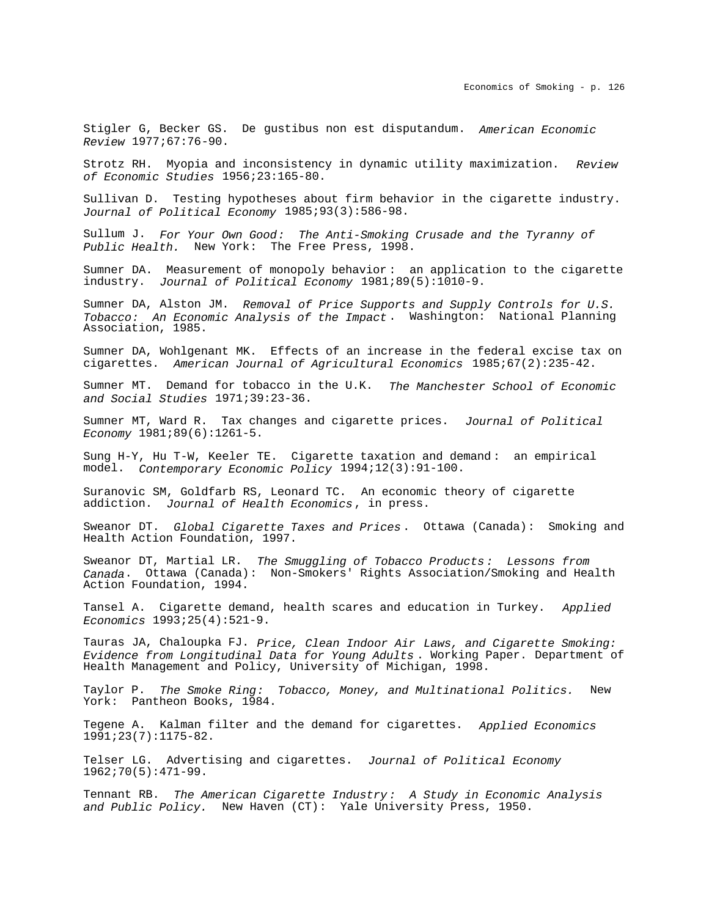Stigler G, Becker GS. De gustibus non est disputandum. *American Economic Review* 1977;67:76-90.

Strotz RH. Myopia and inconsistency in dynamic utility maximization. *Review of Economic Studies* 1956;23:165-80.

Sullivan D. Testing hypotheses about firm behavior in the cigarette industry. *Journal of Political Economy* 1985;93(3):586-98.

Sullum J. *For Your Own Good: The Anti-Smoking Crusade and the Tyranny of Public Health.* New York: The Free Press, 1998.

Sumner DA. Measurement of monopoly behavior : an application to the cigarette industry. *Journal of Political Economy* 1981;89(5):1010-9.

Sumner DA, Alston JM. *Removal of Price Supports and Supply Controls for U.S. Tobacco: An Economic Analysis of the Impact* . Washington: National Planning Association, 1985.

Sumner DA, Wohlgenant MK. Effects of an increase in the federal excise tax on cigarettes. *American Journal of Agricultural Economics* 1985;67(2):235-42.

Sumner MT. Demand for tobacco in the U.K. *The Manchester School of Economic and Social Studies* 1971;39:23-36.

Sumner MT, Ward R. Tax changes and cigarette prices. *Journal of Political Economy* 1981;89(6):1261-5.

Sung H-Y, Hu T-W, Keeler TE. Cigarette taxation and demand : an empirical model. *Contemporary Economic Policy* 1994;12(3):91-100.

Suranovic SM, Goldfarb RS, Leonard TC. An economic theory of cigarette addiction. *Journal of Health Economics*, in press.

Sweanor DT. *Global Cigarette Taxes and Prices* . Ottawa (Canada): Smoking and Health Action Foundation, 1997.

Sweanor DT, Martial LR. *The Smuggling of Tobacco Products : Lessons from Canada*. Ottawa (Canada): Non-Smokers' Rights Association/Smoking and Health Action Foundation, 1994.

Tansel A. Cigarette demand, health scares and education in Turkey. *Applied Economics* 1993;25(4):521-9.

Tauras JA, Chaloupka FJ. *Price, Clean Indoor Air Laws, and Cigarette Smoking: Evidence from Longitudinal Data for Young Adults* . Working Paper. Department of Health Management and Policy, University of Michigan, 1998.

Taylor P. *The Smoke Ring: Tobacco, Money, and Multinational Politics.* New York: Pantheon Books, 1984.

Tegene A. Kalman filter and the demand for cigarettes. *Applied Economics* 1991;23(7):1175-82.

Telser LG. Advertising and cigarettes. *Journal of Political Economy* 1962;70(5):471-99.

Tennant RB. *The American Cigarette Industry : A Study in Economic Analysis and Public Policy.* New Haven (CT): Yale University Press, 1950.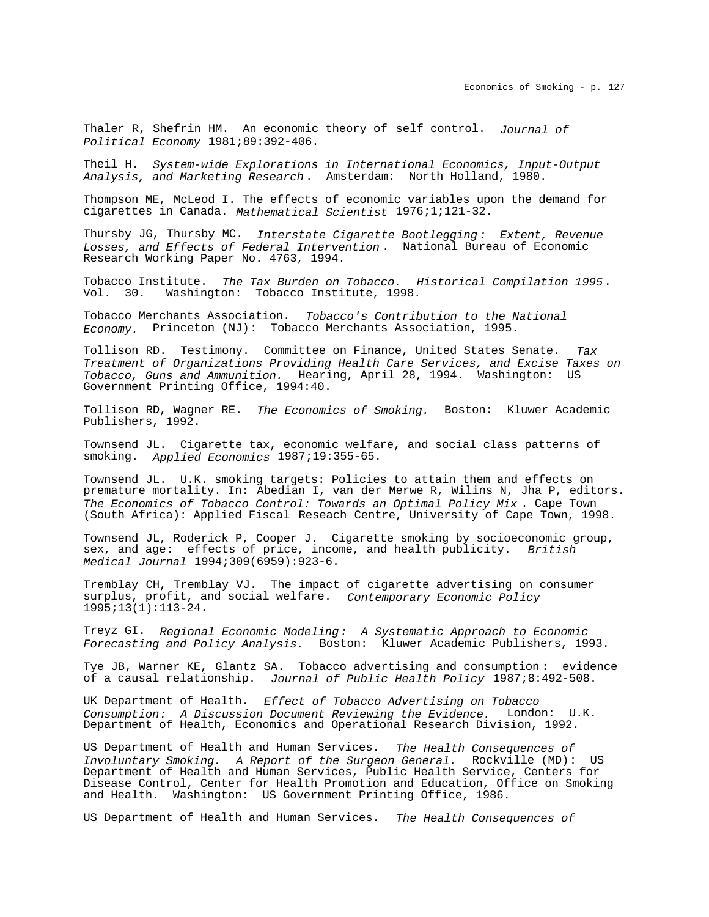Thaler R, Shefrin HM. An economic theory of self control. *Journal of Political Economy* 1981;89:392-406.

Theil H. *System-wide Explorations in International Economics, Input-Output Analysis, and Marketing Research* . Amsterdam: North Holland, 1980.

Thompson ME, McLeod I. The effects of economic variables upon the demand for cigarettes in Canada. *Mathematical Scientist* 1976;1;121-32.

Thursby JG, Thursby MC. *Interstate Cigarette Bootlegging : Extent, Revenue Losses, and Effects of Federal Intervention* . National Bureau of Economic Research Working Paper No. 4763, 1994.

Tobacco Institute. *The Tax Burden on Tobacco. Historical Compilation 1995*. Vol. 30. Washington: Tobacco Institute, 1998.

Tobacco Merchants Association. *Tobacco's Contribution to the National Economy.* Princeton (NJ): Tobacco Merchants Association, 1995.

Tollison RD. Testimony. Committee on Finance, United States Senate. *Tax Treatment of Organizations Providing Health Care Services, and Excise Taxes on Tobacco, Guns and Ammunition.* Hearing, April 28, 1994. Washington: US Government Printing Office, 1994:40.

Tollison RD, Wagner RE. *The Economics of Smoking.* Boston: Kluwer Academic Publishers, 1992.

Townsend JL. Cigarette tax, economic welfare, and social class patterns of smoking. *Applied Economics* 1987;19:355-65.

Townsend JL. U.K. smoking targets: Policies to attain them and effects on premature mortality. In: Abedian I, van der Merwe R, Wilins N, Jha P, editors. *The Economics of Tobacco Control: Towards an Optimal Policy Mix* . Cape Town (South Africa): Applied Fiscal Reseach Centre, University of Cape Town, 1998.

Townsend JL, Roderick P, Cooper J. Cigarette smoking by socioeconomic group, sex, and age: effects of price, income, and health publicity. *British Medical Journal* 1994;309(6959):923-6.

Tremblay CH, Tremblay VJ. The impact of cigarette advertising on consumer surplus, profit, and social welfare. *Contemporary Economic Policy* 1995;13(1):113-24.

Treyz GI. *Regional Economic Modeling: A Systematic Approach to Economic Forecasting and Policy Analysis.* Boston: Kluwer Academic Publishers, 1993.

Tye JB, Warner KE, Glantz SA. Tobacco advertising and consumption : evidence of a causal relationship. *Journal of Public Health Policy* 1987;8:492-508.

UK Department of Health. *Effect of Tobacco Advertising on Tobacco Consumption: A Discussion Document Reviewing the Evidence.* London: U.K. Department of Health, Economics and Operational Research Division, 1992.

US Department of Health and Human Services. *The Health Consequences of Involuntary Smoking. A Report of the Surgeon General.* Rockville (MD): US Department of Health and Human Services, Public Health Service, Centers for Disease Control, Center for Health Promotion and Education, Office on Smoking and Health. Washington: US Government Printing Office, 1986.

US Department of Health and Human Services. *The Health Consequences of*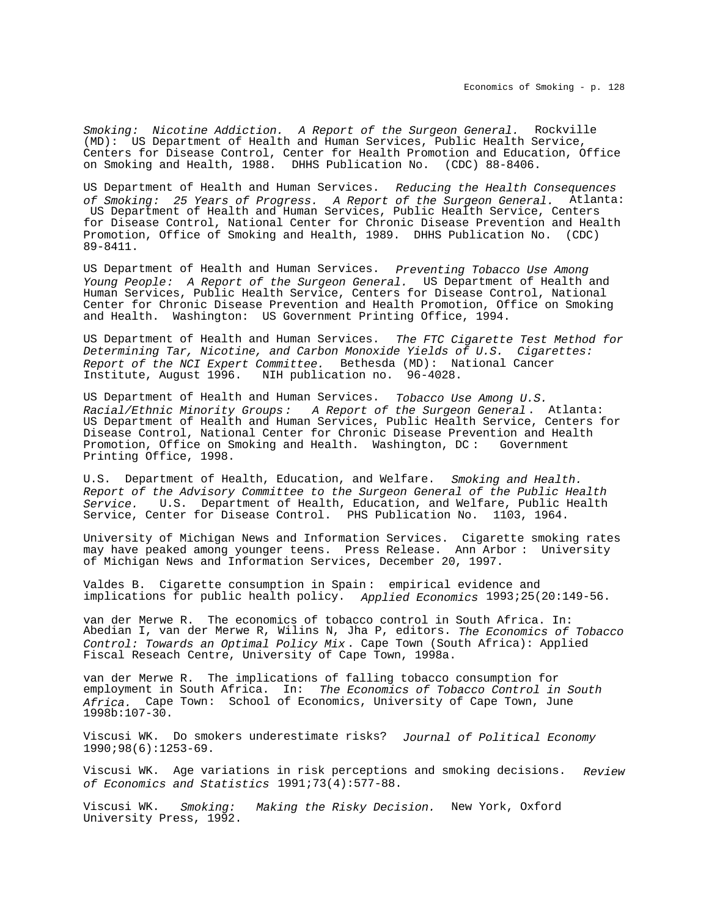*Smoking: Nicotine Addiction. A Report of the Surgeon General.* Rockville (MD): US Department of Health and Human Services, Public Health Service, Centers for Disease Control, Center for Health Promotion and Education, Office on Smoking and Health, 1988. DHHS Publication No. (CDC) 88-8406.

US Department of Health and Human Services. *Reducing the Health Consequences of Smoking: 25 Years of Progress. A Report of the Surgeon General.* Atlanta: US Department of Health and Human Services, Public Health Service, Centers for Disease Control, National Center for Chronic Disease Prevention and Health Promotion, Office of Smoking and Health, 1989. DHHS Publication No. (CDC) 89-8411.

US Department of Health and Human Services. *Preventing Tobacco Use Among Young People: A Report of the Surgeon General.* US Department of Health and Human Services, Public Health Service, Centers for Disease Control, National Center for Chronic Disease Prevention and Health Promotion, Office on Smoking and Health. Washington: US Government Printing Office, 1994.

US Department of Health and Human Services. *The FTC Cigarette Test Method for Determining Tar, Nicotine, and Carbon Monoxide Yields of U.S. Cigarettes: Report of the NCI Expert Committee.* Bethesda (MD): National Cancer Institute, August 1996. NIH publication no. 96-4028.

US Department of Health and Human Services. *Tobacco Use Among U.S. Racial/Ethnic Minority Groups: A Report of the Surgeon General* . Atlanta: US Department of Health and Human Services, Public Health Service, Centers for Disease Control, National Center for Chronic Disease Prevention and Health Promotion, Office on Smoking and Health. Washington, DC : Government Printing Office, 1998.

U.S. Department of Health, Education, and Welfare. *Smoking and Health. Report of the Advisory Committee to the Surgeon General of the Public Health Service.* U.S. Department of Health, Education, and Welfare, Public Health Service, Center for Disease Control. PHS Publication No. 1103, 1964.

University of Michigan News and Information Services. Cigarette smoking rates may have peaked among younger teens. Press Release. Ann Arbor : University of Michigan News and Information Services, December 20, 1997.

Valdes B. Cigarette consumption in Spain : empirical evidence and implications for public health policy. *Applied Economics* 1993;25(20:149-56.

van der Merwe R. The economics of tobacco control in South Africa. In: Abedian I, van der Merwe R, Wilins N, Jha P, editors. *The Economics of Tobacco Control: Towards an Optimal Policy Mix* . Cape Town (South Africa): Applied Fiscal Reseach Centre, University of Cape Town, 1998a.

van der Merwe R. The implications of falling tobacco consumption for employment in South Africa. In: *The Economics of Tobacco Control in South Africa.* Cape Town: School of Economics, University of Cape Town, June 1998b:107-30.

Viscusi WK. Do smokers underestimate risks? *Journal of Political Economy* 1990;98(6):1253-69.

Viscusi WK. Age variations in risk perceptions and smoking decisions. *Review of Economics and Statistics* 1991;73(4):577-88.

Viscusi WK. *Smoking: Making the Risky Decision.* New York, Oxford University Press, 1992.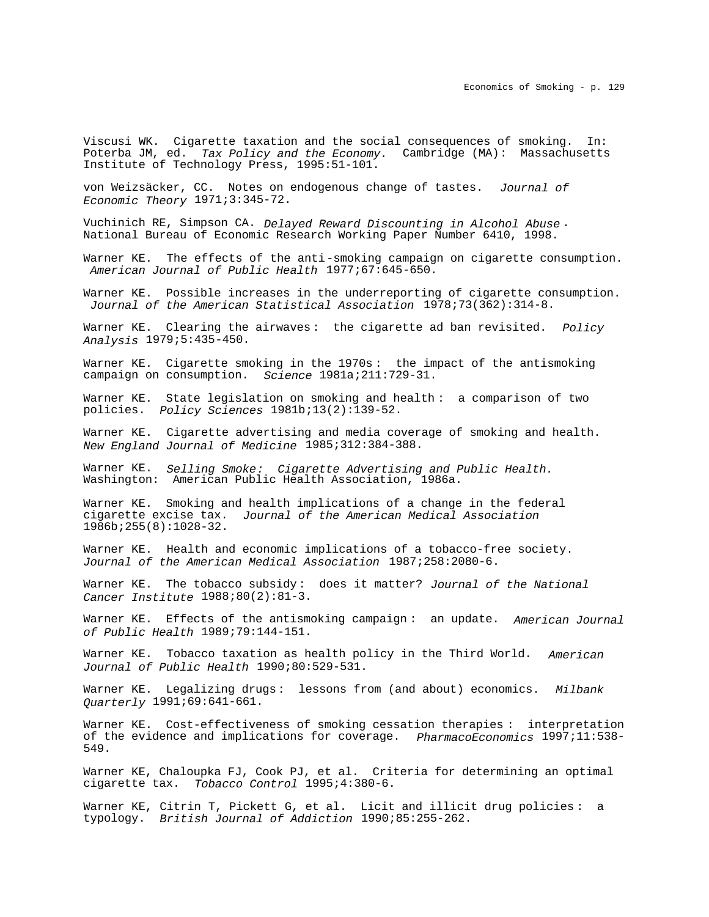Viscusi WK. Cigarette taxation and the social consequences of smoking. In: Poterba JM, ed. *Tax Policy and the Economy.* Cambridge (MA): Massachusetts Institute of Technology Press, 1995:51-101.

von Weizsäcker, CC. Notes on endogenous change of tastes. *Journal of Economic Theory* 1971;3:345-72.

Vuchinich RE, Simpson CA. *Delayed Reward Discounting in Alcohol Abuse* . National Bureau of Economic Research Working Paper Number 6410, 1998.

Warner KE. The effects of the anti-smoking campaign on cigarette consumption. *American Journal of Public Health* 1977;67:645-650.

Warner KE. Possible increases in the underreporting of cigarette consumption. *Journal of the American Statistical Association* 1978;73(362):314-8.

Warner KE. Clearing the airwaves : the cigarette ad ban revisited. *Policy Analysis* 1979;5:435-450.

Warner KE. Cigarette smoking in the 1970s : the impact of the antismoking campaign on consumption. *Science* 1981a;211:729-31.

Warner KE. State legislation on smoking and health : a comparison of two policies. *Policy Sciences* 1981b;13(2):139-52.

Warner KE. Cigarette advertising and media coverage of smoking and health. *New England Journal of Medicine* 1985;312:384-388.

Warner KE. *Selling Smoke: Cigarette Advertising and Public Health.* Washington: American Public Health Association, 1986a.

Warner KE. Smoking and health implications of a change in the federal cigarette excise tax. *Journal of the American Medical Association* 1986b;255(8):1028-32.

Warner KE. Health and economic implications of a tobacco-free society. *Journal of the American Medical Association* 1987;258:2080-6.

Warner KE. The tobacco subsidy : does it matter? *Journal of the National Cancer Institute* 1988;80(2):81-3.

Warner KE. Effects of the antismoking campaign : an update. *American Journal of Public Health* 1989;79:144-151.

Warner KE. Tobacco taxation as health policy in the Third World. *American Journal of Public Health* 1990;80:529-531.

Warner KE. Legalizing drugs: lessons from (and about) economics. *Milbank Quarterly* 1991;69:641-661.

Warner KE. Cost-effectiveness of smoking cessation therapies : interpretation of the evidence and implications for coverage. *PharmacoEconomics* 1997;11:538- 549.

Warner KE, Chaloupka FJ, Cook PJ, et al. Criteria for determining an optimal cigarette tax. *Tobacco Control* 1995;4:380-6.

Warner KE, Citrin T, Pickett G, et al. Licit and illicit drug policies : a typology. *British Journal of Addiction* 1990;85:255-262.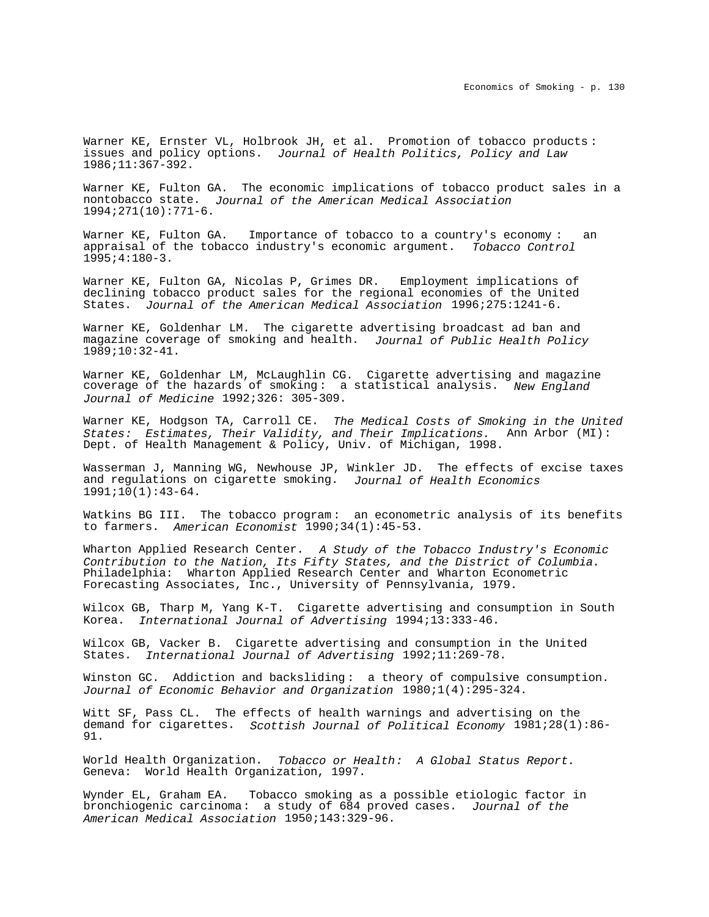Warner KE, Ernster VL, Holbrook JH, et al. Promotion of tobacco products : issues and policy options. *Journal of Health Politics, Policy and Law* 1986;11:367-392.

Warner KE, Fulton GA. The economic implications of tobacco product sales in a nontobacco state. *Journal of the American Medical Association* 1994;271(10):771-6.

Warner KE, Fulton GA. Importance of tobacco to a country's economy: an appraisal of the tobacco industry's economic argument. *Tobacco Control* 1995;4:180-3.

Warner KE, Fulton GA, Nicolas P, Grimes DR. Employment implications of declining tobacco product sales for the regional economies of the United States. *Journal of the American Medical Association* 1996;275:1241-6.

Warner KE, Goldenhar LM. The cigarette advertising broadcast ad ban and magazine coverage of smoking and health. *Journal of Public Health Policy* 1989;10:32-41.

Warner KE, Goldenhar LM, McLaughlin CG. Cigarette advertising and magazine coverage of the hazards of smoking : a statistical analysis. *New England Journal of Medicine* 1992;326: 305-309.

Warner KE, Hodgson TA, Carroll CE. *The Medical Costs of Smoking in the United States: Estimates, Their Validity, and Their Implications.* Ann Arbor (MI): Dept. of Health Management & Policy, Univ. of Michigan, 1998.

Wasserman J, Manning WG, Newhouse JP, Winkler JD. The effects of excise taxes and regulations on cigarette smoking. *Journal of Health Economics* 1991;10(1):43-64.

Watkins BG III. The tobacco program: an econometric analysis of its benefits to farmers. *American Economist* 1990;34(1):45-53.

Wharton Applied Research Center. *A Study of the Tobacco Industry's Economic Contribution to the Nation, Its Fifty States, and the District of Columbia.* Philadelphia: Wharton Applied Research Center and Wharton Econometric Forecasting Associates, Inc., University of Pennsylvania, 1979.

Wilcox GB, Tharp M, Yang K-T. Cigarette advertising and consumption in South Korea. *International Journal of Advertising* 1994;13:333-46.

Wilcox GB, Vacker B. Cigarette advertising and consumption in the United States. *International Journal of Advertising* 1992;11:269-78.

Winston GC. Addiction and backsliding: a theory of compulsive consumption. *Journal of Economic Behavior and Organization* 1980;1(4):295-324.

Witt SF, Pass CL. The effects of health warnings and advertising on the demand for cigarettes. *Scottish Journal of Political Economy* 1981;28(1):86- 91.

World Health Organization. *Tobacco or Health: A Global Status Report.* Geneva: World Health Organization, 1997.

Wynder EL, Graham EA. Tobacco smoking as a possible etiologic factor in bronchiogenic carcinoma: a study of 684 proved cases. *Journal of the American Medical Association* 1950;143:329-96.